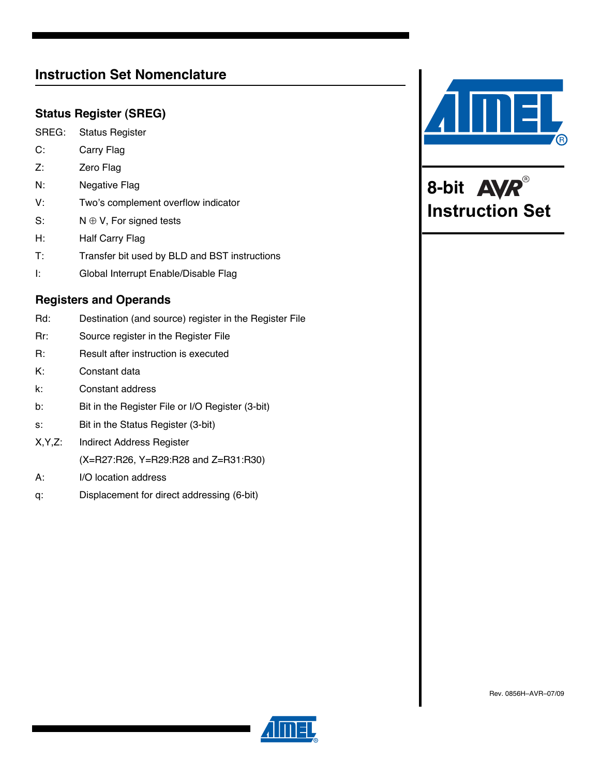# **Instruction Set Nomenclature**

### **Status Register (SREG)**

- SREG: Status Register
- C: Carry Flag
- Z: **Zero Flag**
- N: Negative Flag
- V: Two's complement overflow indicator
- S:  $N \oplus V$ , For signed tests
- H: Half Carry Flag
- T: Transfer bit used by BLD and BST instructions
- I: Global Interrupt Enable/Disable Flag

### **Registers and Operands**

Rd: Destination (and source) register in the Register File Rr: Source register in the Register File R: Result after instruction is executed K: Constant data k: Constant address b: Bit in the Register File or I/O Register (3-bit) s: Bit in the Status Register (3-bit) X,Y,Z: Indirect Address Register (X=R27:R26, Y=R29:R28 and Z=R31:R30) A: I/O location address q: Displacement for direct addressing (6-bit)



**8-bit Instruction Set**

Rev. 0856H–AVR–07/09

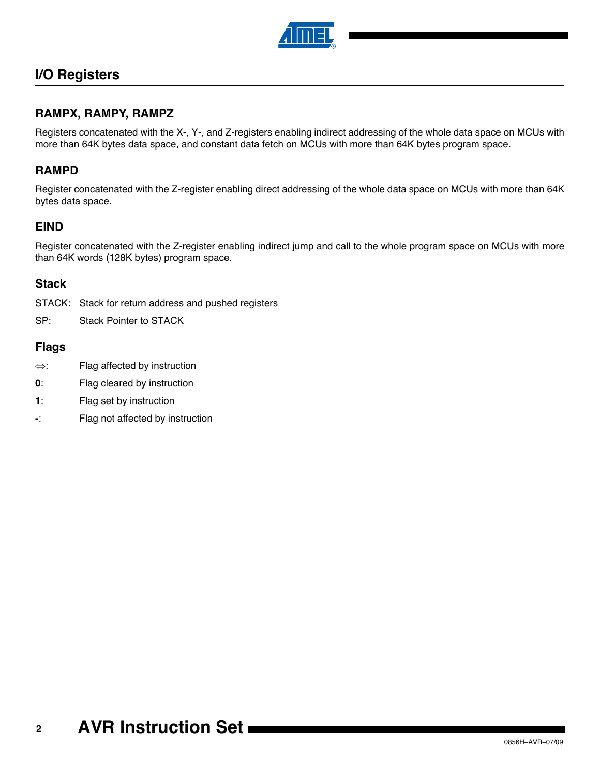

# **I/O Registers**

### **RAMPX, RAMPY, RAMPZ**

Registers concatenated with the X-, Y-, and Z-registers enabling indirect addressing of the whole data space on MCUs with more than 64K bytes data space, and constant data fetch on MCUs with more than 64K bytes program space.

### **RAMPD**

Register concatenated with the Z-register enabling direct addressing of the whole data space on MCUs with more than 64K bytes data space.

### **EIND**

Register concatenated with the Z-register enabling indirect jump and call to the whole program space on MCUs with more than 64K words (128K bytes) program space.

### **Stack**

STACK: Stack for return address and pushed registers

SP: Stack Pointer to STACK

### **Flags**

- $\Leftrightarrow$ : Flag affected by instruction
- **0**: Flag cleared by instruction
- **1**: Flag set by instruction
- **-**: Flag not affected by instruction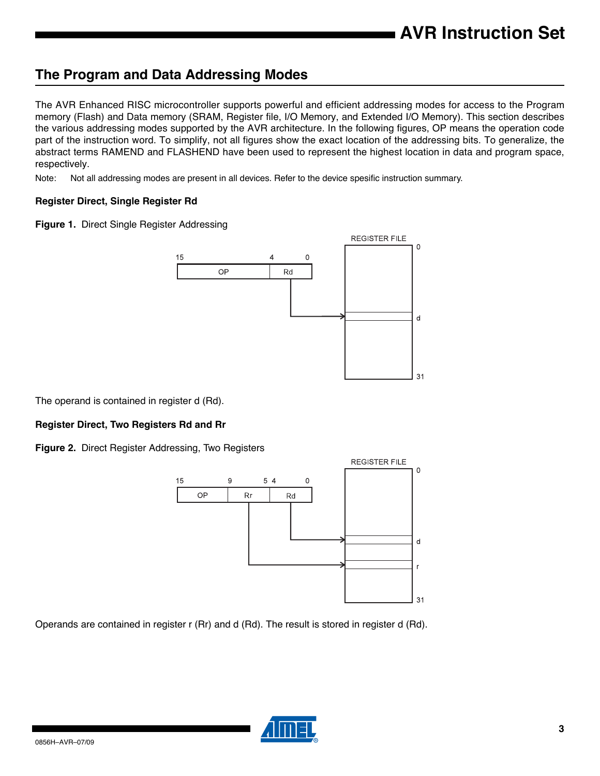# **The Program and Data Addressing Modes**

The AVR Enhanced RISC microcontroller supports powerful and efficient addressing modes for access to the Program memory (Flash) and Data memory (SRAM, Register file, I/O Memory, and Extended I/O Memory). This section describes the various addressing modes supported by the AVR architecture. In the following figures, OP means the operation code part of the instruction word. To simplify, not all figures show the exact location of the addressing bits. To generalize, the abstract terms RAMEND and FLASHEND have been used to represent the highest location in data and program space, respectively.

Note: Not all addressing modes are present in all devices. Refer to the device spesific instruction summary.

### **Register Direct, Single Register Rd**

**Figure 1.** Direct Single Register Addressing



The operand is contained in register d (Rd).

### **Register Direct, Two Registers Rd and Rr**

**Figure 2.** Direct Register Addressing, Two Registers



Operands are contained in register r (Rr) and d (Rd). The result is stored in register d (Rd).

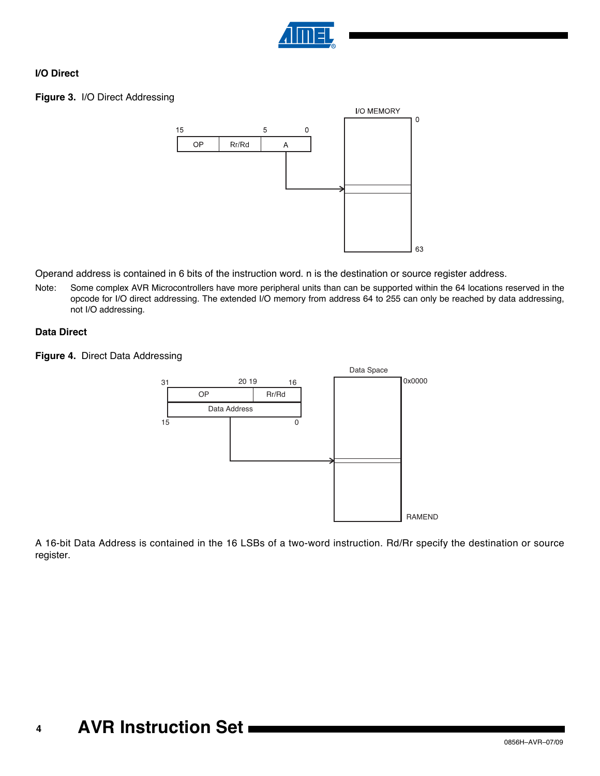

### **I/O Direct**

### **Figure 3.** I/O Direct Addressing



Operand address is contained in 6 bits of the instruction word. n is the destination or source register address.

Note: Some complex AVR Microcontrollers have more peripheral units than can be supported within the 64 locations reserved in the opcode for I/O direct addressing. The extended I/O memory from address 64 to 255 can only be reached by data addressing, not I/O addressing.

### **Data Direct**

**Figure 4.** Direct Data Addressing



A 16-bit Data Address is contained in the 16 LSBs of a two-word instruction. Rd/Rr specify the destination or source register.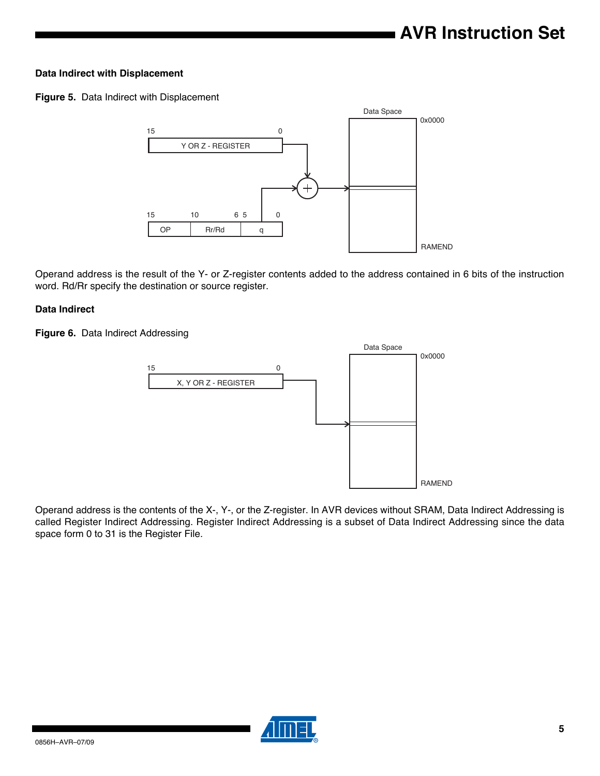### **Data Indirect with Displacement**

**Figure 5.** Data Indirect with Displacement



Operand address is the result of the Y- or Z-register contents added to the address contained in 6 bits of the instruction word. Rd/Rr specify the destination or source register.

### **Data Indirect**

**Figure 6.** Data Indirect Addressing



Operand address is the contents of the X-, Y-, or the Z-register. In AVR devices without SRAM, Data Indirect Addressing is called Register Indirect Addressing. Register Indirect Addressing is a subset of Data Indirect Addressing since the data space form 0 to 31 is the Register File.

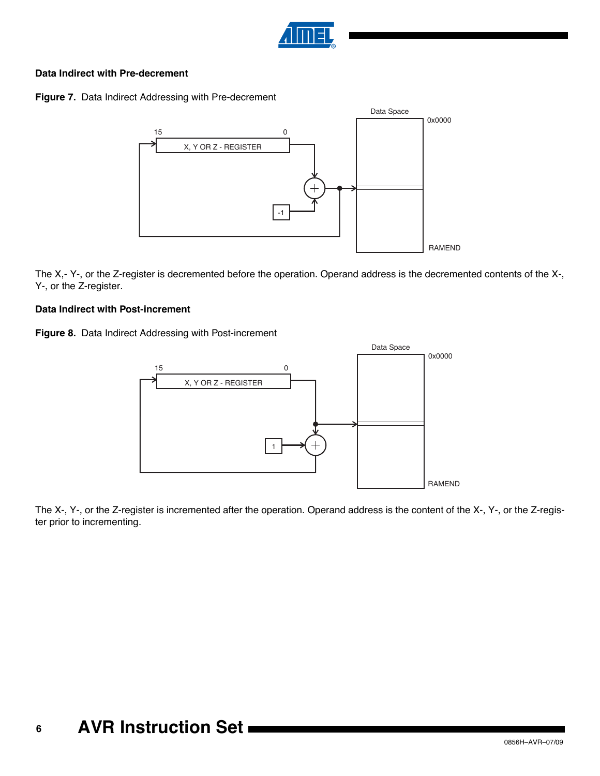

### **Data Indirect with Pre-decrement**

**Figure 7.** Data Indirect Addressing with Pre-decrement



The X,- Y-, or the Z-register is decremented before the operation. Operand address is the decremented contents of the X-, Y-, or the Z-register.

### **Data Indirect with Post-increment**

**Figure 8.** Data Indirect Addressing with Post-increment



The X-, Y-, or the Z-register is incremented after the operation. Operand address is the content of the X-, Y-, or the Z-register prior to incrementing.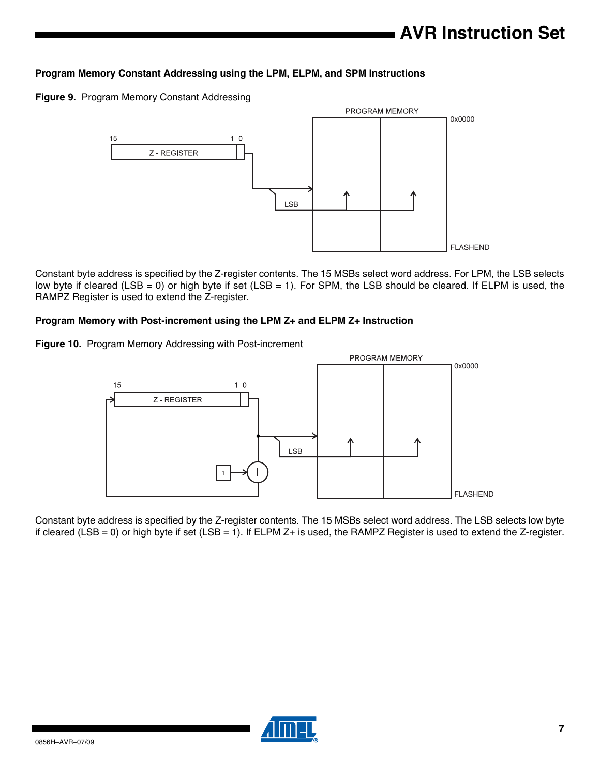### **Program Memory Constant Addressing using the LPM, ELPM, and SPM Instructions**

**Figure 9.** Program Memory Constant Addressing



Constant byte address is specified by the Z-register contents. The 15 MSBs select word address. For LPM, the LSB selects low byte if cleared (LSB = 0) or high byte if set (LSB = 1). For SPM, the LSB should be cleared. If ELPM is used, the RAMPZ Register is used to extend the Z-register.

### **Program Memory with Post-increment using the LPM Z+ and ELPM Z+ Instruction**

**Figure 10.** Program Memory Addressing with Post-increment



Constant byte address is specified by the Z-register contents. The 15 MSBs select word address. The LSB selects low byte if cleared (LSB = 0) or high byte if set (LSB = 1). If ELPM  $Z+$  is used, the RAMPZ Register is used to extend the Z-register.

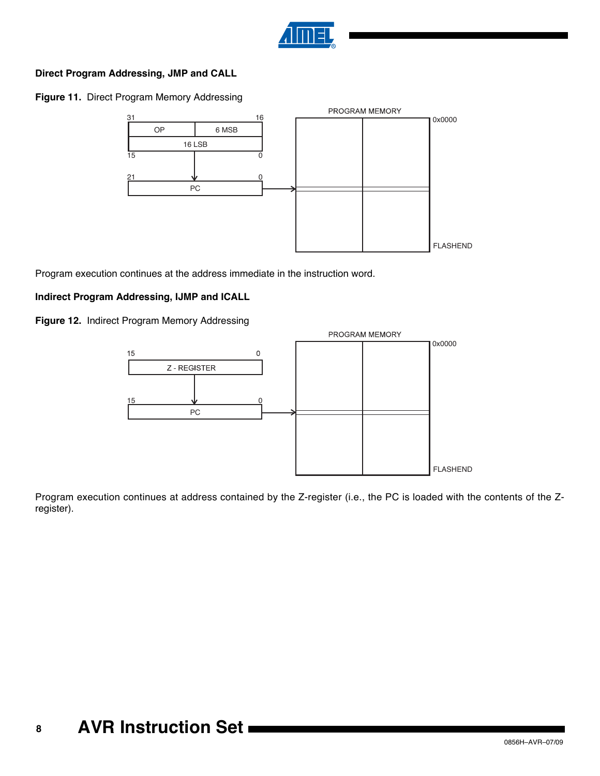

### **Direct Program Addressing, JMP and CALL**

**Figure 11.** Direct Program Memory Addressing



Program execution continues at the address immediate in the instruction word.

### **Indirect Program Addressing, IJMP and ICALL**

**Figure 12.** Indirect Program Memory Addressing



Program execution continues at address contained by the Z-register (i.e., the PC is loaded with the contents of the Zregister).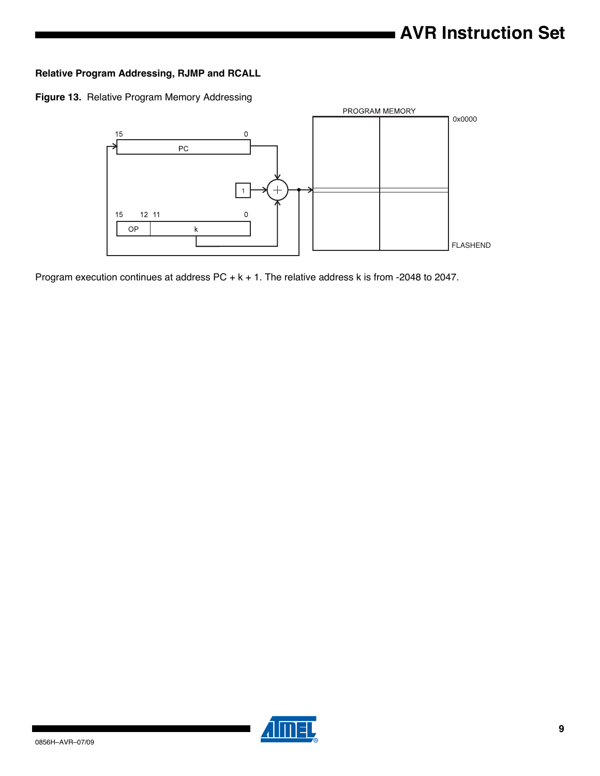### **Relative Program Addressing, RJMP and RCALL**

**Figure 13.** Relative Program Memory Addressing



Program execution continues at address PC + k + 1. The relative address k is from -2048 to 2047.

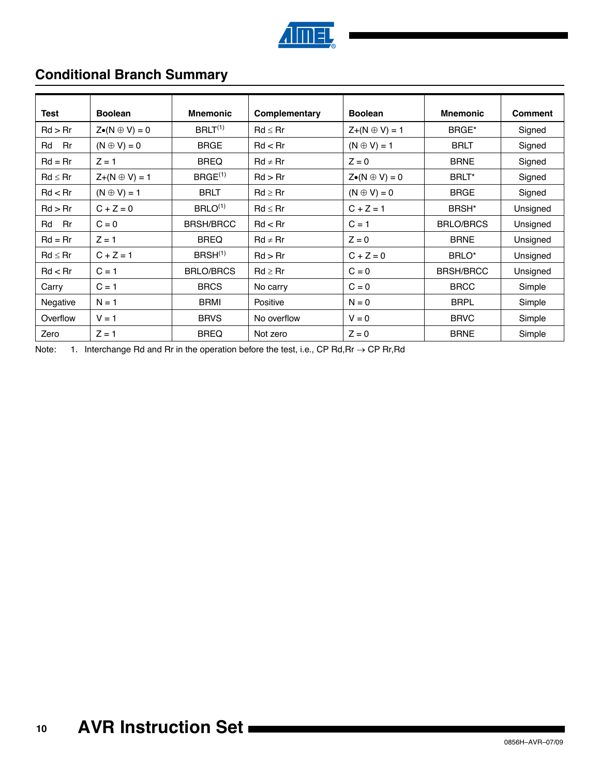

# **Conditional Branch Summary**

| Test         | <b>Boolean</b>             | <b>Mnemonic</b>      | Complementary | <b>Boolean</b>             | <b>Mnemonic</b>   | <b>Comment</b> |
|--------------|----------------------------|----------------------|---------------|----------------------------|-------------------|----------------|
| Rd > Rr      | $Z\bullet(N \oplus V) = 0$ | $BRLT^{(1)}$         | $Rd \leq Rr$  | $Z+(N \oplus V)=1$         | BRGE*             | Signed         |
| Rd<br>Rr     | $(N \oplus V) = 0$         | <b>BRGE</b>          | Rd < Rr       | $(N \oplus V) = 1$         | <b>BRLT</b>       | Signed         |
| $Rd = Rr$    | $Z = 1$                    | <b>BREQ</b>          | $Rd \neq Rr$  | $Z = 0$                    | <b>BRNE</b>       | Signed         |
| $Rd \leq Rr$ | $Z+(N \oplus V)=1$         | B RGE <sup>(1)</sup> | Rd > Rr       | $Z\bullet(N \oplus V) = 0$ | BRLT*             | Signed         |
| Rd < Rr      | $(N \oplus V) = 1$         | <b>BRLT</b>          | $Rd \geq Rr$  | $(N \oplus V) = 0$         | <b>BRGE</b>       | Signed         |
| Rd > Rr      | $C + Z = 0$                | $BRLO^{(1)}$         | $Rd \leq Rr$  | $C + Z = 1$                | BRSH <sup>*</sup> | Unsigned       |
| Rd<br>Rr     | $C = 0$                    | <b>BRSH/BRCC</b>     | Rd < Rr       | $C = 1$                    | <b>BRLO/BRCS</b>  | Unsigned       |
| $Rd = Rr$    | $Z = 1$                    | <b>BREQ</b>          | $Rd \neq Rr$  | $Z = 0$                    | <b>BRNE</b>       | Unsigned       |
| $Rd \leq Rr$ | $C + Z = 1$                | $BRSH^{(1)}$         | Rd > Rr       | $C + Z = 0$                | BRLO*             | Unsigned       |
| Rd < Rr      | $C = 1$                    | <b>BRLO/BRCS</b>     | $Rd \geq Rr$  | $C = 0$                    | <b>BRSH/BRCC</b>  | Unsigned       |
| Carry        | $C = 1$                    | <b>BRCS</b>          | No carry      | $C = 0$                    | <b>BRCC</b>       | Simple         |
| Negative     | $N = 1$                    | <b>BRMI</b>          | Positive      | $N = 0$                    | <b>BRPL</b>       | Simple         |
| Overflow     | $V = 1$                    | <b>BRVS</b>          | No overflow   | $V = 0$                    | <b>BRVC</b>       | Simple         |
| Zero         | $Z = 1$                    | <b>BREQ</b>          | Not zero      | $Z = 0$                    | <b>BRNE</b>       | Simple         |

Note: 1. Interchange Rd and Rr in the operation before the test, i.e., CP Rd, Rr  $\rightarrow$  CP Rr, Rd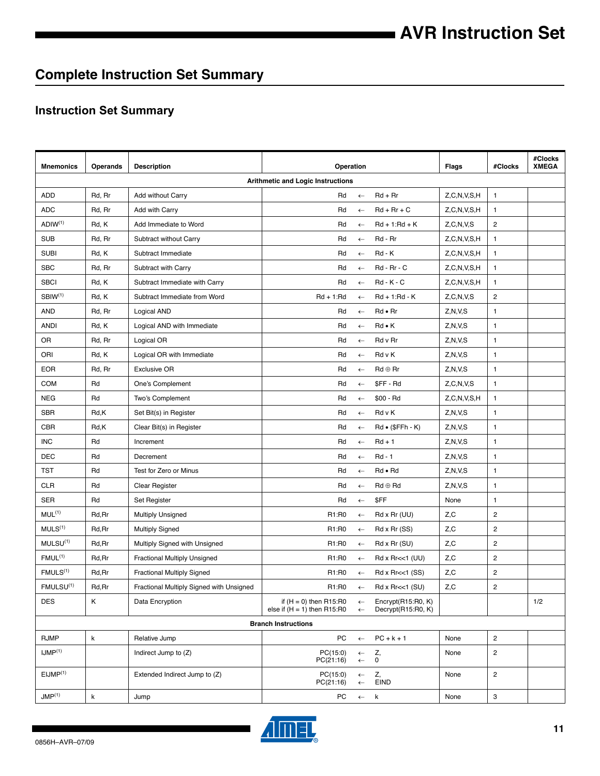# **Complete Instruction Set Summary**

## **Instruction Set Summary**

| <b>Mnemonics</b>      | Operands    | <b>Description</b>                       | Operation                                                 |                              |                                          | Flags                   | #Clocks        | #Clocks<br><b>XMEGA</b> |
|-----------------------|-------------|------------------------------------------|-----------------------------------------------------------|------------------------------|------------------------------------------|-------------------------|----------------|-------------------------|
|                       |             |                                          | <b>Arithmetic and Logic Instructions</b>                  |                              |                                          |                         |                |                         |
| ADD                   | Rd, Rr      | Add without Carry                        | Rd                                                        | $\leftarrow$                 | $Rd + Rr$                                | Z, C, N, V, S, H        | $\mathbf{1}$   |                         |
| <b>ADC</b>            | Rd, Rr      | Add with Carry                           | Rd                                                        | $\leftarrow$                 | $Rd + Rr + C$                            | Z, C, N, V, S, H        | $\mathbf{1}$   |                         |
| ADIW <sup>(1)</sup>   | Rd, K       | Add Immediate to Word                    | Rd                                                        | $\leftarrow$                 | $Rd + 1: Rd + K$                         | Z, C, N, V, S           | $\overline{c}$ |                         |
| <b>SUB</b>            | Rd, Rr      | Subtract without Carry                   | Rd                                                        | $\leftarrow$                 | Rd - Rr                                  | Z, C, N, V, S, H        | 1              |                         |
| <b>SUBI</b>           | Rd, K       | Subtract Immediate                       | Rd                                                        | $\leftarrow$                 | $Rd - K$                                 | Z, C, N, V, S, H        | $\mathbf{1}$   |                         |
| <b>SBC</b>            | Rd, Rr      | Subtract with Carry                      | Rd                                                        | $\leftarrow$                 | Rd - Rr - C                              | Z, C, N, V, S, H        | $\mathbf{1}$   |                         |
| <b>SBCI</b>           | Rd, K       | Subtract Immediate with Carry            | Rd                                                        | $\leftarrow$                 | $Rd - K - C$                             | Z, C, N, V, S, H        | $\mathbf{1}$   |                         |
| SBIW <sup>(1)</sup>   | Rd, K       | Subtract Immediate from Word             | $Rd + 1: Rd$                                              | $\leftarrow$                 | $Rd + 1: Rd - K$                         | Z, C, N, V, S           | 2              |                         |
| AND                   | Rd, Rr      | Logical AND                              | Rd                                                        | $\leftarrow$                 | Rd • Rr                                  | Z, N, V, S              | $\mathbf{1}$   |                         |
| <b>ANDI</b>           | Rd, K       | Logical AND with Immediate               | Rd                                                        | $\leftarrow$                 | $Rd \bullet K$                           | Z, N, V, S              | $\mathbf{1}$   |                         |
| OR                    | Rd, Rr      | Logical OR                               | Rd                                                        | $\leftarrow$                 | Rd v Rr                                  | Z, N, V, S              | $\mathbf{1}$   |                         |
| ORI                   | Rd, K       | Logical OR with Immediate                | Rd                                                        | $\leftarrow$                 | Rd v K                                   | Z, N, V, S              | $\mathbf{1}$   |                         |
| EOR                   | Rd, Rr      | <b>Exclusive OR</b>                      | Rd                                                        | $\leftarrow$                 | $Rd \oplus Rr$                           | Z, N, V, S              | $\mathbf{1}$   |                         |
| COM                   | Rd          | One's Complement                         | Rd                                                        | $\leftarrow$                 | \$FF-Rd                                  | Z, C, N, V, S           | $\mathbf{1}$   |                         |
| <b>NEG</b>            | Rd          | Two's Complement                         | Rd                                                        | $\leftarrow$                 | $$00 - Rd$                               | Z, C, N, V, S, H        | $\mathbf{1}$   |                         |
| <b>SBR</b>            | Rd,K        | Set Bit(s) in Register                   | Rd                                                        | $\leftarrow$                 | Rd v K                                   | Z, N, V, S              | $\mathbf{1}$   |                         |
| CBR                   | Rd,K        | Clear Bit(s) in Register                 | Rd                                                        | $\leftarrow$                 | $Rd \bullet (\$FFh - K)$                 | Z, N, V, S              | $\mathbf{1}$   |                         |
| <b>INC</b>            | Rd          | Increment                                | Rd                                                        | $\leftarrow$                 | $Rd + 1$                                 | Z, N, V, S              | $\mathbf{1}$   |                         |
| DEC                   | Rd          | Decrement                                | Rd                                                        | $\leftarrow$                 | $Rd - 1$                                 | Z, N, V, S              | $\mathbf{1}$   |                         |
| TST                   | Rd          | Test for Zero or Minus                   | Rd                                                        | $\leftarrow$                 | Rd • Rd                                  | Z, N, V, S              | $\mathbf{1}$   |                         |
| <b>CLR</b>            | Rd          | Clear Register                           | Rd                                                        | $\leftarrow$                 | $Rd \oplus Rd$                           | Z, N, V, S              | $\mathbf{1}$   |                         |
| SER                   | Rd          | Set Register                             | Rd                                                        | $\leftarrow$                 | \$FF                                     | None                    | $\mathbf{1}$   |                         |
| MUL <sup>(1)</sup>    | Rd, Rr      | <b>Multiply Unsigned</b>                 | R1:R0                                                     | $\leftarrow$                 | $Rd \times Rr$ (UU)                      | Z,C                     | $\overline{c}$ |                         |
| MULS <sup>(1)</sup>   | Rd, Rr      | <b>Multiply Signed</b>                   | R1:R0                                                     | $\leftarrow$                 | Rd x Rr (SS)                             | Z,C                     | $\overline{c}$ |                         |
| MULSU <sup>(1)</sup>  | Rd, Rr      | Multiply Signed with Unsigned            | R1:R0                                                     | $\leftarrow$                 | Rd x Rr (SU)                             | Z,C                     | $\overline{c}$ |                         |
| FMUL <sup>(1)</sup>   | Rd, Rr      | Fractional Multiply Unsigned             | R1:R0                                                     | $\leftarrow$                 | Rd x Rr<<1 (UU)                          | Z,C                     | $\overline{2}$ |                         |
| FMULS <sup>(1)</sup>  | Rd, Rr      | <b>Fractional Multiply Signed</b>        | R1:R0                                                     | $\leftarrow$                 | $Rd \times Rr \ll 1$ (SS)                | Z, C                    | $\overline{c}$ |                         |
| FMULSU <sup>(1)</sup> | Rd, Rr      | Fractional Multiply Signed with Unsigned | R1:R0                                                     | $\leftarrow$                 | $Rd \times Rr \ll 1$ (SU)                | $\mathsf{Z},\mathsf{C}$ | $\overline{c}$ |                         |
| <b>DES</b>            | Κ           | Data Encryption                          | if $(H = 0)$ then R15:R0<br>else if $(H = 1)$ then R15:R0 | $\leftarrow$<br>$\leftarrow$ | Encrypt(R15:R0, K)<br>Decrypt(R15:R0, K) |                         |                | 1/2                     |
|                       |             |                                          | <b>Branch Instructions</b>                                |                              |                                          |                         |                |                         |
| <b>RJMP</b>           | $\mathsf k$ | Relative Jump                            | PC                                                        |                              | $\leftarrow$ PC+k+1                      | None                    | $\overline{c}$ |                         |
| $IJMP^{(1)}$          |             | Indirect Jump to (Z)                     | PC(15:0)<br>PC(21:16)                                     | $\leftarrow$<br>$\leftarrow$ | Z,<br>0                                  | None                    | $\overline{c}$ |                         |
| EIMP <sup>(1)</sup>   |             | Extended Indirect Jump to (Z)            | PC(15:0)<br>PC(21:16)                                     | $\leftarrow$<br>$\leftarrow$ | Z,<br>EIND                               | None                    | $\overline{c}$ |                         |
| JMP <sup>(1)</sup>    | $\sf k$     | Jump                                     | PC                                                        | $\leftarrow$ k               |                                          | None                    | 3              |                         |

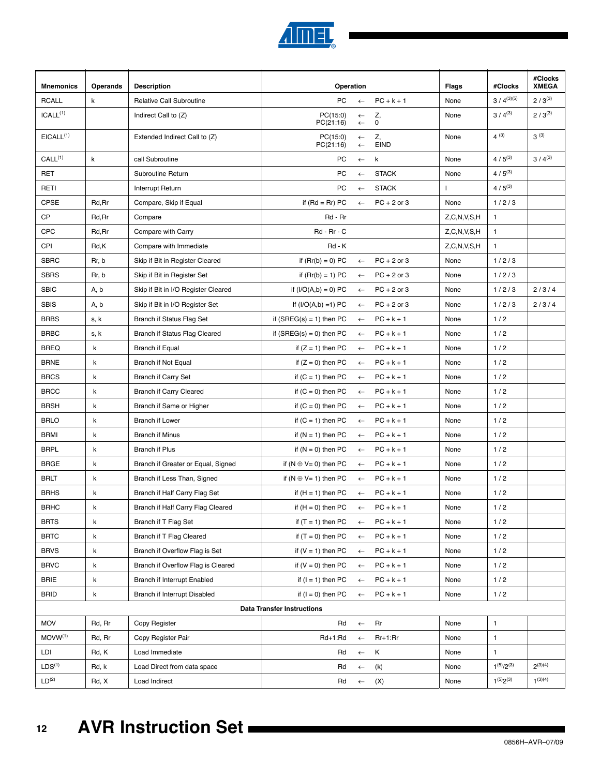

| <b>Mnemonics</b>      | Operands    | <b>Description</b>                  | Operation                         |                              |                     | Flags            | #Clocks           | #Clocks<br><b>XMEGA</b> |
|-----------------------|-------------|-------------------------------------|-----------------------------------|------------------------------|---------------------|------------------|-------------------|-------------------------|
| <b>RCALL</b>          | k           | <b>Relative Call Subroutine</b>     | PC                                | $\leftarrow$                 | $PC + k + 1$        | None             | $3/4^{(3)(5)}$    | $2/3^{(3)}$             |
| ICALL <sup>(1)</sup>  |             | Indirect Call to (Z)                | PC(15:0)<br>PC(21:16)             | $\leftarrow$<br>$\leftarrow$ | Z,<br>$\mathbf 0$   | None             | $3/4^{(3)}$       | $2/3^{(3)}$             |
| EICALL <sup>(1)</sup> |             | Extended Indirect Call to (Z)       | PC(15:0)<br>PC(21:16)             | $\leftarrow$<br>$\leftarrow$ | Z,<br><b>EIND</b>   | None             | $4^{(3)}$         | $3^{(3)}$               |
| CALL <sup>(1)</sup>   | k           | call Subroutine                     | PС                                | $\leftarrow$                 | k                   | None             | $4/5^{(3)}$       | $3/4^{(3)}$             |
| <b>RET</b>            |             | Subroutine Return                   | PC                                | $\leftarrow$                 | <b>STACK</b>        | None             | $4/5^{(3)}$       |                         |
| RETI                  |             | Interrupt Return                    | PC                                | $\leftarrow$                 | <b>STACK</b>        | $\mathbf{I}$     | $4/5^{(3)}$       |                         |
| <b>CPSE</b>           | Rd, Rr      | Compare, Skip if Equal              | if $(Rd = Rr) PC$                 | $\leftarrow$                 | $PC + 2$ or 3       | None             | 1/2/3             |                         |
| CP                    | Rd, Rr      | Compare                             | Rd - Rr                           |                              |                     | Z, C, N, V, S, H | $\mathbf{1}$      |                         |
| <b>CPC</b>            | Rd, Rr      | Compare with Carry                  | Rd - Rr - C                       |                              |                     | Z, C, N, V, S, H | $\mathbf{1}$      |                         |
| CPI                   | Rd,K        | Compare with Immediate              | Rd - K                            |                              |                     | Z, C, N, V, S, H | $\mathbf{1}$      |                         |
| <b>SBRC</b>           | Rr, b       | Skip if Bit in Register Cleared     | if $(Rr(b) = 0) PC$               | $\leftarrow$                 | $PC + 2$ or 3       | None             | 1/2/3             |                         |
| <b>SBRS</b>           | Rr, b       | Skip if Bit in Register Set         | if $(Rr(b) = 1) PC$               | $\leftarrow$                 | $PC + 2$ or 3       | None             | 1/2/3             |                         |
| <b>SBIC</b>           | A, b        | Skip if Bit in I/O Register Cleared | if $(I/O(A,b) = 0) PC$            | $\leftarrow$                 | $PC + 2$ or 3       | None             | 1/2/3             | 2/3/4                   |
| <b>SBIS</b>           | A, b        | Skip if Bit in I/O Register Set     | If $(I/O(A,b) = 1) PC$            | $\leftarrow$                 | $PC + 2$ or 3       | None             | 1/2/3             | 2/3/4                   |
| <b>BRBS</b>           | s, k        | Branch if Status Flag Set           | if $(SREG(s) = 1)$ then PC        | $\leftarrow$                 | $PC + k + 1$        | None             | 1/2               |                         |
| <b>BRBC</b>           | s, k        | Branch if Status Flag Cleared       | if $(SREG(s) = 0)$ then PC        | $\leftarrow$                 | $PC + k + 1$        | None             | 1/2               |                         |
| <b>BREQ</b>           | k           | <b>Branch if Equal</b>              | if $(Z = 1)$ then PC              | $\leftarrow$                 | $PC + k + 1$        | None             | 1/2               |                         |
| <b>BRNE</b>           | k           | <b>Branch if Not Equal</b>          | if $(Z = 0)$ then PC              | $\leftarrow$                 | $PC + k + 1$        | None             | 1/2               |                         |
| <b>BRCS</b>           | k           | <b>Branch if Carry Set</b>          | if $(C = 1)$ then PC              | $\leftarrow$                 | $PC + k + 1$        | None             | 1/2               |                         |
| <b>BRCC</b>           | k           | <b>Branch if Carry Cleared</b>      | if $(C = 0)$ then PC              | $\leftarrow$                 | $PC + k + 1$        | None             | 1/2               |                         |
| <b>BRSH</b>           | k           | Branch if Same or Higher            | if $(C = 0)$ then PC              | $\leftarrow$                 | $PC + k + 1$        | None             | 1/2               |                         |
| <b>BRLO</b>           | k           | Branch if Lower                     | if $(C = 1)$ then PC              | $\leftarrow$                 | $PC + k + 1$        | None             | 1/2               |                         |
| <b>BRMI</b>           | k           | <b>Branch if Minus</b>              | if $(N = 1)$ then PC              | $\leftarrow$                 | $PC + k + 1$        | None             | 1/2               |                         |
| <b>BRPL</b>           | k           | <b>Branch if Plus</b>               | if $(N = 0)$ then PC              | $\leftarrow$                 | $PC + k + 1$        | None             | 1/2               |                         |
| <b>BRGE</b>           | k           | Branch if Greater or Equal, Signed  | if $(N \oplus V = 0)$ then PC     | $\leftarrow$                 | $PC + k + 1$        | None             | 1/2               |                         |
| <b>BRLT</b>           | k           | Branch if Less Than, Signed         | if $(N \oplus V = 1)$ then PC     | $\leftarrow$                 | $PC + k + 1$        | None             | 1/2               |                         |
| <b>BRHS</b>           | $\mathsf k$ | Branch if Half Carry Flag Set       | if $(H = 1)$ then PC              | $\leftarrow$                 | $PC + k + 1$        | None             | 1/2               |                         |
| <b>BRHC</b>           | k           | Branch if Half Carry Flag Cleared   | if $(H = 0)$ then PC $\leftarrow$ |                              | $PC + k + 1$        | None             | 1/2               |                         |
| <b>BRTS</b>           | k           | Branch if T Flag Set                | if $(T = 1)$ then PC              | $\leftarrow$                 | $PC + k + 1$        | None             | 1/2               |                         |
| <b>BRTC</b>           | k           | Branch if T Flag Cleared            | if $(T = 0)$ then PC              | $\leftarrow$                 | $PC + k + 1$        | None             | 1/2               |                         |
| <b>BRVS</b>           | k           | Branch if Overflow Flag is Set      | if $(V = 1)$ then PC              | $\leftarrow$                 | $PC + k + 1$        | None             | 1/2               |                         |
| <b>BRVC</b>           | k           | Branch if Overflow Flag is Cleared  | if $(V = 0)$ then PC              | $\leftarrow$                 | $PC + k + 1$        | None             | 1/2               |                         |
| BRIE                  | k           | Branch if Interrupt Enabled         | if $(l = 1)$ then PC              | $\leftarrow$                 | $PC + k + 1$        | None             | 1/2               |                         |
| <b>BRID</b>           | k           | Branch if Interrupt Disabled        | if $(I = 0)$ then PC              |                              | $\leftarrow$ PC+k+1 | None             | 1/2               |                         |
|                       |             |                                     | <b>Data Transfer Instructions</b> |                              |                     |                  |                   |                         |
| <b>MOV</b>            | Rd, Rr      | Copy Register                       | Rd                                |                              | $\leftarrow$ Rr     | None             | $\mathbf{1}$      |                         |
| $MOVW^{(1)}$          | Rd, Rr      | Copy Register Pair                  | Rd+1:Rd                           | $\leftarrow$                 | Rr+1:Rr             | None             | $\mathbf{1}$      |                         |
| LDI                   | Rd, K       | Load Immediate                      | Rd                                | $\leftarrow$                 | K                   | None             | $\mathbf{1}$      |                         |
| LDS <sup>(1)</sup>    | Rd, k       | Load Direct from data space         | Rd                                | $\leftarrow$                 | (k)                 | None             | $1^{(5)}/2^{(3)}$ | $2^{(3)(4)}$            |
| LD <sup>(2)</sup>     | Rd, X       | Load Indirect                       | Rd                                | $\leftarrow$                 | (X)                 | None             | $1^{(5)}2^{(3)}$  | $1^{(3)(4)}$            |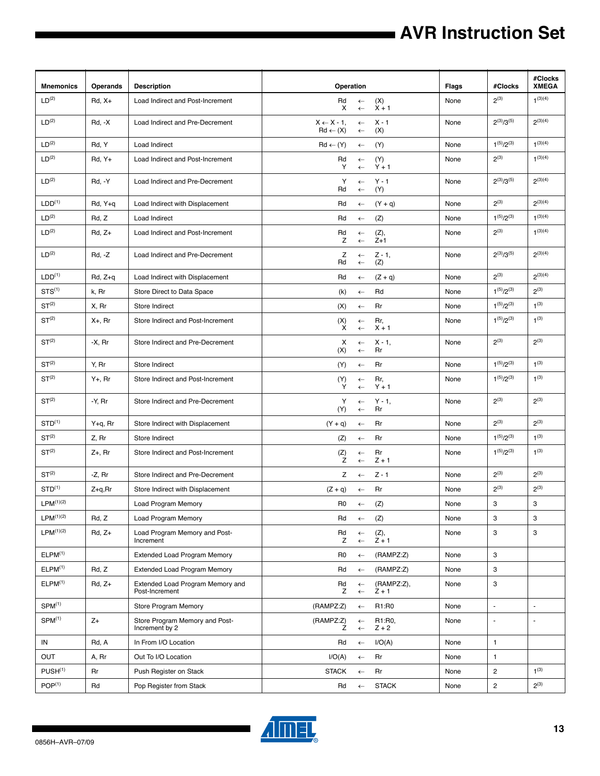# **AVR Instruction Set**

| <b>Mnemonics</b>      | <b>Operands</b> | <b>Description</b>                                 | Operation                                   |                              |                       | Flags | #Clocks           | #Clocks<br><b>XMEGA</b>  |
|-----------------------|-----------------|----------------------------------------------------|---------------------------------------------|------------------------------|-----------------------|-------|-------------------|--------------------------|
| LD <sup>(2)</sup>     | $Rd, X+$        | Load Indirect and Post-Increment                   | Rd<br>X                                     | $\leftarrow$<br>$\leftarrow$ | (X)<br>$X + 1$        | None  | $2^{(3)}$         | $1^{(3)(4)}$             |
| LD <sup>(2)</sup>     | $Rd, -X$        | Load Indirect and Pre-Decrement                    | $X \leftarrow X - 1$<br>$Rd \leftarrow (X)$ | $\leftarrow$<br>$\leftarrow$ | $X - 1$<br>(X)        | None  | $2^{(3)}/3^{(5)}$ | $2^{(3)(4)}$             |
| LD <sup>(2)</sup>     | Rd, Y           | Load Indirect                                      | $Rd \leftarrow (Y)$                         | $\leftarrow$                 | (Y)                   | None  | $1^{(5)}/2^{(3)}$ | $1^{(3)(4)}$             |
| LD <sup>(2)</sup>     | $Rd, Y+$        | Load Indirect and Post-Increment                   | Rd<br>Y                                     | $\leftarrow$<br>$\leftarrow$ | (Y)<br>$Y + 1$        | None  | $2^{(3)}$         | $1^{(3)(4)}$             |
| LD <sup>(2)</sup>     | $Rd, -Y$        | Load Indirect and Pre-Decrement                    | Υ<br>Rd                                     | $\leftarrow$<br>$\leftarrow$ | $Y - 1$<br>(Y)        | None  | $2^{(3)}/3^{(5)}$ | $2^{(3)(4)}$             |
| LDD <sup>(1)</sup>    | Rd, Y+q         | Load Indirect with Displacement                    | Rd                                          | $\leftarrow$                 | $(Y + q)$             | None  | $2^{(3)}$         | $2^{(3)(4)}$             |
| LD <sup>(2)</sup>     | Rd, Z           | Load Indirect                                      | Rd                                          | $\leftarrow$                 | (Z)                   | None  | $1^{(5)}/2^{(3)}$ | $1^{(3)(4)}$             |
| LD <sup>(2)</sup>     | $Rd, Z+$        | Load Indirect and Post-Increment                   | Rd<br>Z                                     | $\leftarrow$<br>$\leftarrow$ | (Z),<br>$Z+1$         | None  | $2^{(3)}$         | $1^{(3)(4)}$             |
| LD <sup>(2)</sup>     | $Rd, -Z$        | Load Indirect and Pre-Decrement                    | Z<br>Rd                                     | $\leftarrow$<br>$\leftarrow$ | $Z - 1$ ,<br>(Z)      | None  | $2^{(3)}/3^{(5)}$ | $2^{(3)(4)}$             |
| LDD <sup>(1)</sup>    | $Rd, Z+q$       | Load Indirect with Displacement                    | Rd                                          | $\leftarrow$                 | $(Z + q)$             | None  | $2^{(3)}$         | $2^{(3)(4)}$             |
| STS <sup>(1)</sup>    | k, Rr           | Store Direct to Data Space                         | (k)                                         | $\leftarrow$                 | Rd                    | None  | $1^{(5)}/2^{(3)}$ | $2^{(3)}$                |
| ST <sup>(2)</sup>     | X, Rr           | Store Indirect                                     | (X)                                         | $\leftarrow$                 | Rr                    | None  | $1^{(5)}/2^{(3)}$ | $1^{(3)}$                |
| ST <sup>(2)</sup>     | $X_{+}$ , Rr    | Store Indirect and Post-Increment                  | (X)<br>X                                    | $\leftarrow$<br>$\leftarrow$ | Rr,<br>$X + 1$        | None  | $1^{(5)}/2^{(3)}$ | $1^{(3)}$                |
| ST <sup>(2)</sup>     | $-X$ , $Rr$     | Store Indirect and Pre-Decrement                   | х<br>(X)                                    | $\leftarrow$<br>$\leftarrow$ | $X - 1$<br>Rr         | None  | $2^{(3)}$         | $2^{(3)}$                |
| ST <sup>(2)</sup>     | Y, Rr           | Store Indirect                                     | (Y)                                         | $\leftarrow$                 | Rr                    | None  | $1^{(5)}/2^{(3)}$ | $1^{(3)}$                |
| ST <sup>(2)</sup>     | $Y_{+}$ , Rr    | Store Indirect and Post-Increment                  | (Y)<br>Y                                    | $\leftarrow$<br>$\leftarrow$ | Rr,<br>$Y + 1$        | None  | $1^{(5)}/2^{(3)}$ | $1^{(3)}$                |
| ST <sup>(2)</sup>     | -Y, Rr          | Store Indirect and Pre-Decrement                   | Υ<br>(Y)                                    | $\leftarrow$<br>$\leftarrow$ | $Y - 1$ ,<br>Rr       | None  | $2^{(3)}$         | $2^{(3)}$                |
| $STD^{(1)}$           | Y+q, Rr         | Store Indirect with Displacement                   | $(Y + q)$                                   | $\leftarrow$                 | Rr                    | None  | $2^{(3)}$         | $2^{(3)}$                |
| ST <sup>(2)</sup>     | Z, Rr           | Store Indirect                                     | (Z)                                         | $\leftarrow$                 | Rr                    | None  | $1^{(5)}/2^{(3)}$ | $1^{(3)}$                |
| ST <sup>(2)</sup>     | $Z_{+}$ , Rr    | Store Indirect and Post-Increment                  | (Z)<br>Z                                    | $\leftarrow$<br>$\leftarrow$ | Rr<br>$Z + 1$         | None  | $1^{(5)}/2^{(3)}$ | $1^{(3)}$                |
| ST <sup>(2)</sup>     | -Z, Rr          | Store Indirect and Pre-Decrement                   | Ζ                                           | $\leftarrow$                 | $Z - 1$               | None  | $2^{(3)}$         | $2^{(3)}$                |
| $STD^{(1)}$           | $Z+q, Rr$       | Store Indirect with Displacement                   | $(Z + q)$                                   | $\leftarrow$                 | Rr                    | None  | $2^{(3)}$         | $2^{(3)}$                |
| $LPM^{(1)(2)}$        |                 | <b>Load Program Memory</b>                         | R0                                          | $\leftarrow$                 | (Z)                   | None  | 3                 | 3                        |
| LPM <sup>(1)(2)</sup> | Rd, Z           | <b>Load Program Memory</b>                         | Rd                                          | $\leftarrow$                 | (Z)                   | None  | 3                 | 3                        |
| LPM <sup>(1)(2)</sup> | $Rd, Z+$        | Load Program Memory and Post-<br>Increment         | Rd<br>Z                                     | $\leftarrow$<br>$\leftarrow$ | (Z),<br>$Z + 1$       | None  | 3                 | 3                        |
| ELPM <sup>(1)</sup>   |                 | <b>Extended Load Program Memory</b>                | R0                                          | $\leftarrow$                 | (RAMPZ:Z)             | None  | 3                 |                          |
| ELPM <sup>(1)</sup>   | Rd, Z           | <b>Extended Load Program Memory</b>                | Rd                                          | $\leftarrow$                 | (RAMPZ:Z)             | None  | 3                 |                          |
| ELPM <sup>(1)</sup>   | $Rd, Z+$        | Extended Load Program Memory and<br>Post-Increment | Rd<br>Z                                     | $\leftarrow$<br>$\leftarrow$ | (RAMPZ:Z),<br>$Z + 1$ | None  | 3                 |                          |
| SPM <sup>(1)</sup>    |                 | <b>Store Program Memory</b>                        | (RAMPZ:Z)                                   | $\leftarrow$                 | R1:R0                 | None  | $\blacksquare$    | $\overline{\phantom{a}}$ |
| SPM <sup>(1)</sup>    | $Z+$            | Store Program Memory and Post-<br>Increment by 2   | (RAMPZ:Z)<br>Ζ                              | $\leftarrow$<br>$\leftarrow$ | R1:R0,<br>$Z + 2$     | None  | $\blacksquare$    | ÷,                       |
| IN                    | Rd, A           | In From I/O Location                               | Rd                                          | $\leftarrow$                 | I/O(A)                | None  | $\mathbf{1}$      |                          |
| OUT                   | A, Rr           | Out To I/O Location                                | I/O(A)                                      | $\leftarrow$                 | Rr                    | None  | $\mathbf{1}$      |                          |
| PUSH <sup>(1)</sup>   | Rr              | Push Register on Stack                             | <b>STACK</b>                                | $\leftarrow$                 | Rr                    | None  | $\overline{c}$    | $1^{(3)}$                |
| POP <sup>(1)</sup>    | Rd              | Pop Register from Stack                            | Rd                                          | $\leftarrow$                 | <b>STACK</b>          | None  | $\overline{2}$    | $2^{(3)}$                |



▊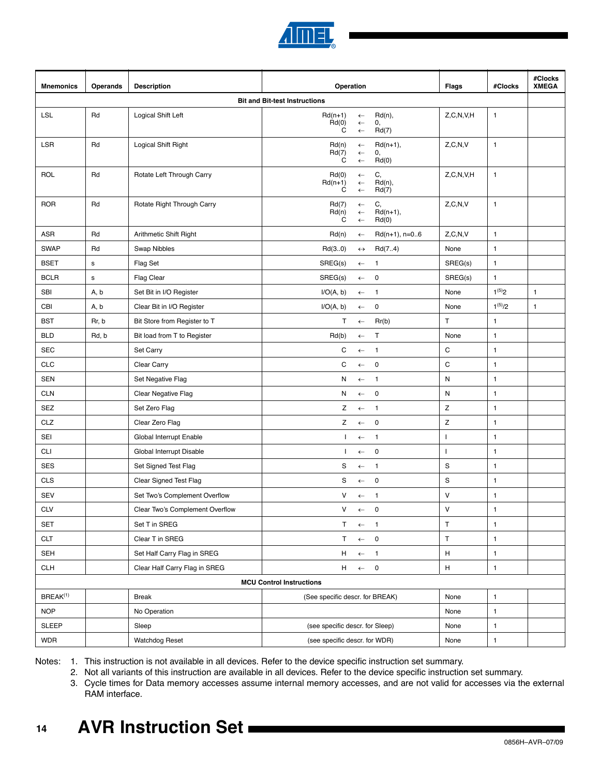

| <b>Mnemonics</b>     | <b>Operands</b> | <b>Description</b>              | Operation                                                                                           | Flags         | #Clocks      | #Clocks<br><b>XMEGA</b> |
|----------------------|-----------------|---------------------------------|-----------------------------------------------------------------------------------------------------|---------------|--------------|-------------------------|
|                      |                 |                                 | <b>Bit and Bit-test Instructions</b>                                                                |               |              |                         |
| <b>LSL</b>           | Rd              | Logical Shift Left              | $Rd(n+1)$<br>$Rd(n)$ ,<br>$\leftarrow$<br>Rd(0)<br>0,<br>$\leftarrow$<br>C<br>Rd(7)<br>$\leftarrow$ | Z, C, N, V, H | $\mathbf{1}$ |                         |
| <b>LSR</b>           | Rd              | Logical Shift Right             | $Rd(n+1)$ ,<br>Rd(n)<br>$\leftarrow$<br>Rd(7)<br>0,<br>$\leftarrow$<br>C<br>Rd(0)<br>$\leftarrow$   | Z, C, N, V    | $\mathbf{1}$ |                         |
| ROL                  | Rd              | Rotate Left Through Carry       | C,<br>Rd(0)<br>$\leftarrow$<br>$Rd(n)$ ,<br>$Rd(n+1)$<br>$\leftarrow$<br>C<br>Rd(7)<br>$\leftarrow$ | Z, C, N, V, H | $\mathbf{1}$ |                         |
| <b>ROR</b>           | Rd              | Rotate Right Through Carry      | C,<br>Rd(7)<br>$\leftarrow$<br>Rd(n)<br>$Rd(n+1),$<br>$\leftarrow$<br>C<br>Rd(0)<br>$\leftarrow$    | Z, C, N, V    | $\mathbf{1}$ |                         |
| <b>ASR</b>           | Rd              | Arithmetic Shift Right          | Rd(n)<br>$Rd(n+1), n=06$<br>$\leftarrow$                                                            | Z, C, N, V    | $\mathbf{1}$ |                         |
| <b>SWAP</b>          | Rd              | Swap Nibbles                    | Rd(30)<br>Rd(74)<br>$\leftrightarrow$                                                               | None          | $\mathbf{1}$ |                         |
| <b>BSET</b>          | $\mathsf{s}$    | Flag Set                        | SREG(s)<br>$\overline{1}$<br>$\leftarrow$                                                           | SREG(s)       | $\mathbf{1}$ |                         |
| <b>BCLR</b>          | $\mathsf{s}$    | Flag Clear                      | SREG(s)<br>$\overline{\mathbf{0}}$<br>$\leftarrow$                                                  | SREG(s)       | $\mathbf{1}$ |                         |
| <b>SBI</b>           | A, b            | Set Bit in I/O Register         | I/O(A, b)<br>$\overline{1}$<br>$\leftarrow$                                                         | None          | $1^{(5)}2$   | $\mathbf{1}$            |
| CBI                  | A, b            | Clear Bit in I/O Register       | I/O(A, b)<br>$\mathbf 0$<br>$\leftarrow$                                                            | None          | $1^{(5)}/2$  | $\mathbf{1}$            |
| <b>BST</b>           | Rr, b           | Bit Store from Register to T    | Τ<br>Rr(b)<br>$\leftarrow$                                                                          | $\mathsf T$   | $\mathbf{1}$ |                         |
| <b>BLD</b>           | Rd, b           | Bit load from T to Register     | Τ<br>Rd(b)<br>$\leftarrow$                                                                          | None          | $\mathbf{1}$ |                         |
| <b>SEC</b>           |                 | Set Carry                       | C<br>$\overline{1}$<br>$\leftarrow$                                                                 | $\mathbf C$   | $\mathbf{1}$ |                         |
| <b>CLC</b>           |                 | Clear Carry                     | C<br>$\overline{0}$<br>$\leftarrow$                                                                 | ${\bf C}$     | $\mathbf{1}$ |                         |
| <b>SEN</b>           |                 | Set Negative Flag               | N<br>$\overline{1}$<br>$\leftarrow$                                                                 | ${\sf N}$     | $\mathbf{1}$ |                         |
| <b>CLN</b>           |                 | Clear Negative Flag             | $\overline{0}$<br>N<br>$\leftarrow$                                                                 | ${\sf N}$     | $\mathbf{1}$ |                         |
| <b>SEZ</b>           |                 | Set Zero Flag                   | Z<br>$\overline{1}$<br>$\leftarrow$                                                                 | Z             | $\mathbf{1}$ |                         |
| CLZ                  |                 | Clear Zero Flag                 | Z<br>$\mathbf 0$<br>$\leftarrow$                                                                    | Z             | $\mathbf{1}$ |                         |
| <b>SEI</b>           |                 | Global Interrupt Enable         | $\mathbf{I}$<br>$\overline{1}$<br>$\leftarrow$                                                      | I.            | $\mathbf{1}$ |                         |
| <b>CLI</b>           |                 | Global Interrupt Disable        | $\mathsf 0$<br>$\mathbf{I}$<br>$\leftarrow$                                                         | $\mathbf{I}$  | $\mathbf{1}$ |                         |
| <b>SES</b>           |                 | Set Signed Test Flag            | S<br>$\overline{1}$<br>$\leftarrow$                                                                 | $\mathbf S$   | $\mathbf{1}$ |                         |
| <b>CLS</b>           |                 | Clear Signed Test Flag          | S<br>$\mathbf 0$<br>$\leftarrow$                                                                    | $\mathbf S$   | $\mathbf{1}$ |                         |
| <b>SEV</b>           |                 | Set Two's Complement Overflow   | V<br>$\overline{1}$<br>$\leftarrow$                                                                 | ${\sf V}$     | $\mathbf{1}$ |                         |
| <b>CLV</b>           |                 | Clear Two's Complement Overflow | V<br>$\leftarrow$ 0                                                                                 | ${\sf V}$     | $\mathbf 1$  |                         |
| <b>SET</b>           |                 | Set T in SREG                   | T<br>$\leftarrow$<br>$\blacksquare$                                                                 | $\mathsf T$   | $\mathbf{1}$ |                         |
| <b>CLT</b>           |                 | Clear T in SREG                 | Τ<br>$\mathbf 0$<br>$\leftarrow$                                                                    | $\mathsf T$   | $\mathbf{1}$ |                         |
| SEH                  |                 | Set Half Carry Flag in SREG     | H.<br>$\overline{1}$<br>$\leftarrow$                                                                | $\mathsf H$   | $\mathbf{1}$ |                         |
| <b>CLH</b>           |                 | Clear Half Carry Flag in SREG   | H<br>$\overline{\mathbf{0}}$<br>$\leftarrow$                                                        | H             | $\mathbf{1}$ |                         |
|                      |                 |                                 | <b>MCU Control Instructions</b>                                                                     |               |              |                         |
| BREAK <sup>(1)</sup> |                 | Break                           | (See specific descr. for BREAK)                                                                     | None          | $\mathbf{1}$ |                         |
| <b>NOP</b>           |                 | No Operation                    |                                                                                                     | None          | $\mathbf{1}$ |                         |
| <b>SLEEP</b>         |                 | Sleep                           | (see specific descr. for Sleep)                                                                     | None          | $\mathbf{1}$ |                         |
| <b>WDR</b>           |                 | Watchdog Reset                  | (see specific descr. for WDR)                                                                       | None          | $\mathbf{1}$ |                         |

<span id="page-13-2"></span><span id="page-13-1"></span><span id="page-13-0"></span>Notes: 1. This instruction is not available in all devices. Refer to the device specific instruction set summary.

2. Not all variants of this instruction are available in all devices. Refer to the device specific instruction set summary.

3. Cycle times for Data memory accesses assume internal memory accesses, and are not valid for accesses via the external RAM interface.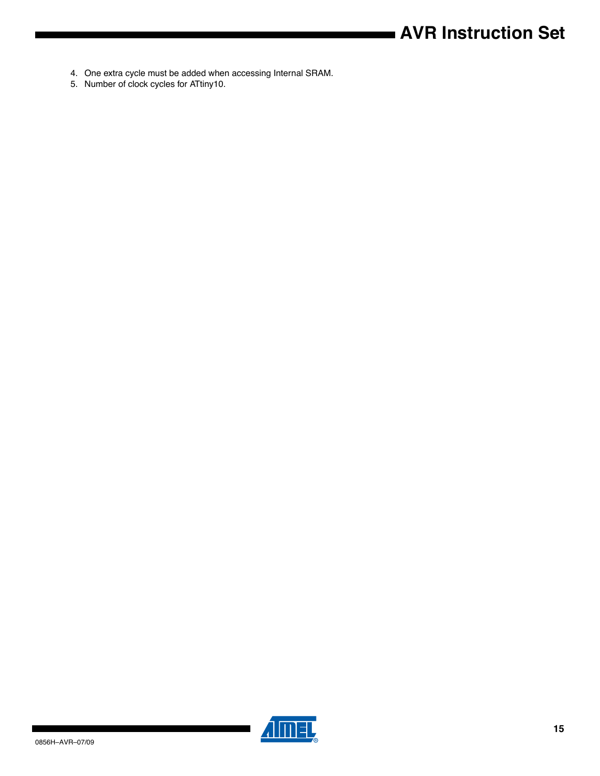# **AVR Instruction Set**

- <span id="page-14-0"></span>4. One extra cycle must be added when accessing Internal SRAM.
- <span id="page-14-1"></span>5. Number of clock cycles for ATtiny10.



▊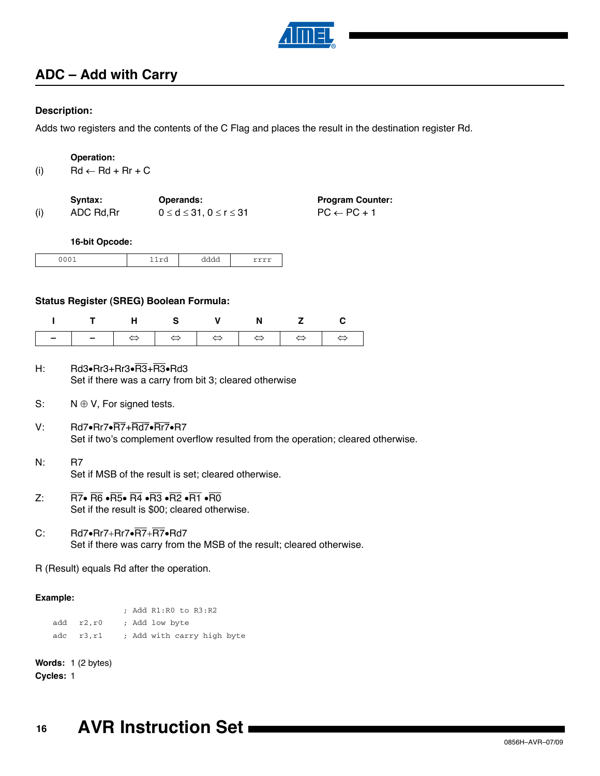

### **ADC – Add with Carry**

### **Description:**

Adds two registers and the contents of the C Flag and places the result in the destination register Rd.

(i)  $Rd \leftarrow Rd + Rr + C$ 

|     | Syntax:    | <b>Operands:</b>                       | <b>Program Counter:</b> |
|-----|------------|----------------------------------------|-------------------------|
| (i) | ADC Rd, Rr | $0 \leq d \leq 31.$ $0 \leq r \leq 31$ | $PC \leftarrow PC + 1$  |

**16-bit Opcode:**

| - -<br>. | ---<br>- | - -<br>uuu<br>. | -------- |
|----------|----------|-----------------|----------|
|----------|----------|-----------------|----------|

### **Status Register (SREG) Boolean Formula:**

| ITHS V N Z C |  |  |  |
|--------------|--|--|--|
|              |  |  |  |

- $H: \text{ Rd3-Rr3+Rr3-R3-Rd3}$ Set if there was a carry from bit 3; cleared otherwise
- S:  $N \oplus V$ , For signed tests.
- V: Rd7 $\cdot$ Rr7 $\cdot$ R $\overline{RT}$ +Rd7 $\cdot$ Rr7 $\cdot$ R7 Set if two's complement overflow resulted from the operation; cleared otherwise.
- N: R7 Set if MSB of the result is set; cleared otherwise.
- Z:  $\overline{R7}$   $\overline{R6}$   $\overline{R5}$   $\overline{R4}$   $\overline{R3}$   $\overline{R2}$   $\overline{R1}$   $\overline{R0}$ Set if the result is \$00; cleared otherwise.
- C:  $Rd7 \cdot Rr7 + Rr7 \cdot R7 + R7 \cdot Rd7$ Set if there was carry from the MSB of the result; cleared otherwise.

R (Result) equals Rd after the operation.

### **Example:**

; Add R1:R0 to R3:R2 add r2,r0 ; Add low byte adc r3, r1 ; Add with carry high byte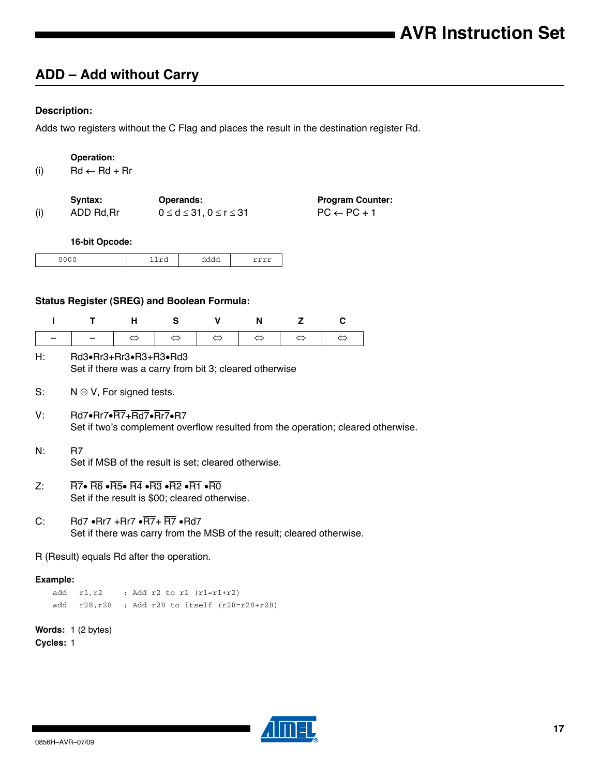## **ADD – Add without Carry**

### **Description:**

Adds two registers without the C Flag and places the result in the destination register Rd.

| (i) | Operation:<br>$Rd \leftarrow Rd + Rr$                                                                                                                                                                                                                                         |                   |                   |                                         |                                                                       |                   |                         |                                                                                  |
|-----|-------------------------------------------------------------------------------------------------------------------------------------------------------------------------------------------------------------------------------------------------------------------------------|-------------------|-------------------|-----------------------------------------|-----------------------------------------------------------------------|-------------------|-------------------------|----------------------------------------------------------------------------------|
|     | Syntax:                                                                                                                                                                                                                                                                       |                   | <b>Operands:</b>  |                                         |                                                                       |                   | <b>Program Counter:</b> |                                                                                  |
| (i) | ADD Rd, Rr                                                                                                                                                                                                                                                                    |                   |                   | $0 \leq d \leq 31$ , $0 \leq r \leq 31$ |                                                                       |                   | $PC \leftarrow PC + 1$  |                                                                                  |
|     | 16-bit Opcode:                                                                                                                                                                                                                                                                |                   |                   |                                         |                                                                       |                   |                         |                                                                                  |
|     | 0000                                                                                                                                                                                                                                                                          |                   | 11rd              | dddd                                    | rrrr                                                                  |                   |                         |                                                                                  |
|     | <b>Status Register (SREG) and Boolean Formula:</b>                                                                                                                                                                                                                            |                   |                   |                                         |                                                                       |                   |                         |                                                                                  |
| ı   | T                                                                                                                                                                                                                                                                             | н                 | S                 | V                                       | N                                                                     | z                 | C                       |                                                                                  |
|     |                                                                                                                                                                                                                                                                               | $\Leftrightarrow$ | $\Leftrightarrow$ | $\Leftrightarrow$                       | $\Leftrightarrow$                                                     | $\Leftrightarrow$ | $\Leftrightarrow$       |                                                                                  |
| Н:  | Rd3•Rr3+Rr3•R3+R3•Rd3                                                                                                                                                                                                                                                         |                   |                   |                                         | Set if there was a carry from bit 3; cleared otherwise                |                   |                         |                                                                                  |
| S:  | $N \oplus V$ , For signed tests.                                                                                                                                                                                                                                              |                   |                   |                                         |                                                                       |                   |                         |                                                                                  |
| V.  | <b>Rd7•Rr7•R7+Rd7•Rr7•R7</b>                                                                                                                                                                                                                                                  |                   |                   |                                         |                                                                       |                   |                         | Set if two's complement overflow resulted from the operation; cleared otherwise. |
| N:  | R7                                                                                                                                                                                                                                                                            |                   |                   |                                         | Set if MSB of the result is set; cleared otherwise.                   |                   |                         |                                                                                  |
| Z:  | $\overline{\text{R7}}$ $\bullet$ $\overline{\text{R6}}$ $\bullet$ $\overline{\text{R5}}$ $\bullet$ $\overline{\text{R4}}$ $\bullet$ $\overline{\text{R2}}$ $\bullet$ $\overline{\text{R1}}$ $\bullet$ $\overline{\text{R0}}$<br>Set if the result is \$00; cleared otherwise. |                   |                   |                                         |                                                                       |                   |                         |                                                                                  |
| C:  | $Rd7 \cdot Rr7 + Rr7 \cdot R7 + R7 \cdot Rd7$                                                                                                                                                                                                                                 |                   |                   |                                         | Set if there was carry from the MSB of the result; cleared otherwise. |                   |                         |                                                                                  |
|     | R (Result) equals Rd after the operation.                                                                                                                                                                                                                                     |                   |                   |                                         |                                                                       |                   |                         |                                                                                  |

### **Example:**

add  $r1, r2$  ; Add  $r2$  to  $r1$   $(r1=r1+r2)$ add r28,r28 ; Add r28 to itself (r28=r28+r28)

**Words:** 1 (2 bytes)

**Cycles:** 1

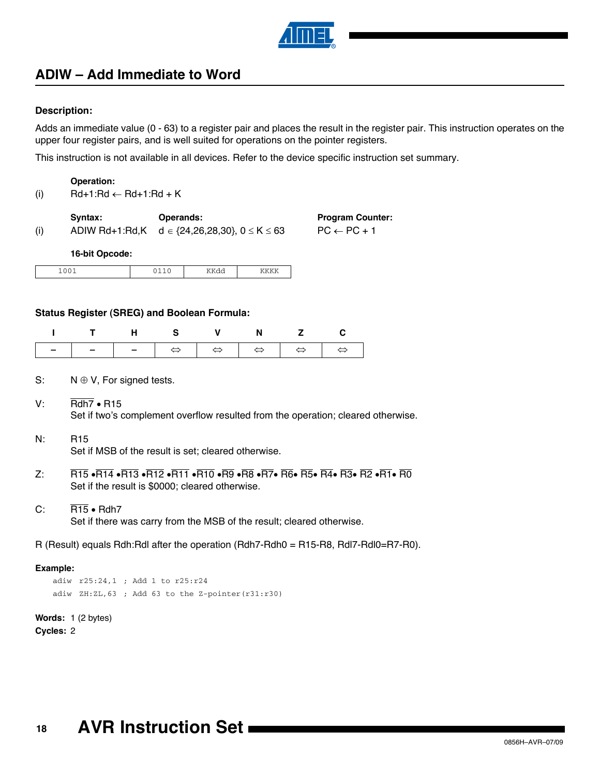

## **ADIW – Add Immediate to Word**

### **Description:**

Adds an immediate value (0 - 63) to a register pair and places the result in the register pair. This instruction operates on the upper four register pairs, and is well suited for operations on the pointer registers.

This instruction is not available in all devices. Refer to the device specific instruction set summary.

### **Operation:**

(i)  $Rd+1:Rd \leftarrow Rd+1:Rd + K$ 

| (i) | Syntax:           | <b>Operands:</b><br>ADIW Rd+1:Rd,K $d \in \{24, 26, 28, 30\}$ , $0 \le K \le 63$ | <b>Program Counter:</b><br>$PC \leftarrow PC + 1$ |
|-----|-------------------|----------------------------------------------------------------------------------|---------------------------------------------------|
|     | $AC$ $H1$ $O$ $O$ |                                                                                  |                                                   |

#### **16-bit Opcode:**

|--|

### **Status Register (SREG) and Boolean Formula:**

| ITHS V N Z C |  |  |  |
|--------------|--|--|--|
|              |  |  |  |

- S:  $N \oplus V$ , For signed tests.
- V:  $\overline{\text{Rdh7}} \cdot \text{R15}$ Set if two's complement overflow resulted from the operation; cleared otherwise.
- N: R15

Set if MSB of the result is set; cleared otherwise.

- $Z: \overline{R15} \cdot \overline{R14} \cdot \overline{R13} \cdot \overline{R12} \cdot \overline{R11} \cdot \overline{R10} \cdot \overline{R9} \cdot \overline{R8} \cdot \overline{R7} \cdot \overline{R6} \cdot \overline{R5} \cdot \overline{R4} \cdot \overline{R3} \cdot \overline{R2} \cdot \overline{R1} \cdot \overline{R0}$ Set if the result is \$0000; cleared otherwise.
- C:  $\overline{R15}$  + Rdh7 Set if there was carry from the MSB of the result; cleared otherwise.

R (Result) equals Rdh:Rdl after the operation (Rdh7-Rdh0 = R15-R8, Rdl7-Rdl0=R7-R0).

#### **Example:**

```
adiw r25:24,1 ; Add 1 to r25:r24 
adiw ZH:ZL,63 ; Add 63 to the Z-pointer(r31:r30)
```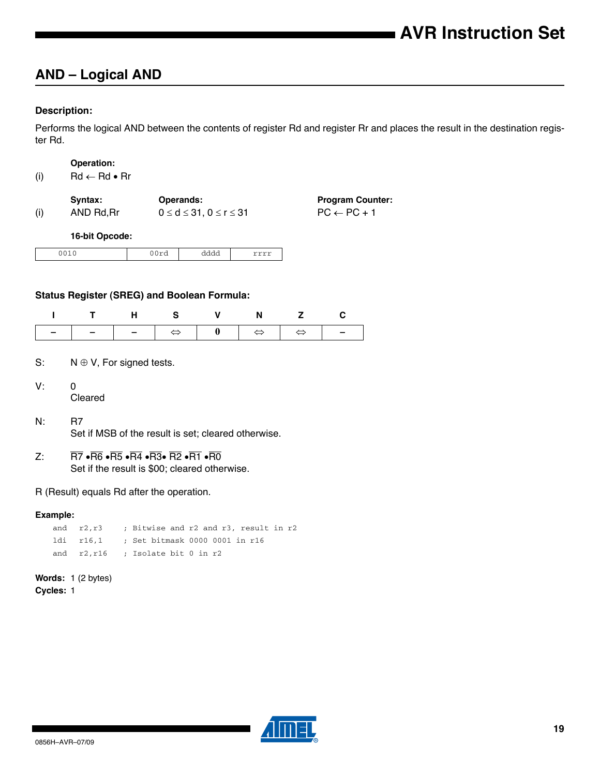### **AND – Logical AND**

### **Description:**

Performs the logical AND between the contents of register Rd and register Rr and places the result in the destination register Rd.

#### **Operation:**

(i)  $\mathsf{Rd} \leftarrow \mathsf{Rd} \bullet \mathsf{Rr}$ 

|     | Syntax:   | <b>Operands:</b>                     | <b>Program Counter:</b> |
|-----|-----------|--------------------------------------|-------------------------|
| (i) | AND Rd.Rr | $0 \leq d \leq 31, 0 \leq r \leq 31$ | $PC \leftarrow PC + 1$  |

### **16-bit Opcode:**

| ۰.<br>---<br>$\sim$ $\sim$ | auuu<br>------- | ----- |
|----------------------------|-----------------|-------|

### **Status Register (SREG) and Boolean Formula:**

|  |  | ITHS V N Z C |  |
|--|--|--------------|--|
|  |  |              |  |

- S:  $N \oplus V$ , For signed tests.
- $V: 0$

Cleared

- N: R7 Set if MSB of the result is set; cleared otherwise.
- Z:  $\overline{RT}$   $\cdot \overline{R6}$   $\cdot \overline{R5}$   $\cdot \overline{R4}$   $\cdot \overline{R3}$   $\cdot \overline{R2}$   $\cdot \overline{R1}$   $\cdot \overline{R0}$ Set if the result is \$00; cleared otherwise.

### R (Result) equals Rd after the operation.

#### **Example:**

|  |  | and $r2, r3$ ; Bitwise and r2 and r3, result in r2 |  |  |  |  |
|--|--|----------------------------------------------------|--|--|--|--|
|  |  | ldi r16,1 ; Set bitmask 0000 0001 in r16           |  |  |  |  |
|  |  | and $r2, r16$ ; Isolate bit 0 in $r2$              |  |  |  |  |

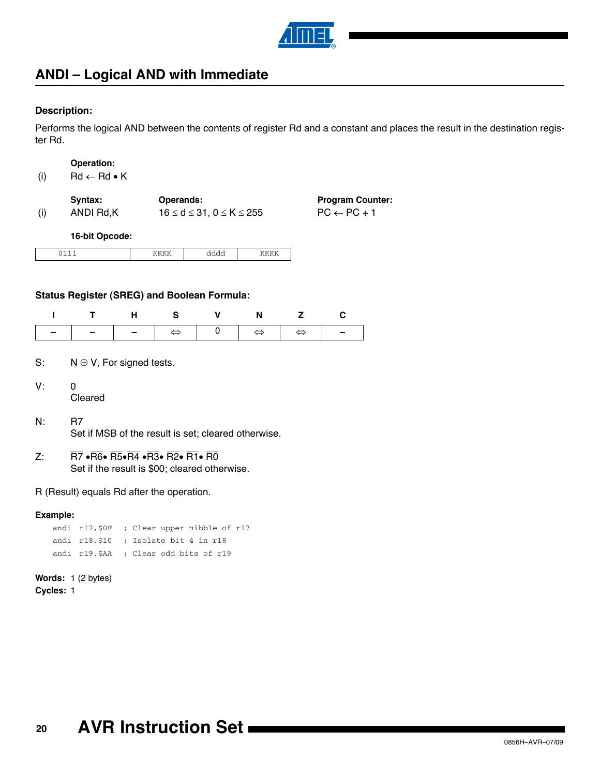

### **ANDI – Logical AND with Immediate**

### **Description:**

Performs the logical AND between the contents of register Rd and a constant and places the result in the destination register Rd.

> **Program Counter:**  $PC \leftarrow PC + 1$

#### **Operation:**

(i)  $\text{Rd} \leftarrow \text{Rd} \cdot \text{K}$ 

|     | Syntax:   | <b>Operands:</b>                       |
|-----|-----------|----------------------------------------|
| (i) | ANDI Rd,K | $16 \leq d \leq 31, 0 \leq K \leq 255$ |

**16-bit Opcode:**

| <br>. . | . | -- |
|---------|---|----|

### **Status Register (SREG) and Boolean Formula:**

|  | ITHS V N Z C |  |  |
|--|--------------|--|--|
|  |              |  |  |

- S:  $N \oplus V$ , For signed tests.
- $V: 0$

Cleared

- N: R7 Set if MSB of the result is set; cleared otherwise.
- Z:  $\overline{R7}$   $\cdot \overline{R6}$   $\cdot \overline{R5}$   $\cdot \overline{R4}$   $\cdot \overline{R3}$   $\cdot \overline{R2}$   $\cdot \overline{R1}$   $\cdot \overline{R0}$ Set if the result is \$00; cleared otherwise.

R (Result) equals Rd after the operation.

#### **Example:**

| andi $r17,50F$ ; Clear upper nibble of r17 |
|--------------------------------------------|
| andi $r18.510$ ; Isolate bit 4 in $r18$    |
| andi r19, \$AA ; Clear odd bits of r19     |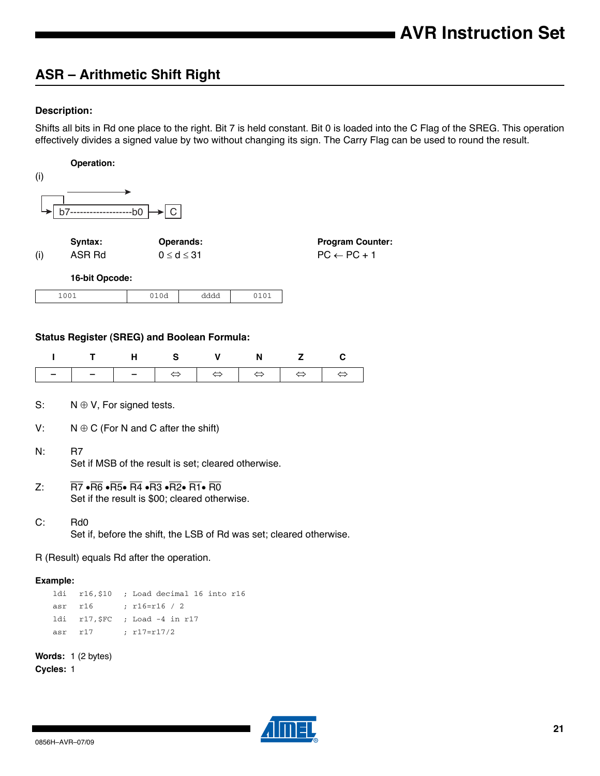# **ASR – Arithmetic Shift Right**

### **Description:**

Shifts all bits in Rd one place to the right. Bit 7 is held constant. Bit 0 is loaded into the C Flag of the SREG. This operation effectively divides a signed value by two without changing its sign. The Carry Flag can be used to round the result.

|          | Operation:                                                                                                                                    |                          |                   |                            |                   |                   |                         |  |
|----------|-----------------------------------------------------------------------------------------------------------------------------------------------|--------------------------|-------------------|----------------------------|-------------------|-------------------|-------------------------|--|
| (i)      |                                                                                                                                               |                          |                   |                            |                   |                   |                         |  |
|          |                                                                                                                                               |                          |                   |                            |                   |                   |                         |  |
|          | b7---                                                                                                                                         | --h0                     | C                 |                            |                   |                   |                         |  |
|          |                                                                                                                                               |                          |                   |                            |                   |                   |                         |  |
|          | Syntax:                                                                                                                                       |                          | Operands:         |                            |                   |                   | <b>Program Counter:</b> |  |
| (i)      | ASR Rd                                                                                                                                        |                          | $0 \le d \le 31$  |                            |                   |                   | $PC \leftarrow PC + 1$  |  |
|          | 16-bit Opcode:                                                                                                                                |                          |                   |                            |                   |                   |                         |  |
|          | 1001                                                                                                                                          |                          | 010d              | dddd                       | 0101              |                   |                         |  |
|          |                                                                                                                                               |                          |                   |                            |                   |                   |                         |  |
|          | <b>Status Register (SREG) and Boolean Formula:</b>                                                                                            |                          |                   |                            |                   |                   |                         |  |
|          |                                                                                                                                               |                          |                   |                            |                   |                   |                         |  |
| ı        | т                                                                                                                                             | н                        | s                 | v                          | N                 | z                 | С                       |  |
|          |                                                                                                                                               | $\overline{\phantom{0}}$ | $\Leftrightarrow$ | $\Leftrightarrow$          | $\Leftrightarrow$ | $\Leftrightarrow$ | $\Leftrightarrow$       |  |
| S.       | $N \oplus V$ , For signed tests.                                                                                                              |                          |                   |                            |                   |                   |                         |  |
|          |                                                                                                                                               |                          |                   |                            |                   |                   |                         |  |
| V.       | $N \oplus C$ (For N and C after the shift)                                                                                                    |                          |                   |                            |                   |                   |                         |  |
| N.       | R7                                                                                                                                            |                          |                   |                            |                   |                   |                         |  |
|          | Set if MSB of the result is set; cleared otherwise.                                                                                           |                          |                   |                            |                   |                   |                         |  |
| Z:       | $\overline{RT}$ • $\overline{R6}$ • $\overline{R5}$ • $\overline{R4}$ • $\overline{R3}$ • $\overline{R2}$ • $\overline{R1}$ • $\overline{R0}$ |                          |                   |                            |                   |                   |                         |  |
|          | Set if the result is \$00; cleared otherwise.                                                                                                 |                          |                   |                            |                   |                   |                         |  |
| C:       | Rd <sub>0</sub>                                                                                                                               |                          |                   |                            |                   |                   |                         |  |
|          | Set if, before the shift, the LSB of Rd was set; cleared otherwise.                                                                           |                          |                   |                            |                   |                   |                         |  |
|          | R (Result) equals Rd after the operation.                                                                                                     |                          |                   |                            |                   |                   |                         |  |
| Example: |                                                                                                                                               |                          |                   |                            |                   |                   |                         |  |
| ldi      | $r16,$ \$10                                                                                                                                   |                          |                   | ; Load decimal 16 into r16 |                   |                   |                         |  |
| asr      | r16                                                                                                                                           | ; $r16 = r16 / 2$        |                   |                            |                   |                   |                         |  |
| ldi      | $r17,$ \$FC                                                                                                                                   |                          | ; Load -4 in r17  |                            |                   |                   |                         |  |
| asr      | r17                                                                                                                                           | ; r17=r17/2              |                   |                            |                   |                   |                         |  |
|          | Words: 1 (2 bytes)                                                                                                                            |                          |                   |                            |                   |                   |                         |  |

**Cycles:** 1

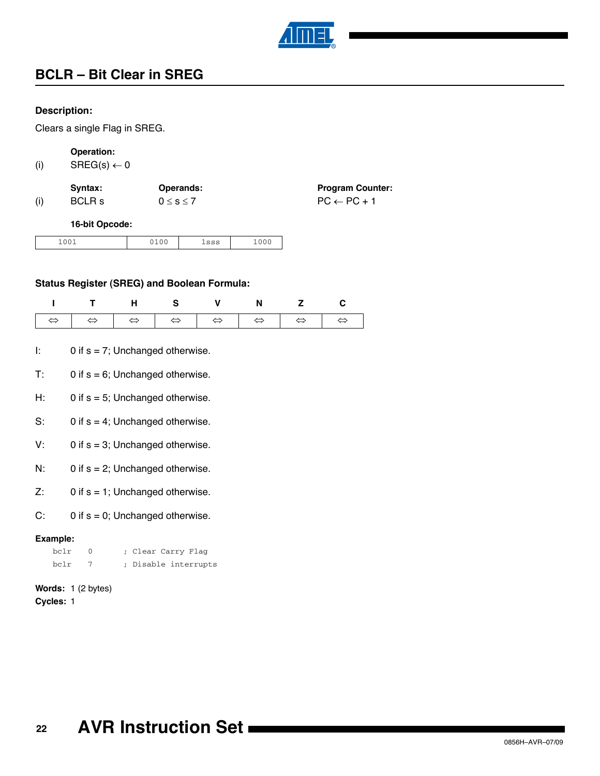

# **BCLR – Bit Clear in SREG**

### **Description:**

Clears a single Flag in SREG.

### **Operation:**

(i)  $SREG(s) \leftarrow 0$ 

|     | Syntax: | <b>Operands:</b>  | <b>Program Counter:</b> |
|-----|---------|-------------------|-------------------------|
| (i) | BCLR s  | $0 \leq s \leq 7$ | $PC \leftarrow PC + 1$  |

### **16-bit Opcode:**

| 1001<br>$\sim$ $\sim$ $\sim$<br>$\sim$ $\sim$ $\sim$<br>CCD<br>エラウラ<br>エロのか<br>$-0$ |  |  |  |  |  |
|-------------------------------------------------------------------------------------|--|--|--|--|--|
|-------------------------------------------------------------------------------------|--|--|--|--|--|

### **Status Register (SREG) and Boolean Formula:**

| I T H S V N Z C |  |  |  |
|-----------------|--|--|--|
|                 |  |  |  |

- I:  $0$  if  $s = 7$ ; Unchanged otherwise.
- $T: 0$  if  $s = 6$ ; Unchanged otherwise.
- H:  $0$  if  $s = 5$ ; Unchanged otherwise.
- S:  $0$  if  $s = 4$ ; Unchanged otherwise.
- $V: 0$  if  $s = 3$ ; Unchanged otherwise.
- $N:$  0 if  $s = 2$ ; Unchanged otherwise.
- $Z: 0$  if  $s = 1$ ; Unchanged otherwise.
- C:  $0$  if  $s = 0$ ; Unchanged otherwise.

### **Example:**

| bclr | ; Clear Carry Flag   |
|------|----------------------|
| bclr | ; Disable interrupts |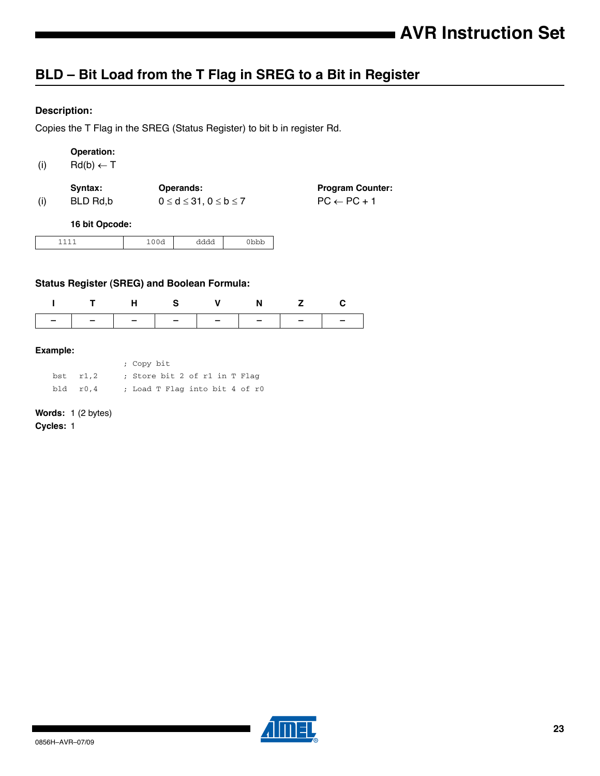# **BLD – Bit Load from the T Flag in SREG to a Bit in Register**

### **Description:**

Copies the T Flag in the SREG (Status Register) to bit b in register Rd.

### **Operation:**

(i)  $\text{Rd}(b) \leftarrow \text{T}$ 

|     | Svntax:  | <b>Operands:</b>                    | <b>Program Counter:</b> |
|-----|----------|-------------------------------------|-------------------------|
| (i) | BLD Rd.b | $0 \leq d \leq 31, 0 \leq b \leq 7$ | $PC \leftarrow PC + 1$  |

#### **16 bit Opcode:**

| <b>__</b><br>- | . | uuu<br>. | תמת |
|----------------|---|----------|-----|
|----------------|---|----------|-----|

### **Status Register (SREG) and Boolean Formula:**

|                               |  | T H S V N Z |  |
|-------------------------------|--|-------------|--|
| -   -   -   -   -   -   -   - |  |             |  |

### **Example:**

|          | ; Copy bit                     |  |
|----------|--------------------------------|--|
| bst r1,2 | ; Store bit 2 of r1 in T Flag  |  |
| bld r0.4 | ; Load T Flag into bit 4 of r0 |  |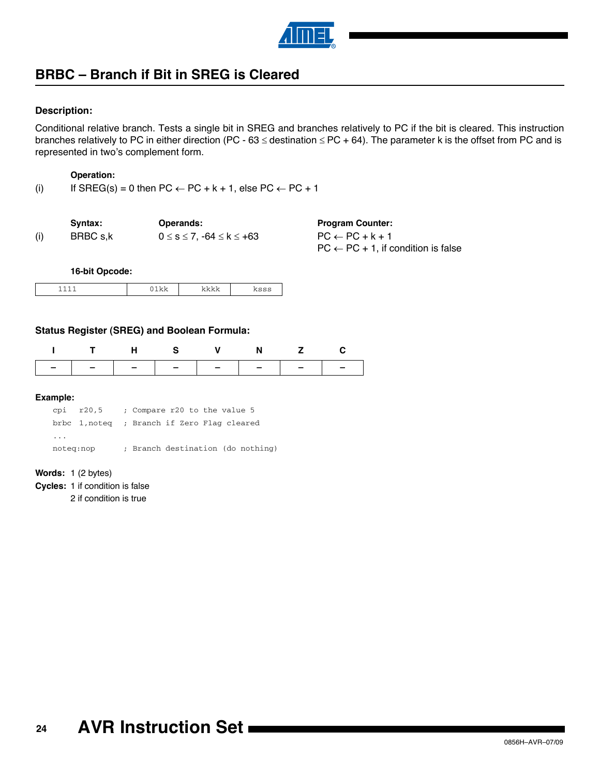

### **BRBC – Branch if Bit in SREG is Cleared**

### **Description:**

Conditional relative branch. Tests a single bit in SREG and branches relatively to PC if the bit is cleared. This instruction branches relatively to PC in either direction (PC - 63  $\le$  destination  $\le$  PC + 64). The parameter k is the offset from PC and is represented in two's complement form.

#### **Operation:**

(i) If SREG(s) = 0 then PC  $\leftarrow$  PC + k + 1, else PC  $\leftarrow$  PC + 1

Syntax: Operands: Program Counter: (i) BRBC s,k  $0 \le s \le 7, -64 \le k \le +63$  PC  $\leftarrow$  PC + k + 1

 $PC \leftarrow PC + 1$ , if condition is false

**16-bit Opcode:**

|--|--|--|--|

### **Status Register (SREG) and Boolean Formula:**

#### **Example:**

cpi r20,5 ; Compare r20 to the value 5 brbc 1,noteq ; Branch if Zero Flag cleared ... noteq:nop ; Branch destination (do nothing)

**Words:** 1 (2 bytes)

**Cycles:** 1 if condition is false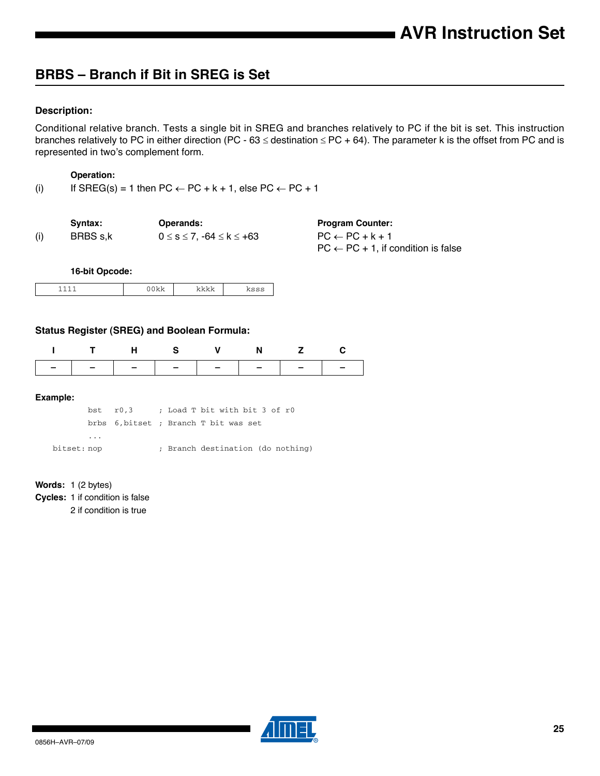# **BRBS – Branch if Bit in SREG is Set**

### **Description:**

Conditional relative branch. Tests a single bit in SREG and branches relatively to PC if the bit is set. This instruction branches relatively to PC in either direction (PC - 63  $\le$  destination  $\le$  PC + 64). The parameter k is the offset from PC and is represented in two's complement form.

#### **Operation:**

(i) If SREG(s) = 1 then  $PC \leftarrow PC + k + 1$ , else  $PC \leftarrow PC + 1$ 

|     | Syntax:  | Operands:                                   |
|-----|----------|---------------------------------------------|
| (i) | BRBS s,k | $0 \leq s \leq 7$ , -64 $\leq$ k $\leq$ +63 |

**Program Counter:**  $PC \leftarrow PC + k + 1$  $PC \leftarrow PC + 1$ , if condition is false

**16-bit Opcode:**

| - | . . |  |  |
|---|-----|--|--|
|---|-----|--|--|

### **Status Register (SREG) and Boolean Formula:**

|  | . н. |                               | N. |  |
|--|------|-------------------------------|----|--|
|  |      | -   -   -   -   -   -   -   - |    |  |

#### **Example:**

bst r0,3 ; Load T bit with bit 3 of r0 brbs 6,bitset ; Branch T bit was set ... bitset: nop ; Branch destination (do nothing)

### **Words:** 1 (2 bytes)

**Cycles:** 1 if condition is false

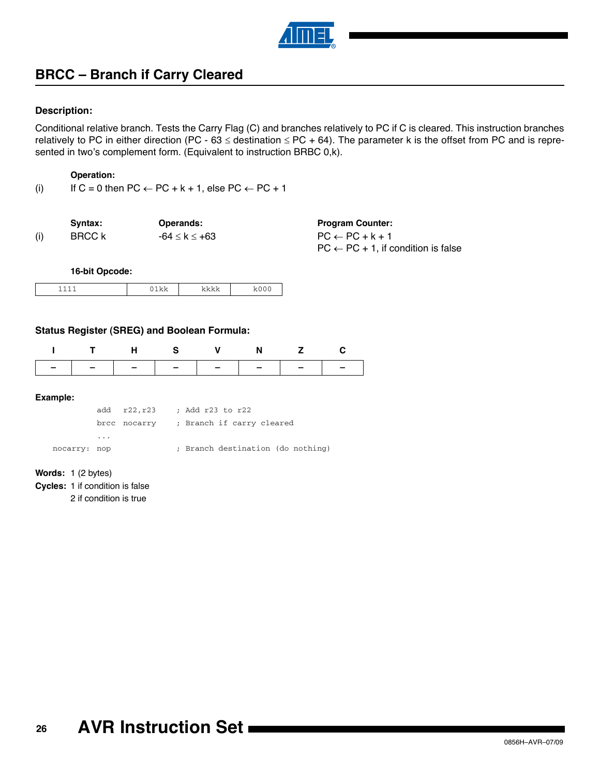

### **BRCC – Branch if Carry Cleared**

### **Description:**

Conditional relative branch. Tests the Carry Flag (C) and branches relatively to PC if C is cleared. This instruction branches relatively to PC in either direction (PC - 63  $\le$  destination  $\le$  PC + 64). The parameter k is the offset from PC and is represented in two's complement form. (Equivalent to instruction BRBC 0,k).

#### **Operation:**

(i) If  $C = 0$  then  $PC \leftarrow PC + k + 1$ , else  $PC \leftarrow PC + 1$ 

|     | Svntax: | Operands:             | <b>Program Counter:</b>                        |
|-----|---------|-----------------------|------------------------------------------------|
| (i) | BRCC k  | $-64 \leq k \leq +63$ | $PC \leftarrow PC + k + 1$                     |
|     |         |                       | $PC \leftarrow PC + 1$ , if condition is false |

**16-bit Opcode:**

|--|

### **Status Register (SREG) and Boolean Formula:**

|  |  | N |  |
|--|--|---|--|
|  |  |   |  |

#### **Example:**

add r22,r23 ; Add r23 to r22 brcc nocarry ; Branch if carry cleared ... nocarry: nop  $\hspace{1cm}$ ; Branch destination (do nothing)

#### **Words:** 1 (2 bytes)

**Cycles:** 1 if condition is false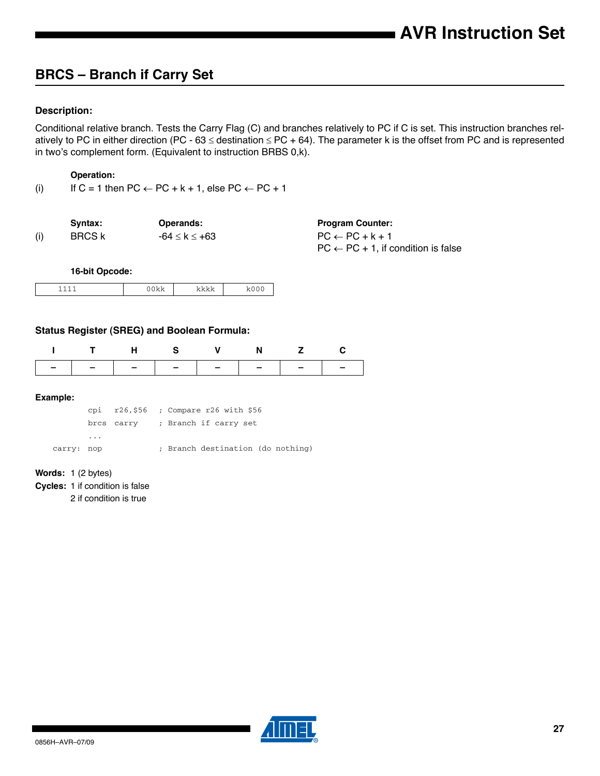### **BRCS – Branch if Carry Set**

### **Description:**

Conditional relative branch. Tests the Carry Flag (C) and branches relatively to PC if C is set. This instruction branches relatively to PC in either direction (PC - 63  $\le$  destination  $\le$  PC + 64). The parameter k is the offset from PC and is represented in two's complement form. (Equivalent to instruction BRBS 0,k).

### **Operation:**

(i) If C = 1 then  $PC \leftarrow PC + k + 1$ , else  $PC \leftarrow PC + 1$ 

|     | Svntax: | Operands:             | <b>Program Counter:</b>                        |
|-----|---------|-----------------------|------------------------------------------------|
| (i) | BRCS k  | $-64 \leq k \leq +63$ | $PC \leftarrow PC + k + 1$                     |
|     |         |                       | $PC \leftarrow PC + 1$ , if condition is false |

**16-bit Opcode:**

| ᅩ<br>- |  | .<br>. |  |
|--------|--|--------|--|
|--------|--|--------|--|

### **Status Register (SREG) and Boolean Formula:**

| ---------------- |  |  |  |
|------------------|--|--|--|

#### **Example:**

cpi r26,\$56 ; Compare r26 with \$56 brcs carry ; Branch if carry set ... carry: nop ; Branch destination (do nothing)

#### **Words:** 1 (2 bytes)

**Cycles:** 1 if condition is false

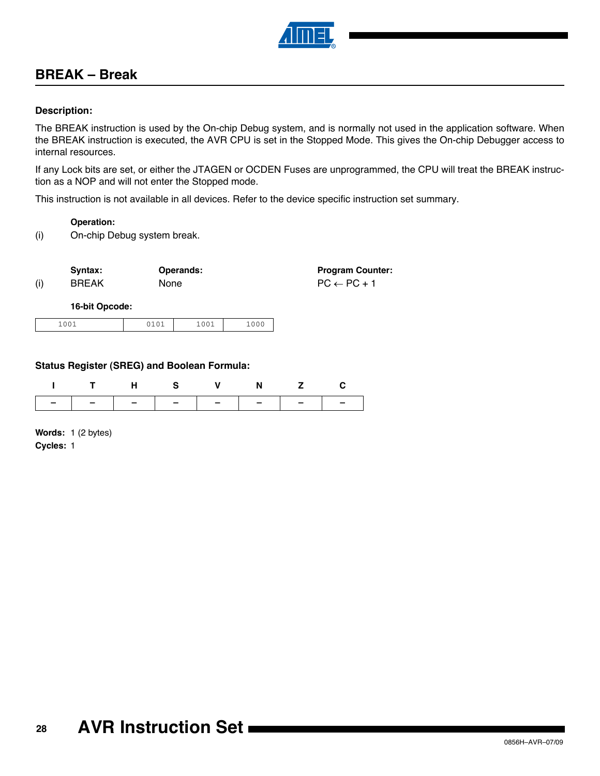

### **BREAK – Break**

### **Description:**

The BREAK instruction is used by the On-chip Debug system, and is normally not used in the application software. When the BREAK instruction is executed, the AVR CPU is set in the Stopped Mode. This gives the On-chip Debugger access to internal resources.

If any Lock bits are set, or either the JTAGEN or OCDEN Fuses are unprogrammed, the CPU will treat the BREAK instruction as a NOP and will not enter the Stopped mode.

This instruction is not available in all devices. Refer to the device specific instruction set summary.

### **Operation:**

(i) On-chip Debug system break.

|     | Syntax:      | <b>Operands:</b> | <b>Program Counter:</b> |
|-----|--------------|------------------|-------------------------|
| (i) | <b>BREAK</b> | <b>None</b>      | $PC \leftarrow PC + 1$  |

### **16-bit Opcode:**

| 001<br>0.01<br>$A \cap A$<br>$-00+$<br>$+00+$<br>----<br>__ |
|-------------------------------------------------------------|
|-------------------------------------------------------------|

### **Status Register (SREG) and Boolean Formula:**

| -   -   -   -   -   -   -   - |  |  |  |
|-------------------------------|--|--|--|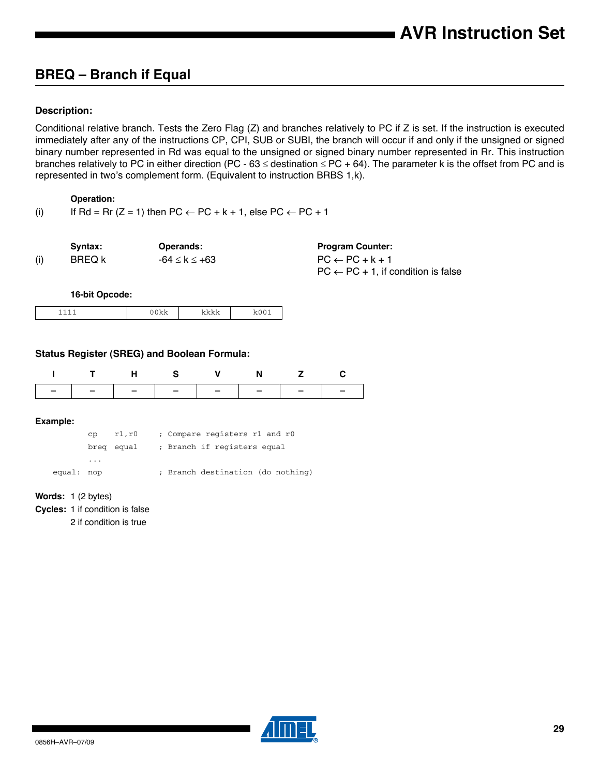# **BREQ – Branch if Equal**

### **Description:**

Conditional relative branch. Tests the Zero Flag (Z) and branches relatively to PC if Z is set. If the instruction is executed immediately after any of the instructions CP, CPI, SUB or SUBI, the branch will occur if and only if the unsigned or signed binary number represented in Rd was equal to the unsigned or signed binary number represented in Rr. This instruction branches relatively to PC in either direction (PC - 63  $\le$  destination  $\le$  PC + 64). The parameter k is the offset from PC and is represented in two's complement form. (Equivalent to instruction BRBS 1,k).

### **Operation:**

(i) If Rd = Rr (Z = 1) then PC  $\leftarrow$  PC + k + 1, else PC  $\leftarrow$  PC + 1

| Svntax:       | <b>Operands:</b> | <b>Program Counter:</b>    |
|---------------|------------------|----------------------------|
| <b>BREQ k</b> | -64 ≤ k ≤ +63    | $PC \leftarrow PC + k + 1$ |
|               |                  | ---                        |

| Program Counter:                                            |  |
|-------------------------------------------------------------|--|
| PC ← PC + k + 1                                             |  |
| $\mathsf{PC}\leftarrow\mathsf{PC}+1.$ if condition is false |  |

### **16-bit Opcode:**

| . . | . . |  |
|-----|-----|--|

### **Status Register (SREG) and Boolean Formula:**

| ITHS V N Z C                  |  |  |  |
|-------------------------------|--|--|--|
| -   -   -   -   -   -   -   - |  |  |  |

### **Example:**

|            | CD.                     | r1.r0 |  | ; Compare registers r1 and r0          |  |
|------------|-------------------------|-------|--|----------------------------------------|--|
|            |                         |       |  | breg equal ; Branch if registers equal |  |
|            | $\cdot$ $\cdot$ $\cdot$ |       |  |                                        |  |
| equal: nop |                         |       |  | ; Branch destination (do nothing)      |  |

#### **Words:** 1 (2 bytes)

**Cycles:** 1 if condition is false

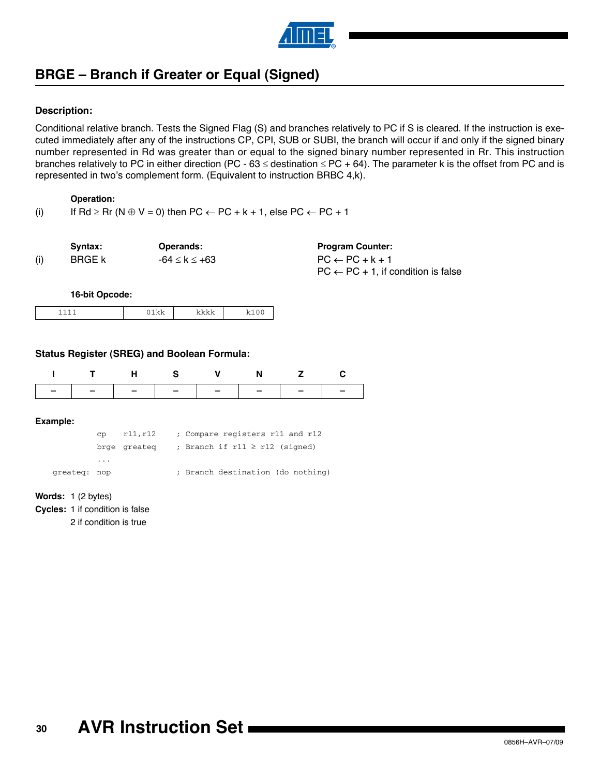

# **BRGE – Branch if Greater or Equal (Signed)**

### **Description:**

Conditional relative branch. Tests the Signed Flag (S) and branches relatively to PC if S is cleared. If the instruction is executed immediately after any of the instructions CP, CPI, SUB or SUBI, the branch will occur if and only if the signed binary number represented in Rd was greater than or equal to the signed binary number represented in Rr. This instruction branches relatively to PC in either direction (PC - 63  $\le$  destination  $\le$  PC + 64). The parameter k is the offset from PC and is represented in two's complement form. (Equivalent to instruction BRBC 4,k).

### **Operation:**

(i) If Rd  $\geq$  Rr (N  $\oplus$  V = 0) then PC  $\leftarrow$  PC + k + 1, else PC  $\leftarrow$  PC + 1

| Syntax: | <b>Operands:</b> | <b>Program Counter:</b>                        |
|---------|------------------|------------------------------------------------|
| BRGE k  | -64 ≤ k ≤ +63    | $PC \leftarrow PC + k + 1$                     |
|         |                  | $PC \leftarrow PC + 1$ , if condition is false |

#### **16-bit Opcode:**

### **Status Register (SREG) and Boolean Formula:**

|          |      | н        | s                                  | v                               | N |  | С |  |  |  |
|----------|------|----------|------------------------------------|---------------------------------|---|--|---|--|--|--|
|          |      |          |                                    |                                 |   |  |   |  |  |  |
| Example: |      |          |                                    |                                 |   |  |   |  |  |  |
|          | CD   | r11, r12 |                                    | ; Compare registers r11 and r12 |   |  |   |  |  |  |
|          | brge | greateg  | ; Branch if $r11 \ge r12$ (signed) |                                 |   |  |   |  |  |  |

greateq: nop  $\qquad \qquad ;$  Branch destination (do nothing)

|  | <b>Words:</b> $1(2 \text{ bytes})$ |
|--|------------------------------------|
|  |                                    |

**Cycles:** 1 if condition is false

2 if condition is true

...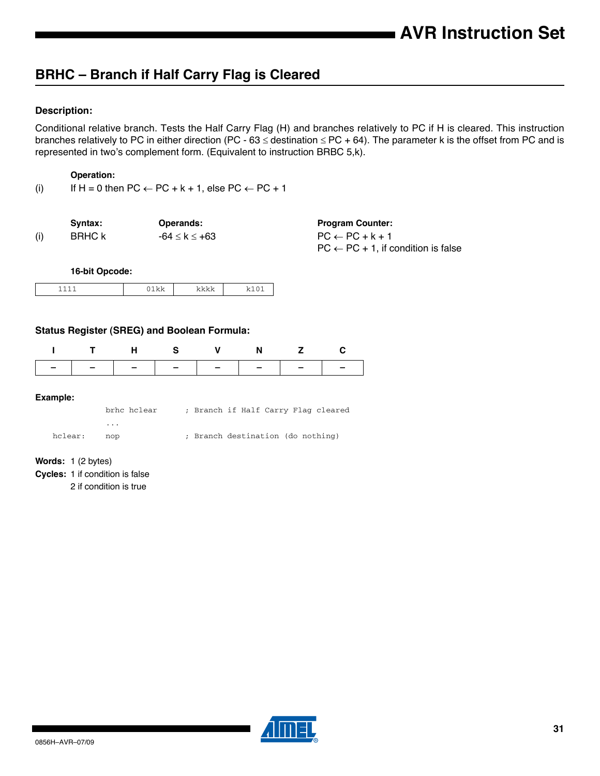# **BRHC – Branch if Half Carry Flag is Cleared**

### **Description:**

Conditional relative branch. Tests the Half Carry Flag (H) and branches relatively to PC if H is cleared. This instruction branches relatively to PC in either direction (PC - 63  $\le$  destination  $\le$  PC + 64). The parameter k is the offset from PC and is represented in two's complement form. (Equivalent to instruction BRBC 5,k).

### **Operation:**

(i) If H = 0 then PC  $\leftarrow$  PC + k + 1, else PC  $\leftarrow$  PC + 1

|     | Svntax: | <b>Operands:</b> | <b>Program Counter:</b>                        |
|-----|---------|------------------|------------------------------------------------|
| (i) | BRHC k  | -64 ≤ k ≤ +63    | $PC \leftarrow PC + k + 1$                     |
|     |         |                  | $PC \leftarrow PC + 1$ , if condition is false |

**16-bit Opcode:**

|  | . . | . |  |
|--|-----|---|--|
|--|-----|---|--|

### **Status Register (SREG) and Boolean Formula:**

| I – I – I – I – I – I – I – I – |  |  |  |
|---------------------------------|--|--|--|

#### **Example:**

|         | brhc hclear |                                   |  |  | ; Branch if Half Carry Flag cleared |
|---------|-------------|-----------------------------------|--|--|-------------------------------------|
|         | .           |                                   |  |  |                                     |
| hclear: | ກດກ         | ; Branch destination (do nothing) |  |  |                                     |

**Words:** 1 (2 bytes)

**Cycles:** 1 if condition is false

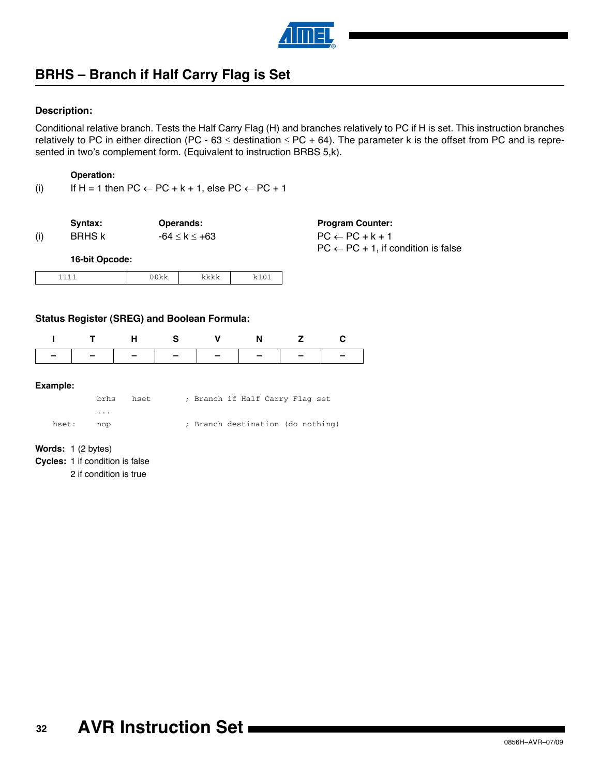

# **BRHS – Branch if Half Carry Flag is Set**

### **Description:**

Conditional relative branch. Tests the Half Carry Flag (H) and branches relatively to PC if H is set. This instruction branches relatively to PC in either direction (PC - 63  $\le$  destination  $\le$  PC + 64). The parameter k is the offset from PC and is represented in two's complement form. (Equivalent to instruction BRBS 5,k).

### **Operation:**

(i) If H = 1 then  $PC \leftarrow PC + k + 1$ , else  $PC \leftarrow PC + 1$ 

1111 00kk kkkk k101

|     | Syntax:        | <b>Operands:</b> | <b>Program Counter:</b>                        |
|-----|----------------|------------------|------------------------------------------------|
| (i) | <b>BRHS k</b>  | -64 ≤ k ≤ +63    | $PC \leftarrow PC + k + 1$                     |
|     |                |                  | $PC \leftarrow PC + 1$ , if condition is false |
|     | 16-bit Opcode: |                  |                                                |

|  | <b>Status Register (SREG) and Boolean Formula:</b> |  |
|--|----------------------------------------------------|--|

|  | ITHS V N Z C                  |  |  |
|--|-------------------------------|--|--|
|  | -   -   -   -   -   -   -   - |  |  |
|  |                               |  |  |

#### **Example:**

|           | brhs | hset. | ; Branch if Half Carry Flag set   |  |  |  |
|-----------|------|-------|-----------------------------------|--|--|--|
|           | .    |       |                                   |  |  |  |
| hset: nop |      |       | ; Branch destination (do nothing) |  |  |  |

**Words:** 1 (2 bytes)

**Cycles:** 1 if condition is false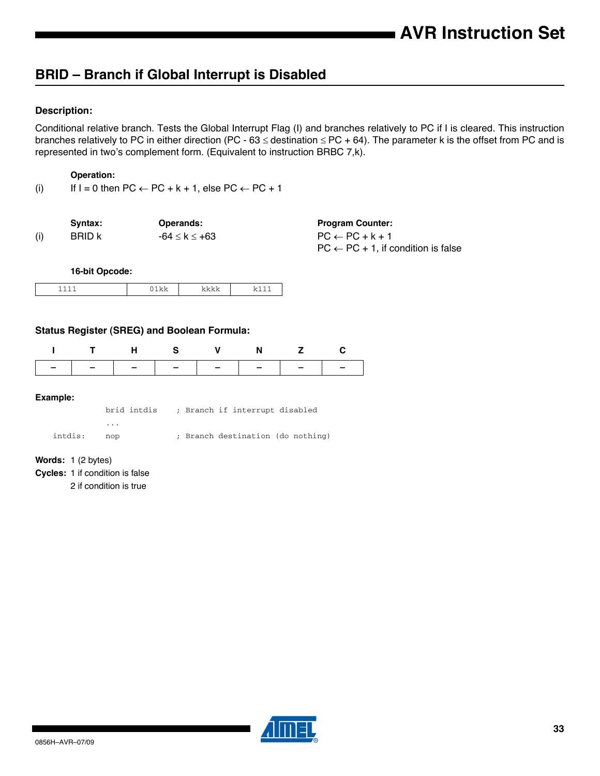## **BRID – Branch if Global Interrupt is Disabled**

### **Description:**

Conditional relative branch. Tests the Global Interrupt Flag (I) and branches relatively to PC if I is cleared. This instruction branches relatively to PC in either direction (PC - 63  $\le$  destination  $\le$  PC + 64). The parameter k is the offset from PC and is represented in two's complement form. (Equivalent to instruction BRBC 7,k).

### **Operation:**

(i) If  $I = 0$  then  $PC \leftarrow PC + k + 1$ , else  $PC \leftarrow PC + 1$ 

|     | Svntax:       | <b>Operands:</b> | <b>Program Counter:</b>                        |
|-----|---------------|------------------|------------------------------------------------|
| (i) | <b>BRID K</b> | -64 ≤ k ≤ +63    | $PC \leftarrow PC + k + 1$                     |
|     |               |                  | $PC \leftarrow PC + 1$ , if condition is false |

**16-bit Opcode:**

|--|

### **Status Register (SREG) and Boolean Formula:**

|                               | HS V N |  |  |
|-------------------------------|--------|--|--|
| -   -   -   -   -   -   -   - |        |  |  |

#### **Example:**

brid intdis ; Branch if interrupt disabled ... intdis: nop ; Branch destination (do nothing)

**Words:** 1 (2 bytes)

**Cycles:** 1 if condition is false

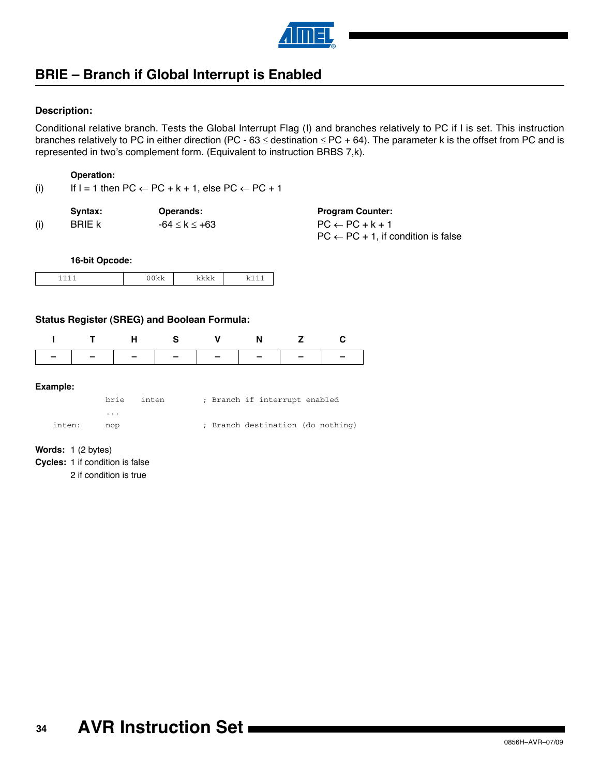

## **BRIE – Branch if Global Interrupt is Enabled**

### **Description:**

Conditional relative branch. Tests the Global Interrupt Flag (I) and branches relatively to PC if I is set. This instruction branches relatively to PC in either direction (PC - 63  $\le$  destination  $\le$  PC + 64). The parameter k is the offset from PC and is represented in two's complement form. (Equivalent to instruction BRBS 7,k).

### **Operation:**

(i) If  $I = 1$  then  $PC \leftarrow PC + k + 1$ , else  $PC \leftarrow PC + 1$ 

|     | Syntax:       | Operands:     | <b>Program Counter:</b>                        |
|-----|---------------|---------------|------------------------------------------------|
| (i) | <b>BRIE k</b> | -64 ≤ k ≤ +63 | $PC \leftarrow PC + k + 1$                     |
|     |               |               | $PC \leftarrow PC + 1$ , if condition is false |

**16-bit Opcode:**

| ᅩ<br>- | . . | -- - |
|--------|-----|------|

### **Status Register (SREG) and Boolean Formula:**

| THS V N Z C   |  |  |  |
|---------------|--|--|--|
| ------------- |  |  |  |

#### **Example:**

 $\overline{\phantom{a}}$ 

|        |     | brie inten | ; Branch if interrupt enabled     |
|--------|-----|------------|-----------------------------------|
|        | .   |            |                                   |
| inten: | nop |            | ; Branch destination (do nothing) |

**Words:** 1 (2 bytes)

**Cycles:** 1 if condition is false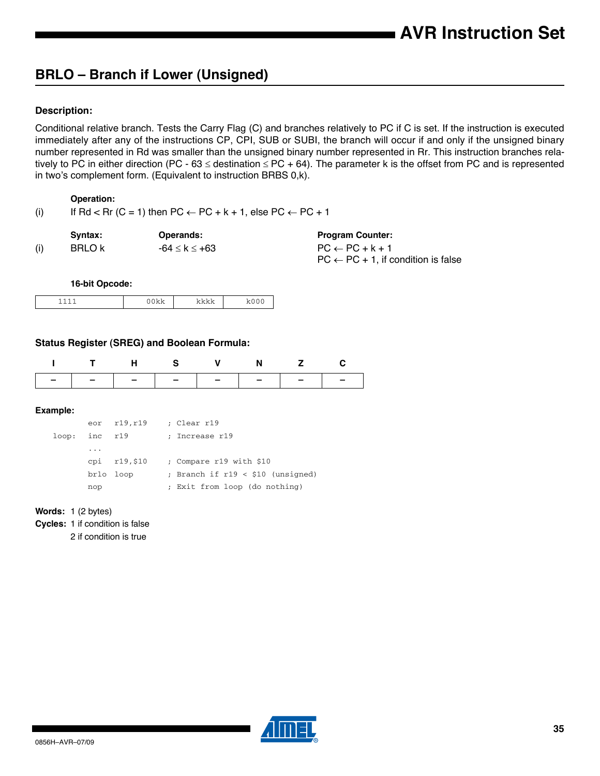# **BRLO – Branch if Lower (Unsigned)**

### **Description:**

Conditional relative branch. Tests the Carry Flag (C) and branches relatively to PC if C is set. If the instruction is executed immediately after any of the instructions CP, CPI, SUB or SUBI, the branch will occur if and only if the unsigned binary number represented in Rd was smaller than the unsigned binary number represented in Rr. This instruction branches relatively to PC in either direction (PC - 63  $\le$  destination  $\le$  PC + 64). The parameter k is the offset from PC and is represented in two's complement form. (Equivalent to instruction BRBS 0,k).

### **Operation:**

| (i) | If Rd < Rr (C = 1) then PC $\leftarrow$ PC + k + 1, else PC $\leftarrow$ PC + 1 |  |  |
|-----|---------------------------------------------------------------------------------|--|--|
|     |                                                                                 |  |  |

|     | Svntax: | <b>Operands:</b> | <b>Program Counter:</b>                        |
|-----|---------|------------------|------------------------------------------------|
| (i) | BRLO k  | -64 ≤ k ≤ +63    | $PC \leftarrow PC + k + 1$                     |
|     |         |                  | $PC \leftarrow PC + 1$ , if condition is false |

**16-bit Opcode:**

| - | . . | . .<br>. . | __ |
|---|-----|------------|----|

### **Status Register (SREG) and Boolean Formula:**

|                                    |  |  | N. |  |
|------------------------------------|--|--|----|--|
| $\sim$ $\sim$ $\sim$ $\sim$ $\sim$ |  |  |    |  |

#### **Example:**

|       |          | eor r19,r19   | ; Clear r19                        |
|-------|----------|---------------|------------------------------------|
| loop: | inc r19  |               | ; Increase r19                     |
|       | $\cdots$ |               |                                    |
|       |          | cpi $r19,510$ | : Compare r19 with \$10            |
|       |          | brlo loop     | ; Branch if $r19 < $10$ (unsigned) |
|       | nop      |               | ; Exit from loop (do nothing)      |

#### **Words:** 1 (2 bytes)

**Cycles:** 1 if condition is false

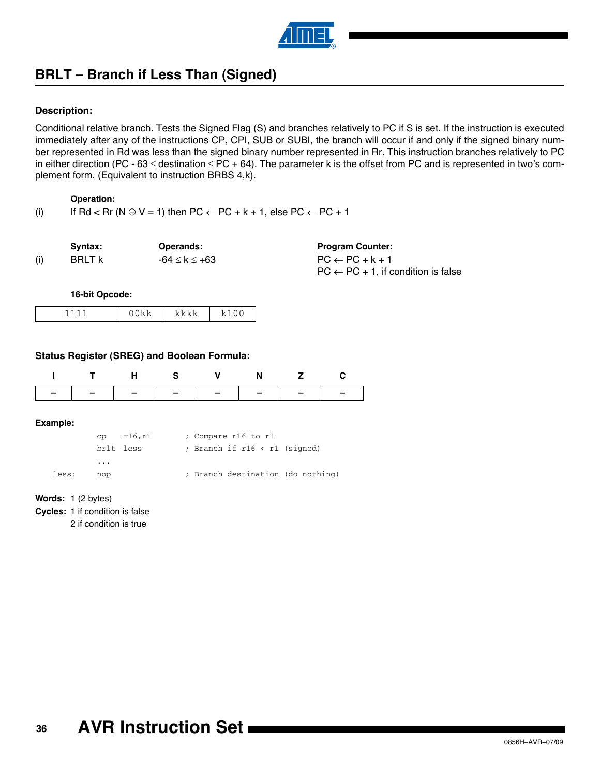

# **BRLT – Branch if Less Than (Signed)**

### **Description:**

Conditional relative branch. Tests the Signed Flag (S) and branches relatively to PC if S is set. If the instruction is executed immediately after any of the instructions CP, CPI, SUB or SUBI, the branch will occur if and only if the signed binary number represented in Rd was less than the signed binary number represented in Rr. This instruction branches relatively to PC in either direction (PC - 63  $\le$  destination  $\le$  PC + 64). The parameter k is the offset from PC and is represented in two's complement form. (Equivalent to instruction BRBS 4,k).

### **Operation:**

(i) If Rd < Rr (N  $\oplus$  V = 1) then PC  $\leftarrow$  PC + k + 1, else PC  $\leftarrow$  PC + 1

|     | Svntax:       | Operands:             | <b>Program Counter:</b>                        |
|-----|---------------|-----------------------|------------------------------------------------|
| (i) | <b>BRLT k</b> | $-64 \leq k \leq +63$ | $PC \leftarrow PC + k + 1$                     |
|     |               |                       | $PC \leftarrow PC + 1$ , if condition is false |

**16-bit Opcode:**

| ◢<br>∽<br>∽ | ---- |  |
|-------------|------|--|

### **Status Register (SREG) and Boolean Formula:**

**Example:**

|       | $\text{CD}$ $\text{r16.r1}$ |  | ; Compare r16 to r1               |  |
|-------|-----------------------------|--|-----------------------------------|--|
|       | brlt less                   |  | ; Branch if $r16 < r1$ (signed)   |  |
|       | $\cdots$                    |  |                                   |  |
| less: | nop                         |  | ; Branch destination (do nothing) |  |

**Words:** 1 (2 bytes)

**Cycles:** 1 if condition is false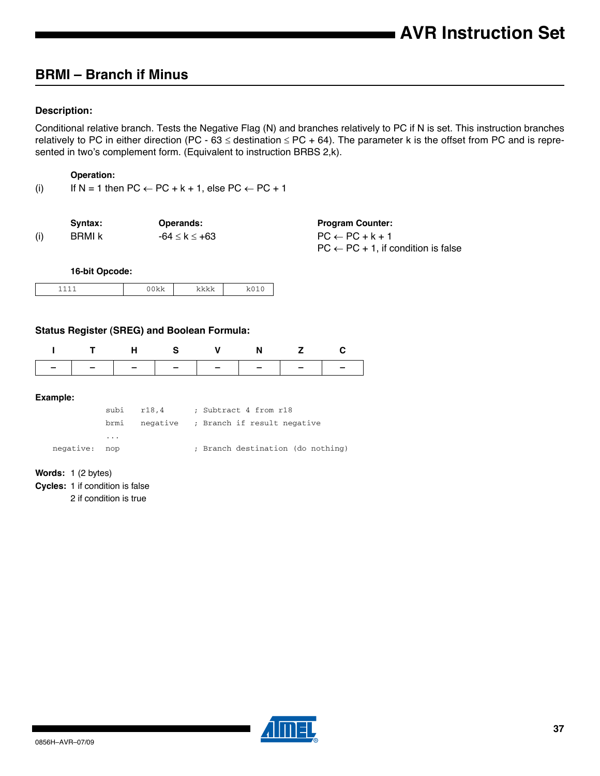# **BRMI – Branch if Minus**

### **Description:**

Conditional relative branch. Tests the Negative Flag (N) and branches relatively to PC if N is set. This instruction branches relatively to PC in either direction (PC - 63  $\le$  destination  $\le$  PC + 64). The parameter k is the offset from PC and is represented in two's complement form. (Equivalent to instruction BRBS 2,k).

#### **Operation:**

(i) If  $N = 1$  then  $PC \leftarrow PC + k + 1$ , else  $PC \leftarrow PC + 1$ 

|     | Svntax: | <b>Operands:</b> | <b>Program Counter:</b>                        |
|-----|---------|------------------|------------------------------------------------|
| (i) | BRMI k  | -64 ≤ k ≤ +63    | $PC \leftarrow PC + k + 1$                     |
|     |         |                  | $PC \leftarrow PC + 1$ , if condition is false |

**16-bit Opcode:**

| - |  | . . |  |
|---|--|-----|--|
|---|--|-----|--|

#### **Status Register (SREG) and Boolean Formula:**

| l – l – l – l – l – l – l – l – |  |  |  |
|---------------------------------|--|--|--|

#### **Example:**

|               |                         | subi r18,4 | ; Subtract 4 from r18                |
|---------------|-------------------------|------------|--------------------------------------|
|               | brmi                    |            | negative ; Branch if result negative |
|               | $\cdot$ $\cdot$ $\cdot$ |            |                                      |
| negative: nop |                         |            | ; Branch destination (do nothing)    |

#### **Words:** 1 (2 bytes)

**Cycles:** 1 if condition is false

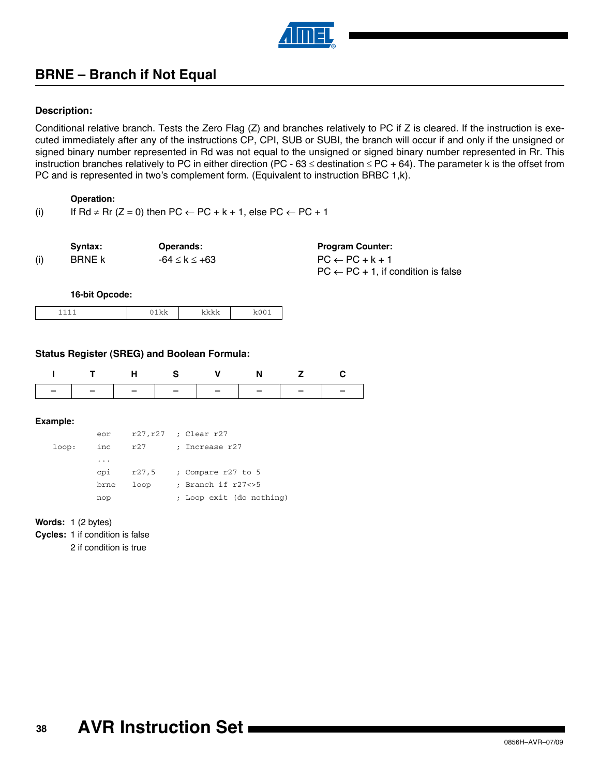

# **BRNE – Branch if Not Equal**

### **Description:**

Conditional relative branch. Tests the Zero Flag (Z) and branches relatively to PC if Z is cleared. If the instruction is executed immediately after any of the instructions CP, CPI, SUB or SUBI, the branch will occur if and only if the unsigned or signed binary number represented in Rd was not equal to the unsigned or signed binary number represented in Rr. This instruction branches relatively to PC in either direction (PC - 63  $\le$  destination  $\le$  PC + 64). The parameter k is the offset from PC and is represented in two's complement form. (Equivalent to instruction BRBC 1,k).

### **Operation:**

(i) If Rd  $\neq$  Rr (Z = 0) then PC  $\leftarrow$  PC + k + 1, else PC  $\leftarrow$  PC + 1

| Syntax:       | <b>Operands:</b> | <b>Program Counter:</b>    |
|---------------|------------------|----------------------------|
| <b>BRNE k</b> | -64 ≤ k ≤ +63    | $PC \leftarrow PC + k + 1$ |
|               |                  | $ -$                       |

| Program Counter:                                            |  |
|-------------------------------------------------------------|--|
| PC ← PC + k + 1                                             |  |
| $\mathsf{PC}\leftarrow\mathsf{PC}+1,$ if condition is false |  |

**16-bit Opcode:**

|  | __ |
|--|----|

#### **Status Register (SREG) and Boolean Formula:**

|  |  | T H S V N Z C                 |  |
|--|--|-------------------------------|--|
|  |  | -   -   -   -   -   -   -   - |  |

#### **Example:**

|       | eor      | r27,r27 | ; Clear r27              |
|-------|----------|---------|--------------------------|
| loop: | inc.     | r27     | : Increase r27           |
|       | $\cdots$ |         |                          |
|       | cpi      | r27,5   | ; Compare r27 to 5       |
|       | brne     | loop    | ; Branch if r27<>5       |
|       | nop      |         | ; Loop exit (do nothing) |

#### **Words:** 1 (2 bytes)

**Cycles:** 1 if condition is false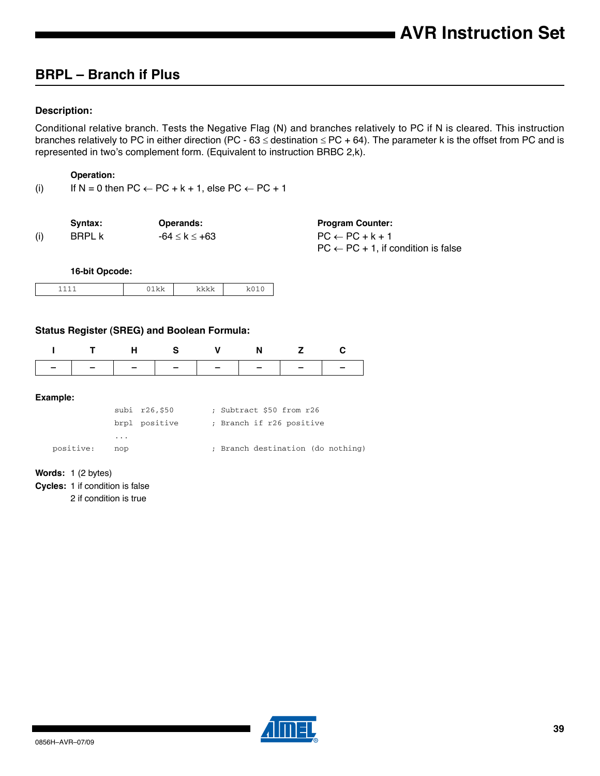# **BRPL – Branch if Plus**

### **Description:**

Conditional relative branch. Tests the Negative Flag (N) and branches relatively to PC if N is cleared. This instruction branches relatively to PC in either direction (PC - 63  $\le$  destination  $\le$  PC + 64). The parameter k is the offset from PC and is represented in two's complement form. (Equivalent to instruction BRBC 2,k).

#### **Operation:**

(i) If  $N = 0$  then  $PC \leftarrow PC + k + 1$ , else  $PC \leftarrow PC + 1$ 

|     | Svntax: | <b>Operands:</b> | <b>Program Counter:</b>                        |
|-----|---------|------------------|------------------------------------------------|
| (i) | BRPL k  | -64 ≤ k ≤ +63    | $PC \leftarrow PC + k + 1$                     |
|     |         |                  | $PC \leftarrow PC + 1$ , if condition is false |

**16-bit Opcode:**

|  |  | -- |  |
|--|--|----|--|
|--|--|----|--|

#### **Status Register (SREG) and Boolean Formula:**

|  |  | ITHS V N Z C |  |
|--|--|--------------|--|
|  |  |              |  |
|  |  |              |  |

#### **Example:**

|           |     | subi r26,\$50 | ; Subtract \$50 from r26          |  |
|-----------|-----|---------------|-----------------------------------|--|
|           |     | brpl positive | ; Branch if r26 positive          |  |
|           | .   |               |                                   |  |
| positive: | nop |               | ; Branch destination (do nothing) |  |

#### **Words:** 1 (2 bytes)

**Cycles:** 1 if condition is false

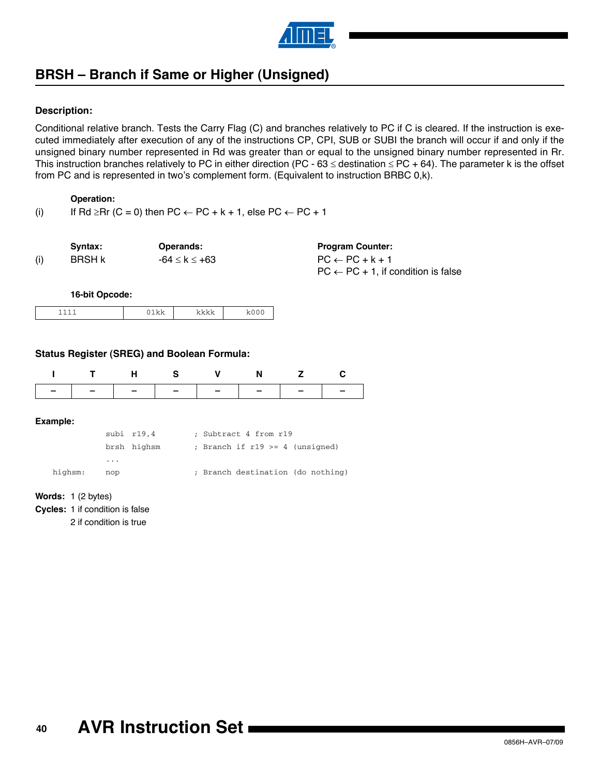

# **BRSH – Branch if Same or Higher (Unsigned)**

### **Description:**

Conditional relative branch. Tests the Carry Flag (C) and branches relatively to PC if C is cleared. If the instruction is executed immediately after execution of any of the instructions CP, CPI, SUB or SUBI the branch will occur if and only if the unsigned binary number represented in Rd was greater than or equal to the unsigned binary number represented in Rr. This instruction branches relatively to PC in either direction (PC - 63  $\le$  destination  $\le$  PC + 64). The parameter k is the offset from PC and is represented in two's complement form. (Equivalent to instruction BRBC 0,k).

#### **Operation:**

(i) If Rd  $\geq$ Rr (C = 0) then PC  $\leftarrow$  PC + k + 1, else PC  $\leftarrow$  PC + 1

| Syntax:       | <b>Operands:</b> | <b>Program Counter:</b>                        |
|---------------|------------------|------------------------------------------------|
| <b>BRSH k</b> | -64 ≤ k ≤ +63    | $PC \leftarrow PC + k + 1$                     |
|               |                  | $PC \leftarrow PC + 1$ , if condition is false |

**16-bit Opcode:**

|--|

#### **Status Register (SREG) and Boolean Formula:**

|          | н | S | N | c |
|----------|---|---|---|---|
|          |   |   |   |   |
| Example: |   |   |   |   |

|         |          | subi r19,4  | ; Subtract 4 from r19               |
|---------|----------|-------------|-------------------------------------|
|         | $\cdots$ | brsh highsm | ; Branch if $r19 \geq 4$ (unsigned) |
| highsm: | nop      |             | ; Branch destination (do nothing)   |

**Words:** 1 (2 bytes)

**Cycles:** 1 if condition is false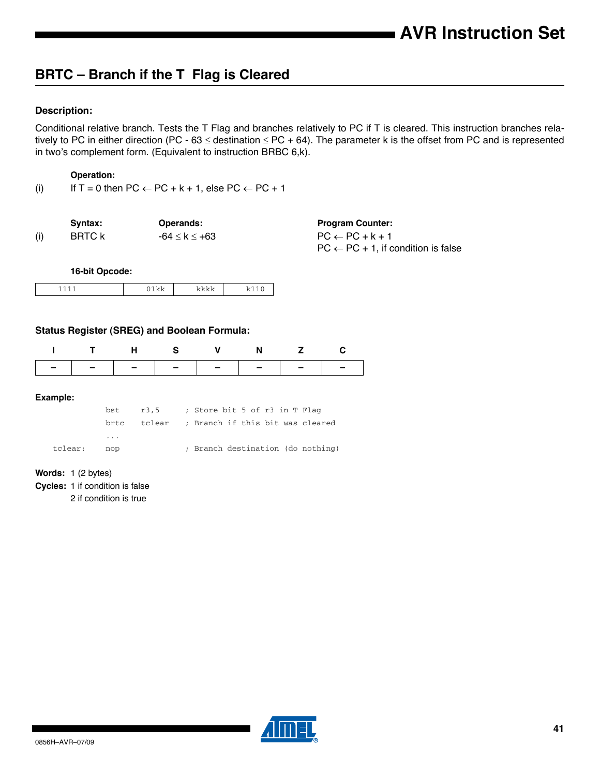# **BRTC – Branch if the T Flag is Cleared**

### **Description:**

Conditional relative branch. Tests the T Flag and branches relatively to PC if T is cleared. This instruction branches relatively to PC in either direction (PC - 63  $\le$  destination  $\le$  PC + 64). The parameter k is the offset from PC and is represented in two's complement form. (Equivalent to instruction BRBC 6,k).

#### **Operation:**

(i) If  $T = 0$  then  $PC \leftarrow PC + k + 1$ , else  $PC \leftarrow PC + 1$ 

|     | Svntax: | Operands:             | <b>Program Counter:</b>                        |
|-----|---------|-----------------------|------------------------------------------------|
| (i) | BRTC k  | $-64 \leq k \leq +63$ | $PC \leftarrow PC + k + 1$                     |
|     |         |                       | $PC \leftarrow PC + 1$ , if condition is false |

**16-bit Opcode:**

|  |  |  | . . |
|--|--|--|-----|
|--|--|--|-----|

#### **Status Register (SREG) and Boolean Formula:**

| - - - - - - - - - - - - - - - |  |  |  |
|-------------------------------|--|--|--|

#### **Example:**

|         |     |  | $bst$ $r3.5$ ; Store bit 5 of r3 in T Flaq   |  |
|---------|-----|--|----------------------------------------------|--|
|         |     |  | brtc tclear ; Branch if this bit was cleared |  |
|         | .   |  |                                              |  |
| tclear: | nop |  | ; Branch destination (do nothing)            |  |

#### **Words:** 1 (2 bytes)

**Cycles:** 1 if condition is false

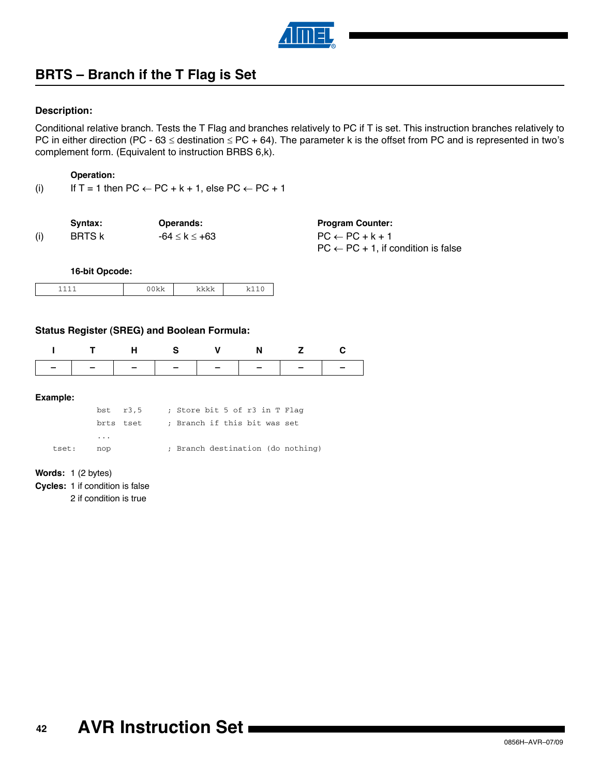

# **BRTS – Branch if the T Flag is Set**

#### **Description:**

Conditional relative branch. Tests the T Flag and branches relatively to PC if T is set. This instruction branches relatively to PC in either direction (PC - 63  $\le$  destination  $\le$  PC + 64). The parameter k is the offset from PC and is represented in two's complement form. (Equivalent to instruction BRBS 6,k).

#### **Operation:**

(i) If  $T = 1$  then  $PC \leftarrow PC + k + 1$ , else  $PC \leftarrow PC + 1$ 

|     | Svntax:       | <b>Operands:</b>      | <b>Program Counter:</b>                        |
|-----|---------------|-----------------------|------------------------------------------------|
| (i) | <b>BRTS k</b> | $-64 \leq k \leq +63$ | $PC \leftarrow PC + k + 1$                     |
|     |               |                       | $PC \leftarrow PC + 1$ , if condition is false |

**16-bit Opcode:**

|--|--|--|--|

#### **Status Register (SREG) and Boolean Formula:**

|  | <b>H</b> S | N. |  |
|--|------------|----|--|
|  |            |    |  |

#### **Example:**

|       |                         | $bst$ $r3.5$ | ; Store bit 5 of r3 in T Flag |  |  |                                   |
|-------|-------------------------|--------------|-------------------------------|--|--|-----------------------------------|
|       | brts tset               |              | ; Branch if this bit was set  |  |  |                                   |
|       | $\cdot$ $\cdot$ $\cdot$ |              |                               |  |  |                                   |
| tset: | nop                     |              |                               |  |  | ; Branch destination (do nothing) |

#### **Words:** 1 (2 bytes)

**Cycles:** 1 if condition is false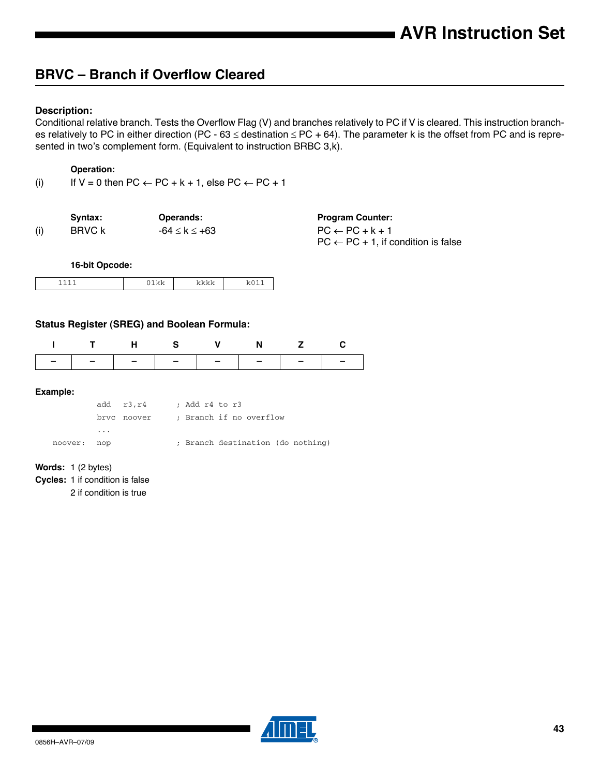# **BRVC – Branch if Overflow Cleared**

#### **Description:**

Conditional relative branch. Tests the Overflow Flag (V) and branches relatively to PC if V is cleared. This instruction branches relatively to PC in either direction (PC - 63  $\le$  destination  $\le$  PC + 64). The parameter k is the offset from PC and is represented in two's complement form. (Equivalent to instruction BRBC 3,k).

### **Operation:**

(i) If  $V = 0$  then  $PC \leftarrow PC + k + 1$ , else  $PC \leftarrow PC + 1$ 

|     | Svntax: | <b>Operands:</b> | <b>Program Counter:</b>                        |
|-----|---------|------------------|------------------------------------------------|
| (i) | BRVC k  | -64 ≤ k ≤ +63    | $PC \leftarrow PC + k + 1$                     |
|     |         |                  | $PC \leftarrow PC + 1$ , if condition is false |

**16-bit Opcode:**

| . | $\epsilon$ and<br>- |
|---|---------------------|

### **Status Register (SREG) and Boolean Formula:**

|                               | HS V N |  |  |
|-------------------------------|--------|--|--|
| -   -   -   -   -   -   -   - |        |  |  |

#### **Example:**

|         |     | add r3.r4 ; Add r4 to r3 |                         |  |  |                                   |
|---------|-----|--------------------------|-------------------------|--|--|-----------------------------------|
|         |     | brvc noover              | ; Branch if no overflow |  |  |                                   |
|         | .   |                          |                         |  |  |                                   |
| noover: | nop |                          |                         |  |  | ; Branch destination (do nothing) |

#### **Words:** 1 (2 bytes)

**Cycles:** 1 if condition is false

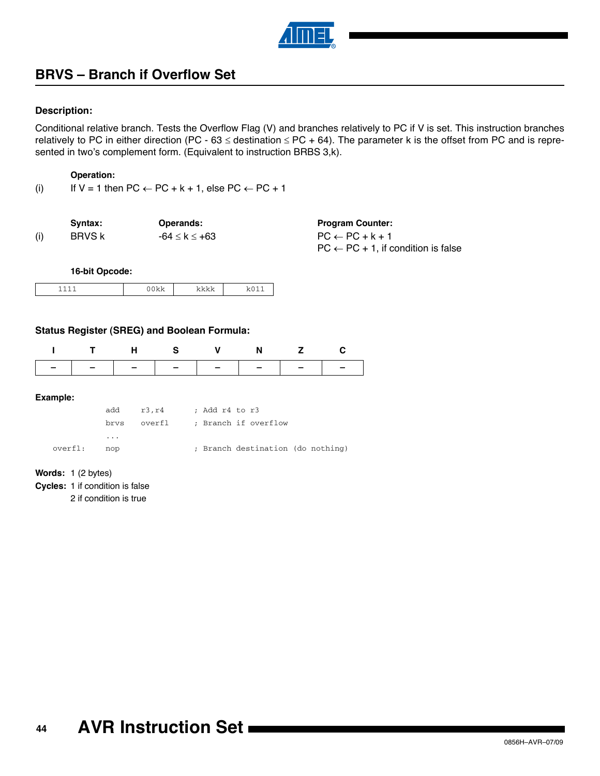

# **BRVS – Branch if Overflow Set**

#### **Description:**

Conditional relative branch. Tests the Overflow Flag (V) and branches relatively to PC if V is set. This instruction branches relatively to PC in either direction (PC - 63  $\le$  destination  $\le$  PC + 64). The parameter k is the offset from PC and is represented in two's complement form. (Equivalent to instruction BRBS 3,k).

#### **Operation:**

(i) If  $V = 1$  then  $PC \leftarrow PC + k + 1$ , else  $PC \leftarrow PC + 1$ 

|     | Svntax: | Operands:     | <b>Program Counter:</b>                        |
|-----|---------|---------------|------------------------------------------------|
| (i) | BRVS k  | -64 ≤ k ≤ +63 | $PC \leftarrow PC + k + 1$                     |
|     |         |               | $PC \leftarrow PC + 1$ , if condition is false |

**16-bit Opcode:**

| - |  |  |  |
|---|--|--|--|
|---|--|--|--|

#### **Status Register (SREG) and Boolean Formula:**

|  | . н. |                               | N. |  |
|--|------|-------------------------------|----|--|
|  |      | -   -   -   -   -   -   -   - |    |  |

#### **Example:**

|         | add | r3, r4 | ; Add r4 to r3                    |
|---------|-----|--------|-----------------------------------|
|         |     |        | brvs overfl ; Branch if overflow  |
|         | .   |        |                                   |
| overfl: | nop |        | ; Branch destination (do nothing) |

#### **Words:** 1 (2 bytes)

**Cycles:** 1 if condition is false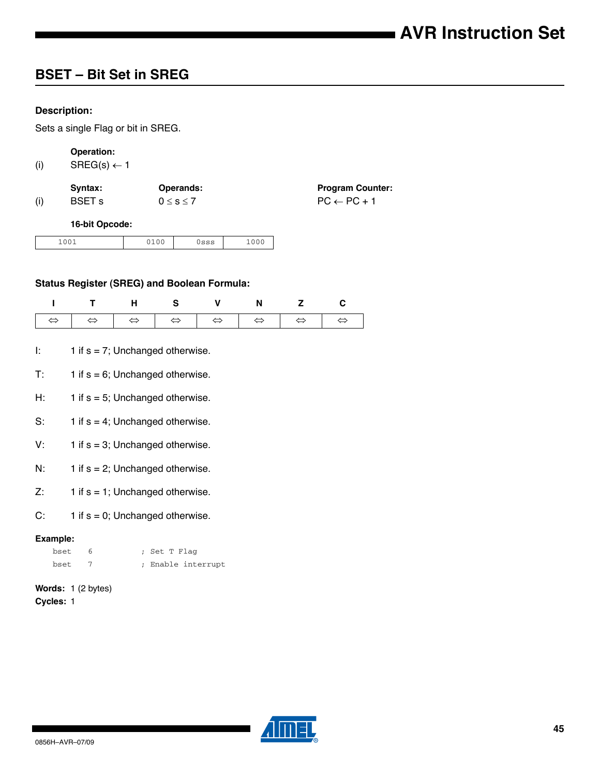# **BSET – Bit Set in SREG**

### **Description:**

Sets a single Flag or bit in SREG.

# **Operation:**

(i) SREG(s)  $\leftarrow$  1

|     | Svntax:       | <b>Operands:</b>  | <b>Program Counter:</b> |
|-----|---------------|-------------------|-------------------------|
| (i) | <b>BSET s</b> | $0 \leq s \leq 7$ | $PC \leftarrow PC + 1$  |

#### **16-bit Opcode:**

| 1.0.0.1<br>$+00+$ | $-100$ | -- | $\sim$ $\sim$<br>$\sim$ |
|-------------------|--------|----|-------------------------|
|-------------------|--------|----|-------------------------|

### **Status Register (SREG) and Boolean Formula:**

| ITHS V N Z C |  |  |  |
|--------------|--|--|--|
|              |  |  |  |

- I:  $1$  if  $s = 7$ ; Unchanged otherwise.
- $T: 1$  if  $s = 6$ ; Unchanged otherwise.
- H:  $1$  if  $s = 5$ ; Unchanged otherwise.
- S:  $1$  if  $s = 4$ ; Unchanged otherwise.
- V:  $1$  if  $s = 3$ ; Unchanged otherwise.
- N:  $1$  if  $s = 2$ ; Unchanged otherwise.
- $Z: 1$  if  $s = 1$ ; Unchanged otherwise.
- C:  $1$  if  $s = 0$ ; Unchanged otherwise.

#### **Example:**

| bset | ; Set T Flag       |
|------|--------------------|
| bset | ; Enable interrupt |

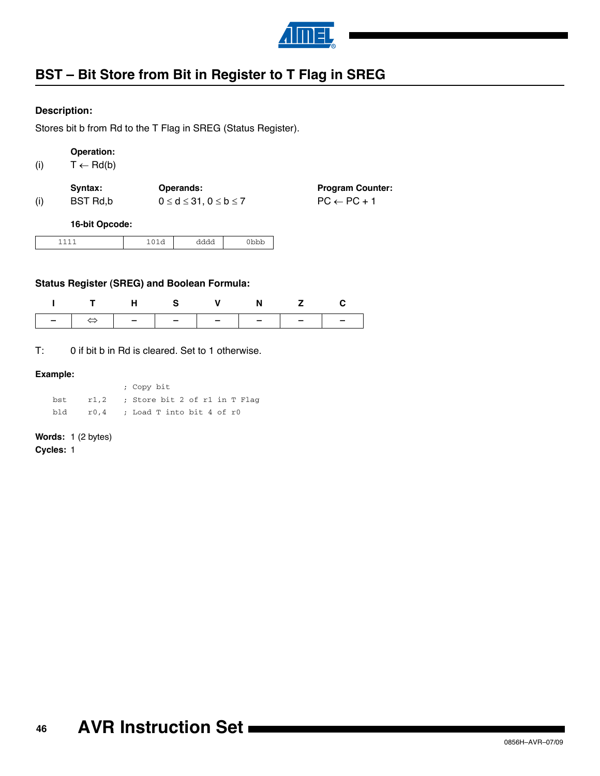

# **BST – Bit Store from Bit in Register to T Flag in SREG**

## **Description:**

Stores bit b from Rd to the T Flag in SREG (Status Register).

```
(i) T \leftarrow \text{Rd}(b)
```

| Svntax:  | <b>Operands:</b>                    | <b>Program Counter:</b> |
|----------|-------------------------------------|-------------------------|
| BST Rd,b | $0 \leq d \leq 31, 0 \leq b \leq 7$ | $PC \leftarrow PC + 1$  |

**16-bit Opcode:**

| ∼ | ∼ | ىدىدىد |
|---|---|--------|
|   | . | ------ |

## **Status Register (SREG) and Boolean Formula:**

|                                               |  | THS V N Z |  |
|-----------------------------------------------|--|-----------|--|
| -   $\Leftrightarrow$   -   -   -   -   -   - |  |           |  |

T: 0 if bit b in Rd is cleared. Set to 1 otherwise.

#### **Example:**

|     | ; Copy bit                            |
|-----|---------------------------------------|
|     | bst r1,2; Store bit 2 of r1 in T Flag |
| bld | r0,4 ; Load T into bit 4 of r0        |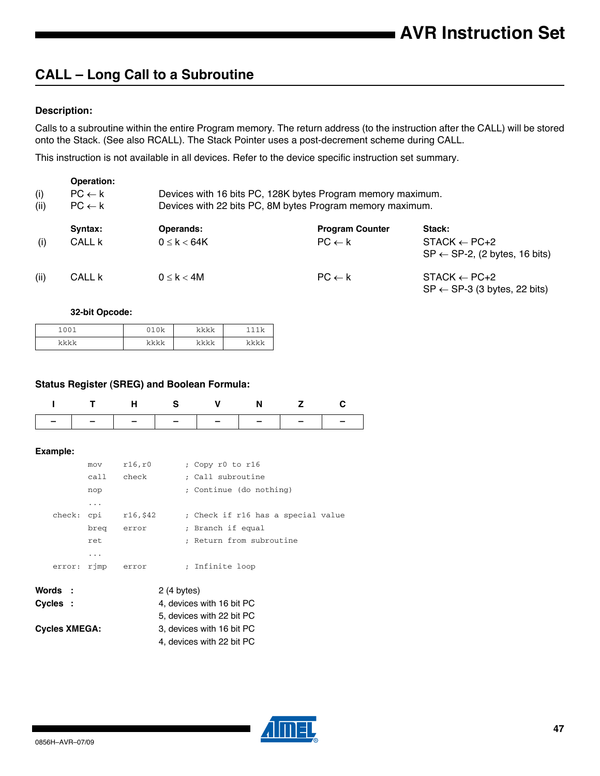# **CALL – Long Call to a Subroutine**

### **Description:**

Calls to a subroutine within the entire Program memory. The return address (to the instruction after the CALL) will be stored onto the Stack. (See also RCALL). The Stack Pointer uses a post-decrement scheme during CALL.

This instruction is not available in all devices. Refer to the device specific instruction set summary.

|             | Operation:                             |                                                                                                                          |                        |                                                                      |  |  |  |
|-------------|----------------------------------------|--------------------------------------------------------------------------------------------------------------------------|------------------------|----------------------------------------------------------------------|--|--|--|
| (i)<br>(ii) | $PC \leftarrow k$<br>$PC \leftarrow k$ | Devices with 16 bits PC, 128K bytes Program memory maximum.<br>Devices with 22 bits PC, 8M bytes Program memory maximum. |                        |                                                                      |  |  |  |
|             | Syntax:                                | Operands:                                                                                                                | <b>Program Counter</b> | Stack:                                                               |  |  |  |
| (i)         | CALL <b>k</b>                          | $0 \leq k < 64K$                                                                                                         | $PC \leftarrow k$      | $STACK \leftarrow PC+2$<br>$SP \leftarrow SP-2$ , (2 bytes, 16 bits) |  |  |  |
| (ii)        | CALL k                                 | $0 \leq k < 4M$                                                                                                          | $PC \leftarrow k$      | $STACK \leftarrow PC+2$<br>$SP \leftarrow SP-3$ (3 bytes, 22 bits)   |  |  |  |

#### **32-bit Opcode:**

| 1001<br>ັ<br>ັ<br><b>__</b> | $0101 -$<br>◡ | ما ما ما ما<br>. | × |
|-----------------------------|---------------|------------------|---|
| $1 - 1 - 1 - 1 -$           | レレレレ          | ما ما ما ما      |   |
| . .                         | . .           | .                |   |

#### **Status Register (SREG) and Boolean Formula:**

|  |  | ITHS VNZC                     |  |
|--|--|-------------------------------|--|
|  |  | -   -   -   -   -   -   -   - |  |

#### **Example:**

|                      | mov  | r16, r0                   |  | ; Copy r0 to r16                   |  |
|----------------------|------|---------------------------|--|------------------------------------|--|
|                      | call | check                     |  | ; Call subroutine                  |  |
|                      | nop  |                           |  | ; Continue (do nothing)            |  |
|                      | .    |                           |  |                                    |  |
| check:               |      | cpi $r16,542$             |  | ; Check if r16 has a special value |  |
|                      | breg | error                     |  | ; Branch if equal                  |  |
|                      | ret  |                           |  | : Return from subroutine           |  |
|                      | .    |                           |  |                                    |  |
| error:               | rjmp | error                     |  | ; Infinite loop                    |  |
|                      |      |                           |  |                                    |  |
| Words :              |      | 2(4 bytes)                |  |                                    |  |
| Cvcles :             |      |                           |  | 4, devices with 16 bit PC          |  |
|                      |      |                           |  | 5, devices with 22 bit PC          |  |
| <b>Cycles XMEGA:</b> |      | 3, devices with 16 bit PC |  |                                    |  |
|                      |      |                           |  | 4. devices with 22 bit PC          |  |

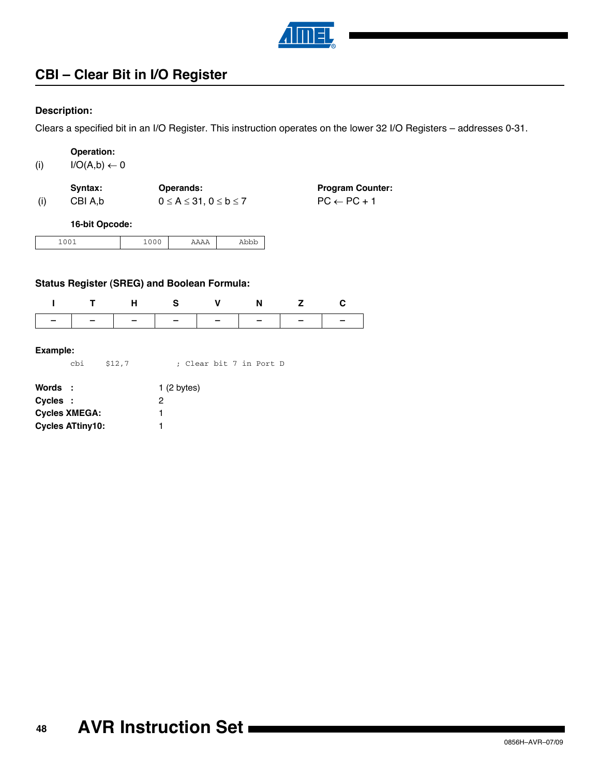

# **CBI – Clear Bit in I/O Register**

### **Description:**

Clears a specified bit in an I/O Register. This instruction operates on the lower 32 I/O Registers – addresses 0-31.

|     | Operation:                                  |  |  |
|-----|---------------------------------------------|--|--|
| (i) | $I/\bigcap (\Delta h) \rightleftharpoons 0$ |  |  |

| W | $U \cup (A, D) \leftarrow U$ |  |
|---|------------------------------|--|
|   |                              |  |

| Syntax: | <b>Operands:</b>                       | <b>Program Counter:</b> |
|---------|----------------------------------------|-------------------------|
| CBI A.b | $0 \leq A \leq 31$ , $0 \leq b \leq 7$ | $PC \leftarrow PC + 1$  |

**16-bit Opcode:**

|  | __ | -<br>- | --<br>. |
|--|----|--------|---------|
|--|----|--------|---------|

### **Status Register (SREG) and Boolean Formula:**

|               | H S V | $N$ z |  |
|---------------|-------|-------|--|
| ------------- |       |       |  |

#### **Example:**

cbi \$12,7 ; Clear bit 7 in Port D

| Words :                 | 1(2 bytes) |
|-------------------------|------------|
| Cycles :                | 2          |
| <b>Cycles XMEGA:</b>    |            |
| <b>Cycles ATtiny10:</b> |            |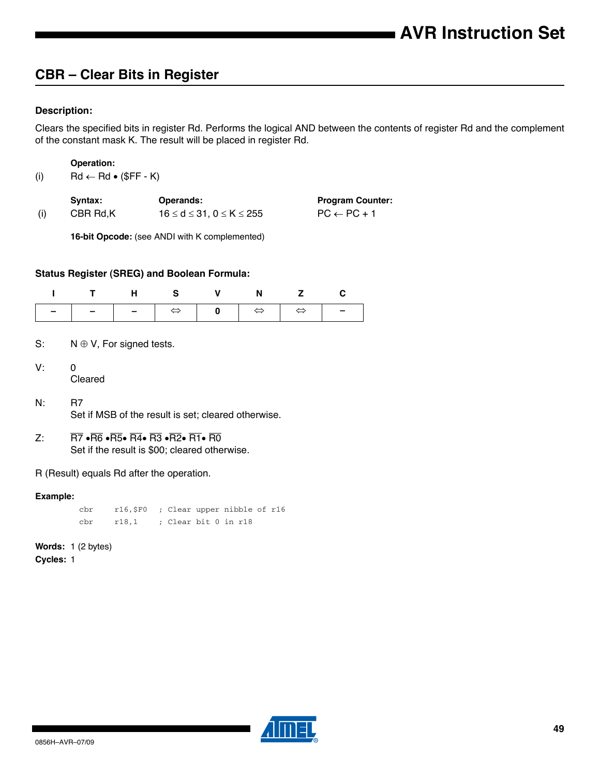# **CBR – Clear Bits in Register**

## **Description:**

Clears the specified bits in register Rd. Performs the logical AND between the contents of register Rd and the complement of the constant mask K. The result will be placed in register Rd.

**Operation:**

(i)  $\mathsf{Rd} \leftarrow \mathsf{Rd} \bullet (\mathsf{SFF - K})$ 

|     | Svntax:  | Operands:                             | <b>Program Counter:</b> |
|-----|----------|---------------------------------------|-------------------------|
| (i) | CBR Rd.K | $16 \le d \le 31$ . $0 \le K \le 255$ | $PC \leftarrow PC + 1$  |

**16-bit Opcode:** (see ANDI with K complemented)

#### **Status Register (SREG) and Boolean Formula:**

| I T H S V N Z C |  |  |  |
|-----------------|--|--|--|
|                 |  |  |  |

- S:  $N \oplus V$ , For signed tests.
- V: 0 Cleared
- N: R7 Set if MSB of the result is set; cleared otherwise.
- Z:  $\overline{R7}$   $\cdot \overline{R6}$   $\cdot \overline{R5}$   $\cdot \overline{R4}$   $\cdot \overline{R3}$   $\cdot \overline{R2}$   $\cdot \overline{R1}$   $\cdot \overline{R0}$ Set if the result is \$00; cleared otherwise.
- R (Result) equals Rd after the operation.

#### **Example:**

cbr r16,\$F0 ; Clear upper nibble of r16 cbr r18,1 ; Clear bit 0 in r18

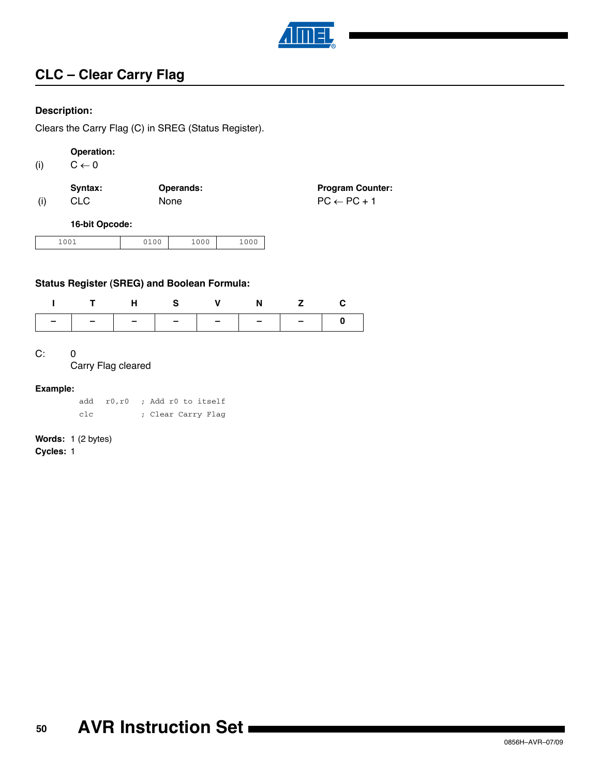

# **CLC – Clear Carry Flag**

### **Description:**

Clears the Carry Flag (C) in SREG (Status Register).

# **Operation:**

(i)  $C \leftarrow 0$ 

|     | Svntax: | Operands:   | <b>Program Counter:</b> |
|-----|---------|-------------|-------------------------|
| (i) | CLC.    | <b>None</b> | $PC \leftarrow PC + 1$  |

### **16-bit Opcode:**

| 1001<br>2400<br>$+00+$ | 1 N N N<br>∸∪∿ | 0.00<br>∸∽∼ |
|------------------------|----------------|-------------|
|------------------------|----------------|-------------|

## **Status Register (SREG) and Boolean Formula:**

|  |  | ITHS V N Z C |                               |
|--|--|--------------|-------------------------------|
|  |  |              | _   _   _   _   _   _   _   o |

C: 0

Carry Flag cleared

#### **Example:**

|     |  | add r0, r0 ; Add r0 to itself |
|-----|--|-------------------------------|
| c1c |  | ; Clear Carry Flag            |

# **Words:** 1 (2 bytes)

**Cycles:** 1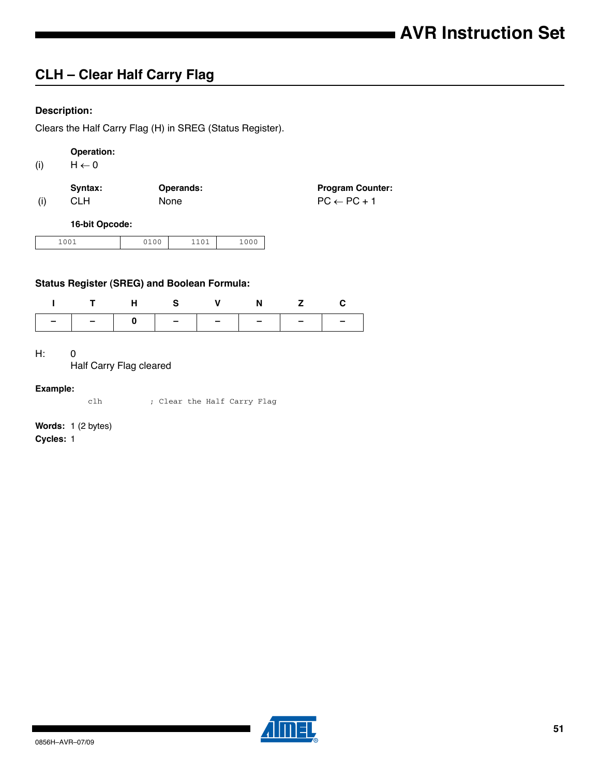# **CLH – Clear Half Carry Flag**

## **Description:**

Clears the Half Carry Flag (H) in SREG (Status Register).

# **Operation:**

(i)  $H \leftarrow 0$ 

|     | Syntax: | <b>Operands:</b> | <b>Program Counter:</b> |
|-----|---------|------------------|-------------------------|
| (i) | CLH.    | <b>None</b>      | $PC \leftarrow PC + 1$  |

#### **16-bit Opcode:**

| 1001<br>$-0$ | $\sim$ $\sim$ | $\sim$<br>ັ<br>$-$ | $-00$ |
|--------------|---------------|--------------------|-------|
|--------------|---------------|--------------------|-------|

## **Status Register (SREG) and Boolean Formula:**

| ITHS V N Z C |  |  |  |
|--------------|--|--|--|
|              |  |  |  |

H: 0

Half Carry Flag cleared

#### **Example:**

clh ; Clear the Half Carry Flag

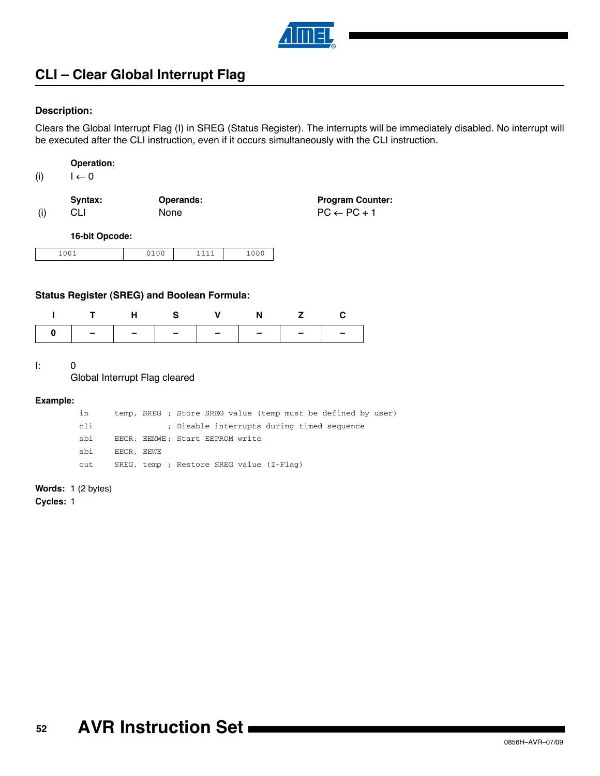

# **CLI – Clear Global Interrupt Flag**

#### **Description:**

Clears the Global Interrupt Flag (I) in SREG (Status Register). The interrupts will be immediately disabled. No interrupt will be executed after the CLI instruction, even if it occurs simultaneously with the CLI instruction.

| (i) | $\leftarrow 0$ |
|-----|----------------|
|-----|----------------|

|     | Svntax: | <b>Operands:</b> | <b>Program Counter:</b> |
|-----|---------|------------------|-------------------------|
| (i) | CLI     | <b>None</b>      | $PC \leftarrow PC + 1$  |

**16-bit Opcode:**

| 0.01<br>__ | $\sim$ $\sim$ | - |
|------------|---------------|---|
|            |               |   |

#### **Status Register (SREG) and Boolean Formula:**

|                               | H S | <b>N</b> |  |
|-------------------------------|-----|----------|--|
| 0   -   -   -   -   -   -   - |     |          |  |

I: 0

 $\Box$ 

Global Interrupt Flag cleared

#### **Example:**

| in  |            | temp, SREG ; Store SREG value (temp must be defined by user) |
|-----|------------|--------------------------------------------------------------|
| cli |            | ; Disable interrupts during timed sequence                   |
| sbi |            | EECR, EEMWE: Start EEPROM write                              |
| sbi | EECR, EEWE |                                                              |
| out |            | SREG, temp; Restore SREG value (I-Flaq)                      |

**Words:** 1 (2 bytes)

**Cycles:** 1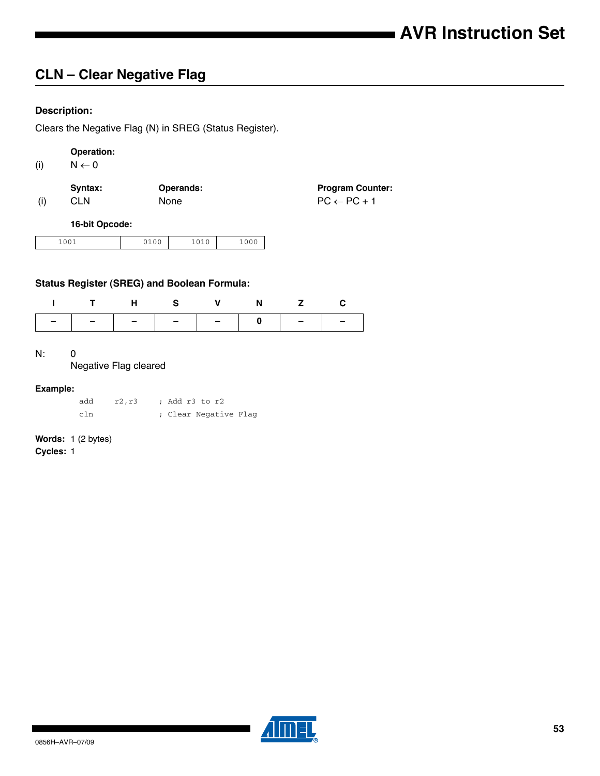# **CLN – Clear Negative Flag**

## **Description:**

Clears the Negative Flag (N) in SREG (Status Register).

# **Operation:**

(i)  $N \leftarrow 0$ 

|     | Svntax:    | <b>Operands:</b> | <b>Program Counter:</b> |
|-----|------------|------------------|-------------------------|
| (i) | <b>CLN</b> | None             | $PC \leftarrow PC + 1$  |

#### **16-bit Opcode:**

| 1001<br><b>.</b><br>---- | .<br>$\sim$ $\sim$ | 0.10<br>---- | - - |
|--------------------------|--------------------|--------------|-----|
|--------------------------|--------------------|--------------|-----|

## **Status Register (SREG) and Boolean Formula:**

| ITHS V N Z C                  |  |  |  |
|-------------------------------|--|--|--|
| -   -   -   -   -   0   -   - |  |  |  |

#### N: 0

#### Negative Flag cleared

#### **Example:**

| add | r2,r3 | ; Add r3 to r2        |
|-----|-------|-----------------------|
| cln |       | ; Clear Negative Flag |

# **Words:** 1 (2 bytes)

**Cycles:** 1

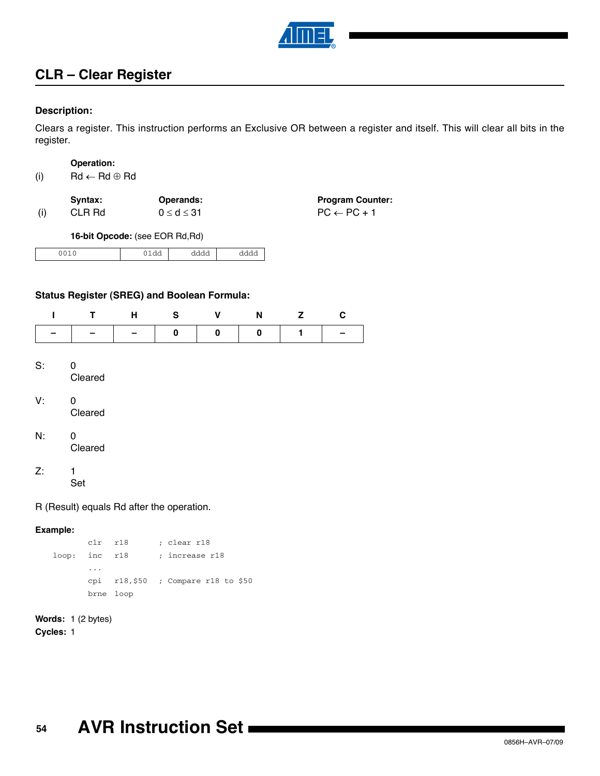

# **CLR – Clear Register**

### **Description:**

Clears a register. This instruction performs an Exclusive OR between a register and itself. This will clear all bits in the register.

#### **Operation:**

| (i) |
|-----|
|-----|

|     | Svntax: | Operands:          | <b>Program Counter:</b> |
|-----|---------|--------------------|-------------------------|
| (i) | CLR Rd  | $0 \leq d \leq 31$ | $PC \leftarrow PC + 1$  |

**16-bit Opcode:** (see EOR Rd,Rd)

| - -<br>$\sim$ $\sim$ $\sim$<br>uuuu<br>aaaa<br>- uu |
|-----------------------------------------------------|
|-----------------------------------------------------|

### **Status Register (SREG) and Boolean Formula:**

| ı     | т                                         | н | ${\bf S}$ | $\mathbf v$ | N | z | С |
|-------|-------------------------------------------|---|-----------|-------------|---|---|---|
|       |                                           |   | 0         | 0           | 0 | 1 |   |
| $S$ : | 0<br>Cleared                              |   |           |             |   |   |   |
| V:    | 0<br>Cleared                              |   |           |             |   |   |   |
| N:    | 0<br>Cleared                              |   |           |             |   |   |   |
| Z:    | 1<br>Set                                  |   |           |             |   |   |   |
|       | R (Result) equals Rd after the operation. |   |           |             |   |   |   |

#### **Example:**

clr r18 ; clear r18 loop: inc r18 ; increase r18 ... cpi r18,\$50 ; Compare r18 to \$50 brne loop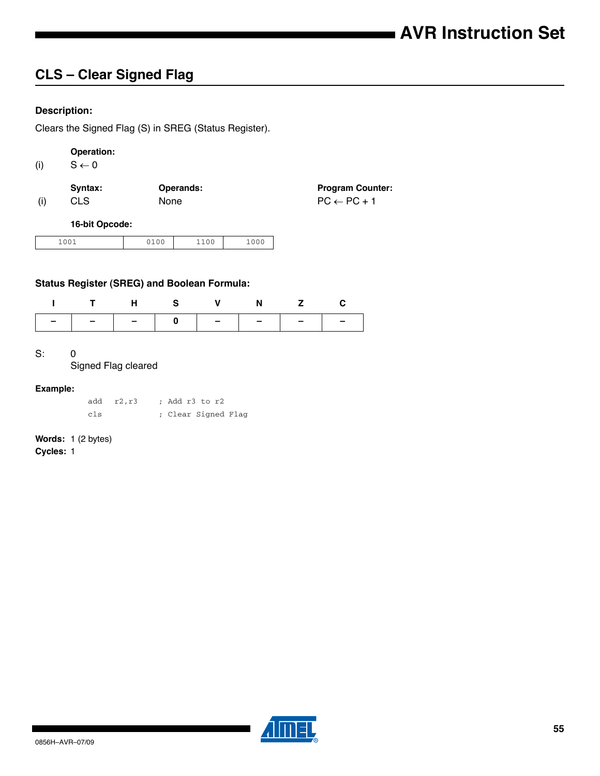# **CLS – Clear Signed Flag**

## **Description:**

Clears the Signed Flag (S) in SREG (Status Register).

# **Operation:**

(i)  $S \leftarrow 0$ 

|     | Svntax:    | <b>Operands:</b> | <b>Program Counter:</b> |
|-----|------------|------------------|-------------------------|
| (i) | <b>CLS</b> | <b>None</b>      | $PC \leftarrow PC + 1$  |

#### **16-bit Opcode:**

| 0.01<br>---- | . | $\sim$ 0.0<br>ັ<br>-- -<br>. | $\sim$ $\sim$ $\sim$<br>__ |
|--------------|---|------------------------------|----------------------------|
|--------------|---|------------------------------|----------------------------|

## **Status Register (SREG) and Boolean Formula:**

|                               |  | THS V N Z C |  |
|-------------------------------|--|-------------|--|
| _   _   _   o   _   _   _   _ |  |             |  |

#### S: 0

#### Signed Flag cleared

#### **Example:**

|     | add r2,r3 | : Add r3 to r2      |
|-----|-----------|---------------------|
| cls |           | ; Clear Signed Flag |

# **Words:** 1 (2 bytes)

**Cycles:** 1

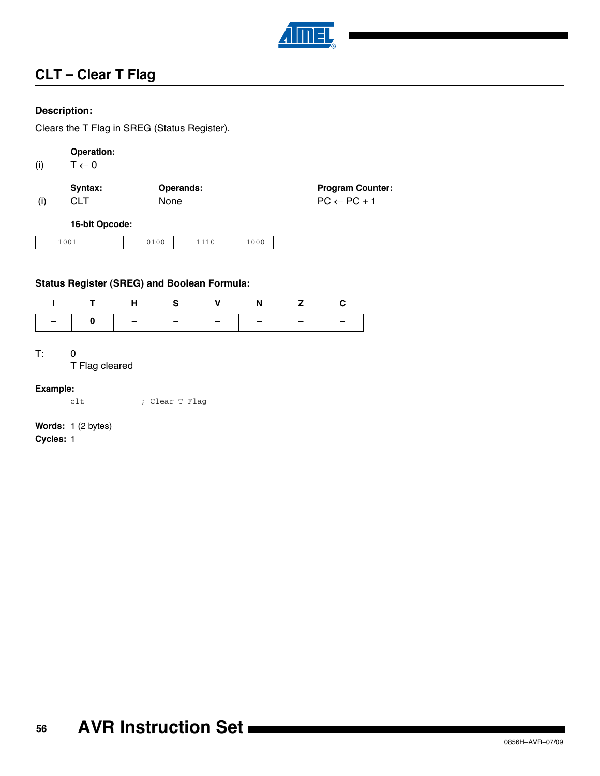

**Program Counter:** 

# **CLT – Clear T Flag**

### **Description:**

Clears the T Flag in SREG (Status Register).

# **Operation:**

(i)  $T \leftarrow 0$ 

|     | Syntax:    | <b>Operands:</b> | <b>Program Coun</b>    |
|-----|------------|------------------|------------------------|
| (i) | <b>CLT</b> | <b>None</b>      | $PC \leftarrow PC + 1$ |

#### **16-bit Opcode:**

| 1.0.0.1 | $\sim$ $\sim$ $\sim$ | $\mathbf{a}$ | ___ |
|---------|----------------------|--------------|-----|
| ∸∽      | ᅩ                    | ---          |     |
| $-0$    | .                    |              |     |

## **Status Register (SREG) and Boolean Formula:**

| ITHS V N Z C                  |  |  |  |
|-------------------------------|--|--|--|
| –   0   –   –   –   –   –   – |  |  |  |

T: 0

T Flag cleared

#### **Example:**

clt ; Clear T Flag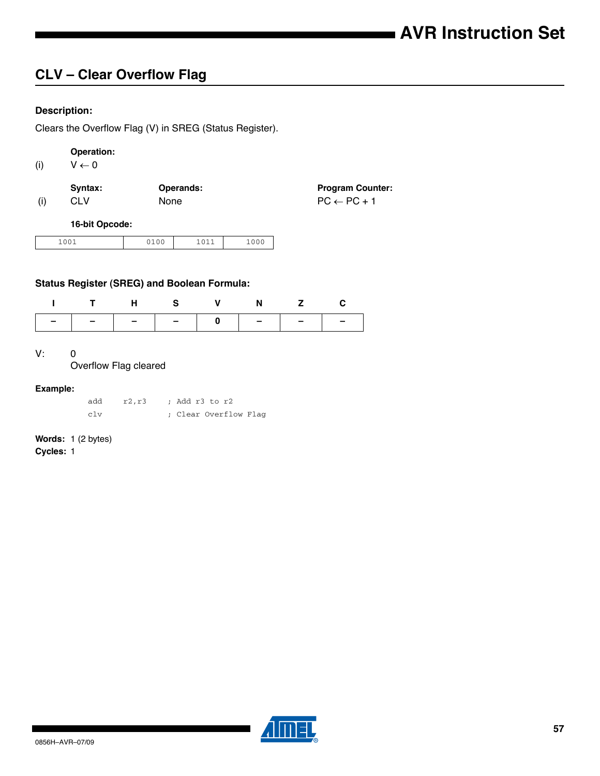# **CLV – Clear Overflow Flag**

## **Description:**

Clears the Overflow Flag (V) in SREG (Status Register).

# **Operation:**

(i)  $V \leftarrow 0$ 

|     | Syntax: | Operands:   | <b>Program Counter:</b> |
|-----|---------|-------------|-------------------------|
| (i) | CLV.    | <b>None</b> | $PC \leftarrow PC + 1$  |

#### **16-bit Opcode:**

| 001<br>∸<br>$-0$ | $\sim$ $\sim$ $\sim$ | 0.11<br>$+ 0 + +$ | 1000 |
|------------------|----------------------|-------------------|------|
|------------------|----------------------|-------------------|------|

## **Status Register (SREG) and Boolean Formula:**

|  | THS V N Z C                                                                                     |  |  |
|--|-------------------------------------------------------------------------------------------------|--|--|
|  | $\boxed{-}$ $\boxed{-}$ $\boxed{-}$ $\boxed{-}$ $\boxed{-}$ $\boxed{-}$ $\boxed{-}$ $\boxed{-}$ |  |  |

#### V: 0

Overflow Flag cleared

#### **Example:**

add r2,r3 ; Add r3 to r2 clv ; Clear Overflow Flag

# **Words:** 1 (2 bytes)

**Cycles:** 1

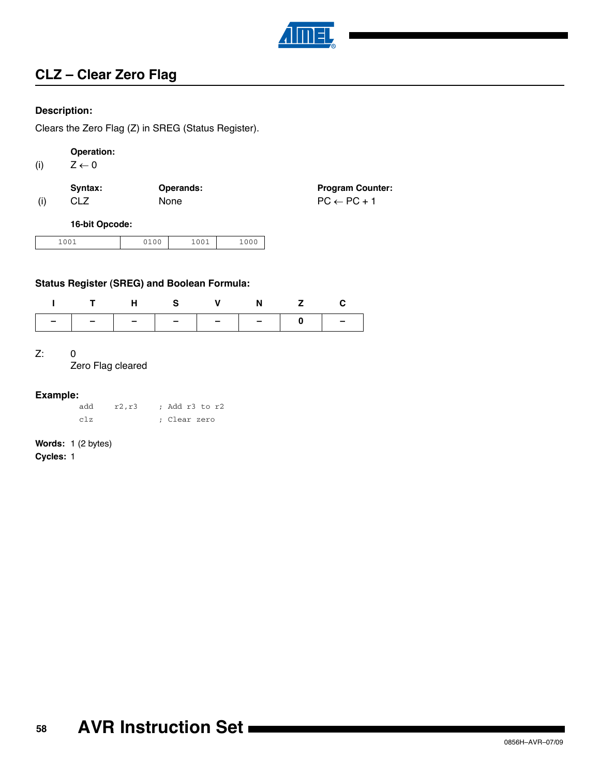

# **CLZ – Clear Zero Flag**

### **Description:**

Clears the Zero Flag (Z) in SREG (Status Register).

# **Operation:**

(i)  $Z \leftarrow 0$ 

|     | Syntax: | Operands:   | <b>Program Counter:</b> |
|-----|---------|-------------|-------------------------|
| (i) | CLZ     | <b>None</b> | $PC \leftarrow PC + 1$  |

### **16-bit Opcode:**

| 0.01   | $\sim$ $\sim$ | 1001   | $\sim$ |
|--------|---------------|--------|--------|
| $+00+$ |               | $+00+$ | ັ      |
|        |               |        | __     |

### **Status Register (SREG) and Boolean Formula:**

| THS V N Z C                   |  |  |  |
|-------------------------------|--|--|--|
| -   -   -   -   -   -   0   - |  |  |  |

#### Z: 0

Zero Flag cleared

## **Example:**

| add | r2,r3 | : Add r3 to r2 |  |  |
|-----|-------|----------------|--|--|
| c1z |       | ; Clear zero   |  |  |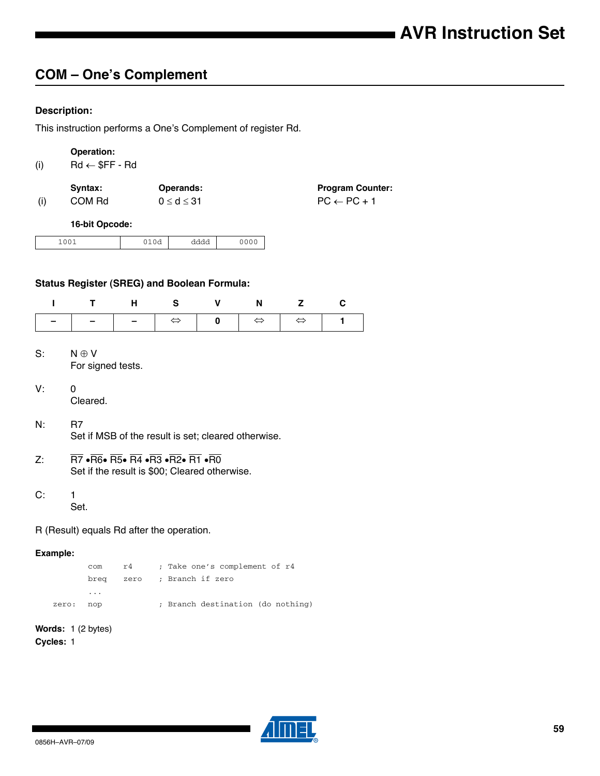# **COM – One's Complement**

# **Description:**

This instruction performs a One's Complement of register Rd.

|          | Operation:                                                                                                                                                                                                                                                                                         |      |                    |                               |                   |                   |                         |  |
|----------|----------------------------------------------------------------------------------------------------------------------------------------------------------------------------------------------------------------------------------------------------------------------------------------------------|------|--------------------|-------------------------------|-------------------|-------------------|-------------------------|--|
| (i)      | $Rd \leftarrow$ \$FF - Rd                                                                                                                                                                                                                                                                          |      |                    |                               |                   |                   |                         |  |
|          | Syntax:                                                                                                                                                                                                                                                                                            |      | Operands:          |                               |                   |                   | <b>Program Counter:</b> |  |
| (i)      | COM Rd                                                                                                                                                                                                                                                                                             |      | $0 \leq d \leq 31$ |                               |                   |                   | $PC \leftarrow PC + 1$  |  |
|          | 16-bit Opcode:                                                                                                                                                                                                                                                                                     |      |                    |                               |                   |                   |                         |  |
|          | 1001                                                                                                                                                                                                                                                                                               | 010d |                    | dddd                          | 0000              |                   |                         |  |
|          | <b>Status Register (SREG) and Boolean Formula:</b>                                                                                                                                                                                                                                                 |      |                    |                               |                   |                   |                         |  |
| I        | T                                                                                                                                                                                                                                                                                                  | н    | S                  | V                             | N                 | z                 | C                       |  |
|          |                                                                                                                                                                                                                                                                                                    |      | $\Leftrightarrow$  | 0                             | $\Leftrightarrow$ | $\Leftrightarrow$ | 1                       |  |
| S:<br>V: | $N \oplus V$<br>For signed tests.<br>$\mathbf 0$<br>Cleared.                                                                                                                                                                                                                                       |      |                    |                               |                   |                   |                         |  |
| N.       | R <sub>7</sub><br>Set if MSB of the result is set; cleared otherwise.                                                                                                                                                                                                                              |      |                    |                               |                   |                   |                         |  |
| Z:       | $\overline{\text{R7}}$ $\bullet$ $\overline{\text{R6}} \bullet$ $\overline{\text{R5}} \bullet$ $\overline{\text{R4}} \bullet$ $\overline{\text{R3}} \bullet$ $\overline{\text{R2}} \bullet$ $\overline{\text{R1}} \bullet$ $\overline{\text{R0}}$<br>Set if the result is \$00; Cleared otherwise. |      |                    |                               |                   |                   |                         |  |
| C:       | 1<br>Set.                                                                                                                                                                                                                                                                                          |      |                    |                               |                   |                   |                         |  |
|          | R (Result) equals Rd after the operation.                                                                                                                                                                                                                                                          |      |                    |                               |                   |                   |                         |  |
| Example: |                                                                                                                                                                                                                                                                                                    |      |                    |                               |                   |                   |                         |  |
|          | com                                                                                                                                                                                                                                                                                                | r4   |                    | ; Take one's complement of r4 |                   |                   |                         |  |

|       | com                     | r4 — | ; Take one's complement of r4     |
|-------|-------------------------|------|-----------------------------------|
|       |                         |      | breq zero ; Branch if zero        |
|       | $\cdot$ $\cdot$ $\cdot$ |      |                                   |
| zero: | nop                     |      | ; Branch destination (do nothing) |

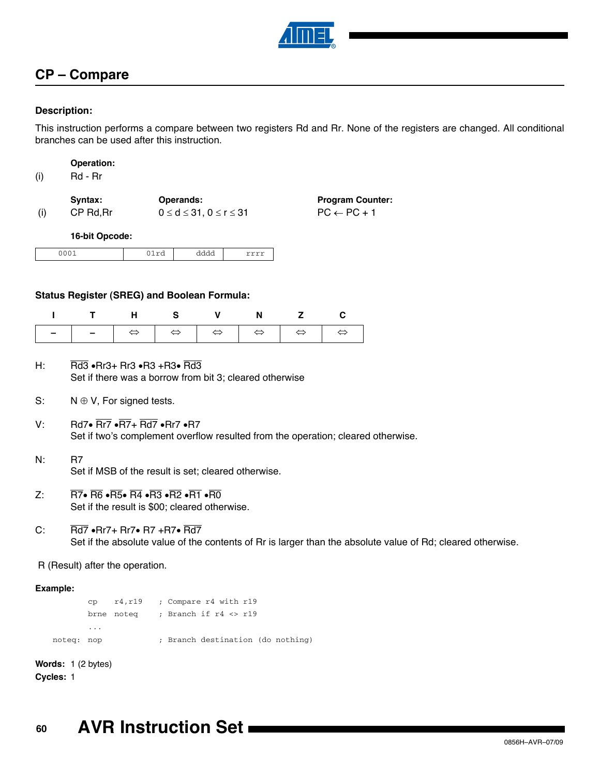

# **CP – Compare**

### **Description:**

This instruction performs a compare between two registers Rd and Rr. None of the registers are changed. All conditional branches can be used after this instruction.

| Operation: |
|------------|
|------------|

| (i) | Rd - Rr |
|-----|---------|
|-----|---------|

|     | Svntax:   | <b>Operands:</b>                     | <b>Program Counter:</b> |
|-----|-----------|--------------------------------------|-------------------------|
| (i) | CP Rd, Rr | $0 \leq d \leq 31, 0 \leq r \leq 31$ | $PC \leftarrow PC + 1$  |

#### **16-bit Opcode:**

| $\overline{\phantom{a}}$ | ---<br>--- | uuuu | . |
|--------------------------|------------|------|---|

#### **Status Register (SREG) and Boolean Formula:**

| ITHS V N Z C |  |  |  |
|--------------|--|--|--|
|              |  |  |  |

- H: Rd3  $\cdot$ Rr3 + Rr3  $\cdot$ R3 +R3 $\cdot$  Rd3 Set if there was a borrow from bit 3; cleared otherwise
- S:  $N \oplus V$ , For signed tests.
- V: Rd7 $\cdot$  Rr7  $\cdot$ R7+ Rd7  $\cdot$ Rr7  $\cdot$ R7 Set if two's complement overflow resulted from the operation; cleared otherwise.
- N: R7 Set if MSB of the result is set; cleared otherwise.
- Z:  $\overline{R7}$   $\overline{R6}$   $\overline{R5}$   $\overline{R4}$   $\overline{R3}$   $\overline{R2}$   $\overline{R1}$   $\overline{R0}$ Set if the result is \$00; cleared otherwise.
- C:  $\overline{Rd7}$   $\cdot$  Rr7 + Rr7 $\cdot$  R7 + R7 $\cdot$  Rd7 Set if the absolute value of the contents of Rr is larger than the absolute value of Rd; cleared otherwise.

R (Result) after the operation.

#### **Example:**

cp r4,r19 ; Compare r4 with r19 brne noteq ; Branch if r4 <> r19 ... noteq: nop ; Branch destination (do nothing)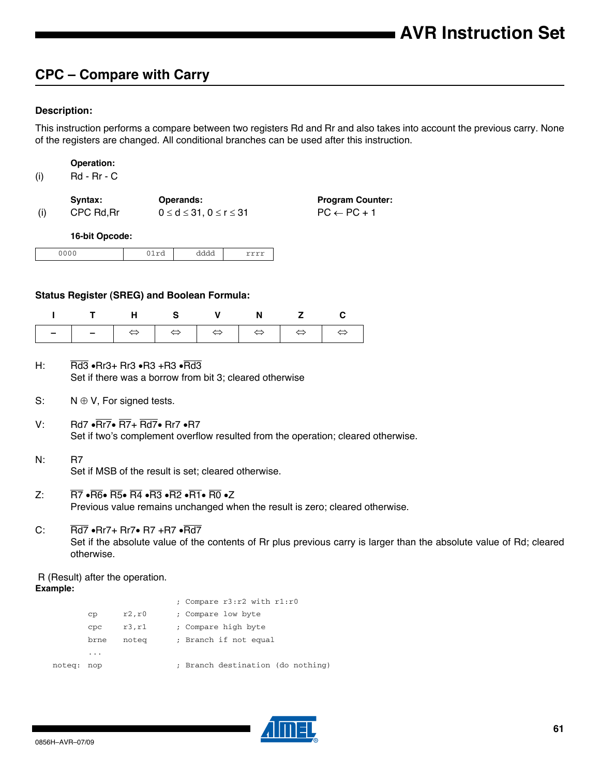# **CPC – Compare with Carry**

### **Description:**

This instruction performs a compare between two registers Rd and Rr and also takes into account the previous carry. None of the registers are changed. All conditional branches can be used after this instruction.

| (i) | Rd - Rr - C |                                         |                         |
|-----|-------------|-----------------------------------------|-------------------------|
|     | Syntax:     | <b>Operands:</b>                        | <b>Program Counter:</b> |
| (i) | CPC Rd, Rr  | $0 \leq d \leq 31$ , $0 \leq r \leq 31$ | $PC \leftarrow PC + 1$  |

**16-bit Opcode:**

**Operation:**

| ີ | w | ------ |
|---|---|--------|
|   | . |        |

#### **Status Register (SREG) and Boolean Formula:**

| ITHS V N Z C |  |  |  |
|--------------|--|--|--|
|              |  |  |  |

- H:  $\overline{Rd3}$   $\cdot$  Rr3 + Rr3  $\cdot$  R3  $\cdot$  Rrd3 Set if there was a borrow from bit 3; cleared otherwise
- S:  $N \oplus V$ , For signed tests.
- V: Rd7  $\cdot$  Rr7 $\cdot$  R7+ Rd7 $\cdot$  Rr7  $\cdot$  R7 Set if two's complement overflow resulted from the operation; cleared otherwise.
- N: R7 Set if MSB of the result is set; cleared otherwise.
- Z:  $\overline{R7}$   $\cdot \overline{R6}$   $\cdot \overline{R5}$   $\cdot \overline{R4}$   $\cdot \overline{R3}$   $\cdot \overline{R2}$   $\cdot \overline{R1}$   $\cdot \overline{R0}$   $\cdot \overline{Z}$ Previous value remains unchanged when the result is zero; cleared otherwise.
- C:  $\overline{Rd7}$   $\cdot$  Rr7 + Rr7 $\cdot$  R7  $\cdot$  R $\overline{Rd7}$ Set if the absolute value of the contents of Rr plus previous carry is larger than the absolute value of Rd; cleared otherwise.

 R (Result) after the operation. **Example:**

|        |      |        | : Compare r3:r2 with r1:r0        |
|--------|------|--------|-----------------------------------|
|        | CD   | r2, r0 | ; Compare low byte                |
|        | CDC  | r3,r1  | ; Compare high byte               |
|        | brne | notea  | ; Branch if not equal             |
|        | .    |        |                                   |
| noteg: | nop  |        | ; Branch destination (do nothing) |
|        |      |        |                                   |

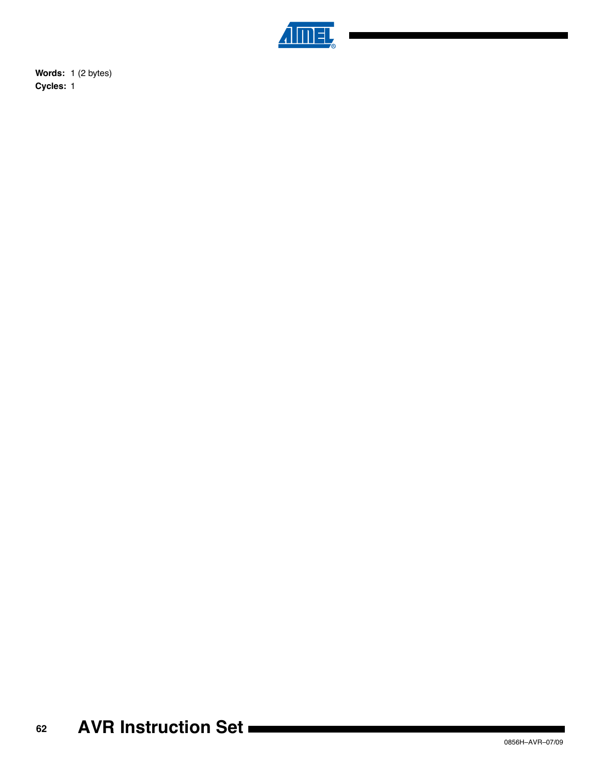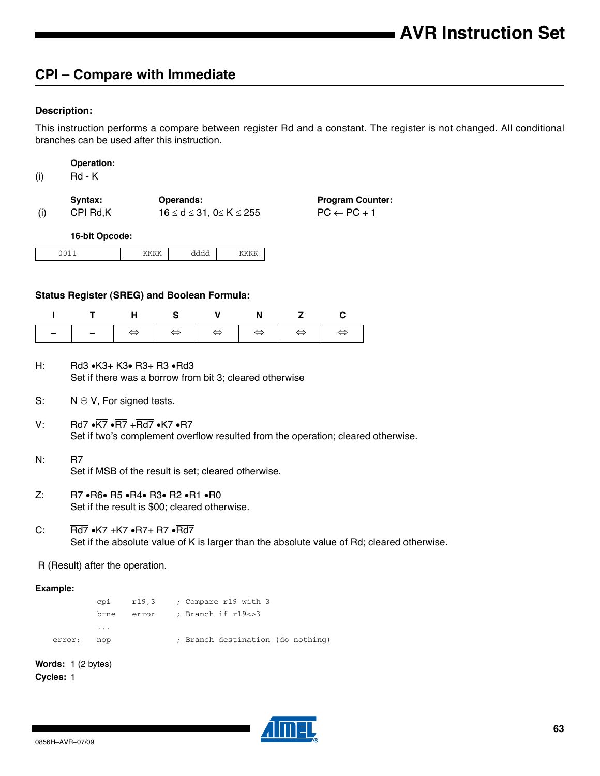# **CPI – Compare with Immediate**

### **Description:**

This instruction performs a compare between register Rd and a constant. The register is not changed. All conditional branches can be used after this instruction.

(i) Rd - K

|     | Svntax:  | Operands:                                 | <b>Program Counter:</b> |
|-----|----------|-------------------------------------------|-------------------------|
| (i) | CPI Rd,K | $16 \leq d \leq 31$ , $0 \leq K \leq 255$ | $PC \leftarrow PC + 1$  |

**16-bit Opcode:**

| $\overline{\phantom{a}}$<br>.<br> | . | . . |
|-----------------------------------|---|-----|
|                                   |   |     |

#### **Status Register (SREG) and Boolean Formula:**

| ITHS V N Z C |  |  |  |
|--------------|--|--|--|
|              |  |  |  |

- H: Rd3  $\cdot$ K3+ K3 $\cdot$  R3+ R3  $\cdot$ Rd3 Set if there was a borrow from bit 3; cleared otherwise
- S:  $N \oplus V$ , For signed tests.
- V: Rd7  $\cdot$   $\overline{\text{K7}}$   $\cdot$   $\overline{\text{R7}}$   $\cdot$   $\overline{\text{Rd7}}$   $\cdot$  K7  $\cdot$  R7 Set if two's complement overflow resulted from the operation; cleared otherwise.
- N: R7 Set if MSB of the result is set; cleared otherwise.
- $Z: \overline{RT} \cdot \overline{R6} \cdot \overline{R5} \cdot \overline{R4} \cdot \overline{R3} \cdot \overline{R2} \cdot \overline{R1} \cdot \overline{R0}$ Set if the result is \$00; cleared otherwise.
- C:  $\overline{Rd7}$   $\bullet$ K7 +K7  $\bullet$ R7+ R7  $\bullet$ Rd7 Set if the absolute value of K is larger than the absolute value of Rd; cleared otherwise.

R (Result) after the operation.

#### **Example:**

cpi r19,3 ; Compare r19 with 3 brne error ; Branch if r19<>3 ... error: nop ; Branch destination (do nothing)

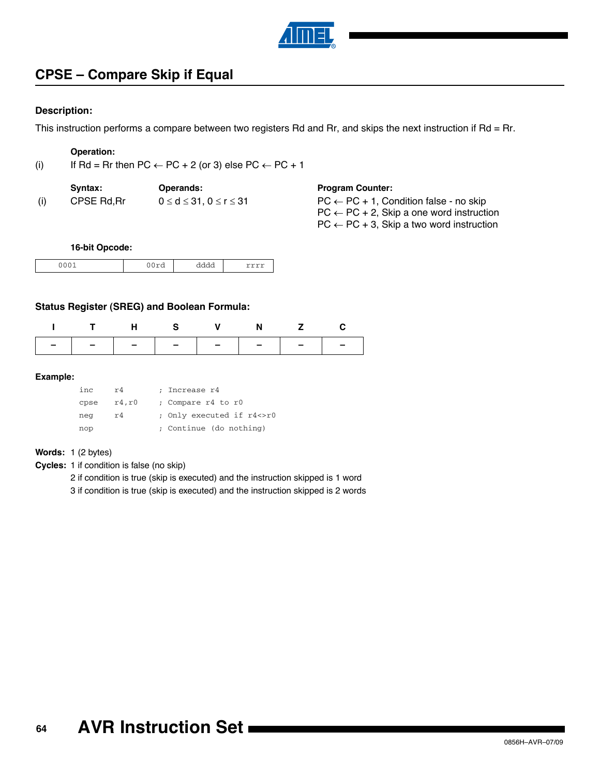

# **CPSE – Compare Skip if Equal**

#### **Description:**

This instruction performs a compare between two registers Rd and Rr, and skips the next instruction if Rd = Rr.

## **Operation:**

(i) If Rd = Rr then PC  $\leftarrow$  PC + 2 (or 3) else PC  $\leftarrow$  PC + 1

| Svntax:    | <b>Operands:</b>                     | <b>Program Counter:</b>     |
|------------|--------------------------------------|-----------------------------|
| CPSE Rd.Rr | $0 \leq d \leq 31, 0 \leq r \leq 31$ | $PC \leftarrow PC + 1$ , Co |

| <b>Program Counter:</b> |  |
|-------------------------|--|
|-------------------------|--|

 $PC \leftarrow PC + 1$ , Condition false - no skip  $PC \leftarrow PC + 2$ , Skip a one word instruction  $PC \leftarrow PC + 3$ , Skip a two word instruction

#### **16-bit Opcode:**

| .<br>$-$ | - - - - | $\sim$<br>uuu<br>------- | ------- |
|----------|---------|--------------------------|---------|

### **Status Register (SREG) and Boolean Formula:**

| ITHS V N Z C                  |  |  |  |
|-------------------------------|--|--|--|
| -   -   -   -   -   -   -   - |  |  |  |

#### **Example:**

| inc. | r4     | ; Increase r4             |
|------|--------|---------------------------|
| cpse | r4, r0 | ; Compare r4 to r0        |
| neg  | r4     | ; Only executed if r4<>r0 |
| nop  |        | ; Continue (do nothing)   |

#### **Words:** 1 (2 bytes)

**Cycles:** 1 if condition is false (no skip)

2 if condition is true (skip is executed) and the instruction skipped is 1 word

3 if condition is true (skip is executed) and the instruction skipped is 2 words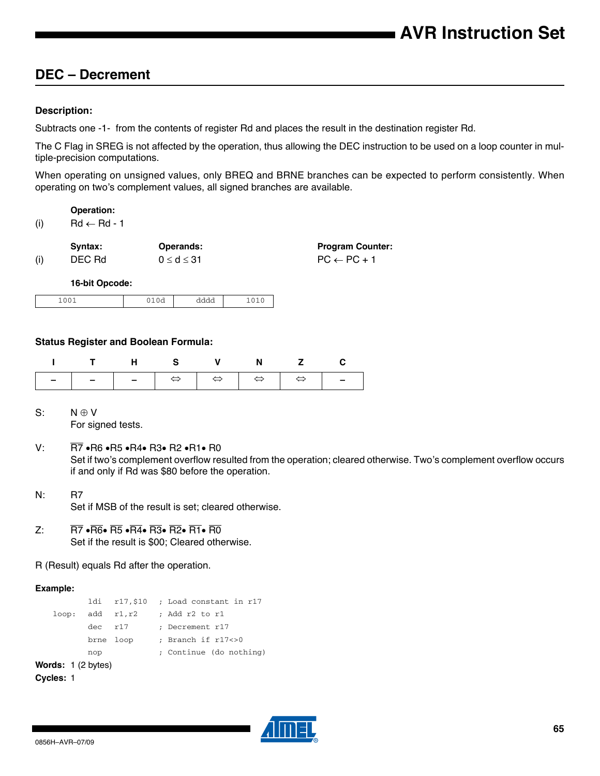# **DEC – Decrement**

#### **Description:**

Subtracts one -1- from the contents of register Rd and places the result in the destination register Rd.

The C Flag in SREG is not affected by the operation, thus allowing the DEC instruction to be used on a loop counter in multiple-precision computations.

When operating on unsigned values, only BREQ and BRNE branches can be expected to perform consistently. When operating on two's complement values, all signed branches are available.

**Operation:**

 $(ii)$  Rd  $\leftarrow$  Rd - 1

|     | Syntax: | Operands:          |
|-----|---------|--------------------|
| (i) | DEC Rd  | $0 \leq d \leq 31$ |

**Program Counter:**  $PC \leftarrow PC + 1$ 

**16-bit Opcode:**

| $\sim$ $\sim$ $\sim$<br><u>_</u><br>$-0$ | <u>vu</u><br>$- - - -$ | --<br>dddd |  |
|------------------------------------------|------------------------|------------|--|
|------------------------------------------|------------------------|------------|--|

### **Status Register and Boolean Formula:**

| ITHS V N Z C |  |  |  |
|--------------|--|--|--|
|              |  |  |  |

- $S: N \oplus V$ For signed tests.
- V:  $\overline{R7}$   $\cdot$  R6  $\cdot$  R5  $\cdot$  R4 $\cdot$  R3 $\cdot$  R2  $\cdot$  R1 $\cdot$  R0 Set if two's complement overflow resulted from the operation; cleared otherwise. Two's complement overflow occurs if and only if Rd was \$80 before the operation.
- N: R7 Set if MSB of the result is set; cleared otherwise.
- $Z: \overline{R7} \cdot \overline{R6} \cdot \overline{R5} \cdot \overline{R4} \cdot \overline{R3} \cdot \overline{R2} \cdot \overline{R1} \cdot \overline{R0}$ Set if the result is \$00; Cleared otherwise.
- R (Result) equals Rd after the operation.

#### **Example:**

```
ldi r17,$10 ; Load constant in r17
   loop: add r1, r2 ; Add r2 to r1
         dec r17 ; Decrement r17
         brne loop ; Branch if r17<>0
         nop ; Continue (do nothing)
Words: 1 (2 bytes)
Cycles: 1
```
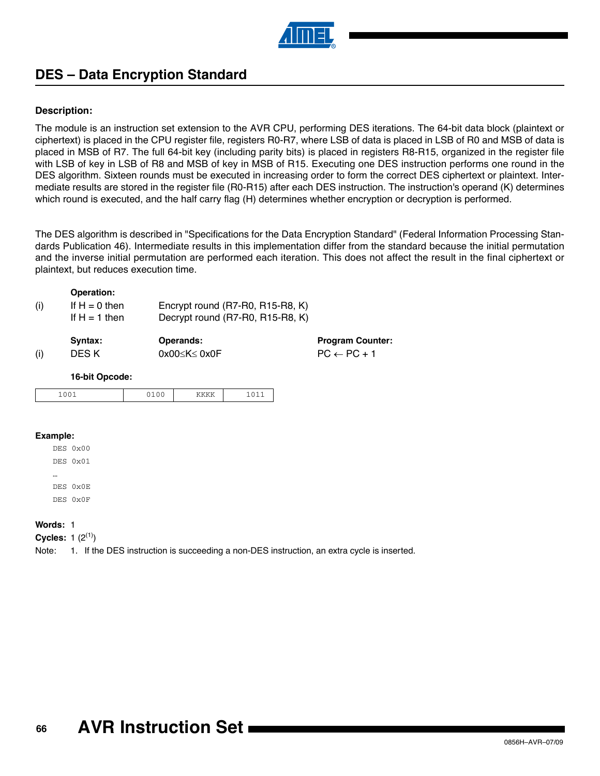

# **DES – Data Encryption Standard**

### **Description:**

The module is an instruction set extension to the AVR CPU, performing DES iterations. The 64-bit data block (plaintext or ciphertext) is placed in the CPU register file, registers R0-R7, where LSB of data is placed in LSB of R0 and MSB of data is placed in MSB of R7. The full 64-bit key (including parity bits) is placed in registers R8-R15, organized in the register file with LSB of key in LSB of R8 and MSB of key in MSB of R15. Executing one DES instruction performs one round in the DES algorithm. Sixteen rounds must be executed in increasing order to form the correct DES ciphertext or plaintext. Intermediate results are stored in the register file (R0-R15) after each DES instruction. The instruction's operand (K) determines which round is executed, and the half carry flag (H) determines whether encryption or decryption is performed.

The DES algorithm is described in "Specifications for the Data Encryption Standard" (Federal Information Processing Standards Publication 46). Intermediate results in this implementation differ from the standard because the initial permutation and the inverse initial permutation are performed each iteration. This does not affect the result in the final ciphertext or plaintext, but reduces execution time.

### **Operation:**

| (i) | If $H = 0$ then<br>If $H = 1$ then | Encrypt round (R7-R0, R15-R8, K)<br>Decrypt round (R7-R0, R15-R8, K) |                         |
|-----|------------------------------------|----------------------------------------------------------------------|-------------------------|
|     | Syntax:                            | <b>Operands:</b>                                                     | <b>Program Counter:</b> |
| (i) | DES K                              | $0x00\leq K \leq 0x0F$                                               | $PC \leftarrow PC + 1$  |

#### **16-bit Opcode:**

| . | . |  |
|---|---|--|

#### **Example:**

| DES 0x00 |
|----------|
| DES 0x01 |
|          |
| DES 0x0E |
| DES 0x0F |

#### **Words:** 1

**Cycles:** 1  $(2^{(1)})$ 

<span id="page-65-0"></span>Note: 1. If the DES instruction is succeeding a non-DES instruction, an extra cycle is inserted.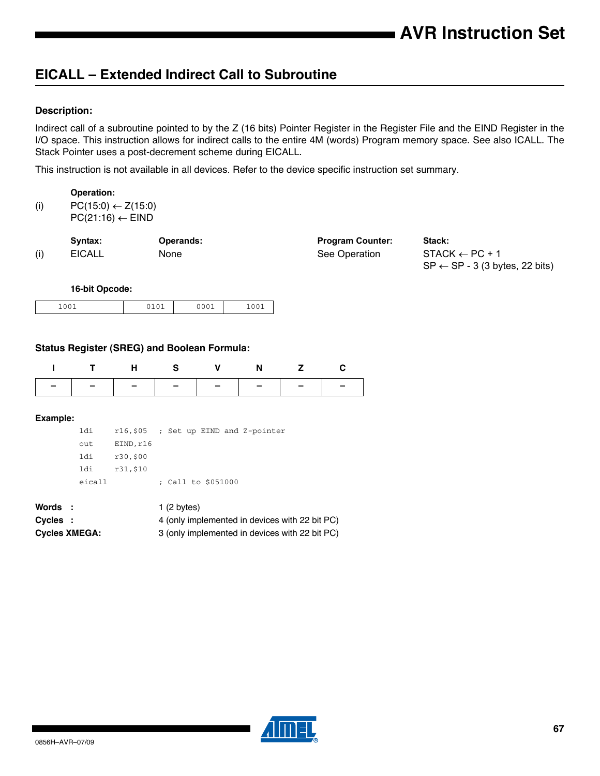# **EICALL – Extended Indirect Call to Subroutine**

### **Description:**

Indirect call of a subroutine pointed to by the Z (16 bits) Pointer Register in the Register File and the EIND Register in the I/O space. This instruction allows for indirect calls to the entire 4M (words) Program memory space. See also ICALL. The Stack Pointer uses a post-decrement scheme during EICALL.

This instruction is not available in all devices. Refer to the device specific instruction set summary.

|     | Operation:                    |
|-----|-------------------------------|
| (i) | $PC(15:0) \leftarrow Z(15:0)$ |

 $PC(21:16) \leftarrow EIND$ 

|     | Syntax:       | <b>Operands:</b> | <b>Program Counter:</b> | Stack:                                    |
|-----|---------------|------------------|-------------------------|-------------------------------------------|
| (i) | <b>EICALL</b> | <b>None</b>      | See Operation           | $STACK \leftarrow PC + 1$                 |
|     |               |                  |                         | $SP \leftarrow SP - 3$ (3 bytes, 22 bits) |

#### **16-bit Opcode:**

| $. \cap \cap$ .<br>∸∽<br>$+00+$ | $A \cap A$<br>---- | 001 | 0.01<br>$-00+$ |
|---------------------------------|--------------------|-----|----------------|

#### **Status Register (SREG) and Boolean Formula:**

| ITHS V N Z C                  |  |  |  |
|-------------------------------|--|--|--|
| -   -   -   -   -   -   -   - |  |  |  |

#### **Example:**

| ldi    |           |  |                    | $r16,505$ ; Set up EIND and Z-pointer |  |
|--------|-----------|--|--------------------|---------------------------------------|--|
| out    | EIND, r16 |  |                    |                                       |  |
| ldi    | r30,\$00  |  |                    |                                       |  |
| ldi    | r31,\$10  |  |                    |                                       |  |
| eicall |           |  | ; Call to \$051000 |                                       |  |

| Words :              | 1 $(2 \text{ bytes})$                          |
|----------------------|------------------------------------------------|
| Cycles :             | 4 (only implemented in devices with 22 bit PC) |
| <b>Cycles XMEGA:</b> | 3 (only implemented in devices with 22 bit PC) |

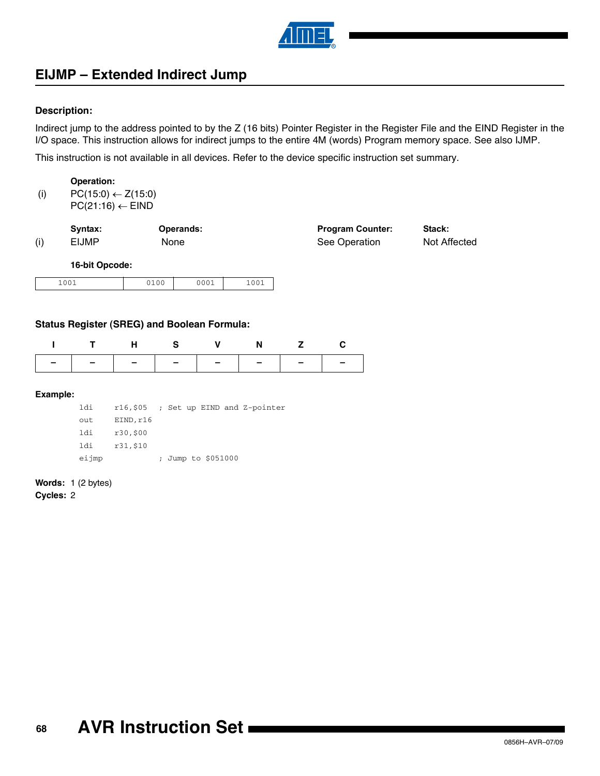

# **EIJMP – Extended Indirect Jump**

### **Description:**

Indirect jump to the address pointed to by the Z (16 bits) Pointer Register in the Register File and the EIND Register in the I/O space. This instruction allows for indirect jumps to the entire 4M (words) Program memory space. See also IJMP.

This instruction is not available in all devices. Refer to the device specific instruction set summary.

|     | Operation:                    |
|-----|-------------------------------|
| (i) | $PC(15:0) \leftarrow Z(15:0)$ |
|     |                               |

 $PC(21:16) \leftarrow EIND$ 

|     | Syntax:        | Operands: | <b>Program Counter:</b> | Stack:       |
|-----|----------------|-----------|-------------------------|--------------|
| (i) | <b>EIJMP</b>   | None      | See Operation           | Not Affected |
|     | 16-bit Oncode: |           |                         |              |

**16-bit Opcode:**

| $\bigcap$ $\bigcap$ 1<br>$+00+$ | <b>2100</b> | 100 <sup>4</sup> | $\sim$ $\sim$ $\sim$<br>$-00+$ |
|---------------------------------|-------------|------------------|--------------------------------|

### **Status Register (SREG) and Boolean Formula:**

|  |  | ITHS V N Z C                  |  |
|--|--|-------------------------------|--|
|  |  | -   -   -   -   -   -   -   - |  |

#### **Example:**

| ldi   |           |  |                    | $r16,505$ ; Set up EIND and Z-pointer |
|-------|-----------|--|--------------------|---------------------------------------|
| out   | EIND, r16 |  |                    |                                       |
| ldi   | r30,500   |  |                    |                                       |
| ldi   | r31,\$10  |  |                    |                                       |
| eijmp |           |  | ; Jump to \$051000 |                                       |

#### **Words:** 1 (2 bytes)

**Cycles:** 2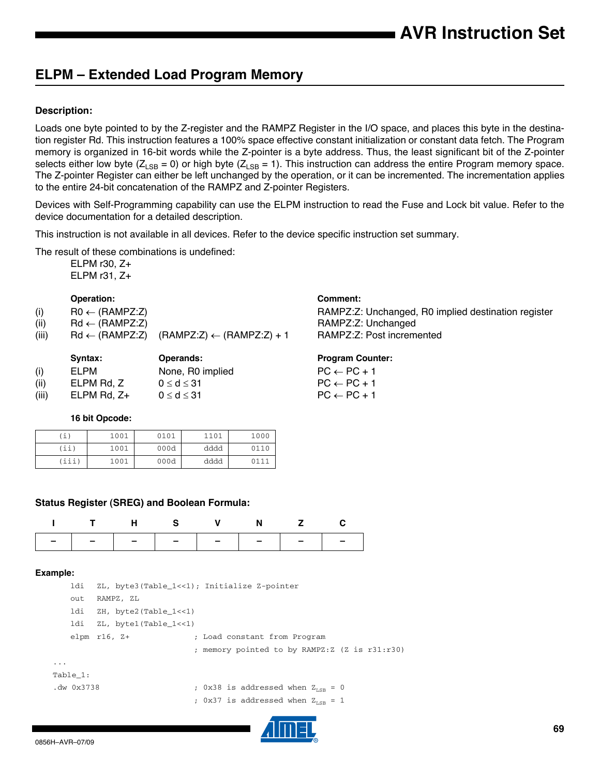# **ELPM – Extended Load Program Memory**

## **Description:**

Loads one byte pointed to by the Z-register and the RAMPZ Register in the I/O space, and places this byte in the destination register Rd. This instruction features a 100% space effective constant initialization or constant data fetch. The Program memory is organized in 16-bit words while the Z-pointer is a byte address. Thus, the least significant bit of the Z-pointer selects either low byte ( $Z_{LSB} = 0$ ) or high byte ( $Z_{LSB} = 1$ ). This instruction can address the entire Program memory space. The Z-pointer Register can either be left unchanged by the operation, or it can be incremented. The incrementation applies to the entire 24-bit concatenation of the RAMPZ and Z-pointer Registers.

Devices with Self-Programming capability can use the ELPM instruction to read the Fuse and Lock bit value. Refer to the device documentation for a detailed description.

This instruction is not available in all devices. Refer to the device specific instruction set summary.

The result of these combinations is undefined:

ELPM r30, Z+ ELPM r31, Z+

## **Operation: Comment:**

| (i) | $RO \leftarrow (RAMPZ:Z)$ |
|-----|---------------------------|

| (ii) | $Rd \leftarrow (RAMPZ:Z)$ |
|------|---------------------------|
|      |                           |

| $\cdots$ |                                                                                                        |
|----------|--------------------------------------------------------------------------------------------------------|
| (iii)    | $\mathsf{Rd} \leftarrow (\mathsf{RAMPZ:Z}) \quad (\mathsf{RAMPZ:Z}) \leftarrow (\mathsf{RAMPZ:Z}) + 1$ |

|       | Svntax:          | Operands:          | <b>Program Cour</b>    |
|-------|------------------|--------------------|------------------------|
| (i)   | ELPM             | None, R0 implied   | $PC \leftarrow PC + 1$ |
| (ii)  | ELPM Rd. Z       | $0 \leq d \leq 31$ | $PC \leftarrow PC + 1$ |
| (iii) | ELPM Rd. $Z_{+}$ | $0 \leq d \leq 31$ | $PC \leftarrow PC + 1$ |

#### **16 bit Opcode:**

| 'i,   | 1001 | 0101 | 1101 | 1000 |
|-------|------|------|------|------|
| (ii   | 1001 | 000d | dddd | 0110 |
| (iii) | 1001 | 000d | dddd | 0111 |

## **Status Register (SREG) and Boolean Formula:**

| THS V N Z C                   |  |  |  |
|-------------------------------|--|--|--|
| -   -   -   -   -   -   -   - |  |  |  |

#### **Example:**

|          | ldi        |                       | ZL, byte3(Table 1<<1); Initialize Z-pointer    |
|----------|------------|-----------------------|------------------------------------------------|
|          | out        | RAMPZ, ZL             |                                                |
|          | ldi        | ZH, byte2(Table 1<<1) |                                                |
|          | ldi        | ZL, byte1(Table 1<<1) |                                                |
|          |            | elpm $r16$ , $Z+$     | ; Load constant from Program                   |
|          |            |                       | ; memory pointed to by RAMPZ: Z (Z is r31:r30) |
| $\cdots$ |            |                       |                                                |
|          | Table 1:   |                       |                                                |
|          | .dw 0x3738 |                       | ; 0x38 is addressed when $Z_{r,cp} = 0$        |
|          |            |                       | ; 0x37 is addressed when $Z_{\text{tan}} = 1$  |



# RAMPZ:Z: Unchanged, R0 implied destination register RAMPZ:Z: Unchanged

RAMPZ:Z: Post incremented

#### **Program Counter:**

| $PC \leftarrow PC + 1$ |  |  |
|------------------------|--|--|
| $PC \leftarrow PC + 1$ |  |  |
| $PC \leftarrow PC + 1$ |  |  |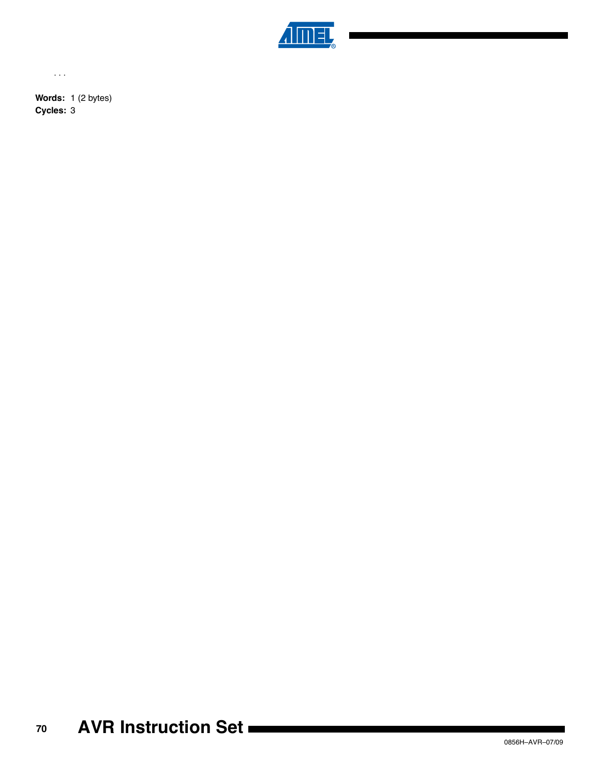

...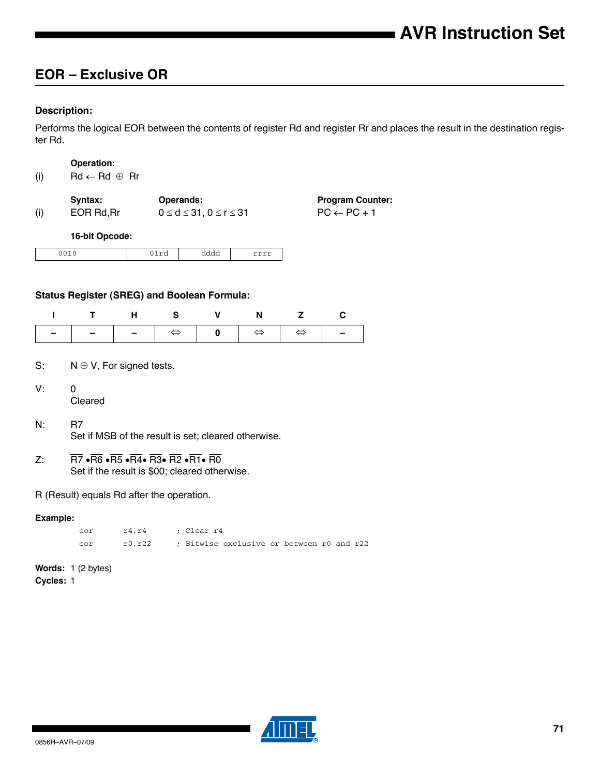# **EOR – Exclusive OR**

### **Description:**

Performs the logical EOR between the contents of register Rd and register Rr and places the result in the destination register Rd.

#### **Operation:**

|  | (i) | $Rd \leftarrow Rd \oplus Rr$ |  |
|--|-----|------------------------------|--|
|--|-----|------------------------------|--|

|     | Syntax:   | <b>Operands:</b>                     | <b>Program Counter:</b> |
|-----|-----------|--------------------------------------|-------------------------|
| (i) | EOR Rd.Rr | $0 \leq d \leq 31, 0 \leq r \leq 31$ | $PC \leftarrow PC + 1$  |

#### **16-bit Opcode:**

| ---<br>- -<br>∼ | aaaa |  |
|-----------------|------|--|

#### **Status Register (SREG) and Boolean Formula:**

| ITHS V N Z C |  |  |  |
|--------------|--|--|--|
|              |  |  |  |

### S:  $N \oplus V$ , For signed tests.

- V: 0 Cleared
- N: R7 Set if MSB of the result is set; cleared otherwise.
- Z:  $\overline{R7}$   $\cdot \overline{R6}$   $\cdot \overline{R5}$   $\cdot \overline{R4}$   $\cdot \overline{R3}$   $\cdot \overline{R2}$   $\cdot \overline{R1}$   $\cdot \overline{R0}$ Set if the result is \$00; cleared otherwise.

#### R (Result) equals Rd after the operation.

#### **Example:**

eor r4,r4 ; Clear r4 eor r0,r22 ; Bitwise exclusive or between r0 and r22

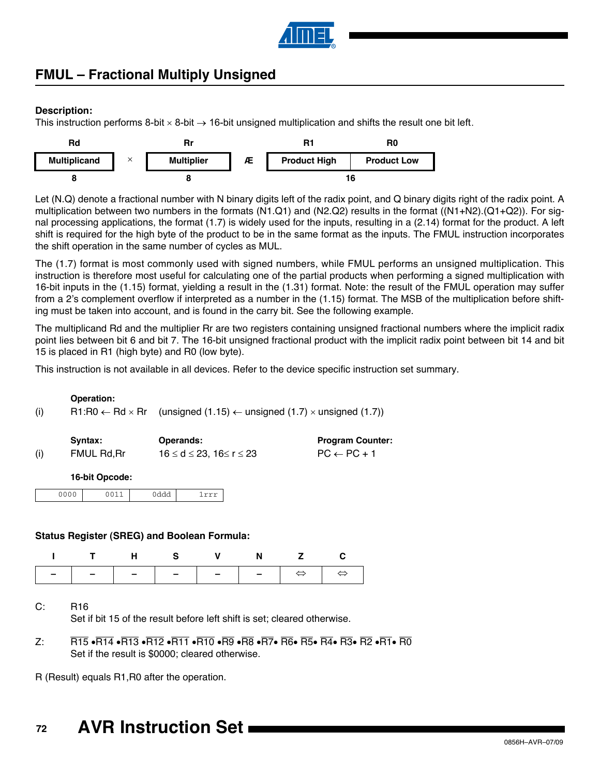

# **FMUL – Fractional Multiply Unsigned**

## **Description:**

This instruction performs 8-bit  $\times$  8-bit  $\rightarrow$  16-bit unsigned multiplication and shifts the result one bit left.



Let (N.Q) denote a fractional number with N binary digits left of the radix point, and Q binary digits right of the radix point. A multiplication between two numbers in the formats (N1.Q1) and (N2.Q2) results in the format ((N1+N2).(Q1+Q2)). For signal processing applications, the format (1.7) is widely used for the inputs, resulting in a (2.14) format for the product. A left shift is required for the high byte of the product to be in the same format as the inputs. The FMUL instruction incorporates the shift operation in the same number of cycles as MUL.

The (1.7) format is most commonly used with signed numbers, while FMUL performs an unsigned multiplication. This instruction is therefore most useful for calculating one of the partial products when performing a signed multiplication with 16-bit inputs in the (1.15) format, yielding a result in the (1.31) format. Note: the result of the FMUL operation may suffer from a 2's complement overflow if interpreted as a number in the (1.15) format. The MSB of the multiplication before shifting must be taken into account, and is found in the carry bit. See the following example.

The multiplicand Rd and the multiplier Rr are two registers containing unsigned fractional numbers where the implicit radix point lies between bit 6 and bit 7. The 16-bit unsigned fractional product with the implicit radix point between bit 14 and bit 15 is placed in R1 (high byte) and R0 (low byte).

This instruction is not available in all devices. Refer to the device specific instruction set summary.

|     | <b>Operation:</b> |                                                                                                         |
|-----|-------------------|---------------------------------------------------------------------------------------------------------|
| (i) |                   | R1:R0 $\leftarrow$ Rd $\times$ Rr (unsigned (1.15) $\leftarrow$ unsigned (1.7) $\times$ unsigned (1.7)) |

|     | Syntax:    | <b>Operands:</b>                          | <b>Program Counter:</b> |
|-----|------------|-------------------------------------------|-------------------------|
| (i) | FMUL Rd.Rr | $16 \leq d \leq 23$ , $16 \leq r \leq 23$ | $PC \leftarrow PC + 1$  |

#### **16-bit Opcode:**

| ነሰሰሰ<br>.<br>--- | . | . | ---- |  |
|------------------|---|---|------|--|
|                  |   |   |      |  |

#### **Status Register (SREG) and Boolean Formula:**

|  |  | ITHS V N Z C |  |
|--|--|--------------|--|
|  |  |              |  |

C: R16

Set if bit 15 of the result before left shift is set; cleared otherwise.

 $Z: \overline{R}$  R15  $\cdot$ R14  $\cdot$ R13  $\cdot$ R12  $\cdot$ R11  $\cdot$ R10  $\cdot$ R9  $\cdot$ R8  $\cdot$ R7 $\cdot$ R6 $\cdot$ R5 $\cdot$ R4 $\cdot$ R3 $\cdot$ R2 $\cdot$ R1 $\cdot$ R0 Set if the result is \$0000; cleared otherwise.

R (Result) equals R1,R0 after the operation.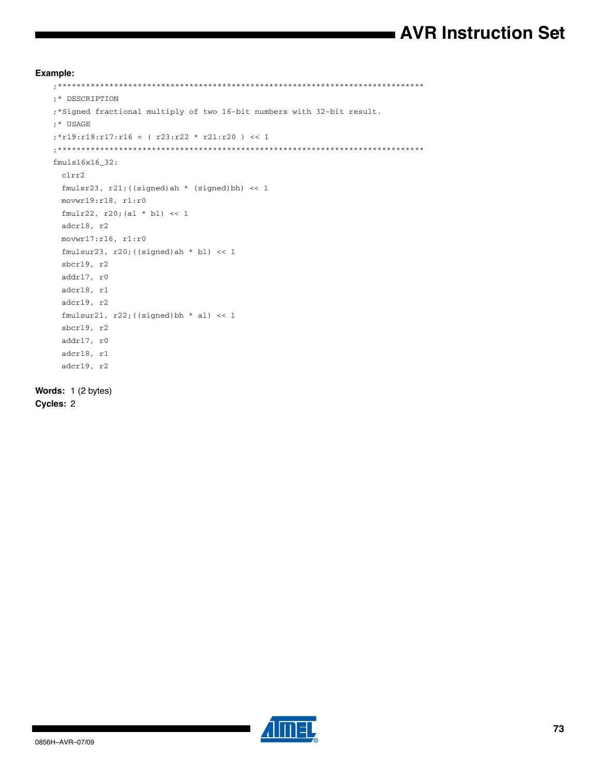# **AVR Instruction Set**

**Example:**

```
;******************************************************************************
   ;* DESCRIPTION
   ;*Signed fractional multiply of two 16-bit numbers with 32-bit result.
   ;* USAGE
   ;*r19:r18:r17:r16 = ( r23:r22 * r21:r20 ) << 1
   ;******************************************************************************
   fmuls16x16_32:
     clrr2
     fmulsr23, r21;((signed)ah * (signed)bh) << 1
     movwr19:r18, r1:r0
     fmulr22, r20;(al * bl) << 1
     adcr18, r2
     movwr17:r16, r1:r0
     fmulsur23, r20; ((signed)ah * bl) << 1
     sbcr19, r2
     addr17, r0
     adcr18, r1
     adcr19, r2
     fmulsur21, r22; ((signed)bh * al) << 1
     sbcr19, r2
     addr17, r0
     adcr18, r1
     adcr19, r2
Words: 1 (2 bytes)
```
**Cycles:** 2

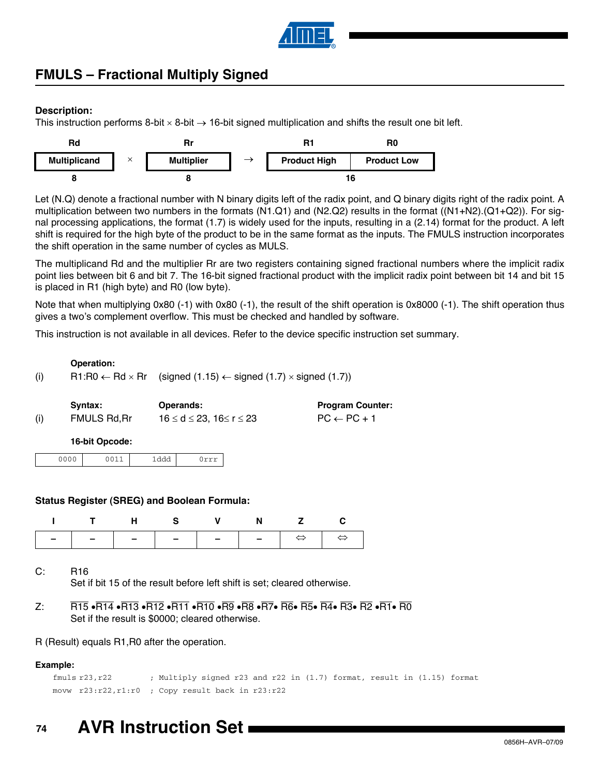

# **FMULS – Fractional Multiply Signed**

## **Description:**

This instruction performs 8-bit  $\times$  8-bit  $\rightarrow$  16-bit signed multiplication and shifts the result one bit left.



Let (N.Q) denote a fractional number with N binary digits left of the radix point, and Q binary digits right of the radix point. A multiplication between two numbers in the formats (N1.Q1) and (N2.Q2) results in the format ((N1+N2).(Q1+Q2)). For signal processing applications, the format (1.7) is widely used for the inputs, resulting in a (2.14) format for the product. A left shift is required for the high byte of the product to be in the same format as the inputs. The FMULS instruction incorporates the shift operation in the same number of cycles as MULS.

The multiplicand Rd and the multiplier Rr are two registers containing signed fractional numbers where the implicit radix point lies between bit 6 and bit 7. The 16-bit signed fractional product with the implicit radix point between bit 14 and bit 15 is placed in R1 (high byte) and R0 (low byte).

Note that when multiplying 0x80 (-1) with 0x80 (-1), the result of the shift operation is 0x8000 (-1). The shift operation thus gives a two's complement overflow. This must be checked and handled by software.

This instruction is not available in all devices. Refer to the device specific instruction set summary.

## **Operation:**

(i) R1:R0  $\leftarrow$  Rd  $\times$  Rr (signed (1.15)  $\leftarrow$  signed (1.7)  $\times$  signed (1.7))

|     | Syntax:      | <b>Operands:</b>        | <b>Program Counter:</b> |
|-----|--------------|-------------------------|-------------------------|
| (i) | FMULS Rd, Rr | 16 ≤ d ≤ 23, 16≤ r ≤ 23 | $PC \leftarrow PC + 1$  |

## **16-bit Opcode:**

| 0000 | ว011<br>- - - - | lddd |  |
|------|-----------------|------|--|

## **Status Register (SREG) and Boolean Formula:**

|  |  | ITHS V N Z C |  |
|--|--|--------------|--|
|  |  |              |  |

C: R16

Set if bit 15 of the result before left shift is set; cleared otherwise.

Z: R15  $\overline{R15}$   $\overline{R14}$   $\overline{R13}$   $\overline{R12}$   $\overline{R11}$   $\overline{R10}$   $\overline{R9}$   $\overline{R8}$   $\overline{R7}$   $\overline{R6}$   $\overline{R5}$   $\overline{R4}$   $\overline{R3}$   $\overline{R2}$   $\overline{R1}$   $\overline{R0}$ Set if the result is \$0000; cleared otherwise.

R (Result) equals R1,R0 after the operation.

## **Example:**

fmuls r23,r22 ; Multiply signed r23 and r22 in (1.7) format, result in (1.15) format movw r23:r22,r1:r0 ; Copy result back in r23:r22

#### **74 AVR Instruction Set**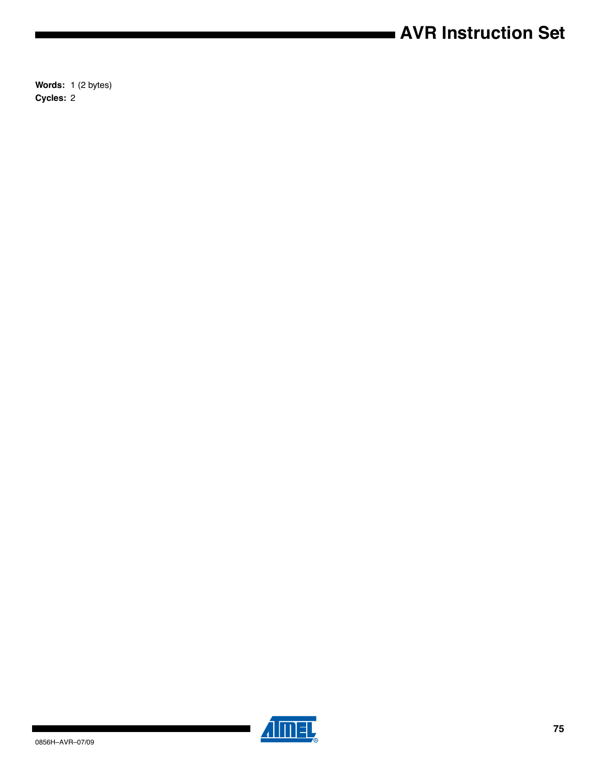# **AVR Instruction Set**

**Words:** 1 (2 bytes) **Cycles:** 2



 $\blacksquare$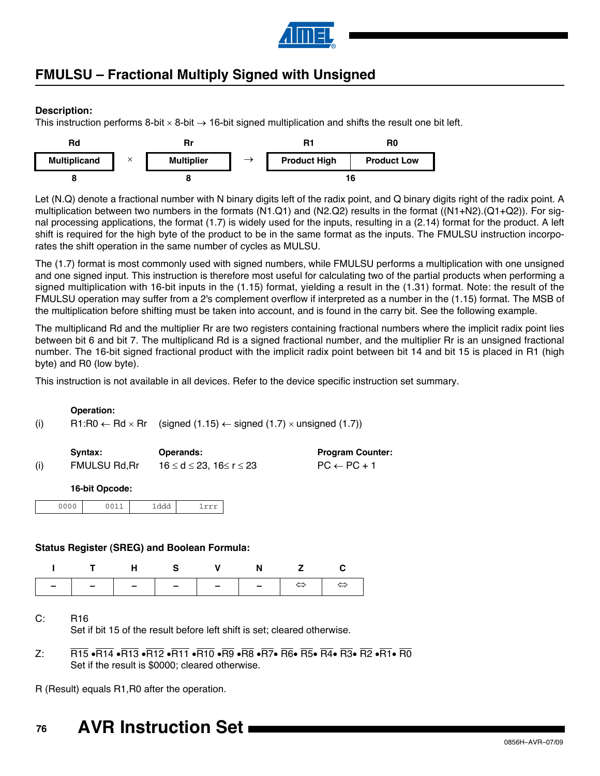

# **FMULSU – Fractional Multiply Signed with Unsigned**

## **Description:**

This instruction performs 8-bit  $\times$  8-bit  $\rightarrow$  16-bit signed multiplication and shifts the result one bit left.



Let (N.Q) denote a fractional number with N binary digits left of the radix point, and Q binary digits right of the radix point. A multiplication between two numbers in the formats (N1.Q1) and (N2.Q2) results in the format ((N1+N2).(Q1+Q2)). For signal processing applications, the format (1.7) is widely used for the inputs, resulting in a (2.14) format for the product. A left shift is required for the high byte of the product to be in the same format as the inputs. The FMULSU instruction incorporates the shift operation in the same number of cycles as MULSU.

The (1.7) format is most commonly used with signed numbers, while FMULSU performs a multiplication with one unsigned and one signed input. This instruction is therefore most useful for calculating two of the partial products when performing a signed multiplication with 16-bit inputs in the (1.15) format, yielding a result in the (1.31) format. Note: the result of the FMULSU operation may suffer from a 2's complement overflow if interpreted as a number in the (1.15) format. The MSB of the multiplication before shifting must be taken into account, and is found in the carry bit. See the following example.

The multiplicand Rd and the multiplier Rr are two registers containing fractional numbers where the implicit radix point lies between bit 6 and bit 7. The multiplicand Rd is a signed fractional number, and the multiplier Rr is an unsigned fractional number. The 16-bit signed fractional product with the implicit radix point between bit 14 and bit 15 is placed in R1 (high byte) and R0 (low byte).

This instruction is not available in all devices. Refer to the device specific instruction set summary.

## **Operation:**

(i) R1:R0  $\leftarrow$  Rd  $\times$  Rr (signed (1.15)  $\leftarrow$  signed (1.7)  $\times$  unsigned (1.7))

|     | Svntax:              | <b>Operands:</b>                          | <b>Program Counter:</b> |
|-----|----------------------|-------------------------------------------|-------------------------|
| (i) | <b>FMULSU Rd, Rr</b> | $16 \leq d \leq 23$ , $16 \leq r \leq 23$ | $PC \leftarrow PC + 1$  |

## **16-bit Opcode:**

| $-$ <u>aaa</u><br>÷ |
|---------------------|
|---------------------|

## **Status Register (SREG) and Boolean Formula:**

| I T H S V N Z C |  |  |  |
|-----------------|--|--|--|
|                 |  |  |  |

C: R16

Set if bit 15 of the result before left shift is set; cleared otherwise.

 $Z: R15 \cdot \overline{R14} \cdot \overline{R13} \cdot \overline{R12} \cdot \overline{R11} \cdot \overline{R10} \cdot \overline{R9} \cdot \overline{R8} \cdot \overline{R7} \cdot \overline{R6} \cdot \overline{R5} \cdot \overline{R4} \cdot \overline{R3} \cdot \overline{R2} \cdot \overline{R1} \cdot \overline{R0}$ Set if the result is \$0000; cleared otherwise.

R (Result) equals R1,R0 after the operation.

#### **76 AVR Instruction Set**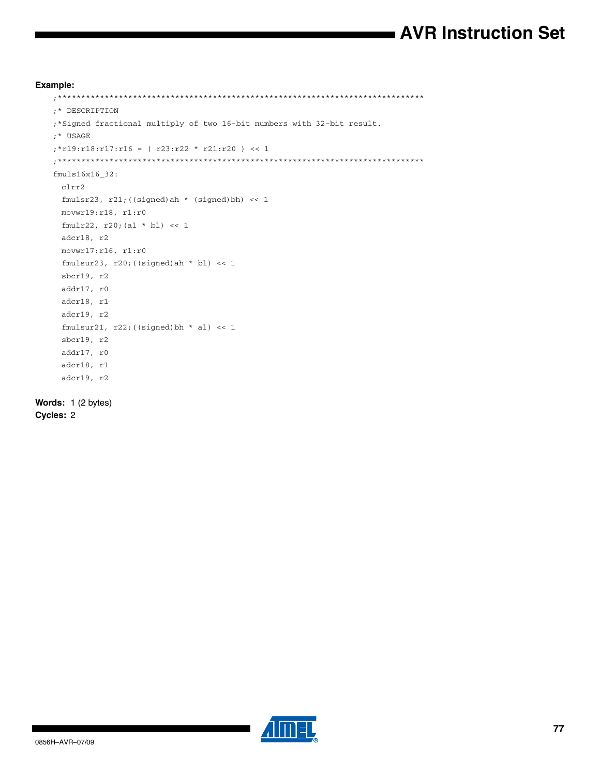# **AVR Instruction Set**

```
Example:
   ;******************************************************************************
   ;* DESCRIPTION
   ;*Signed fractional multiply of two 16-bit numbers with 32-bit result.
   ;* USAGE
   ;*r19:r18:r17:r16 = ( r23:r22 * r21:r20 ) << 1
   ;******************************************************************************
   fmuls16x16_32:
     clrr2
     fmulsr23, r21; ((signed)ah * (signed)bh) << 1
     movwr19:r18, r1:r0
     fmulr22, r20;(al * bl) << 1
     adcr18, r2
     movwr17:r16, r1:r0
     fmulsur23, r20; ((signed)ah * bl) << 1
     sbcr19, r2
     addr17, r0
     adcr18, r1
     adcr19, r2
     fmulsur21, r22; ((signed)bh * al) << 1
     sbcr19, r2
     addr17, r0
     adcr18, r1
     adcr19, r2
```

```
Words: 1 (2 bytes)
Cycles: 2
```
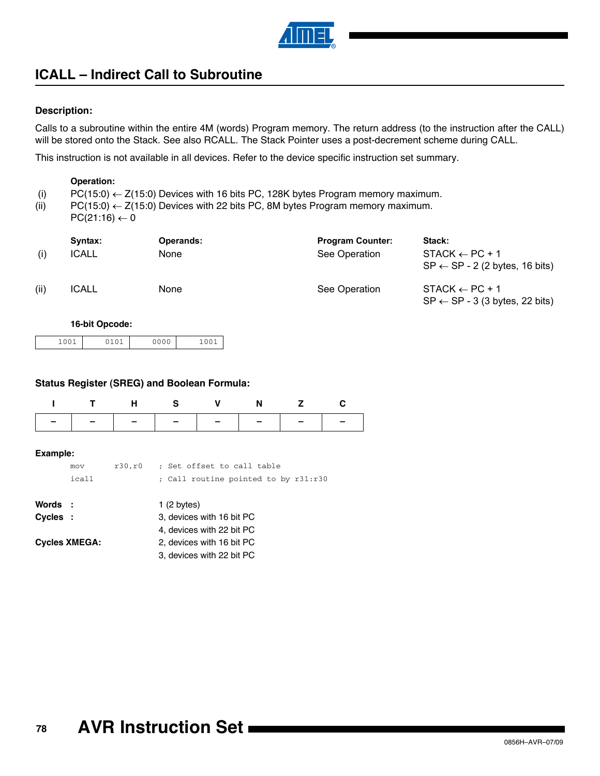

# **ICALL – Indirect Call to Subroutine**

## **Description:**

Calls to a subroutine within the entire 4M (words) Program memory. The return address (to the instruction after the CALL) will be stored onto the Stack. See also RCALL. The Stack Pointer uses a post-decrement scheme during CALL.

This instruction is not available in all devices. Refer to the device specific instruction set summary.

#### **Operation:**

- (i) PC(15:0)  $\leftarrow$  Z(15:0) Devices with 16 bits PC, 128K bytes Program memory maximum.
- (ii)  $PC(15:0) \leftarrow Z(15:0)$  Devices with 22 bits PC, 8M bytes Program memory maximum.
- $PC(21:16) \leftarrow 0$

| (i)  | Syntax:<br><b>ICALL</b> | <b>Operands:</b><br>None | <b>Program Counter:</b><br>See Operation | Stack:<br>$STACK \leftarrow PC + 1$<br>$SP \leftarrow SP - 2$ (2 bytes, 16 bits) |
|------|-------------------------|--------------------------|------------------------------------------|----------------------------------------------------------------------------------|
| (ii) | <b>ICALL</b>            | <b>None</b>              | See Operation                            | $STACK \leftarrow PC + 1$<br>$SP \leftarrow SP - 3$ (3 bytes, 22 bits)           |

## **16-bit Opcode:**

## **Status Register (SREG) and Boolean Formula:**

|                                             |              | н       | s                                                                  | v                                                                                                                | N |  |  |  |
|---------------------------------------------|--------------|---------|--------------------------------------------------------------------|------------------------------------------------------------------------------------------------------------------|---|--|--|--|
|                                             |              |         |                                                                    |                                                                                                                  |   |  |  |  |
| Example:                                    | mov<br>icall | r30, r0 | : Set offset to call table<br>; Call routine pointed to by r31:r30 |                                                                                                                  |   |  |  |  |
| Words :<br>Cycles :<br><b>Cycles XMEGA:</b> |              |         | 1(2 bytes)                                                         | 3, devices with 16 bit PC<br>4, devices with 22 bit PC<br>2, devices with 16 bit PC<br>3, devices with 22 bit PC |   |  |  |  |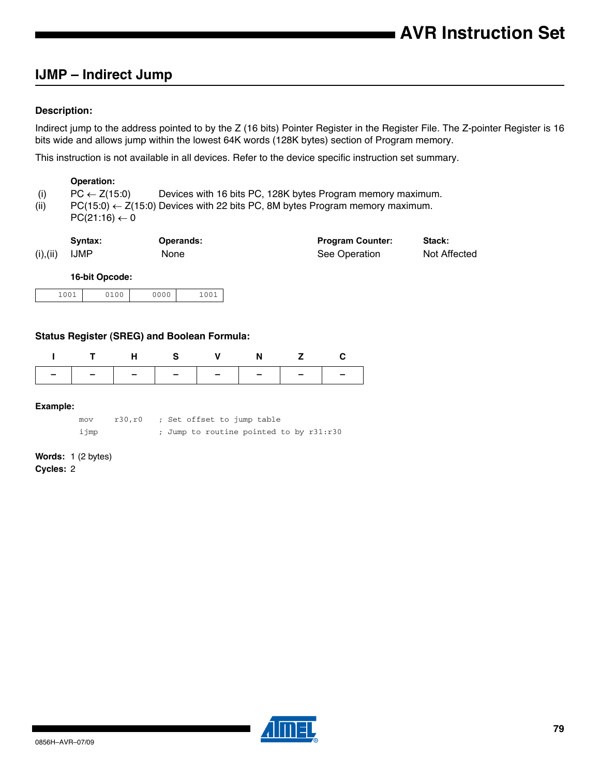## **IJMP – Indirect Jump**

## **Description:**

Indirect jump to the address pointed to by the Z (16 bits) Pointer Register in the Register File. The Z-pointer Register is 16 bits wide and allows jump within the lowest 64K words (128K bytes) section of Program memory.

This instruction is not available in all devices. Refer to the device specific instruction set summary.

#### **Operation:**

- (i) PC  $\leftarrow$  Z(15:0) Devices with 16 bits PC, 128K bytes Program memory maximum.
- (ii)  $PC(15:0) \leftarrow Z(15:0)$  Devices with 22 bits PC, 8M bytes Program memory maximum.
- $PC(21:16) \leftarrow 0$

|           | Syntax:     | <b>Operands:</b> | <b>Program Counter:</b> | Stack:       |
|-----------|-------------|------------------|-------------------------|--------------|
| (i), (ii) | <b>IJMP</b> | None             | See Operation           | Not Affected |

#### **16-bit Opcode:**

| $100^{\circ}$<br>0000<br>100 <sup>1</sup><br>100 |
|--------------------------------------------------|
|--------------------------------------------------|

## **Status Register (SREG) and Boolean Formula:**

|                                                                                               |  |  |  |  | N |  |  |
|-----------------------------------------------------------------------------------------------|--|--|--|--|---|--|--|
|                                                                                               |  |  |  |  |   |  |  |
| Example:                                                                                      |  |  |  |  |   |  |  |
| ; Set offset to jump table<br>r30, r0<br>mov<br>ijmp<br>Jump to routine pointed to by r31:r30 |  |  |  |  |   |  |  |

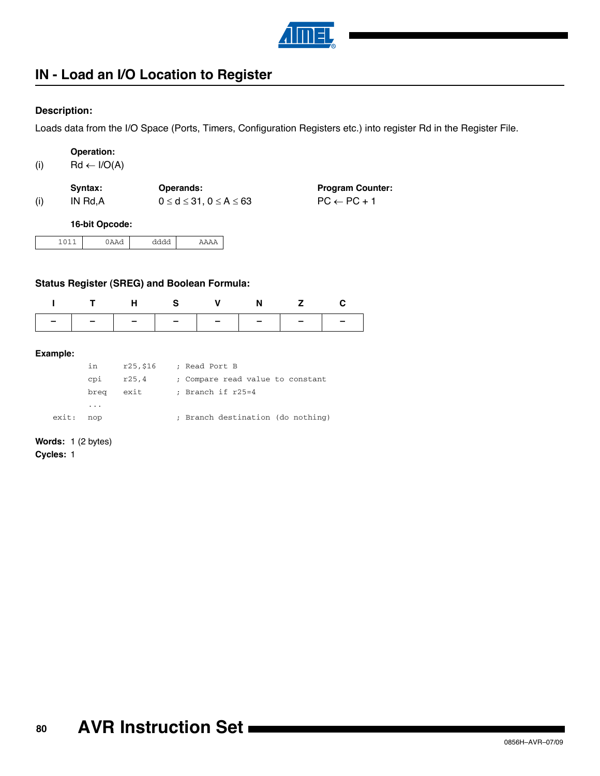

# **IN - Load an I/O Location to Register**

## **Description:**

Loads data from the I/O Space (Ports, Timers, Configuration Registers etc.) into register Rd in the Register File.

| (i) | <b>Operation:</b><br>$Rd \leftarrow I/O(A)$ |                                                      |                                                   |
|-----|---------------------------------------------|------------------------------------------------------|---------------------------------------------------|
| (i) | Syntax:<br>IN Rd,A                          | Operands:<br>$0 \leq d \leq 31$ , $0 \leq A \leq 63$ | <b>Program Counter:</b><br>$PC \leftarrow PC + 1$ |
|     | 16-bit Opcode:                              |                                                      |                                                   |

| $\sim$ $\sim$ | . |  |
|---------------|---|--|
|---------------|---|--|

## **Status Register (SREG) and Boolean Formula:**

| ITHS V N Z C                  |  |  |  |
|-------------------------------|--|--|--|
| -   -   -   -   -   -   -   - |  |  |  |

#### **Example:**

|       | in                      | r25,\$16 | ; Read Port B                     |
|-------|-------------------------|----------|-----------------------------------|
|       | cpi                     | r25.4    | ; Compare read value to constant  |
|       | brea                    | exit     | ; Branch if r25=4                 |
|       | $\cdot$ $\cdot$ $\cdot$ |          |                                   |
| exit: | nop                     |          | ; Branch destination (do nothing) |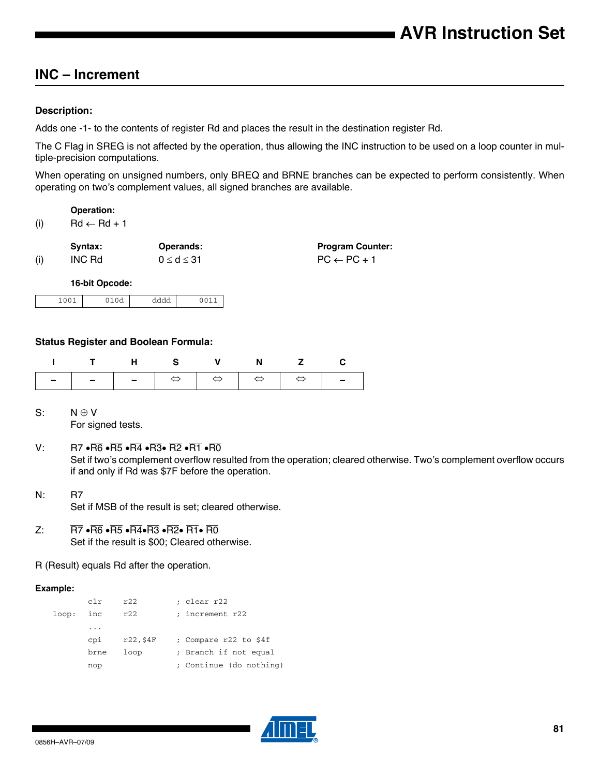## **INC – Increment**

## **Description:**

Adds one -1- to the contents of register Rd and places the result in the destination register Rd.

The C Flag in SREG is not affected by the operation, thus allowing the INC instruction to be used on a loop counter in multiple-precision computations.

When operating on unsigned numbers, only BREQ and BRNE branches can be expected to perform consistently. When operating on two's complement values, all signed branches are available.

**Operation:**  $(i)$  Rd  $\leftarrow$  Rd + 1

|     | Svntax: | <b>Operands:</b>   | <b>Program Counter:</b> |
|-----|---------|--------------------|-------------------------|
| (i) | INC Rd  | $0 \leq d \leq 31$ | $PC \leftarrow PC + 1$  |

**16-bit Opcode:**

| .007<br><b>+00+</b> | $\sim$ $\sim$<br>$\sim$ $\sim$<br>$\tilde{}$ | AAAA<br>$\sim$<br>------- |  |
|---------------------|----------------------------------------------|---------------------------|--|
|---------------------|----------------------------------------------|---------------------------|--|

## **Status Register and Boolean Formula:**

|  | ITHS V N Z C |  |  |
|--|--------------|--|--|
|  |              |  |  |

- $S: N \oplus V$ For signed tests.
- V: R7  $\cdot \overline{R6} \cdot \overline{R5} \cdot \overline{R4} \cdot \overline{R3} \cdot \overline{R2} \cdot \overline{R1} \cdot \overline{R0}$ Set if two's complement overflow resulted from the operation; cleared otherwise. Two's complement overflow occurs if and only if Rd was \$7F before the operation.
- N: R7 Set if MSB of the result is set; cleared otherwise.
- Z:  $\overline{R7}$   $\cdot \overline{R6}$   $\cdot \overline{R5}$   $\cdot \overline{R4} \cdot \overline{R3}$   $\cdot \overline{R2} \cdot \overline{R1} \cdot \overline{R0}$ Set if the result is \$00; Cleared otherwise.
- R (Result) equals Rd after the operation.

## **Example:**

|       | c1r      | r22         | ; clear r22             |
|-------|----------|-------------|-------------------------|
| loop: | inc      | r22         | ; increment r22         |
|       | $\cdots$ |             |                         |
|       | cpi      | $r22,$ \$4F | ; Compare r22 to \$4f   |
|       | brne     | loop        | ; Branch if not equal   |
|       | nop      |             | ; Continue (do nothing) |

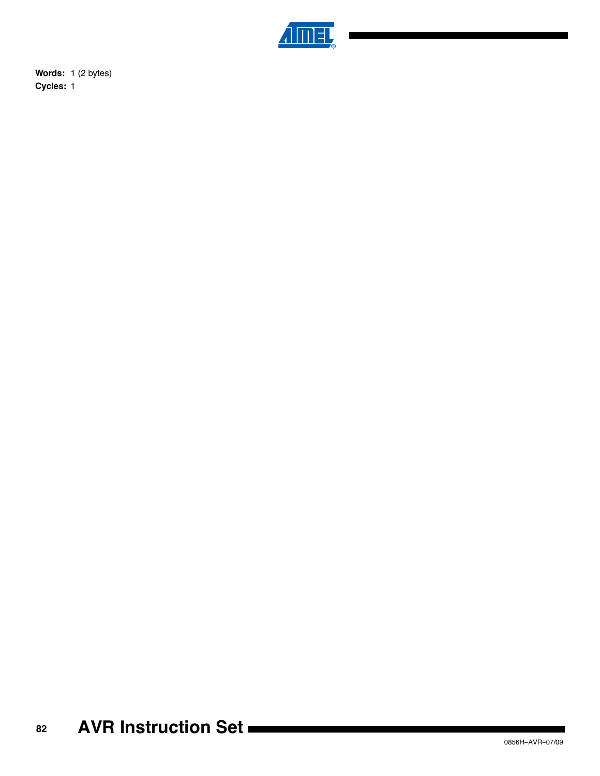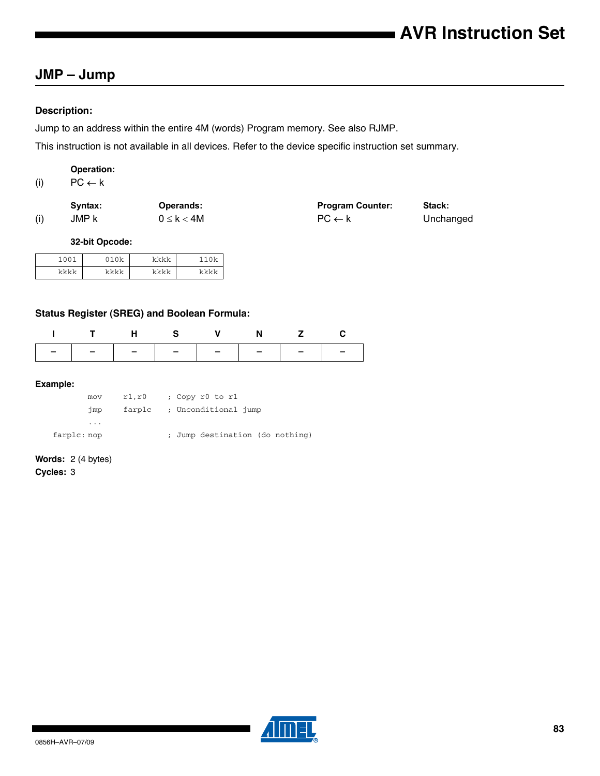## **JMP – Jump**

## **Description:**

Jump to an address within the entire 4M (words) Program memory. See also RJMP.

This instruction is not available in all devices. Refer to the device specific instruction set summary.

## **Operation:**

(i)  $\mathsf{PC} \leftarrow \mathsf{k}$ 

|     | Svntax: | <b>Operands:</b> | <b>Program Counter:</b> | Stack:    |
|-----|---------|------------------|-------------------------|-----------|
| (i) | JMP k   | $0 \leq k < 4M$  | $PC \leftarrow k$       | Unchanged |

**32-bit Opcode:**

| $-100.5$ | $\bigcap$ | レレレレ | ሰሁ   |
|----------|-----------|------|------|
| とととと     | レレレレ      | レレレレ | トレレト |

## **Status Register (SREG) and Boolean Formula:**

|                               |  | THS V N Z C |  |
|-------------------------------|--|-------------|--|
| -   -   -   -   -   -   -   - |  |             |  |

#### **Example:**

| mov         | r1, r0 | ; Copy r0 to r1                 |
|-------------|--------|---------------------------------|
| jmp         | farplc | ; Unconditional jump            |
| $\cdots$    |        |                                 |
| farplc: nop |        | ; Jump destination (do nothing) |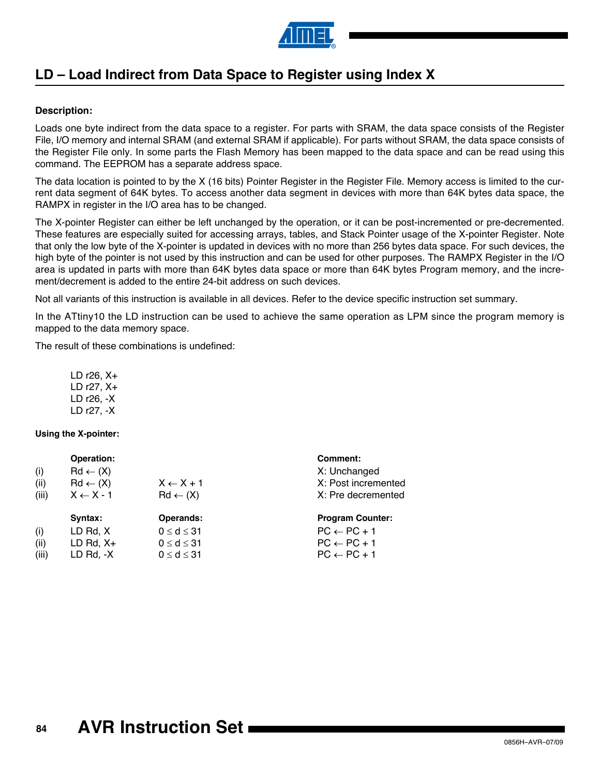

# **LD – Load Indirect from Data Space to Register using Index X**

## **Description:**

Loads one byte indirect from the data space to a register. For parts with SRAM, the data space consists of the Register File, I/O memory and internal SRAM (and external SRAM if applicable). For parts without SRAM, the data space consists of the Register File only. In some parts the Flash Memory has been mapped to the data space and can be read using this command. The EEPROM has a separate address space.

The data location is pointed to by the X (16 bits) Pointer Register in the Register File. Memory access is limited to the current data segment of 64K bytes. To access another data segment in devices with more than 64K bytes data space, the RAMPX in register in the I/O area has to be changed.

The X-pointer Register can either be left unchanged by the operation, or it can be post-incremented or pre-decremented. These features are especially suited for accessing arrays, tables, and Stack Pointer usage of the X-pointer Register. Note that only the low byte of the X-pointer is updated in devices with no more than 256 bytes data space. For such devices, the high byte of the pointer is not used by this instruction and can be used for other purposes. The RAMPX Register in the I/O area is updated in parts with more than 64K bytes data space or more than 64K bytes Program memory, and the increment/decrement is added to the entire 24-bit address on such devices.

Not all variants of this instruction is available in all devices. Refer to the device specific instruction set summary.

In the ATtiny10 the LD instruction can be used to achieve the same operation as LPM since the program memory is mapped to the data memory space.

The result of these combinations is undefined:

LD r26, X+ LD r27, X+ LD r26, -X LD r27, -X

## **Using the X-pointer:**

| (i)<br>(ii)<br>(iii) | Operation:<br>$Rd \leftarrow (X)$<br>$Rd \leftarrow (X)$<br>$X \leftarrow X - 1$ | $X \leftarrow X + 1$<br>$Rd \leftarrow (X)$                             | Comment:<br>X: Unchanged<br>X: Post incremented<br>X: Pre decremented                                 |
|----------------------|----------------------------------------------------------------------------------|-------------------------------------------------------------------------|-------------------------------------------------------------------------------------------------------|
| (i)<br>(ii)<br>(iii) | Syntax:<br>LD Rd, X<br>LD Rd, $X+$<br>$LD$ Rd, $-X$                              | Operands:<br>$0 \le d \le 31$<br>$0 \le d \le 31$<br>$0 \leq d \leq 31$ | <b>Program Counter:</b><br>$PC \leftarrow PC + 1$<br>$PC \leftarrow PC + 1$<br>$PC \leftarrow PC + 1$ |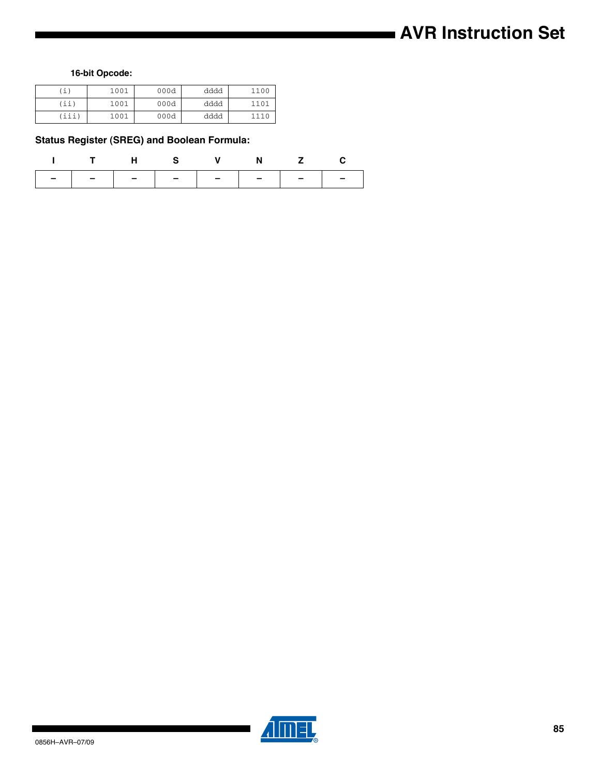# **AVR Instruction Set**

**16-bit Opcode:**

| $\perp$ ) | 1001 | 000d | dddd | 1100 |
|-----------|------|------|------|------|
| (ii,      | 1001 | 000d | dddd | 1101 |
| (iii)     | 1001 | 000d | dddd | 1110 |

## **Status Register (SREG) and Boolean Formula:**

|                               |  | T H S V N Z C |  |
|-------------------------------|--|---------------|--|
| -   -   -   -   -   -   -   - |  |               |  |



▊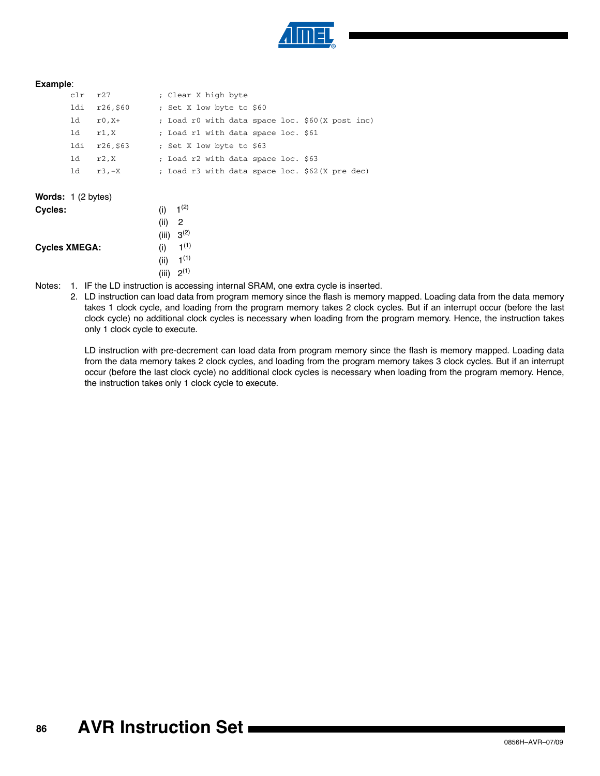

#### **Example**:

| $\text{clr}$ $\text{r27}$ |             | ; Clear X high byte                             |  |  |  |
|---------------------------|-------------|-------------------------------------------------|--|--|--|
| ldi                       | r26,\$60    | ; Set X low byte to \$60                        |  |  |  |
| ld –                      | r0,X+       | ; Load r0 with data space loc. \$60(X post inc) |  |  |  |
|                           | $ld$ $r1.X$ | ; Load r1 with data space loc. \$61             |  |  |  |
| ldi                       | r26,\$63    | ; Set X low byte to \$63                        |  |  |  |
| ld –                      | r2.X        | ; Load r2 with data space loc. \$63             |  |  |  |
| 1d                        | r3.-X       | ; Load r3 with data space loc. \$62(X pre dec)  |  |  |  |

| <b>Cycles:</b>       | (i)  | $1^{(2)}$        |
|----------------------|------|------------------|
|                      | (ii) | 2                |
|                      |      | (iii) $3^{(2)}$  |
| <b>Cycles XMEGA:</b> | (i)  | 1 <sup>(1)</sup> |
|                      | (ii) | 1 <sup>(1)</sup> |
|                      |      | (iii) $2^{(1)}$  |

**Words:** 1 (2 bytes)

<span id="page-85-1"></span><span id="page-85-0"></span>Notes: 1. IF the LD instruction is accessing internal SRAM, one extra cycle is inserted.

2. LD instruction can load data from program memory since the flash is memory mapped. Loading data from the data memory takes 1 clock cycle, and loading from the program memory takes 2 clock cycles. But if an interrupt occur (before the last clock cycle) no additional clock cycles is necessary when loading from the program memory. Hence, the instruction takes only 1 clock cycle to execute.

LD instruction with pre-decrement can load data from program memory since the flash is memory mapped. Loading data from the data memory takes 2 clock cycles, and loading from the program memory takes 3 clock cycles. But if an interrupt occur (before the last clock cycle) no additional clock cycles is necessary when loading from the program memory. Hence, the instruction takes only 1 clock cycle to execute.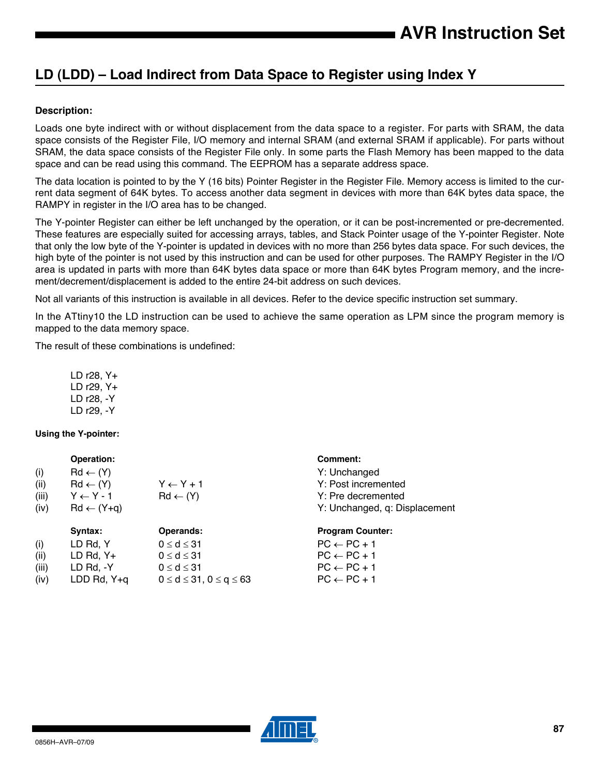# **LD (LDD) – Load Indirect from Data Space to Register using Index Y**

## **Description:**

Loads one byte indirect with or without displacement from the data space to a register. For parts with SRAM, the data space consists of the Register File, I/O memory and internal SRAM (and external SRAM if applicable). For parts without SRAM, the data space consists of the Register File only. In some parts the Flash Memory has been mapped to the data space and can be read using this command. The EEPROM has a separate address space.

The data location is pointed to by the Y (16 bits) Pointer Register in the Register File. Memory access is limited to the current data segment of 64K bytes. To access another data segment in devices with more than 64K bytes data space, the RAMPY in register in the I/O area has to be changed.

The Y-pointer Register can either be left unchanged by the operation, or it can be post-incremented or pre-decremented. These features are especially suited for accessing arrays, tables, and Stack Pointer usage of the Y-pointer Register. Note that only the low byte of the Y-pointer is updated in devices with no more than 256 bytes data space. For such devices, the high byte of the pointer is not used by this instruction and can be used for other purposes. The RAMPY Register in the I/O area is updated in parts with more than 64K bytes data space or more than 64K bytes Program memory, and the increment/decrement/displacement is added to the entire 24-bit address on such devices.

Not all variants of this instruction is available in all devices. Refer to the device specific instruction set summary.

In the ATtiny10 the LD instruction can be used to achieve the same operation as LPM since the program memory is mapped to the data memory space.

The result of these combinations is undefined:

LD r28, Y+ LD r29, Y+ LD r28, -Y LD r29, -Y

## **Using the Y-pointer:**

|       | Operation:              |                      | <b>Comment:</b>               |
|-------|-------------------------|----------------------|-------------------------------|
| (i)   | $Rd \leftarrow (Y)$     |                      | Y: Unchanged                  |
| (ii)  | $Rd \leftarrow (Y)$     | $Y \leftarrow Y + 1$ | Y: Post incremented           |
| (iii) | $Y \leftarrow Y - 1$    | $Rd \leftarrow (Y)$  | Y: Pre decremented            |
| (iv)  | $Rd \leftarrow (Y + q)$ |                      | Y: Unchanged, q: Displacement |
|       | Syntax:                 | <b>Operands:</b>     | <b>Program Counter:</b>       |
| (i)   | LD Rd, Y                | $0 \leq d \leq 31$   | $PC \leftarrow PC + 1$        |
| (ii)  | LD Rd, $Y+$             | $0 \le d \le 31$     | $PC \leftarrow PC + 1$        |
| (iii) | $LD$ Rd, $-Y$           | $0 \leq d \leq 31$   | $PC \leftarrow PC + 1$        |

(iv) LDD Rd, Y+q  $0 \le d \le 31, 0 \le q \le 63$  PC  $\leftarrow$  PC + 1

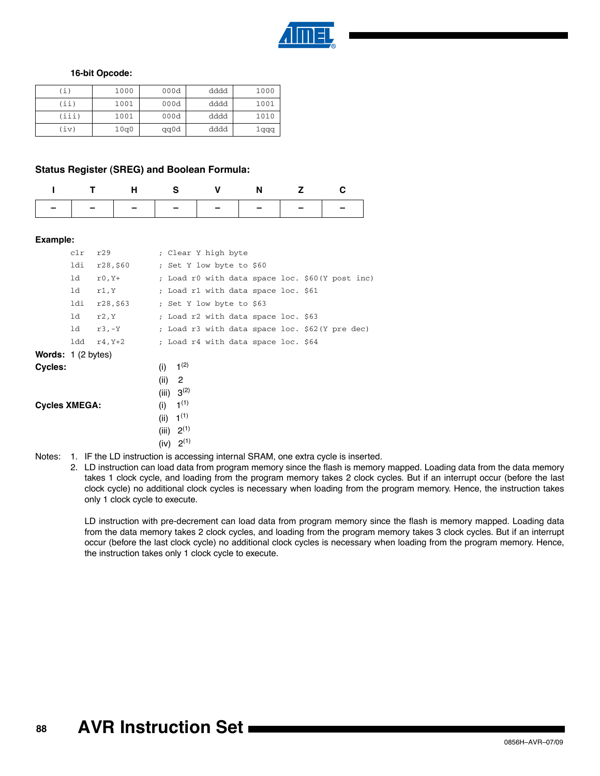

#### **16-bit Opcode:**

| $\perp$ ) | 1000 | 000d | dddd | 1000  |
|-----------|------|------|------|-------|
| (iii)     | 1001 | 000d | dddd | 1001  |
| (iii)     | 1001 | 000d | dddd | 1010  |
| (iv       | 10q0 | qq0d | dddd | 1 qqq |

#### **Status Register (SREG) and Boolean Formula:**

| ITHS V N Z C                  |  |  |  |
|-------------------------------|--|--|--|
| -   -   -   -   -   -   -   - |  |  |  |

#### **Example:**

|                      | clr | r29      |                      | ; Clear Y high byte                               |  |
|----------------------|-----|----------|----------------------|---------------------------------------------------|--|
|                      | ldi | r28,\$60 |                      | ; Set Y low byte to \$60                          |  |
|                      | ld  | $r0, Y+$ |                      | ; Load r0 with data space loc. \$60(Y post inc)   |  |
|                      | ld  | r1,Y     |                      | ; Load r1 with data space loc. \$61               |  |
|                      | ldi | r28,563  |                      | ; Set Y low byte to \$63                          |  |
|                      | ld  | r2, Y    |                      | ; Load r2 with data space loc. \$63               |  |
|                      | 1d  | r3,-Y    |                      | ; Load r3 with data space loc. \$62(Y pre dec)    |  |
|                      | ldd | r4, Y+2  |                      | ; Load r4 with data space loc. \$64               |  |
| Words: 1 (2 bytes)   |     |          |                      |                                                   |  |
| Cycles:              |     |          | (i)                  | $1^{(2)}$                                         |  |
|                      |     |          | (ii)<br>(iii)        | 2<br>$3^{(2)}$                                    |  |
| <b>Cycles XMEGA:</b> |     |          | (i)<br>(ii)<br>(iii) | 1 <sup>(1)</sup><br>1 <sup>(1)</sup><br>$2^{(1)}$ |  |
|                      |     |          |                      | (iv) 2 <sup>(1)</sup>                             |  |

<span id="page-87-1"></span><span id="page-87-0"></span>Notes: 1. IF the LD instruction is accessing internal SRAM, one extra cycle is inserted.

2. LD instruction can load data from program memory since the flash is memory mapped. Loading data from the data memory takes 1 clock cycle, and loading from the program memory takes 2 clock cycles. But if an interrupt occur (before the last clock cycle) no additional clock cycles is necessary when loading from the program memory. Hence, the instruction takes only 1 clock cycle to execute.

LD instruction with pre-decrement can load data from program memory since the flash is memory mapped. Loading data from the data memory takes 2 clock cycles, and loading from the program memory takes 3 clock cycles. But if an interrupt occur (before the last clock cycle) no additional clock cycles is necessary when loading from the program memory. Hence, the instruction takes only 1 clock cycle to execute.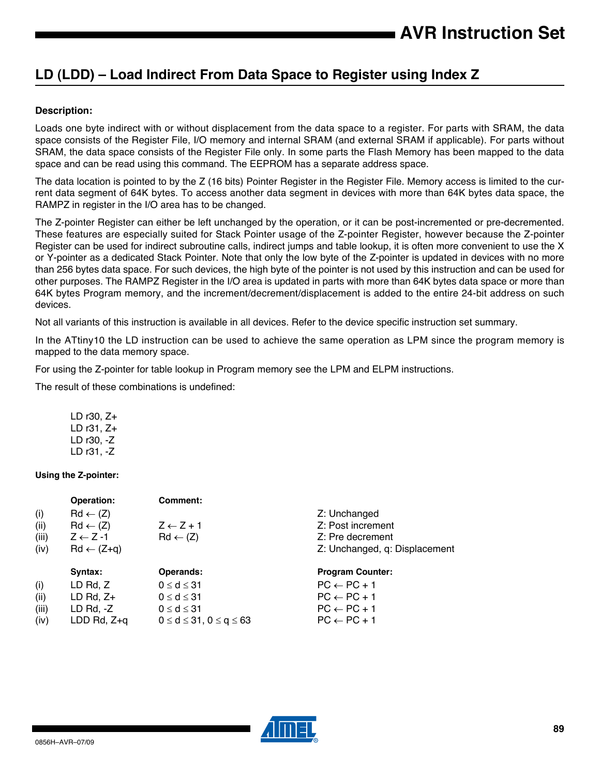# **LD (LDD) – Load Indirect From Data Space to Register using Index Z**

## **Description:**

Loads one byte indirect with or without displacement from the data space to a register. For parts with SRAM, the data space consists of the Register File, I/O memory and internal SRAM (and external SRAM if applicable). For parts without SRAM, the data space consists of the Register File only. In some parts the Flash Memory has been mapped to the data space and can be read using this command. The EEPROM has a separate address space.

The data location is pointed to by the Z (16 bits) Pointer Register in the Register File. Memory access is limited to the current data segment of 64K bytes. To access another data segment in devices with more than 64K bytes data space, the RAMPZ in register in the I/O area has to be changed.

The Z-pointer Register can either be left unchanged by the operation, or it can be post-incremented or pre-decremented. These features are especially suited for Stack Pointer usage of the Z-pointer Register, however because the Z-pointer Register can be used for indirect subroutine calls, indirect jumps and table lookup, it is often more convenient to use the X or Y-pointer as a dedicated Stack Pointer. Note that only the low byte of the Z-pointer is updated in devices with no more than 256 bytes data space. For such devices, the high byte of the pointer is not used by this instruction and can be used for other purposes. The RAMPZ Register in the I/O area is updated in parts with more than 64K bytes data space or more than 64K bytes Program memory, and the increment/decrement/displacement is added to the entire 24-bit address on such devices.

Not all variants of this instruction is available in all devices. Refer to the device specific instruction set summary.

In the ATtiny10 the LD instruction can be used to achieve the same operation as LPM since the program memory is mapped to the data memory space.

For using the Z-pointer for table lookup in Program memory see the LPM and ELPM instructions.

The result of these combinations is undefined:

| LD r30, Z+ |  |
|------------|--|
| LD r31, Z+ |  |
| LD r30, -Z |  |
| LD r31. -Z |  |

## **Using the Z-pointer:**

|       | Operation:            | <b>Comment:</b>                     |                               |
|-------|-----------------------|-------------------------------------|-------------------------------|
| (i)   | $Rd \leftarrow (Z)$   |                                     | Z: Unchanged                  |
| (ii)  | $Rd \leftarrow (Z)$   | $Z \leftarrow Z + 1$                | Z: Post increment             |
| (iii) | $Z \leftarrow Z - 1$  | $Rd \leftarrow (Z)$                 | Z: Pre decrement              |
| (iv)  | $Rd \leftarrow (Z+q)$ |                                     | Z: Unchanged, q: Displacement |
|       | Syntax:               | <b>Operands:</b>                    | <b>Program Counter:</b>       |
| (i)   | LD Rd, Z              | $0 \le d \le 31$                    | $PC \leftarrow PC + 1$        |
| (ii)  | LD Rd, $Z+$           | $0 \leq d \leq 31$                  | $PC \leftarrow PC + 1$        |
| (iii) | $LD$ Rd, $-Z$         | $0 \leq d \leq 31$                  | $PC \leftarrow PC + 1$        |
| (iv)  | LDD Rd, $Z+q$         | $0 \le d \le 31$ , $0 \le q \le 63$ | $PC \leftarrow PC + 1$        |
|       |                       |                                     |                               |

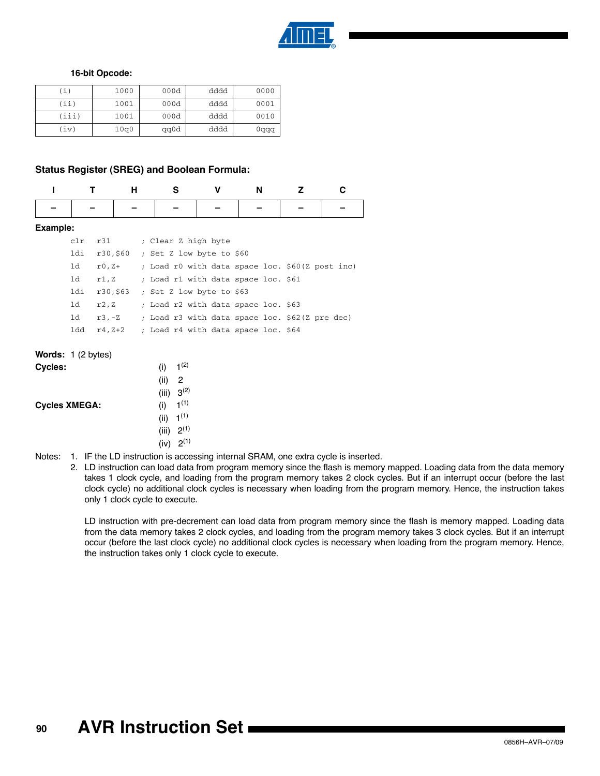

#### **16-bit Opcode:**

| ί)    | 1000 | 000d | dddd | 0000 |
|-------|------|------|------|------|
| (iii) | 1001 | 000d | dddd | 0001 |
| (iii) | 1001 | 000d | dddd | 0010 |
| (iv)  | 10q0 | qq0d | dddd | 0qqq |

#### **Status Register (SREG) and Boolean Formula:**

|                                               |     |          | н        | s                                               | v | N | 7 |  |
|-----------------------------------------------|-----|----------|----------|-------------------------------------------------|---|---|---|--|
|                                               |     |          |          |                                                 |   |   |   |  |
| Example:                                      |     |          |          |                                                 |   |   |   |  |
|                                               | c1r | r31      |          | ; Clear Z high byte                             |   |   |   |  |
|                                               | ldi |          | r30,\$60 | ; Set Z low byte to \$60                        |   |   |   |  |
|                                               | 1d  | r0,Z+    |          | ; Load r0 with data space loc. \$60(Z post inc) |   |   |   |  |
|                                               | 1d  | r1,Z     |          | ; Load r1 with data space loc. \$61             |   |   |   |  |
|                                               | ldi | r30,\$63 |          | ; Set Z low byte to \$63                        |   |   |   |  |
|                                               | 1d  | r2, z    |          | ; Load r2 with data space loc. \$63             |   |   |   |  |
|                                               | 1d  |          | r3,-Z    | ; Load r3 with data space loc. \$62(Z pre dec)  |   |   |   |  |
|                                               | ldd | r4,Z+2   |          | ; Load r4 with data space loc. \$64             |   |   |   |  |
| <b>Words:</b> $1(2 \text{ bytes})$<br>Cycles: |     |          |          | $1^{(2)}$<br>$\left( 1\right)$                  |   |   |   |  |

| $\bullet$ , $\bullet$ , $\bullet$ , $\bullet$ | $\cdots$              |                  |  |
|-----------------------------------------------|-----------------------|------------------|--|
|                                               | (ii)                  | -2               |  |
|                                               | (iii) $3^{(2)}$       |                  |  |
| <b>Cycles XMEGA:</b>                          | (i)                   | 1 <sup>(1)</sup> |  |
|                                               | (ii) $1^{(1)}$        |                  |  |
|                                               | (iii) $2^{(1)}$       |                  |  |
|                                               | (iv) 2 <sup>(1)</sup> |                  |  |
|                                               |                       |                  |  |

- <span id="page-89-1"></span><span id="page-89-0"></span>Notes: 1. IF the LD instruction is accessing internal SRAM, one extra cycle is inserted.
	- 2. LD instruction can load data from program memory since the flash is memory mapped. Loading data from the data memory takes 1 clock cycle, and loading from the program memory takes 2 clock cycles. But if an interrupt occur (before the last clock cycle) no additional clock cycles is necessary when loading from the program memory. Hence, the instruction takes only 1 clock cycle to execute.

LD instruction with pre-decrement can load data from program memory since the flash is memory mapped. Loading data from the data memory takes 2 clock cycles, and loading from the program memory takes 3 clock cycles. But if an interrupt occur (before the last clock cycle) no additional clock cycles is necessary when loading from the program memory. Hence, the instruction takes only 1 clock cycle to execute.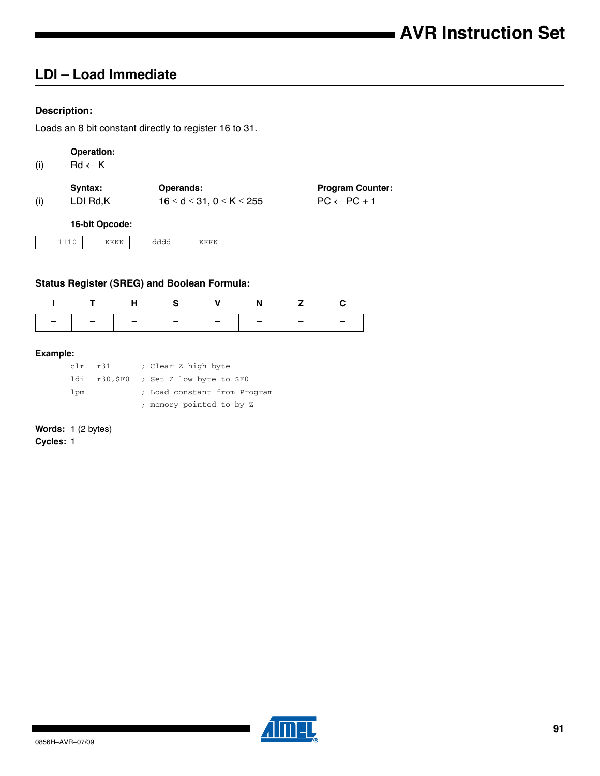# **LDI – Load Immediate**

## **Description:**

Loads an 8 bit constant directly to register 16 to 31.

## **Operation:**

(i)  $\mathsf{Rd} \leftarrow \mathsf{K}$ 

|     | Svntax:  | <b>Operands:</b>                       | <b>Program Counter:</b> |
|-----|----------|----------------------------------------|-------------------------|
| (i) | LDI Rd.K | $16 \leq d \leq 31, 0 \leq K \leq 255$ | $PC \leftarrow PC + 1$  |

**16-bit Opcode:**

|  | . |  |
|--|---|--|
|--|---|--|

## **Status Register (SREG) and Boolean Formula:**

| ITHS V N Z C |  |  |  |
|--------------|--|--|--|
|              |  |  |  |

#### **Example:**

| $clr$ $r31$ | ; Clear Z high byte                   |
|-------------|---------------------------------------|
|             | ldi r30,\$F0 ; Set Z low byte to \$F0 |
| lpm         | ; Load constant from Program          |
|             | ; memory pointed to by Z              |

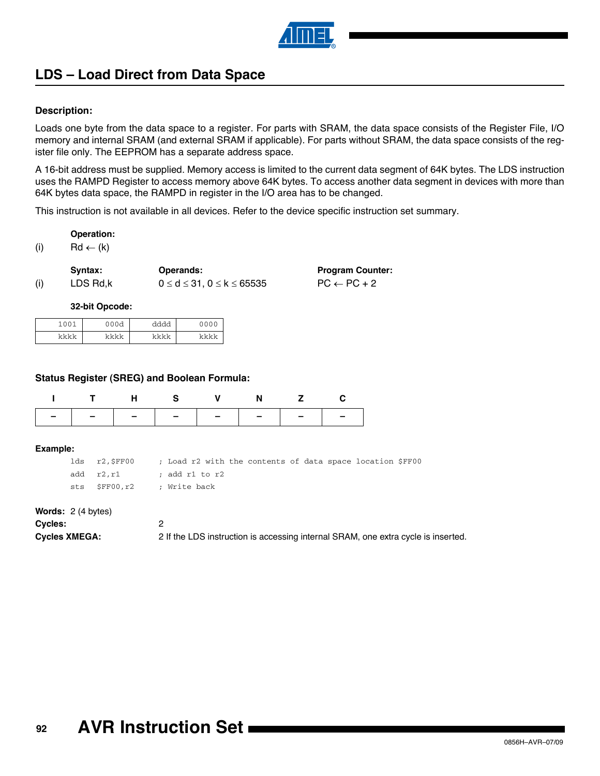

# **LDS – Load Direct from Data Space**

## **Description:**

Loads one byte from the data space to a register. For parts with SRAM, the data space consists of the Register File, I/O memory and internal SRAM (and external SRAM if applicable). For parts without SRAM, the data space consists of the register file only. The EEPROM has a separate address space.

A 16-bit address must be supplied. Memory access is limited to the current data segment of 64K bytes. The LDS instruction uses the RAMPD Register to access memory above 64K bytes. To access another data segment in devices with more than 64K bytes data space, the RAMPD in register in the I/O area has to be changed.

This instruction is not available in all devices. Refer to the device specific instruction set summary.

#### **Operation:**

(i)  $\text{Rd} \leftarrow (\text{k})$ 

|     | Syntax:  | <b>Operands:</b>                           | <b>Program Counter:</b> |
|-----|----------|--------------------------------------------|-------------------------|
| (i) | LDS Rd.k | $0 \leq d \leq 31$ , $0 \leq k \leq 65535$ | $PC \leftarrow PC + 2$  |

#### **32-bit Opcode:**

| $\bigcap$<br>1 <sub>0</sub> | nn a<br>◡<br>◡<br>u<br>◡ | ふふふふ | 0000 |
|-----------------------------|--------------------------|------|------|
| レレレレ                        | レレレレ                     | レレレレ | レレレレ |

#### **Status Register (SREG) and Boolean Formula:**

| ITHS V N Z C                  |  |  |  |
|-------------------------------|--|--|--|
| -   -   -   -   -   -   -   - |  |  |  |

#### **Example:**

| lds r2,\$FF00                 | ; Load r2 with the contents of data space location \$FF00 |  |  |  |  |
|-------------------------------|-----------------------------------------------------------|--|--|--|--|
| add r2.r1 ; add r1 to r2      |                                                           |  |  |  |  |
| sts \$FF00,r2    ; Write back |                                                           |  |  |  |  |

#### **Words:** 2 (4 bytes)

| Cycles:              |                                                                                   |
|----------------------|-----------------------------------------------------------------------------------|
| <b>Cycles XMEGA:</b> | 2 If the LDS instruction is accessing internal SRAM, one extra cycle is inserted. |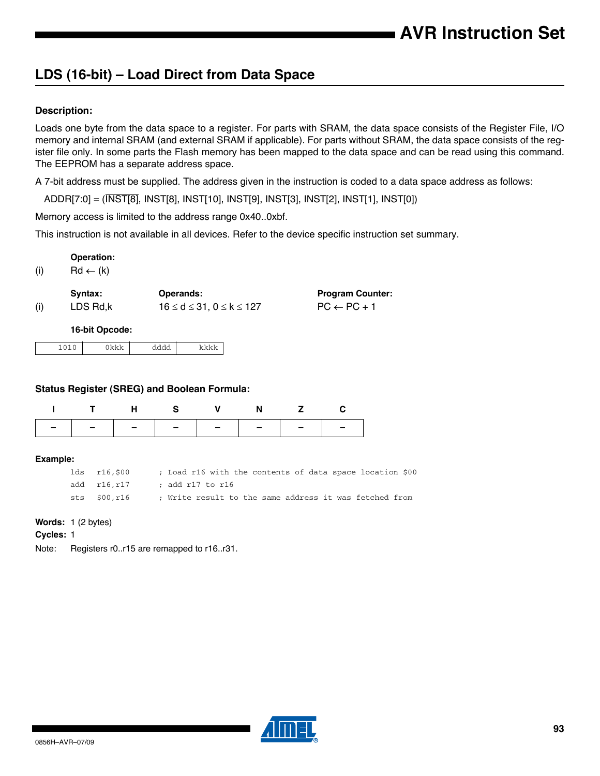# **LDS (16-bit) – Load Direct from Data Space**

## **Description:**

Loads one byte from the data space to a register. For parts with SRAM, the data space consists of the Register File, I/O memory and internal SRAM (and external SRAM if applicable). For parts without SRAM, the data space consists of the register file only. In some parts the Flash memory has been mapped to the data space and can be read using this command. The EEPROM has a separate address space.

> **Program Counter:**  $PC \leftarrow PC + 1$

A 7-bit address must be supplied. The address given in the instruction is coded to a data space address as follows:

ADDR[7:0] = (INST[8], INST[8], INST[10], INST[9], INST[3], INST[2], INST[1], INST[0])

Memory access is limited to the address range 0x40..0xbf.

This instruction is not available in all devices. Refer to the device specific instruction set summary.

**Operation:**

(i)  $Rd \leftarrow (k)$ 

|     | Syntax:  | <b>Operands:</b>                   |
|-----|----------|------------------------------------|
| (i) | LDS Rd,k | $16 \le d \le 31, 0 \le k \le 127$ |

**16-bit Opcode:**

## **Status Register (SREG) and Boolean Formula:**

| ITHS VNZC |  |  |                               |
|-----------|--|--|-------------------------------|
|           |  |  | -   -   -   -   -   -   -   - |

#### **Example:**

| lds r16,\$00 |                  |  |  |  |  | ; Load r16 with the contents of data space location \$00 |  |
|--------------|------------------|--|--|--|--|----------------------------------------------------------|--|
| add r16.r17  | ; add r17 to r16 |  |  |  |  |                                                          |  |
| sts \$00.r16 |                  |  |  |  |  | ; Write result to the same address it was fetched from   |  |

## **Words:** 1 (2 bytes)

#### **Cycles:** 1

Note: Registers r0..r15 are remapped to r16..r31.

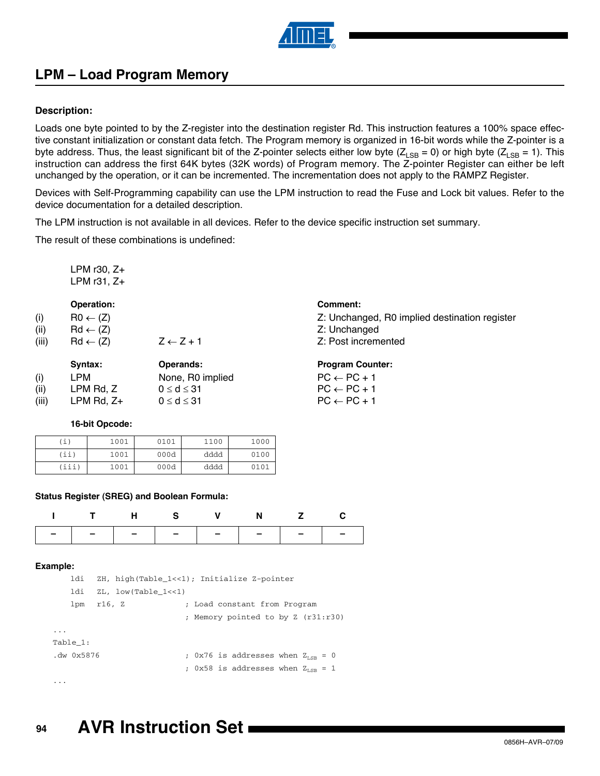

# **LPM – Load Program Memory**

## **Description:**

Loads one byte pointed to by the Z-register into the destination register Rd. This instruction features a 100% space effective constant initialization or constant data fetch. The Program memory is organized in 16-bit words while the Z-pointer is a byte address. Thus, the least significant bit of the Z-pointer selects either low byte ( $Z_{LSB}$  = 0) or high byte ( $Z_{LSB}$  = 1). This instruction can address the first 64K bytes (32K words) of Program memory. The Z-pointer Register can either be left unchanged by the operation, or it can be incremented. The incrementation does not apply to the RAMPZ Register.

Devices with Self-Programming capability can use the LPM instruction to read the Fuse and Lock bit values. Refer to the device documentation for a detailed description.

The LPM instruction is not available in all devices. Refer to the device specific instruction set summary.

The result of these combinations is undefined:

LPM r30, Z+ LPM r31, Z+

#### **Operation:** Comment:

| (i)<br>(ii) | $RO \leftarrow (Z)$<br>$Rd \leftarrow (Z)$ |                      | Z: Unchanged, R0 implied destination register<br>Z: Unchanged |
|-------------|--------------------------------------------|----------------------|---------------------------------------------------------------|
| (iii)       | $Rd \leftarrow (Z)$                        | $Z \leftarrow Z + 1$ | Z: Post incremented                                           |
|             | Syntax:                                    | Operands:            | <b>Program Counter:</b>                                       |
| (i)         | LPM                                        | None, R0 implied     | $PC \leftarrow PC + 1$                                        |
| (ii)        | LPM Rd, Z                                  | $0 \leq d \leq 31$   | $PC \leftarrow PC + 1$                                        |

## **16-bit Opcode:**

| 'i)  | 1001 | 0101 | 1100 | 1000 |
|------|------|------|------|------|
| (ii' | 1001 | 000d | dddd | 0100 |
| iii) | 1001 | 000d | dddd | 0101 |

#### **Status Register (SREG) and Boolean Formula:**

| ITHS V N Z C                  |  |  |  |
|-------------------------------|--|--|--|
| -   -   -   -   -   -   -   - |  |  |  |

(iii) LPM Rd,  $Z_+$  0  $\leq$  d  $\leq$  31 PC  $\leftarrow$  PC + 1

#### **Example:**

| ldi             | ZH, high(Table 1<<1); Initialize Z-pointer |                           |  |                                               |  |  |  |
|-----------------|--------------------------------------------|---------------------------|--|-----------------------------------------------|--|--|--|
| ldi             |                                            | $ZL$ , low(Table $1<<1$ ) |  |                                               |  |  |  |
| lpm             | r16, Z                                     |                           |  | ; Load constant from Program                  |  |  |  |
|                 |                                            |                           |  | ; Memory pointed to by Z (r31:r30)            |  |  |  |
|                 |                                            |                           |  |                                               |  |  |  |
| Table 1:        |                                            |                           |  |                                               |  |  |  |
| $. dw$ $0x5876$ |                                            |                           |  | ; 0x76 is addresses when $Z_{\text{tan}} = 0$ |  |  |  |
|                 |                                            |                           |  | ; 0x58 is addresses when $Z_{\text{tan}} = 1$ |  |  |  |
|                 |                                            |                           |  |                                               |  |  |  |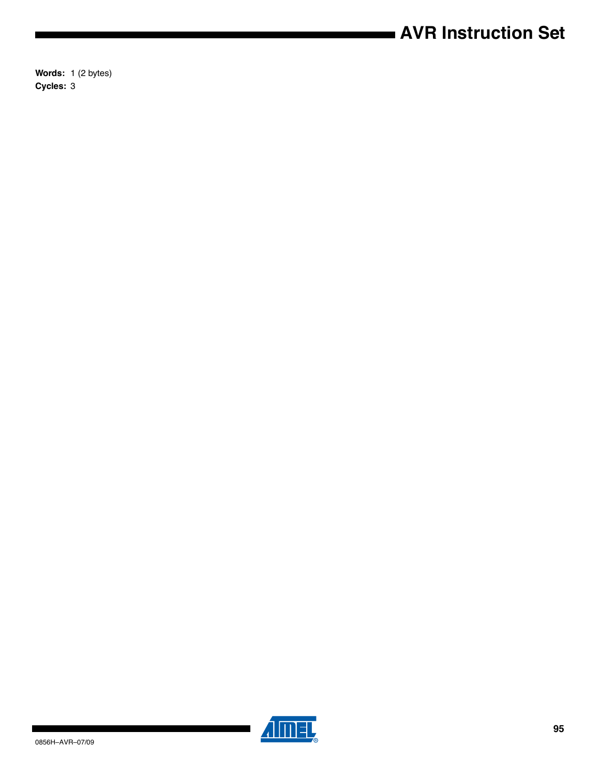# **AVR Instruction Set**

**Words:** 1 (2 bytes) **Cycles:** 3



 $\blacksquare$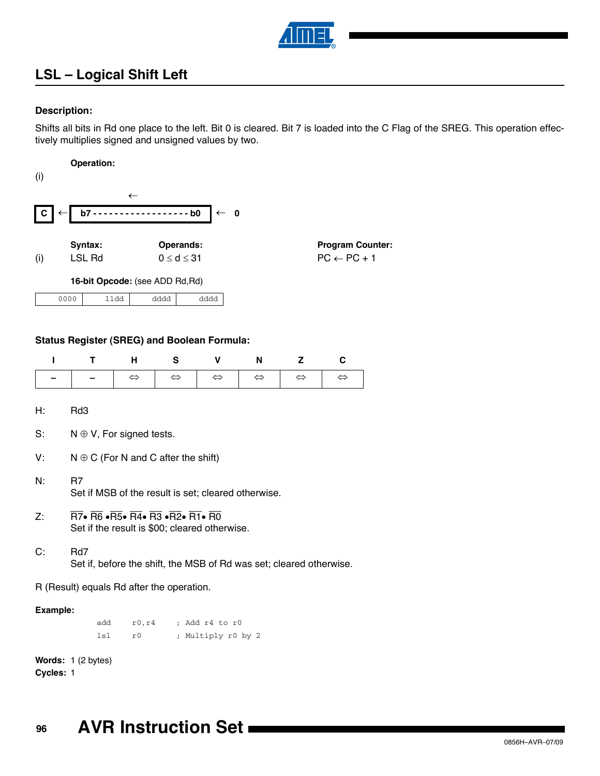

# **LSL – Logical Shift Left**

## **Description:**

Shifts all bits in Rd one place to the left. Bit 0 is cleared. Bit 7 is loaded into the C Flag of the SREG. This operation effectively multiplies signed and unsigned values by two.

**Operation:** (i) Syntax: **Operands:** Program Counter: (i) LSL Rd  $0 \le d \le 31$  PC  $\leftarrow$  PC + 1 **16-bit Opcode:** (see ADD Rd,Rd)  $\leftarrow$  $\mathbf{C} \leftarrow \mathbf{b7}$  - - - - - - - - - - - - - - - - - b0  $\leftarrow 0$ 0000 11dd dddd dddd

## **Status Register (SREG) and Boolean Formula:**

| т                                         | т                                                                                                                                                                                              | н                 | S                 | v                  | N                 | Z                 | C                 |  |  |
|-------------------------------------------|------------------------------------------------------------------------------------------------------------------------------------------------------------------------------------------------|-------------------|-------------------|--------------------|-------------------|-------------------|-------------------|--|--|
|                                           |                                                                                                                                                                                                | $\Leftrightarrow$ | $\Leftrightarrow$ | $\Leftrightarrow$  | $\Leftrightarrow$ | $\Leftrightarrow$ | $\Leftrightarrow$ |  |  |
| H:                                        | Rd3                                                                                                                                                                                            |                   |                   |                    |                   |                   |                   |  |  |
| S:                                        | $N \oplus V$ , For signed tests.                                                                                                                                                               |                   |                   |                    |                   |                   |                   |  |  |
| V:                                        | $N \oplus C$ (For N and C after the shift)                                                                                                                                                     |                   |                   |                    |                   |                   |                   |  |  |
| N:                                        | R7<br>Set if MSB of the result is set; cleared otherwise.                                                                                                                                      |                   |                   |                    |                   |                   |                   |  |  |
| Z:                                        | $\overline{R7}$ • $\overline{R6}$ • $\overline{R5}$ • $\overline{R4}$ • $\overline{R3}$ • $\overline{R2}$ • $\overline{R1}$ • $\overline{R0}$<br>Set if the result is \$00; cleared otherwise. |                   |                   |                    |                   |                   |                   |  |  |
| C:                                        | Rd7<br>Set if, before the shift, the MSB of Rd was set; cleared otherwise.                                                                                                                     |                   |                   |                    |                   |                   |                   |  |  |
| R (Result) equals Rd after the operation. |                                                                                                                                                                                                |                   |                   |                    |                   |                   |                   |  |  |
|                                           | Example:                                                                                                                                                                                       |                   |                   |                    |                   |                   |                   |  |  |
|                                           | add                                                                                                                                                                                            | r0, r4            |                   | ; Add r4 to r0     |                   |                   |                   |  |  |
|                                           | 1s1                                                                                                                                                                                            | r0                |                   | ; Multiply r0 by 2 |                   |                   |                   |  |  |

**Words:** 1 (2 bytes)

**Cycles:** 1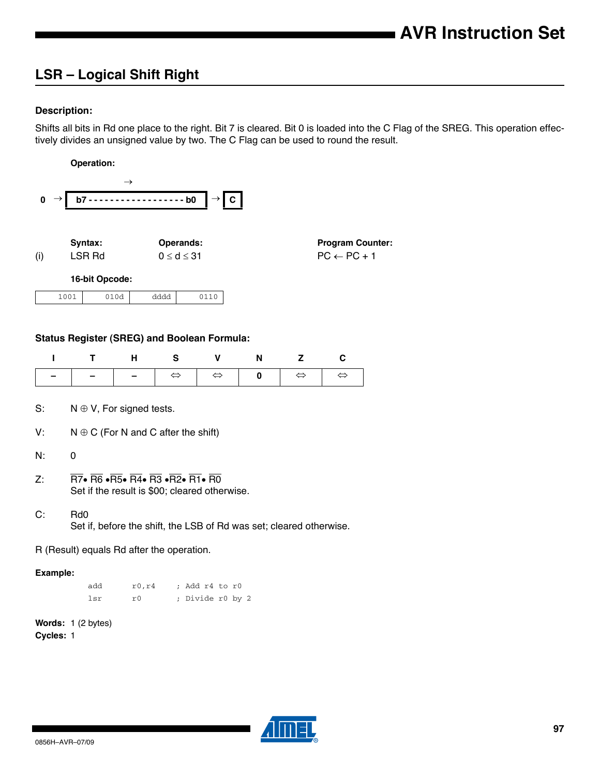# **LSR – Logical Shift Right**

## **Description:**

Shifts all bits in Rd one place to the right. Bit 7 is cleared. Bit 0 is loaded into the C Flag of the SREG. This operation effectively divides an unsigned value by two. The C Flag can be used to round the result.

|             |                              | <b>Operation:</b> |                    |           |                                                   |
|-------------|------------------------------|-------------------|--------------------|-----------|---------------------------------------------------|
| $\mathbf 0$ | $b7 -$                       | $\rightarrow$     | $---b0$            | c         |                                                   |
| (i)         | Syntax:<br>LSR <sub>Rd</sub> |                   | $0 \leq d \leq 31$ | Operands: | <b>Program Counter:</b><br>$PC \leftarrow PC + 1$ |
|             |                              | 16-bit Opcode:    |                    |           |                                                   |
|             | 1001                         | 010d              | dddd               | 0110      |                                                   |
|             |                              |                   |                    |           |                                                   |

## **Status Register (SREG) and Boolean Formula:**

| ı           | т                                                                                                                                                                                                                                                                    | н            | s                 | v                                  | N | z                 | C                 |  |  |
|-------------|----------------------------------------------------------------------------------------------------------------------------------------------------------------------------------------------------------------------------------------------------------------------|--------------|-------------------|------------------------------------|---|-------------------|-------------------|--|--|
|             |                                                                                                                                                                                                                                                                      |              | $\Leftrightarrow$ | $\Leftrightarrow$                  | 0 | $\Leftrightarrow$ | $\Leftrightarrow$ |  |  |
| S:          | $N \oplus V$ , For signed tests.                                                                                                                                                                                                                                     |              |                   |                                    |   |                   |                   |  |  |
| V:          | $N \oplus C$ (For N and C after the shift)                                                                                                                                                                                                                           |              |                   |                                    |   |                   |                   |  |  |
| N:          | 0                                                                                                                                                                                                                                                                    |              |                   |                                    |   |                   |                   |  |  |
| $Z^{\cdot}$ | $\overline{\text{R7}}\bullet\overline{\text{R6}}\bullet\overline{\text{R5}}\bullet\overline{\text{R4}}\bullet\overline{\text{R3}}\bullet\overline{\text{R2}}\bullet\overline{\text{R1}}\bullet\overline{\text{R0}}$<br>Set if the result is \$00; cleared otherwise. |              |                   |                                    |   |                   |                   |  |  |
| C:          | Rd <sub>0</sub><br>Set if, before the shift, the LSB of Rd was set; cleared otherwise.                                                                                                                                                                               |              |                   |                                    |   |                   |                   |  |  |
|             | R (Result) equals Rd after the operation.                                                                                                                                                                                                                            |              |                   |                                    |   |                   |                   |  |  |
|             | Example:                                                                                                                                                                                                                                                             |              |                   |                                    |   |                   |                   |  |  |
|             | add<br>lsr                                                                                                                                                                                                                                                           | r0, r4<br>r0 |                   | ; Add r4 to r0<br>; Divide r0 by 2 |   |                   |                   |  |  |

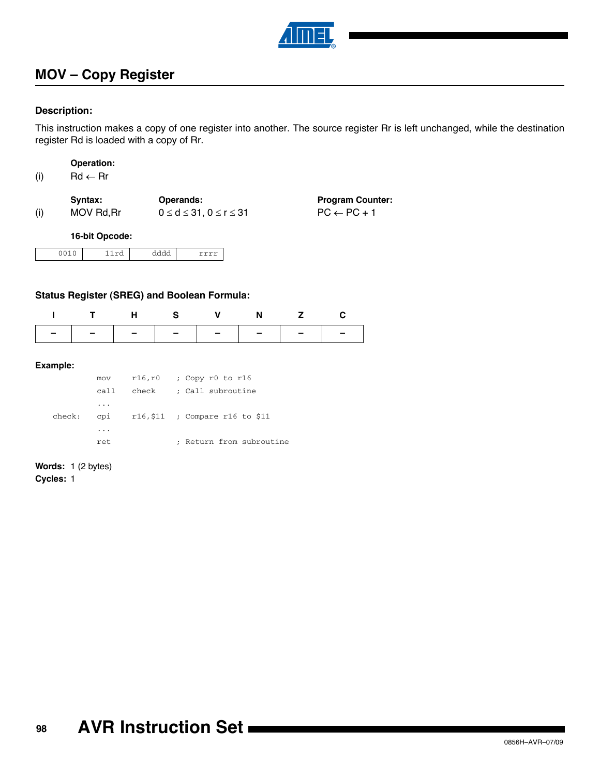

# **MOV – Copy Register**

## **Description:**

This instruction makes a copy of one register into another. The source register Rr is left unchanged, while the destination register Rd is loaded with a copy of Rr.

|  | <b>Operation:</b> |
|--|-------------------|
|  |                   |

(i)  $\mathsf{Rd} \leftarrow \mathsf{Rr}$ 

|     | Svntax:    | <b>Operands:</b>                     | <b>Program Counter:</b> |
|-----|------------|--------------------------------------|-------------------------|
| (i) | MOV Rd, Rr | $0 \leq d \leq 31, 0 \leq r \leq 31$ | $PC \leftarrow PC + 1$  |

#### **16-bit Opcode:**

## **Status Register (SREG) and Boolean Formula:**

|                | T H S V N Z C |  |  |
|----------------|---------------|--|--|
| -------------- |               |  |  |

## **Example:**

|        | mov                     | $r16, r0$ ; Copy r0 to r16          |
|--------|-------------------------|-------------------------------------|
|        | call.                   | check ; Call subroutine             |
|        | $\cdot$                 |                                     |
| check: |                         | cpi $r16,511$ ; Compare r16 to \$11 |
|        | $\cdot$ $\cdot$ $\cdot$ |                                     |
|        | ret                     | ; Return from subroutine            |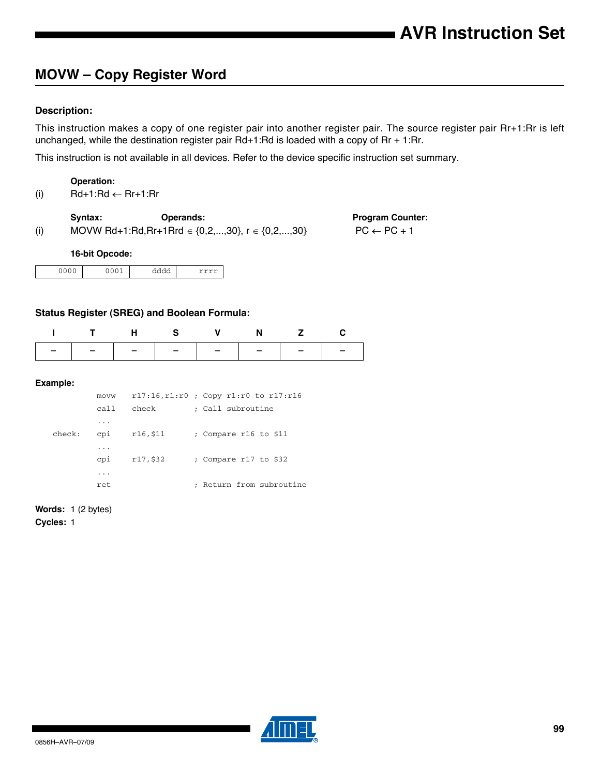# **MOVW – Copy Register Word**

## **Description:**

This instruction makes a copy of one register pair into another register pair. The source register pair Rr+1:Rr is left unchanged, while the destination register pair Rd+1:Rd is loaded with a copy of Rr + 1:Rr.

This instruction is not available in all devices. Refer to the device specific instruction set summary.

#### **Operation:**

(i)  $Rd+1:Rd \leftarrow Rr+1:Rr$ 

Syntax: **Operands:** Program Counter:

(i) MOVW Rd+1:Rd,Rr+1Rrd  $\in \{0, 2, ..., 30\}$ ,  $r \in \{0, 2, ..., 30\}$  PC  $\leftarrow$  PC + 1

#### **16-bit Opcode:**

| 0000 | $\sim$ $\sim$ $\sim$ | ᅯᅯᆋ<br>חו<br>٦٢<br>------ |  |
|------|----------------------|---------------------------|--|

## **Status Register (SREG) and Boolean Formula:**

|  | ITHS V N Z C                  |  |  |
|--|-------------------------------|--|--|
|  | -   -   -   -   -   -   -   - |  |  |

#### **Example:**

|        | <b>MOVW</b> |          | $r17:16, r1:r0$ ; Copy $r1:r0$ to $r17:r16$ |
|--------|-------------|----------|---------------------------------------------|
|        | ca11        | check    | : Call subroutine                           |
|        | .           |          |                                             |
| check: | cpi         | r16,\$11 | ; Compare r16 to \$11                       |
|        | .           |          |                                             |
|        | cpi         | r17,\$32 | ; Compare r17 to \$32                       |
|        | .           |          |                                             |
|        | ret         |          | Return from subroutine                      |

**Words:** 1 (2 bytes)

**Cycles:** 1

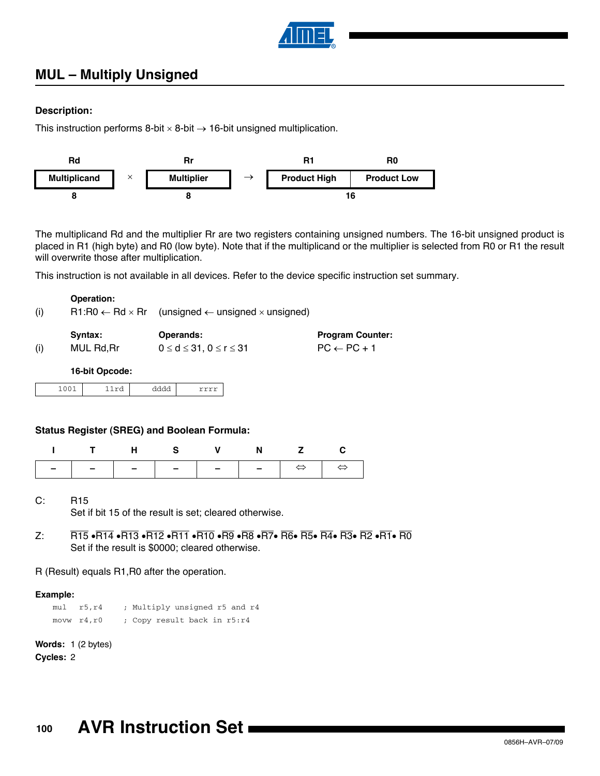

# **MUL – Multiply Unsigned**

## **Description:**

This instruction performs 8-bit  $\times$  8-bit  $\rightarrow$  16-bit unsigned multiplication.



The multiplicand Rd and the multiplier Rr are two registers containing unsigned numbers. The 16-bit unsigned product is placed in R1 (high byte) and R0 (low byte). Note that if the multiplicand or the multiplier is selected from R0 or R1 the result will overwrite those after multiplication.

This instruction is not available in all devices. Refer to the device specific instruction set summary.

|     | <b>Operation:</b> |                                                                                    |
|-----|-------------------|------------------------------------------------------------------------------------|
| (i) |                   | $R1:R0 \leftarrow Rd \times Rr$ (unsigned $\leftarrow$ unsigned $\times$ unsigned) |
|     |                   |                                                                                    |

|     | Syntax:    | Operands:                            | <b>Program Counter:</b> |
|-----|------------|--------------------------------------|-------------------------|
| (i) | MUL Rd, Rr | $0 \leq d \leq 31, 0 \leq r \leq 31$ | $PC \leftarrow PC + 1$  |

**16-bit Opcode:**

1001 11rd dddd rrrr

## **Status Register (SREG) and Boolean Formula:**

| ITHS V N Z C |  |  |  |
|--------------|--|--|--|
|              |  |  |  |

- C: R15 Set if bit 15 of the result is set; cleared otherwise.
- Z: R15  $\overline{R}$ 14  $\overline{R}$ 13  $\overline{R}$ 12  $\overline{R}$ 11  $\overline{R}$ 10  $\overline{R}$   $\overline{R}$   $\overline{R}$   $\overline{R}$   $\overline{R}$   $\overline{R}$   $\overline{R}$   $\overline{R}$   $\overline{R}$   $\overline{R}$   $\overline{R}$   $\overline{R}$   $\overline{R}$   $\overline{R}$   $\overline{R}$   $\overline{R}$   $\overline{R}$   $\overline{R$ Set if the result is \$0000; cleared otherwise.

R (Result) equals R1,R0 after the operation.

## **Example:**

mul r5,r4 ; Multiply unsigned r5 and r4 movw r4,r0 ; Copy result back in r5:r4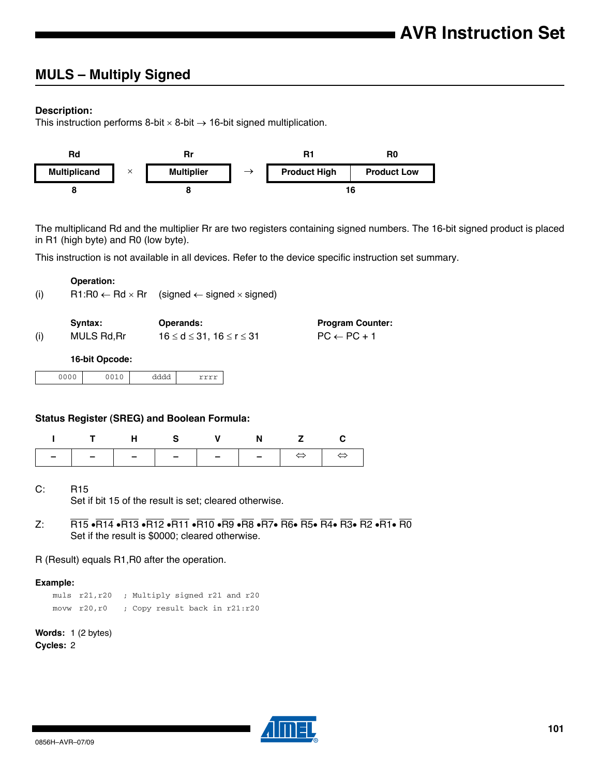# **MULS – Multiply Signed**

## **Description:**

This instruction performs 8-bit  $\times$  8-bit  $\rightarrow$  16-bit signed multiplication.



The multiplicand Rd and the multiplier Rr are two registers containing signed numbers. The 16-bit signed product is placed in R1 (high byte) and R0 (low byte).

This instruction is not available in all devices. Refer to the device specific instruction set summary.

|     | <b>Operation:</b> |                                                                              |                         |
|-----|-------------------|------------------------------------------------------------------------------|-------------------------|
| (i) |                   | $R1:R0 \leftarrow Rd \times Rr$ (signed $\leftarrow$ signed $\times$ signed) |                         |
|     |                   |                                                                              |                         |
|     | Syntax:           | Operands:                                                                    | <b>Program Counter:</b> |
| (i) | MULS Rd, Rr       | $16 \le d \le 31$ . $16 \le r \le 31$                                        | $PC \leftarrow PC + 1$  |

#### **16-bit Opcode:**

| nnnn<br>$\cdot$<br>$\cdot$ | $\sim$ $\sim$ $\sim$ | - -<br>$rac{1}{2}$ |  |
|----------------------------|----------------------|--------------------|--|

## **Status Register (SREG) and Boolean Formula:**

| ITHS V N Z C |  |  |  |
|--------------|--|--|--|
|              |  |  |  |

- C: R15 Set if bit 15 of the result is set; cleared otherwise.
- $Z: R15 \cdot \overline{R14} \cdot \overline{R13} \cdot \overline{R12} \cdot \overline{R11} \cdot \overline{R10} \cdot \overline{R9} \cdot \overline{R8} \cdot \overline{R7} \cdot \overline{R6} \cdot \overline{R5} \cdot \overline{R4} \cdot \overline{R3} \cdot \overline{R2} \cdot \overline{R1} \cdot \overline{R0}$ Set if the result is \$0000; cleared otherwise.

R (Result) equals R1,R0 after the operation.

## **Example:**

muls r21,r20 ; Multiply signed r21 and r20 movw r20,r0 ; Copy result back in r21:r20

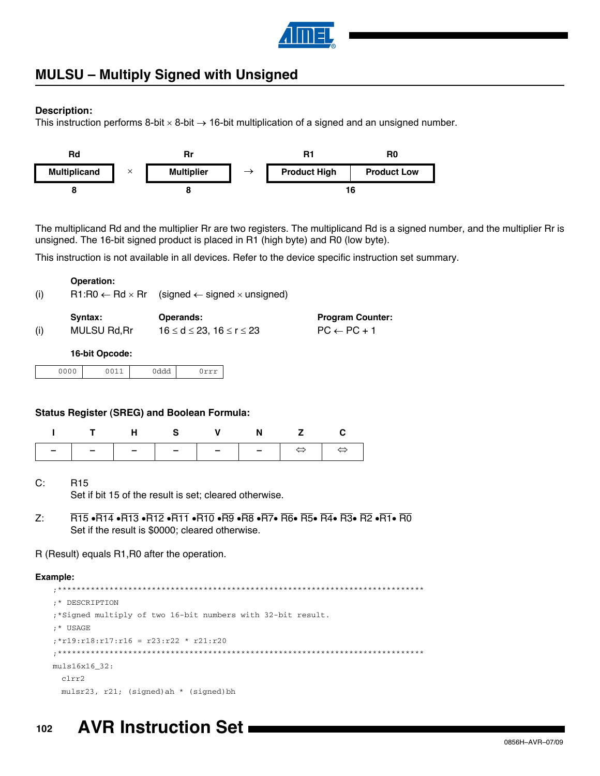

## **MULSU – Multiply Signed with Unsigned**

## **Description:**

This instruction performs 8-bit  $\times$  8-bit  $\rightarrow$  16-bit multiplication of a signed and an unsigned number.



The multiplicand Rd and the multiplier Rr are two registers. The multiplicand Rd is a signed number, and the multiplier Rr is unsigned. The 16-bit signed product is placed in R1 (high byte) and R0 (low byte).

This instruction is not available in all devices. Refer to the device specific instruction set summary.

| (i) |                     | $R1:R0 \leftarrow Rd \times Rr$ (signed $\leftarrow$ signed $\times$ unsigned) |                         |
|-----|---------------------|--------------------------------------------------------------------------------|-------------------------|
| (i) | Syntax:             | Operands:                                                                      | <b>Program Counter:</b> |
|     | <b>MULSU Rd, Rr</b> | $16 \le d \le 23$ , $16 \le r \le 23$                                          | $PC \leftarrow PC + 1$  |

## **16-bit Opcode:**

**Operation:**

| $\sim$ $\sim$ $\sim$<br>. . |  | $\sim$ |
|-----------------------------|--|--------|
|                             |  |        |

## **Status Register (SREG) and Boolean Formula:**

| ITHS V N Z C |  |  |  |
|--------------|--|--|--|
|              |  |  |  |

- C: R15 Set if bit 15 of the result is set; cleared otherwise.
- Z: R15  $\overline{R}$ 14  $\overline{R}$ 13  $\overline{R}$ 12  $\overline{R}$ 11  $\overline{R}$ 10  $\overline{R}$   $\overline{R}$   $\overline{R}$   $\overline{R}$   $\overline{R}$   $\overline{R}$   $\overline{R}$   $\overline{R}$   $\overline{R}$   $\overline{R}$   $\overline{R}$   $\overline{R}$   $\overline{R}$   $\overline{R}$   $\overline{R}$   $\overline{R}$   $\overline{R}$   $\overline{R$ Set if the result is \$0000; cleared otherwise.

## R (Result) equals R1,R0 after the operation.

## **Example:**

```
;******************************************************************************
;* DESCRIPTION
;*Signed multiply of two 16-bit numbers with 32-bit result.
;* USAGE
;*r19:r18:r17:r16 = r23:r22 * r21:r20
;******************************************************************************
muls16x16_32:
 clrr2
 mulsr23, r21; (signed)ah * (signed)bh
```
#### **102 AVR Instruction Set**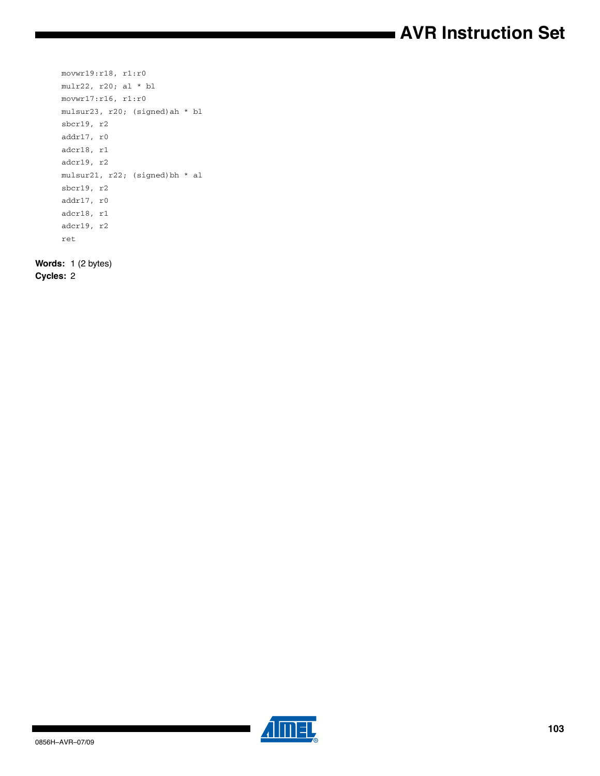# **AVR Instruction Set**

```
movwr19:r18, r1:r0
mulr22, r20; al * bl
movwr17:r16, r1:r0
mulsur23, r20; (signed)ah * bl
sbcr19, r2
addr17, r0
adcr18, r1
adcr19, r2
mulsur21, r22; (signed)bh * al
sbcr19, r2
addr17, r0
adcr18, r1
adcr19, r2
ret
```
**Words:** 1 (2 bytes)

**Cycles:** 2

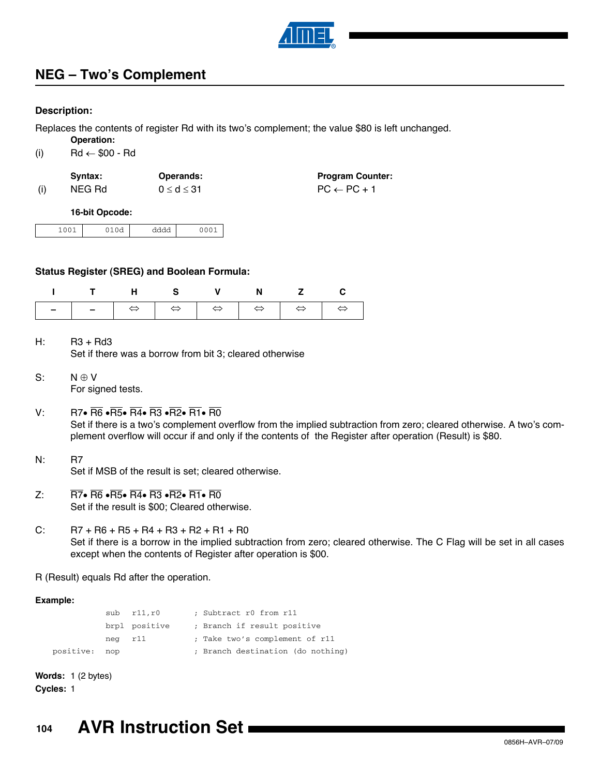

# **NEG – Two's Complement**

## **Description:**

Replaces the contents of register Rd with its two's complement; the value \$80 is left unchanged. **Operation:**

|     | Operation:               |
|-----|--------------------------|
| (i) | $Rd \leftarrow $00 - Rd$ |

| Svntax: | Operands:        | <b>Program Counter:</b> |
|---------|------------------|-------------------------|
| NEG Rd  | $0 \le d \le 31$ | $PC \leftarrow PC + 1$  |

#### **16-bit Opcode:**

| ---- |
|------|
|------|

## **Status Register (SREG) and Boolean Formula:**

| ITHS V N Z C |  |  |  |
|--------------|--|--|--|
|              |  |  |  |

 $H:$  R3 + Rd3 Set if there was a borrow from bit 3; cleared otherwise

- $S: N \oplus V$ For signed tests.
- V: R7 $\cdot$  R6  $\cdot$ R5 $\cdot$ R4 $\cdot$ R3  $\cdot$ R2 $\cdot$ R1 $\cdot$ R0 Set if there is a two's complement overflow from the implied subtraction from zero; cleared otherwise. A two's complement overflow will occur if and only if the contents of the Register after operation (Result) is \$80.
- N: R7 Set if MSB of the result is set; cleared otherwise.
- $Z: \overline{R7} \cdot \overline{R6} \cdot \overline{R5} \cdot \overline{R4} \cdot \overline{R3} \cdot \overline{R2} \cdot \overline{R1} \cdot \overline{R0}$ Set if the result is \$00; Cleared otherwise.
- C:  $\overline{R7 + R6 + R5 + R4 + R3 + R2 + R1 + R0}$ Set if there is a borrow in the implied subtraction from zero; cleared otherwise. The C Flag will be set in all cases except when the contents of Register after operation is \$00.

R (Result) equals Rd after the operation.

## **Example:**

|         | $sub$ $r11.r0$ | ; Subtract r0 from r11            |
|---------|----------------|-----------------------------------|
|         | brpl positive  | ; Branch if result positive       |
| neg r11 |                | ; Take two's complement of r11    |
| nop     |                | ; Branch destination (do nothing) |

**Words:** 1 (2 bytes) **Cycles:** 1

positive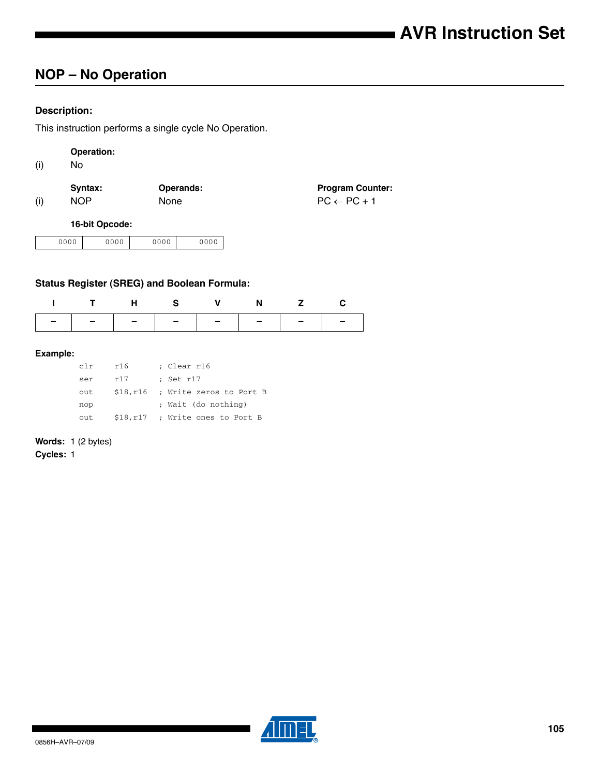# **NOP – No Operation**

## **Description:**

This instruction performs a single cycle No Operation.

| Operation: |
|------------|
|------------|

(i) No

|     | Syntax: | <b>Operands:</b> | <b>Program Counter:</b> |
|-----|---------|------------------|-------------------------|
| (i) | NOP.    | <b>None</b>      | $PC \leftarrow PC + 1$  |

#### **16-bit Opcode:**

| 0000<br>0000 | nnnn<br>◡<br>$\check{ }$ | 0000 |
|--------------|--------------------------|------|
|--------------|--------------------------|------|

## **Status Register (SREG) and Boolean Formula:**

|                               | THS V N Z C |  |  |
|-------------------------------|-------------|--|--|
| -   -   -   -   -   -   -   - |             |  |  |

## **Example:**

| c1r  | r16      | ; Clear r16                      |
|------|----------|----------------------------------|
| ser  | r17      | ; Set r17                        |
| out  |          | \$18,r16 ; Write zeros to Port B |
| nop  |          | ; Wait (do nothing)              |
| out. | \$18,r17 | ; Write ones to Port B           |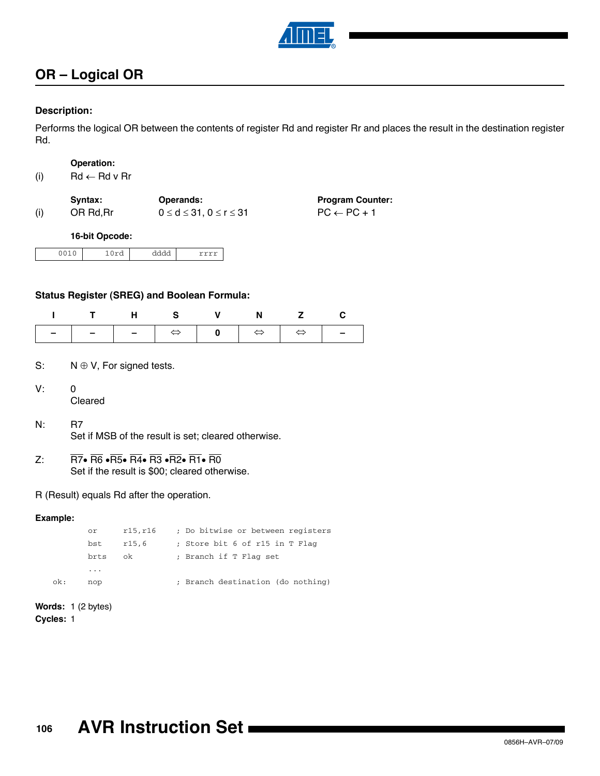

# **OR – Logical OR**

## **Description:**

Performs the logical OR between the contents of register Rd and register Rr and places the result in the destination register Rd.

|  | Operation: |
|--|------------|
|  |            |

(i)  $\mathsf{Rd} \leftarrow \mathsf{Rd} \vee \mathsf{Rr}$ 

|     | Syntax:   | <b>Operands:</b>                     | <b>Program Counter:</b> |
|-----|-----------|--------------------------------------|-------------------------|
| (i) | OR Rd, Rr | $0 \leq d \leq 31, 0 \leq r \leq 31$ | $PC \leftarrow PC + 1$  |

## **16-bit Opcode:**

| --- | . |  |
|-----|---|--|

## **Status Register (SREG) and Boolean Formula:**

|  | ITHS V N Z C |  |  |
|--|--------------|--|--|
|  |              |  |  |

- S:  $N \oplus V$ , For signed tests.
- V: 0 Cleared
- N: R7 Set if MSB of the result is set; cleared otherwise.
- Z:  $\overline{R7}$   $\overline{R6}$   $\overline{R5}$   $\overline{R4}$   $\overline{R3}$   $\overline{R2}$   $\overline{R1}$   $\overline{R0}$ Set if the result is \$00; cleared otherwise.

R (Result) equals Rd after the operation.

## **Example:**

|     | or   | r15,r16 | ; Do bitwise or between registers |
|-----|------|---------|-----------------------------------|
|     | bst  | r15,6   | ; Store bit 6 of r15 in T Flag    |
|     | brts | ok      | ; Branch if T Flag set            |
|     | .    |         |                                   |
| ok: | nop  |         | ; Branch destination (do nothing) |
|     |      |         |                                   |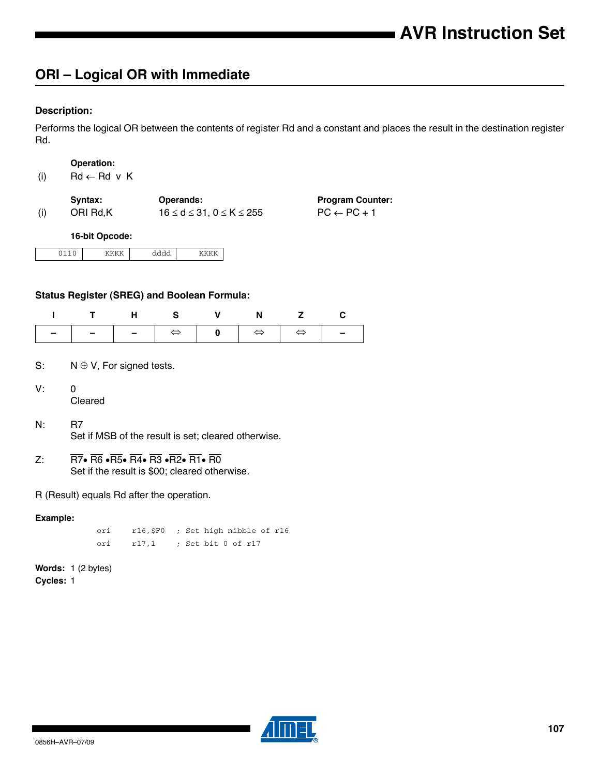# **ORI – Logical OR with Immediate**

## **Description:**

Performs the logical OR between the contents of register Rd and a constant and places the result in the destination register Rd.

#### **Operation:**

|  | (i) | $Rd \leftarrow Rd \vee K$ |  |
|--|-----|---------------------------|--|
|--|-----|---------------------------|--|

|     | Svntax:  | <b>Operands:</b>                          | <b>Program Counter:</b> |
|-----|----------|-------------------------------------------|-------------------------|
| (i) | ORI Rd.K | $16 \leq d \leq 31$ . $0 \leq K \leq 255$ | $PC \leftarrow PC + 1$  |

#### **16-bit Opcode:**

|  | . |  |
|--|---|--|
|  |   |  |

## **Status Register (SREG) and Boolean Formula:**

|  | ITHS V N Z C |  |  |
|--|--------------|--|--|
|  |              |  |  |

- S:  $N \oplus V$ , For signed tests.
- V: 0 Cleared
- N: R7 Set if MSB of the result is set; cleared otherwise.
- Z:  $\overline{R7}$   $\overline{R6}$   $\overline{R5}$   $\overline{R4}$   $\overline{R3}$   $\overline{R2}$   $\overline{R1}$   $\overline{R0}$ Set if the result is \$00; cleared otherwise.

R (Result) equals Rd after the operation.

## **Example:**

ori r16,\$F0 ; Set high nibble of r16 ori r17,1 ; Set bit 0 of r17

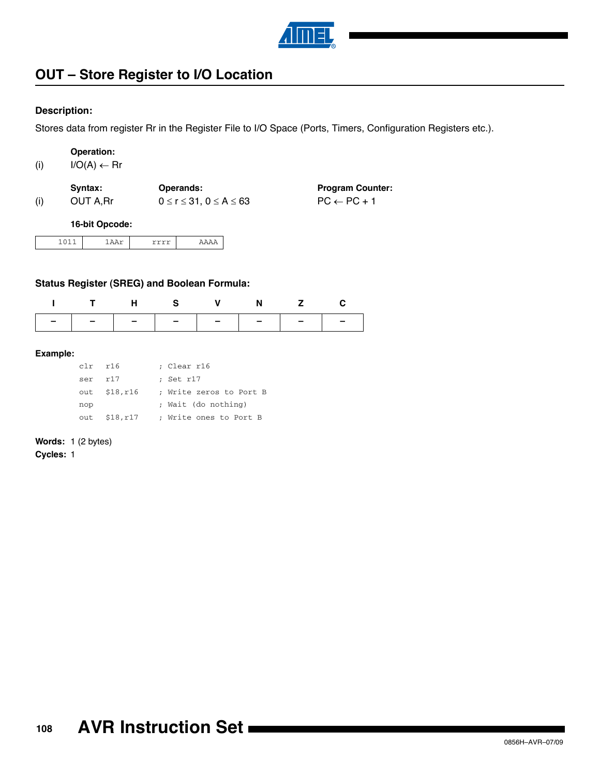

# **OUT – Store Register to I/O Location**

## **Description:**

Stores data from register Rr in the Register File to I/O Space (Ports, Timers, Configuration Registers etc.).

| <b>Operation:</b> |
|-------------------|
|-------------------|

| $I/O(A) \leftarrow Rr$<br>(i) |  |
|-------------------------------|--|
|-------------------------------|--|

|     | Svntax:  | <b>Operands:</b>                     | <b>Program Counter:</b> |
|-----|----------|--------------------------------------|-------------------------|
| (i) | OUT A.Rr | $0 \leq r \leq 31, 0 \leq A \leq 63$ | $PC \leftarrow PC + 1$  |

#### **16-bit Opcode:**

|--|--|--|

## **Status Register (SREG) and Boolean Formula:**

| ITHS V N Z C                  |  |  |  |
|-------------------------------|--|--|--|
| -   -   -   -   -   -   -   - |  |  |  |

#### **Example:**

| $clr$ $r16$ |                   | ; Clear r16             |
|-------------|-------------------|-------------------------|
| ser r17     |                   | ; Set r17               |
|             | out $$18,r16$     | ; Write zeros to Port B |
| nop         |                   | ; Wait (do nothing)     |
|             | $out$ \$18, $r17$ | ; Write ones to Port B  |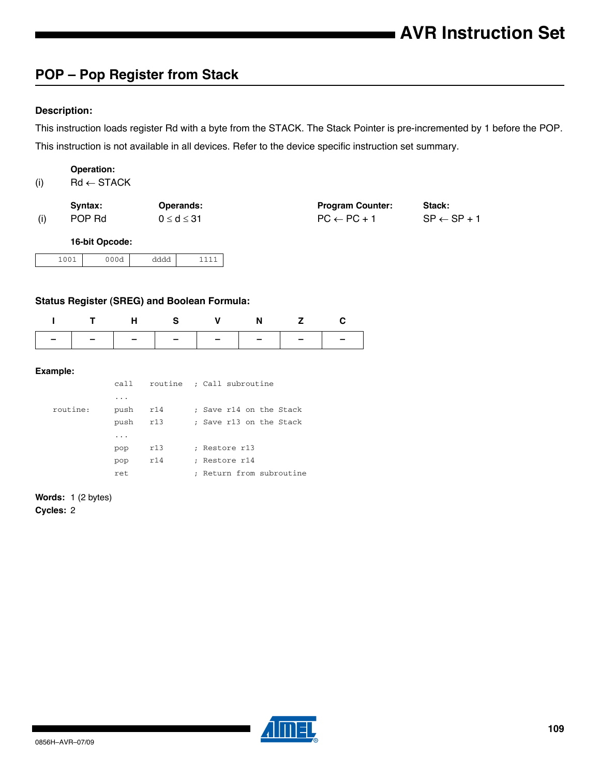## **POP – Pop Register from Stack**

## **Description:**

This instruction loads register Rd with a byte from the STACK. The Stack Pointer is pre-incremented by 1 before the POP. This instruction is not available in all devices. Refer to the device specific instruction set summary.

### **Operation:**

| (i) | $Rd \leftarrow$ STACK |
|-----|-----------------------|
|     |                       |

|     | Syntax: | <b>Operands:</b>   | <b>Program Counter:</b> | Stack:                 |
|-----|---------|--------------------|-------------------------|------------------------|
| (i) | POP Rd  | $0 \leq d \leq 31$ | $PC \leftarrow PC + 1$  | $SP \leftarrow SP + 1$ |

### **16-bit Opcode:**

| .001 | 000d | dddd    | A |
|------|------|---------|---|
|      |      | $    -$ |   |

## **Status Register (SREG) and Boolean Formula:**

|  |  | I THS V N Z C                 |  |
|--|--|-------------------------------|--|
|  |  | -   -   -   -   -   -   -   - |  |

### **Example:**

|          | call                    |     | routine ; Call subroutine                      |
|----------|-------------------------|-----|------------------------------------------------|
|          | $\cdot$ $\cdot$ $\cdot$ |     |                                                |
| routine: | push                    | r14 | : Save r14 on the Stack                        |
|          | push                    | r13 | : Save r13 on the Stack                        |
|          | .                       |     |                                                |
|          | pop                     | r13 | ; Restore r13                                  |
|          | pop                     | r14 | ; Restore r14                                  |
|          | ret                     |     | Return from subroutine<br>$\ddot{\phantom{0}}$ |

**Words:** 1 (2 bytes)

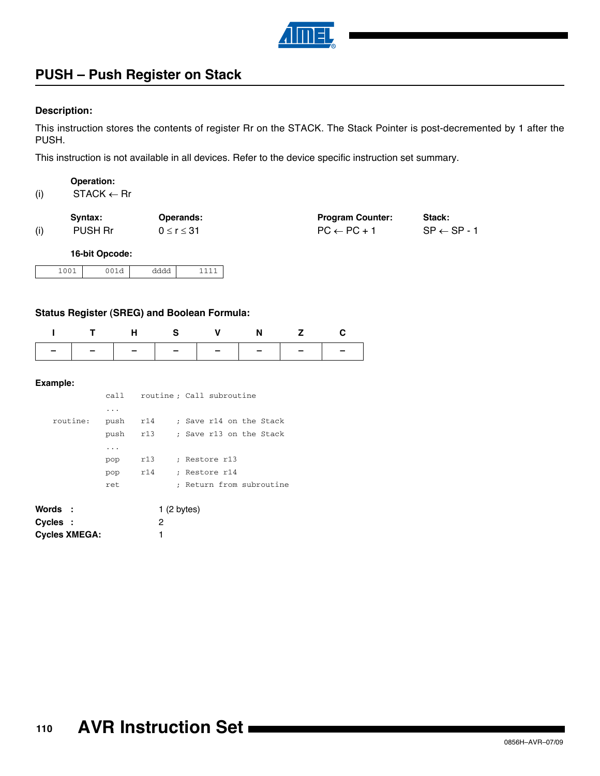

## **PUSH – Push Register on Stack**

### **Description:**

This instruction stores the contents of register Rr on the STACK. The Stack Pointer is post-decremented by 1 after the PUSH.

This instruction is not available in all devices. Refer to the device specific instruction set summary.

## **Operation:**

(i)  $STACK \leftarrow Rr$ 

|     | Svntax: | <b>Operands:</b>   | <b>Program Counter:</b> | Stack:                 |
|-----|---------|--------------------|-------------------------|------------------------|
| (i) | PUSH Rr | $0 \leq r \leq 31$ | $PC \leftarrow PC + 1$  | $SP \leftarrow SP - 1$ |

### **16-bit Opcode:**

| $ -$<br>$-0$ | $\sim$ | $    -$ |  |
|--------------|--------|---------|--|

## **Status Register (SREG) and Boolean Formula:**

| THS V N Z C                   |  |  |  |
|-------------------------------|--|--|--|
| -   -   -   -   -   -   -   - |  |  |  |

|          | call    |     | routine; Call subroutine |
|----------|---------|-----|--------------------------|
|          | .       |     |                          |
| routine: | push    | r14 | : Save r14 on the Stack  |
|          | push    | r13 | : Save r13 on the Stack  |
|          | $\cdot$ |     |                          |
|          | pop     | r13 | : Restore r13            |
|          | pop     | r14 | ; Restore r14            |
|          | ret.    |     | ; Return from subroutine |
|          |         |     |                          |

| Words :              | 1(2 bytes) |
|----------------------|------------|
| Cycles :             |            |
| <b>Cycles XMEGA:</b> |            |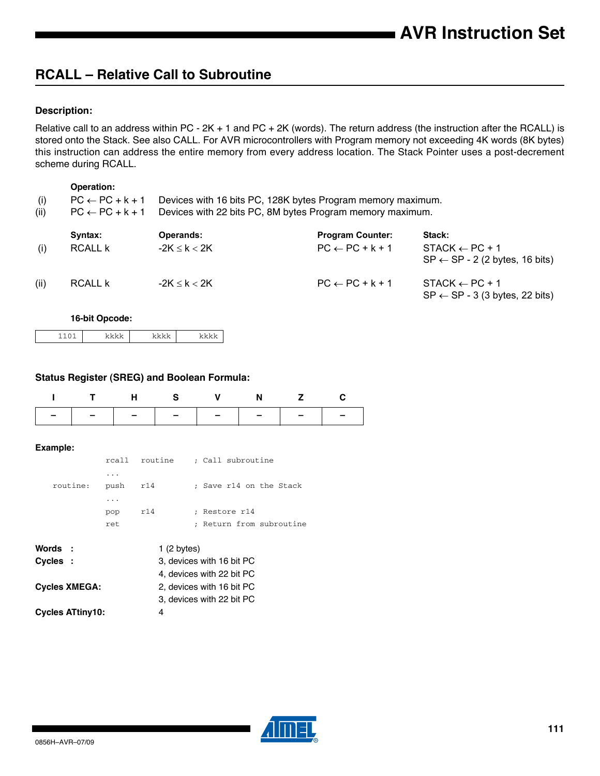## **RCALL – Relative Call to Subroutine**

## **Description:**

Relative call to an address within PC - 2K + 1 and PC + 2K (words). The return address (the instruction after the RCALL) is stored onto the Stack. See also CALL. For AVR microcontrollers with Program memory not exceeding 4K words (8K bytes) this instruction can address the entire memory from every address location. The Stack Pointer uses a post-decrement scheme during RCALL.

#### **Operation:**

| (i)<br>(ii) | $PC \leftarrow PC + k + 1$<br>$PC \leftarrow PC + k + 1$ |                   | Devices with 16 bits PC, 128K bytes Program memory maximum.<br>Devices with 22 bits PC, 8M bytes Program memory maximum. |                                                                        |
|-------------|----------------------------------------------------------|-------------------|--------------------------------------------------------------------------------------------------------------------------|------------------------------------------------------------------------|
|             | Syntax:                                                  | <b>Operands:</b>  | <b>Program Counter:</b>                                                                                                  | Stack:                                                                 |
| (i)         | <b>RCALL k</b>                                           | $-2K \leq k < 2K$ | $PC \leftarrow PC + k + 1$                                                                                               | $STACK \leftarrow PC + 1$<br>$SP \leftarrow SP - 2$ (2 bytes, 16 bits) |
| (ii)        | RCALL k                                                  | $-2K \leq k < 2K$ | $PC \leftarrow PC + k + 1$                                                                                               | $STACK \leftarrow PC + 1$<br>$SP \leftarrow SP - 3$ (3 bytes, 22 bits) |

#### **16-bit Opcode:**

|--|

#### **Status Register (SREG) and Boolean Formula:**

|               |  | THS V N Z C |  |
|---------------|--|-------------|--|
| ------------- |  |             |  |

|               | rcall | routine    | : Call subroutine         |
|---------------|-------|------------|---------------------------|
|               | .     |            |                           |
| routine:      | push  | r14        | : Save r14 on the Stack   |
|               | .     |            |                           |
|               | pop   | r14        | : Restore r14             |
|               | ret   |            | : Return from subroutine  |
| Words :       |       | 1(2 bytes) |                           |
| Cvcles :      |       |            | 3, devices with 16 bit PC |
|               |       |            | 4, devices with 22 bit PC |
| Cycles XMEGA: |       |            | 2. devices with 16 bit PC |

| <b>Cycles XMEGA:</b>    | 2, devices with 16 bit PC |
|-------------------------|---------------------------|
|                         | 3. devices with 22 bit PC |
| <b>Cycles ATtiny10:</b> |                           |

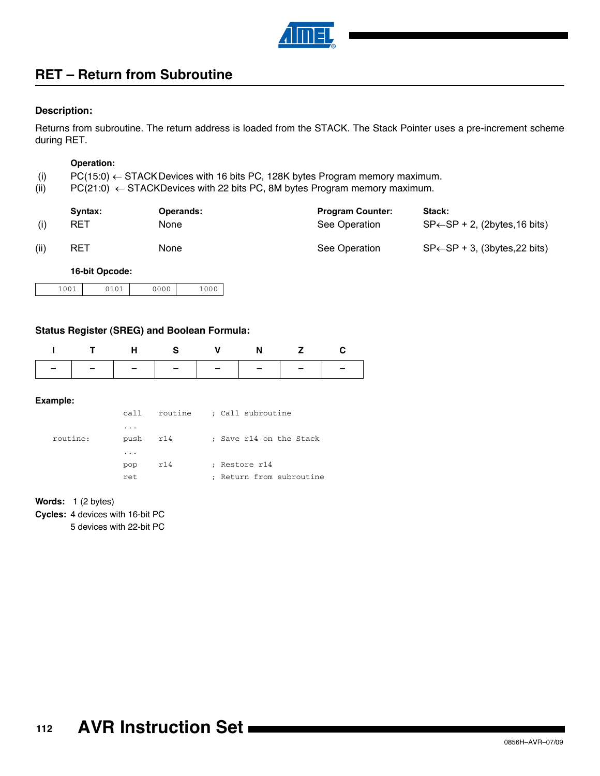

## **RET – Return from Subroutine**

### **Description:**

Returns from subroutine. The return address is loaded from the STACK. The Stack Pointer uses a pre-increment scheme during RET.

#### **Operation:**

- (i) PC(15:0)  $\leftarrow$  STACK Devices with 16 bits PC, 128K bytes Program memory maximum.
- (ii)  $PC(21:0) \leftarrow STACKDevices with 22 bits PC, 8M bytes Program memory maximum.$

|      | Syntax:    | Operands: | <b>Program Counter:</b> | Stack:                                     |
|------|------------|-----------|-------------------------|--------------------------------------------|
|      | <b>RET</b> | None      | See Operation           | $SP \leftarrow SP + 2$ , (2bytes, 16 bits) |
| (ii) | RET        | None      | See Operation           | $SP \leftarrow SP + 3$ , (3bytes, 22 bits) |

#### **16-bit Opcode:**

| 1001 | 0101 | 0000 | 1000 |
|------|------|------|------|
|      |      |      |      |

### **Status Register (SREG) and Boolean Formula:**

|                               | THS V N Z C |  |  |
|-------------------------------|-------------|--|--|
| -   -   -   -   -   -   -   - |             |  |  |

#### **Example:**

|          | call                |     | routine ; Call subroutine |
|----------|---------------------|-----|---------------------------|
| routine: | $\cdot$<br>push r14 |     | ; Save r14 on the Stack   |
|          | $\cdot$             |     |                           |
|          | gog                 | r14 | ; Restore r14             |
|          | ret                 |     | ; Return from subroutine  |

#### **Words:** 1 (2 bytes)

**Cycles:** 4 devices with 16-bit PC

5 devices with 22-bit PC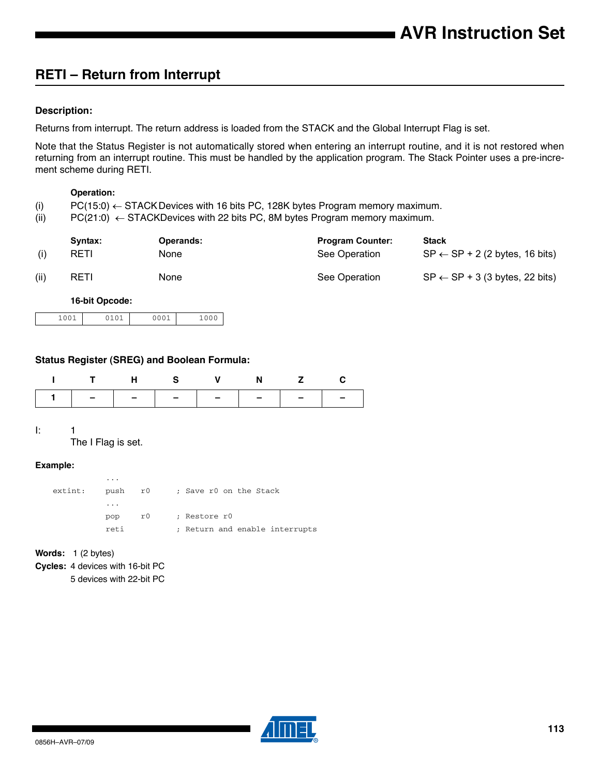## **RETI – Return from Interrupt**

## **Description:**

Returns from interrupt. The return address is loaded from the STACK and the Global Interrupt Flag is set.

Note that the Status Register is not automatically stored when entering an interrupt routine, and it is not restored when returning from an interrupt routine. This must be handled by the application program. The Stack Pointer uses a pre-increment scheme during RETI.

#### **Operation:**

- (i)  $PC(15:0) \leftarrow$  STACK Devices with 16 bits PC, 128K bytes Program memory maximum.
- (ii) PC(21:0)  $\leftarrow$  STACKDevices with 22 bits PC, 8M bytes Program memory maximum.

|      | Syntax: | <b>Operands:</b> | <b>Program Counter:</b> | <b>Stack</b>                              |
|------|---------|------------------|-------------------------|-------------------------------------------|
|      | RETI    | None             | See Operation           | $SP \leftarrow SP + 2$ (2 bytes, 16 bits) |
| (ii) | RETI    | None             | See Operation           | $SP \leftarrow SP + 3$ (3 bytes, 22 bits) |

**16-bit Opcode:**

| 101<br>1001 | 000 <sup>7</sup> | 1000 |
|-------------|------------------|------|
|-------------|------------------|------|

### **Status Register (SREG) and Boolean Formula:**

|                               | H S V |  | N Z C |  |
|-------------------------------|-------|--|-------|--|
| 1   -   -   -   -   -   -   - |       |  |       |  |

 $l: 1$ 

The I Flag is set.

### **Example:**

| extint: | $\cdots$<br>push r0 |    | ; Save r0 on the Stack         |
|---------|---------------------|----|--------------------------------|
|         | $\cdots$            |    |                                |
|         | pop                 | r0 | ; Restore r0                   |
|         | reti                |    | ; Return and enable interrupts |
|         |                     |    |                                |

**Words:** 1 (2 bytes)

**Cycles:** 4 devices with 16-bit PC

5 devices with 22-bit PC

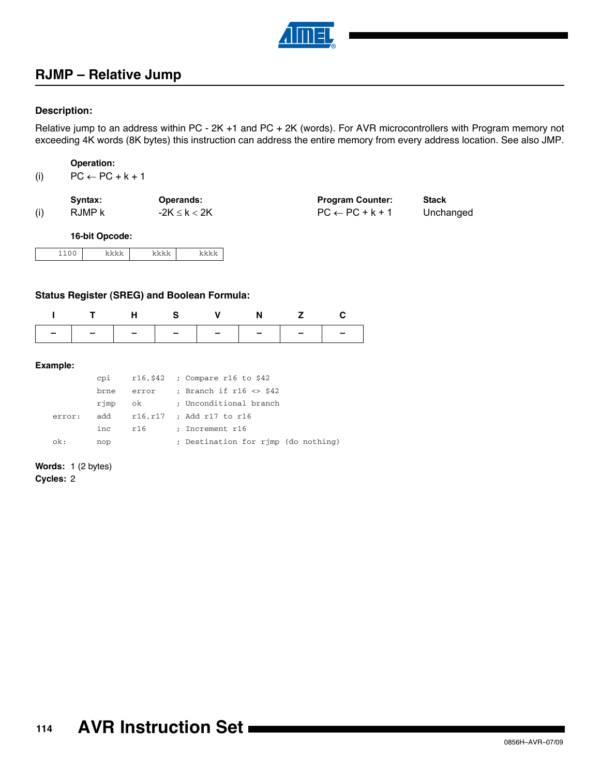

## **RJMP – Relative Jump**

### **Description:**

Relative jump to an address within PC - 2K +1 and PC + 2K (words). For AVR microcontrollers with Program memory not exceeding 4K words (8K bytes) this instruction can address the entire memory from every address location. See also JMP.

**Operation:**

| $PC \leftarrow PC + k + 1$<br>(i) |  |  |
|-----------------------------------|--|--|
|-----------------------------------|--|--|

|     | Syntax: | <b>Operands:</b>  | <b>Program Counter:</b>    | <b>Stack</b> |
|-----|---------|-------------------|----------------------------|--------------|
| (i) | RJMP k  | $-2K \leq k < 2K$ | $PC \leftarrow PC + k + 1$ | Unchanged    |

**16-bit Opcode:**

### **Status Register (SREG) and Boolean Formula:**

|  |  | ITHS V N Z C                  |  |
|--|--|-------------------------------|--|
|  |  | -   -   -   -   -   -   -   - |  |

#### **Example:**

|        | cpi  |       | $r16, $42$ ; Compare r16 to \$42    |
|--------|------|-------|-------------------------------------|
|        | brne | error | ; Branch if $r16 \leq s42$          |
|        | rjmp | ok    | ; Unconditional branch              |
| error: | add  |       | r16,r17 ; Add r17 to r16            |
|        | inc  | r16   | ; Increment r16                     |
| ok:    | nop  |       | ; Destination for rjmp (do nothing) |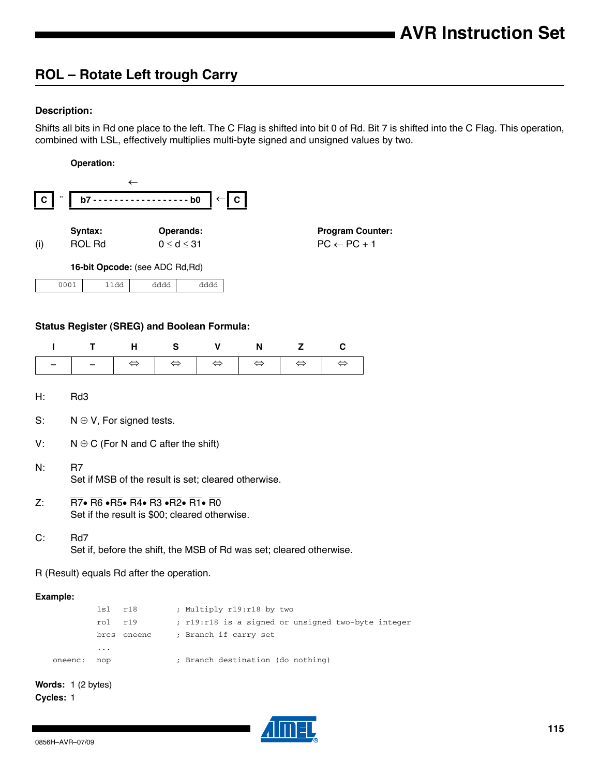## **ROL – Rotate Left trough Carry**

## **Description:**

Shifts all bits in Rd one place to the left. The C Flag is shifted into bit 0 of Rd. Bit 7 is shifted into the C Flag. This operation, combined with LSL, effectively multiplies multi-byte signed and unsigned values by two.

#### **Operation:**



### **Status Register (SREG) and Boolean Formula:**

| ITHS V N Z C |  |  |  |
|--------------|--|--|--|
|              |  |  |  |

H: Rd3

- S:  $N \oplus V$ , For signed tests.
- V:  $N \oplus C$  (For N and C after the shift)
- N: R7 Set if MSB of the result is set; cleared otherwise.
- Z:  $\overline{R7}$   $\overline{R6}$   $\overline{R5}$   $\overline{R4}$   $\overline{R3}$   $\overline{R2}$   $\overline{R1}$   $\overline{R0}$ Set if the result is \$00; cleared otherwise.
- C: Rd7

Set if, before the shift, the MSB of Rd was set; cleared otherwise.

R (Result) equals Rd after the operation.

#### **Example:**

|         | 1s1 r18 |        | ; Multiply r19:r18 by two                          |
|---------|---------|--------|----------------------------------------------------|
|         | rol r19 |        | ; r19:r18 is a signed or unsigned two-byte integer |
|         | brcs    | oneenc | ; Branch if carry set                              |
|         | $\cdot$ |        |                                                    |
| oneenc: | nop     |        | ; Branch destination (do nothing)                  |
|         |         |        |                                                    |

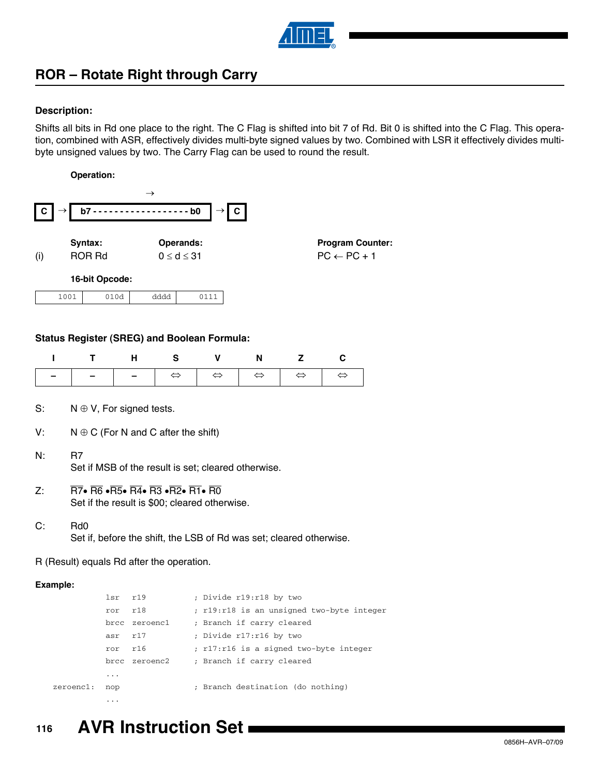

## **ROR – Rotate Right through Carry**

## **Description:**

Shifts all bits in Rd one place to the right. The C Flag is shifted into bit 7 of Rd. Bit 0 is shifted into the C Flag. This operation, combined with ASR, effectively divides multi-byte signed values by two. Combined with LSR it effectively divides multibyte unsigned values by two. The Carry Flag can be used to round the result.

#### **Operation:**



#### **Status Register (SREG) and Boolean Formula:**

| ı        | т                                                                                                                                                                           | н                | S                                                                   | v                 | N                         | z                 | C                                         |  |
|----------|-----------------------------------------------------------------------------------------------------------------------------------------------------------------------------|------------------|---------------------------------------------------------------------|-------------------|---------------------------|-------------------|-------------------------------------------|--|
|          |                                                                                                                                                                             |                  | $\Leftrightarrow$                                                   | $\Leftrightarrow$ | $\Leftrightarrow$         | $\Leftrightarrow$ | $\Leftrightarrow$                         |  |
|          |                                                                                                                                                                             |                  |                                                                     |                   |                           |                   |                                           |  |
| S:       | $N \oplus V$ , For signed tests.                                                                                                                                            |                  |                                                                     |                   |                           |                   |                                           |  |
| V.       |                                                                                                                                                                             |                  | $N \oplus C$ (For N and C after the shift)                          |                   |                           |                   |                                           |  |
| N.       | R7                                                                                                                                                                          |                  | Set if MSB of the result is set; cleared otherwise.                 |                   |                           |                   |                                           |  |
| $Z$ :    | $\overline{R7}$ $\bullet$ $\overline{R6}$ $\bullet$ $\overline{R4}$ $\bullet$ $\overline{R3}$ $\bullet$ $\overline{R2}$ $\bullet$ $\overline{R1}$ $\bullet$ $\overline{R0}$ |                  | Set if the result is \$00; cleared otherwise.                       |                   |                           |                   |                                           |  |
| C:       | R <sub>d</sub> 0                                                                                                                                                            |                  | Set if, before the shift, the LSB of Rd was set; cleared otherwise. |                   |                           |                   |                                           |  |
|          | R (Result) equals Rd after the operation.                                                                                                                                   |                  |                                                                     |                   |                           |                   |                                           |  |
| Example: |                                                                                                                                                                             |                  |                                                                     |                   |                           |                   |                                           |  |
|          | lsr                                                                                                                                                                         | r19              |                                                                     |                   | ; Divide r19:r18 by two   |                   |                                           |  |
|          |                                                                                                                                                                             | r18<br>ror       |                                                                     |                   |                           |                   | ; r19:r18 is an unsigned two-byte integer |  |
|          |                                                                                                                                                                             | zeroenc1<br>brcc |                                                                     |                   | ; Branch if carry cleared |                   |                                           |  |
|          |                                                                                                                                                                             | r17<br>asr       |                                                                     |                   | ; Divide r17:r16 by two   |                   |                                           |  |

ror r16 ; r17:r16 is a signed two-byte integer

brcc zeroenc2 ; Branch if carry cleared

zeroenc1: nop ; Branch destination (do nothing)

#### **116 AVR Instruction Set**

...

...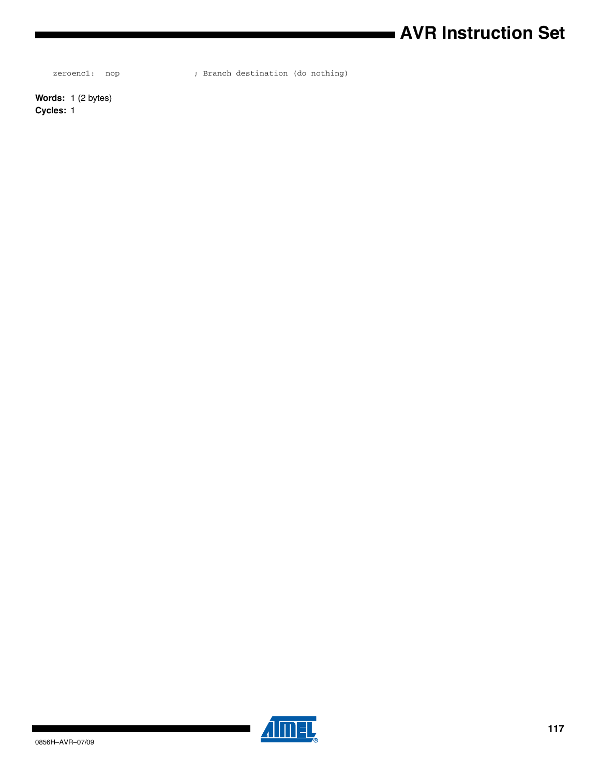# **AVR Instruction Set**

zeroenc1: nop ; Branch destination (do nothing)

**Words:** 1 (2 bytes) **Cycles:** 1

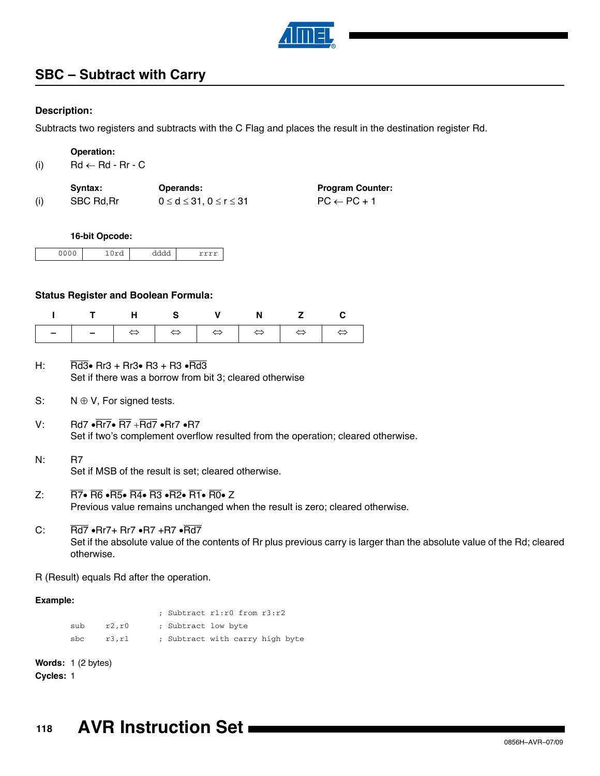

## **SBC – Subtract with Carry**

## **Description:**

Subtracts two registers and subtracts with the C Flag and places the result in the destination register Rd.

**Operation:**

(i)  $Rd \leftarrow Rd - Rr - C$ 

| Svntax:    | <b>Operands:</b>                       | <b>Program Counter:</b> |
|------------|----------------------------------------|-------------------------|
| SBC Rd, Rr | $0 \leq d \leq 31.$ $0 \leq r \leq 31$ | $PC \leftarrow PC + 1$  |

#### **16-bit Opcode:**

| 0.000<br>◡<br>◡ | - - | ------ |
|-----------------|-----|--------|

#### **Status Register and Boolean Formula:**

| ITHS V N Z C |  |  |  |
|--------------|--|--|--|
|              |  |  |  |

- H: Rd3 $\bullet$  Rr3 + Rr3 $\bullet$  R3 + R3  $\bullet$  Rd3 Set if there was a borrow from bit 3; cleared otherwise
- S:  $N \oplus V$ , For signed tests.
- V: Rd7  $\cdot$  Rr7 $\cdot$  R7  $\cdot$  Rd7  $\cdot$  Rr7  $\cdot$  R7 Set if two's complement overflow resulted from the operation; cleared otherwise.
- N: R7 Set if MSB of the result is set; cleared otherwise.
- Z:  $\overline{R7}$   $\overline{R6}$   $\overline{R5}$   $\overline{R4}$   $\overline{R3}$   $\overline{R2}$   $\overline{R1}$   $\overline{R0}$   $\overline{Z}$ Previous value remains unchanged when the result is zero; cleared otherwise.
- C:  $\overline{Rd7}$   $\cdot$  Rr7 + Rr7  $\cdot$  R7 + R7  $\cdot$  Rd7 Set if the absolute value of the contents of Rr plus previous carry is larger than the absolute value of the Rd; cleared otherwise.
- R (Result) equals Rd after the operation.

#### **Example:**

; Subtract r1:r0 from r3:r2 sub r2, r0 ; Subtract low byte sbc r3, r1 ; Subtract with carry high byte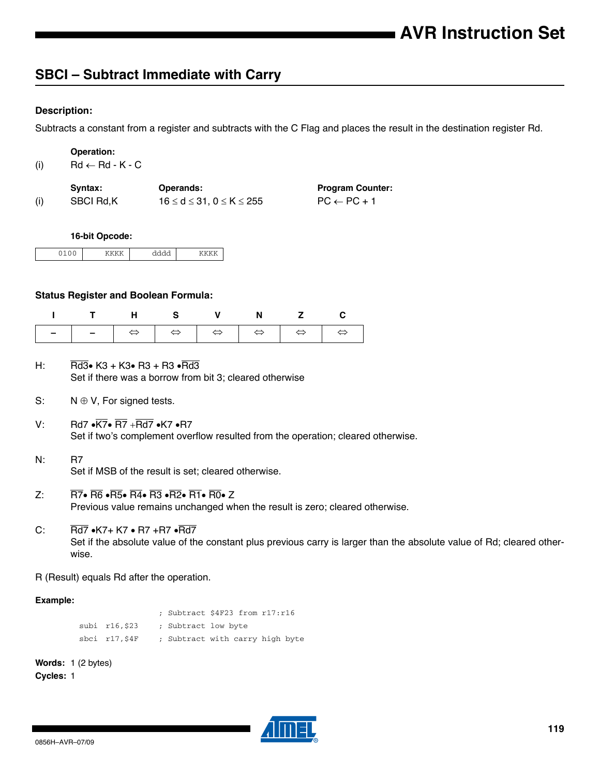## **SBCI – Subtract Immediate with Carry**

## **Description:**

Subtracts a constant from a register and subtracts with the C Flag and places the result in the destination register Rd.

| <b>Operation:</b> |  |
|-------------------|--|
|-------------------|--|

| (i)<br>$Rd \leftarrow Rd - K - C$ |
|-----------------------------------|
|-----------------------------------|

|     | Svntax:   | Operands:                                 | <b>Program Counter:</b> |
|-----|-----------|-------------------------------------------|-------------------------|
| (i) | SBCI Rd.K | $16 \leq d \leq 31$ . $0 \leq K \leq 255$ | $PC \leftarrow PC + 1$  |

#### **16-bit Opcode:**

|  | . |  |
|--|---|--|

#### **Status Register and Boolean Formula:**

| ITHS V N Z C |  |  |  |
|--------------|--|--|--|
|              |  |  |  |

- H: Rd3• K3 + K3• R3 + R3 Rd3 Set if there was a borrow from bit 3; cleared otherwise
- S:  $N \oplus V$ , For signed tests.
- V: Rd7  $\cdot$   $\overline{\text{K7}}$   $\cdot$   $\overline{\text{R7}}$   $\cdot$   $\overline{\text{Rd7}}$   $\cdot$  K7  $\cdot$  R7 Set if two's complement overflow resulted from the operation; cleared otherwise.
- N: R7 Set if MSB of the result is set; cleared otherwise.
- Z:  $\overline{R7}$   $\overline{R6}$   $\overline{R5}$   $\overline{R4}$   $\overline{R3}$   $\overline{R2}$   $\overline{R1}$   $\overline{R0}$   $\overline{Z}$ Previous value remains unchanged when the result is zero; cleared otherwise.
- C:  $\overline{Rd7}$   $\bullet$ K7+ K7  $\bullet$  R7 +R7  $\bullet$ Rd7 Set if the absolute value of the constant plus previous carry is larger than the absolute value of Rd; cleared otherwise.
- R (Result) equals Rd after the operation.

### **Example:**

; Subtract \$4F23 from r17:r16 subi r16, \$23 ; Subtract low byte sbci r17, \$4F ; Subtract with carry high byte

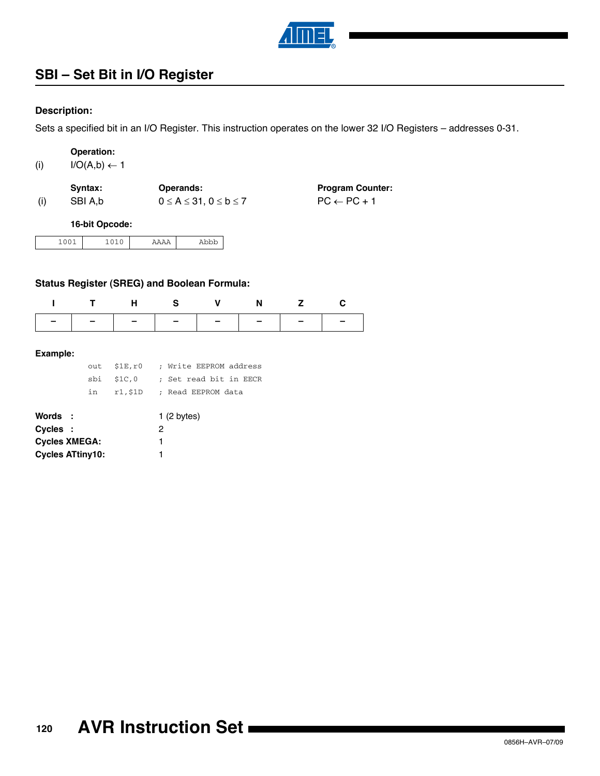

## **SBI – Set Bit in I/O Register**

## **Description:**

Sets a specified bit in an I/O Register. This instruction operates on the lower 32 I/O Registers – addresses 0-31.

| <b>Operation:</b> |  |
|-------------------|--|
|                   |  |

| (i) | $I/O(A,b) \leftarrow 1$ |
|-----|-------------------------|
|-----|-------------------------|

| Syntax: | <b>Operands:</b>                    | <b>Program Counter:</b> |
|---------|-------------------------------------|-------------------------|
| SBI A.b | $0 \leq A \leq 31, 0 \leq b \leq 7$ | $PC \leftarrow PC + 1$  |

#### **16-bit Opcode:**

| $ -$<br>__ |  | ---<br>---- |
|------------|--|-------------|
|------------|--|-------------|

## **Status Register (SREG) and Boolean Formula:**

| ITHS V N Z C |  |  |  |
|--------------|--|--|--|
|              |  |  |  |

|    | out \$1E.r0 | ; Write EEPROM address     |
|----|-------------|----------------------------|
|    | sbi \$1C.0  | ; Set read bit in EECR     |
| in |             | r1,\$1D ; Read EEPROM data |

| Words :                 | 1(2 bytes) |
|-------------------------|------------|
| Cycles :                | 2          |
| <b>Cycles XMEGA:</b>    |            |
| <b>Cycles ATtiny10:</b> |            |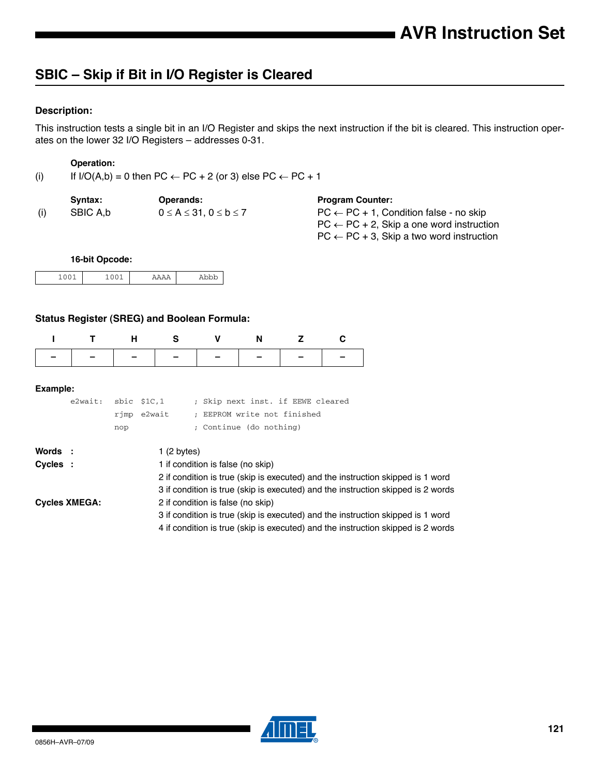## **SBIC – Skip if Bit in I/O Register is Cleared**

## **Description:**

This instruction tests a single bit in an I/O Register and skips the next instruction if the bit is cleared. This instruction operates on the lower 32 I/O Registers – addresses 0-31.

#### **Operation:**

(i) If  $I/O(A,b) = 0$  then  $PC \leftarrow PC + 2$  (or 3) else  $PC \leftarrow PC + 1$ 

|     | Svntax:  | <b>Operands:</b>                       | <b>Program Counter:</b>                                                                                                                                            |
|-----|----------|----------------------------------------|--------------------------------------------------------------------------------------------------------------------------------------------------------------------|
| (i) | SBIC A.b | $0 \leq A \leq 31$ , $0 \leq b \leq 7$ | $PC \leftarrow PC + 1$ , Condition false - no skip<br>$PC \leftarrow PC + 2$ , Skip a one word instruction<br>$PC \leftarrow PC + 3$ , Skip a two word instruction |

### **16-bit Opcode:**

| ---- | ---- | . |
|------|------|---|

## **Status Register (SREG) and Boolean Formula:**

| ITHS V N Z C                  |  |  |  |
|-------------------------------|--|--|--|
| -   -   -   -   -   -   -   - |  |  |  |

| e2wait: sbic \$1C,1 |     |             | ; Skip next inst. if EEWE cleared |
|---------------------|-----|-------------|-----------------------------------|
|                     |     | rimp e2wait | ; EEPROM write not finished       |
|                     | nop |             | ; Continue (do nothing)           |

| Words :  |                      | 1(2 bytes)                                                                       |
|----------|----------------------|----------------------------------------------------------------------------------|
| Cycles : |                      | 1 if condition is false (no skip)                                                |
|          |                      | 2 if condition is true (skip is executed) and the instruction skipped is 1 word  |
|          |                      | 3 if condition is true (skip is executed) and the instruction skipped is 2 words |
|          | <b>Cycles XMEGA:</b> | 2 if condition is false (no skip)                                                |
|          |                      | 3 if condition is true (skip is executed) and the instruction skipped is 1 word  |
|          |                      | 4 if condition is true (skip is executed) and the instruction skipped is 2 words |

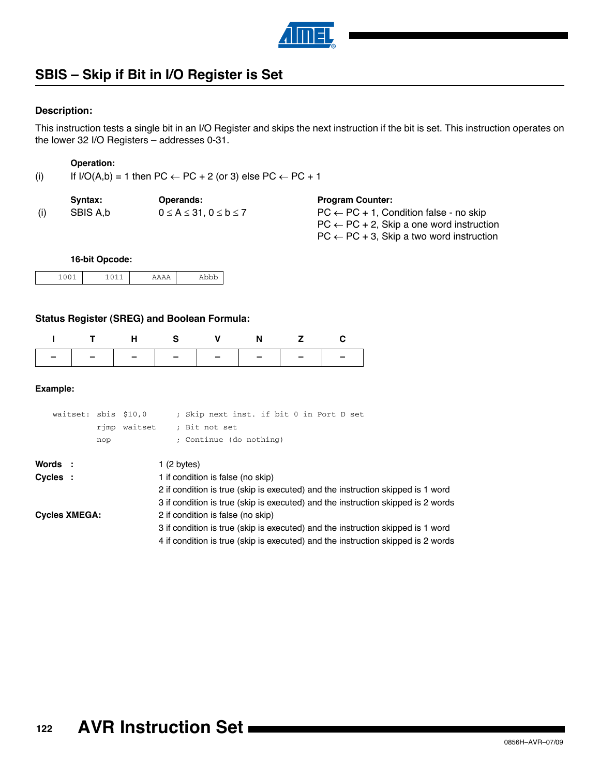

## **SBIS – Skip if Bit in I/O Register is Set**

### **Description:**

This instruction tests a single bit in an I/O Register and skips the next instruction if the bit is set. This instruction operates on the lower 32 I/O Registers – addresses 0-31.

#### **Operation:**

(i) If  $I/O(A,b) = 1$  then  $PC \leftarrow PC + 2$  (or 3) else  $PC \leftarrow PC + 1$ 

|     | Svntax:  | <b>Operands:</b>                       | <b>Program Counter:</b>                                                                                                                                            |
|-----|----------|----------------------------------------|--------------------------------------------------------------------------------------------------------------------------------------------------------------------|
| (i) | SBIS A.b | $0 \leq A \leq 31$ , $0 \leq b \leq 7$ | $PC \leftarrow PC + 1$ , Condition false - no skip<br>$PC \leftarrow PC + 2$ , Skip a one word instruction<br>$PC \leftarrow PC + 3$ , Skip a two word instruction |

### **16-bit Opcode:**

|  | . |
|--|---|

## **Status Register (SREG) and Boolean Formula:**

| ITHS V N Z C |  |  |  |
|--------------|--|--|--|
|              |  |  |  |

| waitset: sbis \$10,0 |     | rimp waitset | ; Skip next inst. if bit 0 in Port D set<br>; Bit not set                        |
|----------------------|-----|--------------|----------------------------------------------------------------------------------|
|                      | nop |              | ; Continue (do nothing)                                                          |
| Words :              |     |              | 1 (2 bytes)                                                                      |
| Cycles :             |     |              | 1 if condition is false (no skip)                                                |
|                      |     |              | 2 if condition is true (skip is executed) and the instruction skipped is 1 word  |
|                      |     |              | 3 if condition is true (skip is executed) and the instruction skipped is 2 words |
| <b>Cycles XMEGA:</b> |     |              | 2 if condition is false (no skip)                                                |
|                      |     |              | 3 if condition is true (skip is executed) and the instruction skipped is 1 word  |
|                      |     |              | 4 if condition is true (skip is executed) and the instruction skipped is 2 words |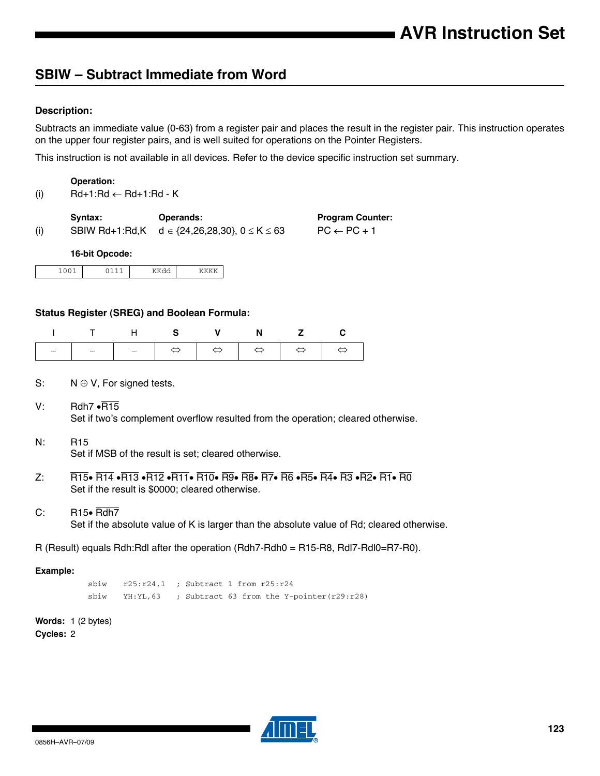## **SBIW – Subtract Immediate from Word**

## **Description:**

Subtracts an immediate value (0-63) from a register pair and places the result in the register pair. This instruction operates on the upper four register pairs, and is well suited for operations on the Pointer Registers.

This instruction is not available in all devices. Refer to the device specific instruction set summary.

#### **Operation:**

(i)  $Rd+1:Rd \leftarrow Rd+1:Rd - K$ 

|     | Svntax: | <b>Operands:</b>                                             | <b>Program Counter:</b> |
|-----|---------|--------------------------------------------------------------|-------------------------|
| (i) |         | SBIW Rd+1:Rd,K $d \in \{24, 26, 28, 30\}$ , $0 \le K \le 63$ | $PC \leftarrow PC + 1$  |
|     |         |                                                              |                         |

#### **16-bit Opcode:**

## **Status Register (SREG) and Boolean Formula:**

|  | ITHS V N Z C |  |  |
|--|--------------|--|--|
|  |              |  |  |

- S:  $N \oplus V$ , For signed tests.
- $V:$  Rdh7  $\cdot$ R15 Set if two's complement overflow resulted from the operation; cleared otherwise.
- N: R15

 $\mathsf{l}$ 

Set if MSB of the result is set; cleared otherwise.

- $Z: \overline{R}$  R15 $\bullet$  R14  $\bullet$ R13  $\bullet$ R12  $\bullet$ R11 $\bullet$  R10 $\bullet$  R9 $\bullet$  R8 $\bullet$  R7 $\bullet$  R6  $\bullet$ R5 $\bullet$  R4 $\bullet$  R3 $\bullet$  R1 $\bullet$  R0 Set if the result is \$0000; cleared otherwise.
- $C:$  R15 $\bullet$  Rdh7

Set if the absolute value of K is larger than the absolute value of Rd; cleared otherwise.

R (Result) equals Rdh:Rdl after the operation (Rdh7-Rdh0 = R15-R8, Rdl7-Rdl0=R7-R0).

#### **Example:**

sbiw r25:r24,1 ; Subtract 1 from r25:r24 sbiw YH:YL,63 ; Subtract 63 from the Y-pointer(r29:r28)

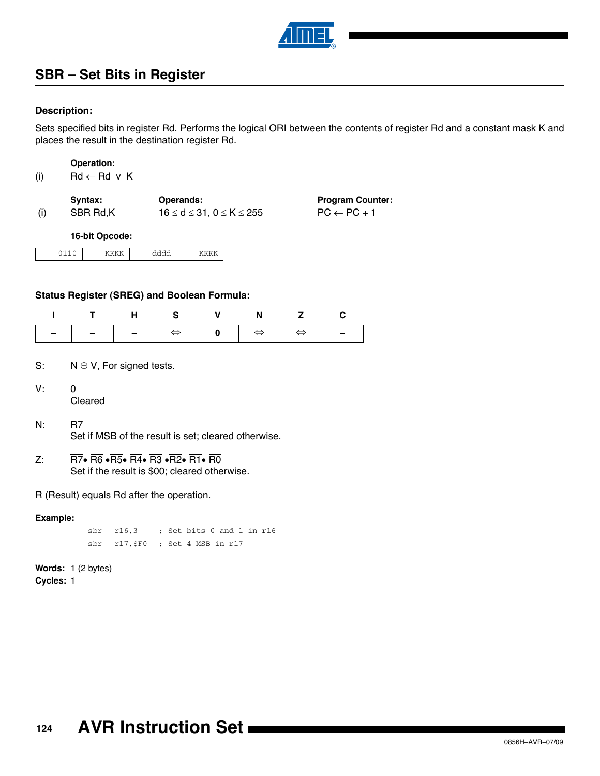

## **SBR – Set Bits in Register**

## **Description:**

Sets specified bits in register Rd. Performs the logical ORI between the contents of register Rd and a constant mask K and places the result in the destination register Rd.

| <b>Operation:</b> |  |
|-------------------|--|
|                   |  |
|                   |  |

| (i) | $Rd \leftarrow Rd$ v K |  |  |
|-----|------------------------|--|--|
|     |                        |  |  |

|     | Svntax:  | <b>Operands:</b>                      | <b>Program Counter:</b> |
|-----|----------|---------------------------------------|-------------------------|
| (i) | SBR Rd.K | $16 \le d \le 31$ . $0 \le K \le 255$ | $PC \leftarrow PC + 1$  |

#### **16-bit Opcode:**

## **Status Register (SREG) and Boolean Formula:**

| ITHS V N Z C |  |  |  |
|--------------|--|--|--|
|              |  |  |  |

- S:  $N \oplus V$ , For signed tests.
- V: 0 Cleared

 $\lceil$ 

- N: R7 Set if MSB of the result is set; cleared otherwise.
- Z:  $\overline{R7}$   $\overline{R6}$   $\overline{R5}$   $\overline{R4}$   $\overline{R3}$   $\overline{R2}$   $\overline{R1}$   $\overline{R0}$ Set if the result is \$00; cleared otherwise.

R (Result) equals Rd after the operation.

### **Example:**

sbr r16,3 ; Set bits 0 and 1 in r16 sbr r17,\$F0 ; Set 4 MSB in r17

## **Words:** 1 (2 bytes) **Cycles:** 1

**124 AVR Instruction Set**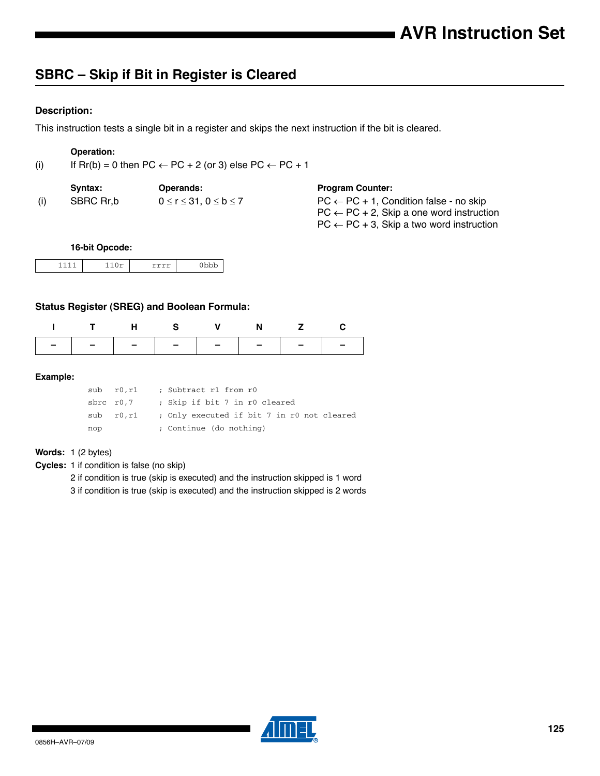## **SBRC – Skip if Bit in Register is Cleared**

## **Description:**

This instruction tests a single bit in a register and skips the next instruction if the bit is cleared.

## **Operation:**

(i) If  $\text{Rr}(b) = 0$  then  $\text{PC} \leftarrow \text{PC} + 2$  (or 3) else  $\text{PC} \leftarrow \text{PC} + 1$ 

|     | Svntax:   | <b>Operands:</b>                       | <b>Program Counter:</b>                                                                                    |
|-----|-----------|----------------------------------------|------------------------------------------------------------------------------------------------------------|
| (i) | SBRC Rr,b | $0 \leq r \leq 31$ . $0 \leq b \leq 7$ | $PC \leftarrow PC + 1$ , Condition false - no skip<br>$PC \leftarrow PC + 2$ , Skip a one word instruction |

 $PC \leftarrow PC + 3$ , Skip a two word instruction

#### **16-bit Opcode:**

|  | ~<br>. |
|--|--------|

## **Status Register (SREG) and Boolean Formula:**

| ITHS V N Z C                  |  |  |  |
|-------------------------------|--|--|--|
| -   -   -   -   -   -   -   - |  |  |  |

#### **Example:**

|     | sub r0.r1      | ; Subtract r1 from r0                      |
|-----|----------------|--------------------------------------------|
|     | sbrc r0,7      | ; Skip if bit 7 in r0 cleared              |
|     | $sub$ $r0, r1$ | ; Only executed if bit 7 in r0 not cleared |
| nop |                | ; Continue (do nothing)                    |

#### **Words:** 1 (2 bytes)

**Cycles:** 1 if condition is false (no skip)

2 if condition is true (skip is executed) and the instruction skipped is 1 word

3 if condition is true (skip is executed) and the instruction skipped is 2 words

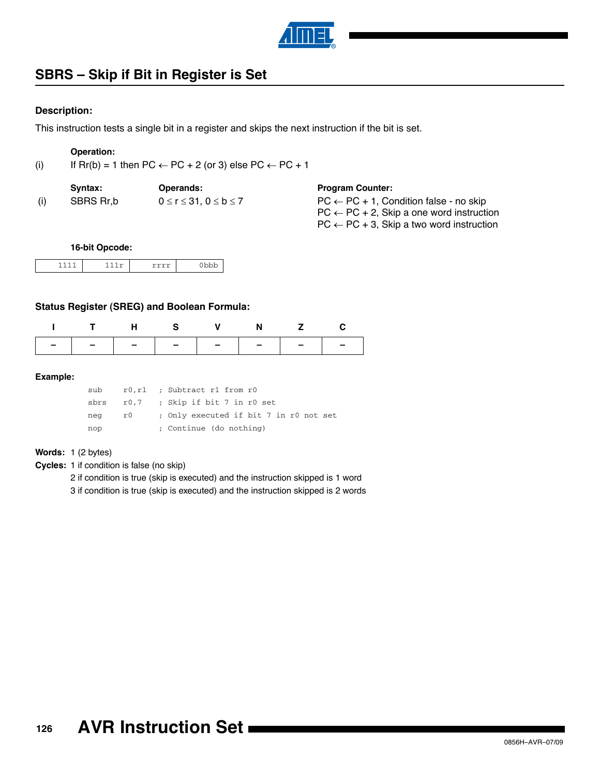

## **SBRS – Skip if Bit in Register is Set**

### **Description:**

This instruction tests a single bit in a register and skips the next instruction if the bit is set.

## **Operation:**

(i) If  $\text{Rr}(b) = 1$  then  $\text{PC} \leftarrow \text{PC} + 2$  (or 3) else  $\text{PC} \leftarrow \text{PC} + 1$ 

|     | Svntax:   | <b>Operands:</b>                       | <b>Program Counter:</b>                              |
|-----|-----------|----------------------------------------|------------------------------------------------------|
| (i) | SBRS Rr.b | $0 \leq r \leq 31$ . $0 \leq b \leq 7$ | $PC \leftarrow PC + 1$ , Condition false - no skip   |
|     |           |                                        | $PC \leftarrow PC + 2$ , Skip a one word instruction |

 $PC \leftarrow PC + 3$ , Skip a two word instruction

#### **16-bit Opcode:**

|  |  | . |
|--|--|---|
|--|--|---|

## **Status Register (SREG) and Boolean Formula:**

| ITHS V N Z C                  |  |  |  |
|-------------------------------|--|--|--|
| -   -   -   -   -   -   -   - |  |  |  |

#### **Example:**

| sub  |     | r0, r1 ; Subtract r1 from r0           |
|------|-----|----------------------------------------|
| sbrs |     | r0,7 ; Skip if bit 7 in r0 set         |
| neg  | r0. | ; Only executed if bit 7 in r0 not set |
| nop  |     | ; Continue (do nothing)                |

#### **Words:** 1 (2 bytes)

**Cycles:** 1 if condition is false (no skip)

2 if condition is true (skip is executed) and the instruction skipped is 1 word

3 if condition is true (skip is executed) and the instruction skipped is 2 words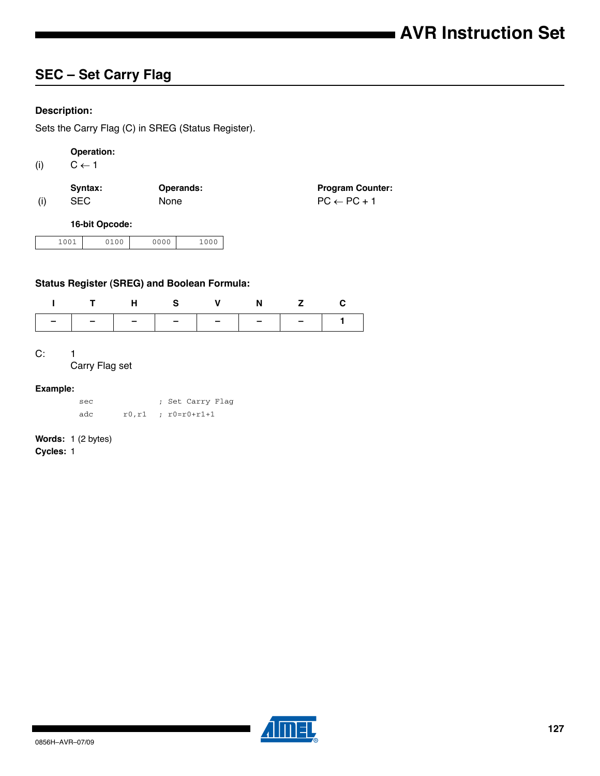## **SEC – Set Carry Flag**

## **Description:**

Sets the Carry Flag (C) in SREG (Status Register).

## **Operation:**

(i)  $C \leftarrow 1$ 

|     | Svntax:    | <b>Operands:</b> | <b>Program Counter:</b> |
|-----|------------|------------------|-------------------------|
| (i) | <b>SEC</b> | <b>None</b>      | $PC \leftarrow PC + 1$  |

## **16-bit Opcode:**

| 0.01<br>$-$ | . . | 0.000<br>ັ<br>$\check{ }$ | 000<br>- |
|-------------|-----|---------------------------|----------|
|             |     |                           |          |

## **Status Register (SREG) and Boolean Formula:**

|  |  | ITHS V N Z C |  |
|--|--|--------------|--|
|  |  |              |  |

## C: 1

Carry Flag set

#### **Example:**

| sec | ; Set Carry Flag              |
|-----|-------------------------------|
| adc | $r0, r1$ ; $r0 = r0 + r1 + 1$ |

## **Words:** 1 (2 bytes)

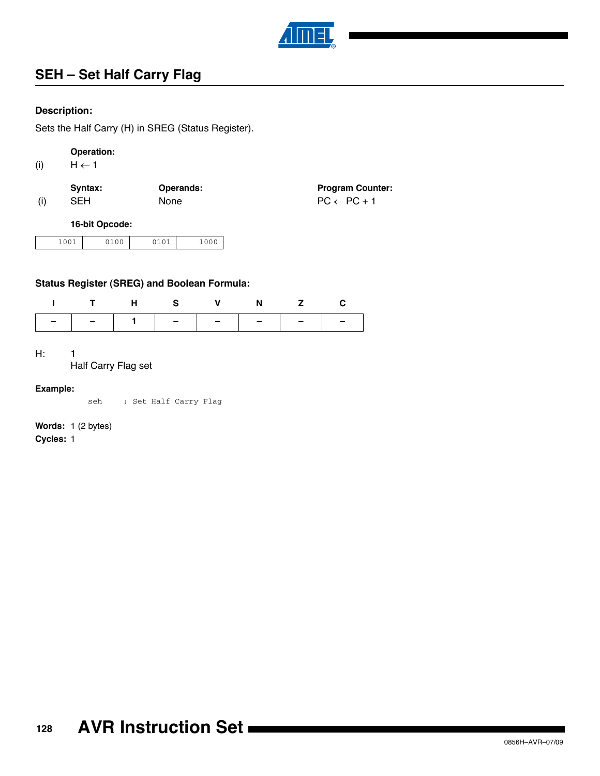

## **SEH – Set Half Carry Flag**

## **Description:**

Sets the Half Carry (H) in SREG (Status Register).

## **Operation:**

(i)  $H \leftarrow 1$ 

|     | Syntax:    | <b>Operands:</b> | <b>Program Counter:</b> |
|-----|------------|------------------|-------------------------|
| (i) | <b>SEH</b> | <b>None</b>      | $PC \leftarrow PC + 1$  |

### **16-bit Opcode:**

| 001<br>2100<br>~<br>---- | $\sim$ $\sim$ $\sim$ | ∩∩∩<br>J<br>∸∽ |
|--------------------------|----------------------|----------------|
|--------------------------|----------------------|----------------|

## **Status Register (SREG) and Boolean Formula:**

| ITHS V N Z C |  |  |  |
|--------------|--|--|--|
|              |  |  |  |

#### H: 1

Half Carry Flag set

#### **Example:**

seh ; Set Half Carry Flag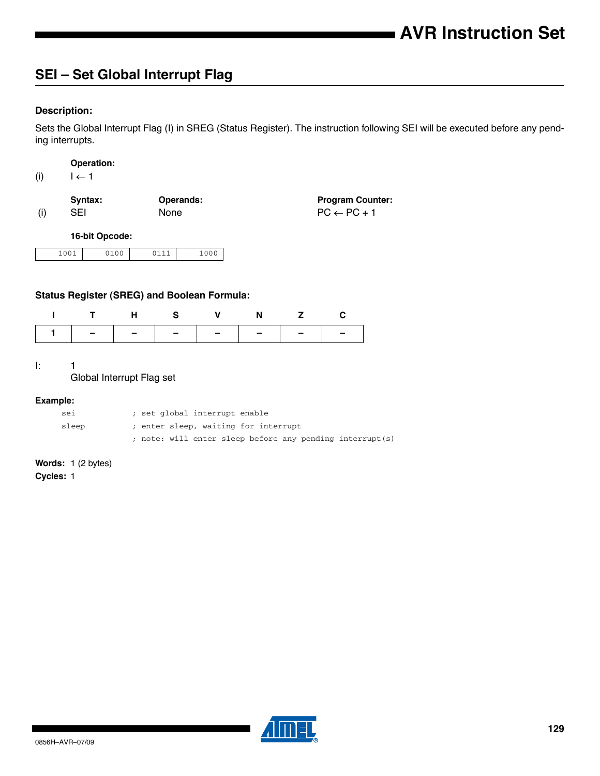## **SEI – Set Global Interrupt Flag**

## **Description:**

Sets the Global Interrupt Flag (I) in SREG (Status Register). The instruction following SEI will be executed before any pending interrupts.

|     | <b>Operation:</b> |  |
|-----|-------------------|--|
| (i) | $1 \leftarrow 1$  |  |

|     | Svntax: | <b>Operands:</b> | <b>Program Counter:</b> |
|-----|---------|------------------|-------------------------|
| (i) | SEI     | <b>None</b>      | $PC \leftarrow PC + 1$  |

**16-bit Opcode:**

| 1001 | 71 N N | 0111 | 100c<br>∸∪∪ |
|------|--------|------|-------------|

## **Status Register (SREG) and Boolean Formula:**

|                               | T H S V N Z C |  |  |  |
|-------------------------------|---------------|--|--|--|
| 1   -   -   -   -   -   -   - |               |  |  |  |

I: 1

 $\lceil$ 

Global Interrupt Flag set

#### **Example:**

| sei   | ; set qlobal interrupt enable                            |
|-------|----------------------------------------------------------|
| sleep | ; enter sleep, waiting for interrupt                     |
|       | ; note: will enter sleep before any pending interrupt(s) |

**Words:** 1 (2 bytes)

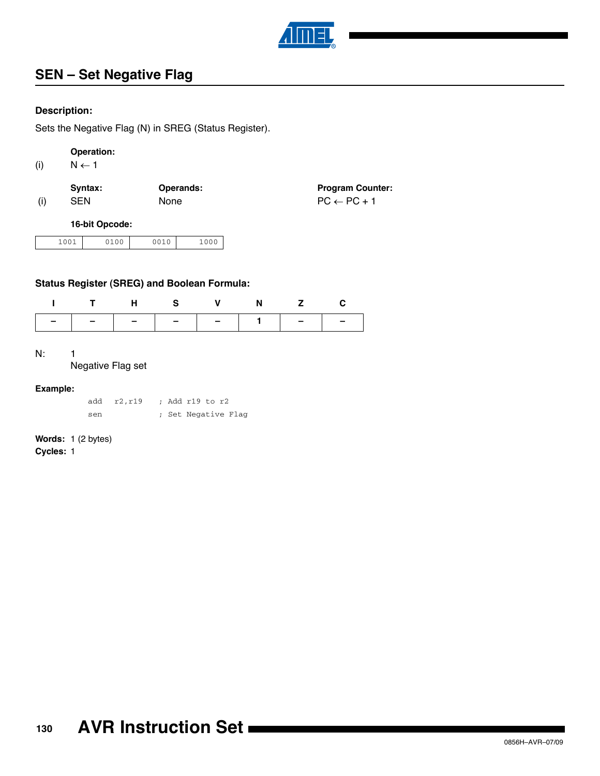

## **SEN – Set Negative Flag**

## **Description:**

Sets the Negative Flag (N) in SREG (Status Register).

## **Operation:**

(i)  $N \leftarrow 1$ 

|     | Svntax:    | <b>Operands:</b> | <b>Program Counter:</b> |
|-----|------------|------------------|-------------------------|
| (i) | <b>SEN</b> | None             | $PC \leftarrow PC + 1$  |

## **16-bit Opcode:**

| .001<br>01 N N<br>$ -$ | 0010 | 000 |
|------------------------|------|-----|
|------------------------|------|-----|

## **Status Register (SREG) and Boolean Formula:**

| THS V N Z C                   |  |  |  |
|-------------------------------|--|--|--|
| -   -   -   -   -   1   -   - |  |  |  |

#### N: 1

### Negative Flag set

### **Example:**

|     | add r2,r19 |  | ; Add r19 to r2     |
|-----|------------|--|---------------------|
| sen |            |  | ; Set Negative Flag |

## **Words:** 1 (2 bytes)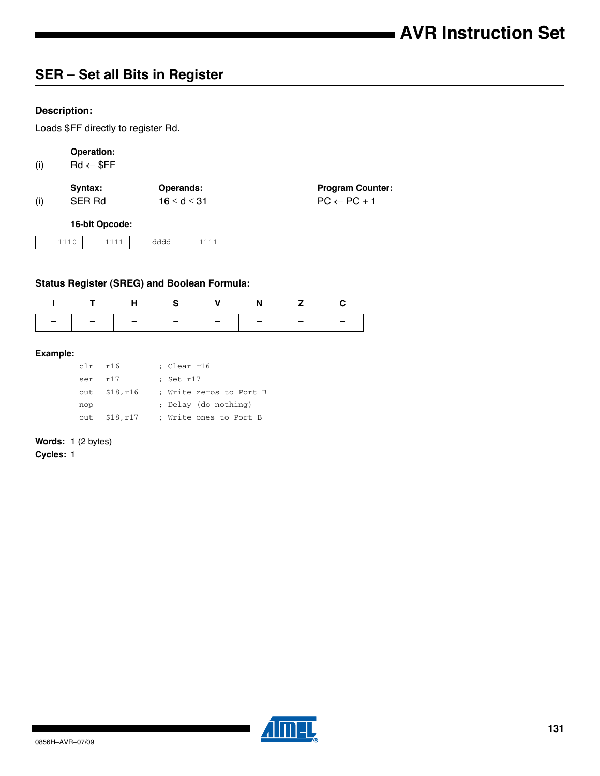## **SER – Set all Bits in Register**

## **Description:**

Loads \$FF directly to register Rd.

## **Operation:**

(i)  $Rd \leftarrow $FF$ 

|     | Svntax: | <b>Operands:</b>  | <b>Program Counter:</b> |
|-----|---------|-------------------|-------------------------|
| (i) | SER Rd  | $16 \le d \le 31$ | $PC \leftarrow PC + 1$  |

### **16-bit Opcode:**

| . |  |
|---|--|
|---|--|

## **Status Register (SREG) and Boolean Formula:**

|                               | THS V N Z C |  |  |
|-------------------------------|-------------|--|--|
| -   -   -   -   -   -   -   - |             |  |  |

#### **Example:**

| $clr$ $r16$ |                | ; Clear r16             |
|-------------|----------------|-------------------------|
| ser         | r17            | ; Set r17               |
|             | out $$18,r16$  | ; Write zeros to Port B |
| nop         |                | ; Delay (do nothing)    |
|             | out $$18, r17$ | ; Write ones to Port B  |

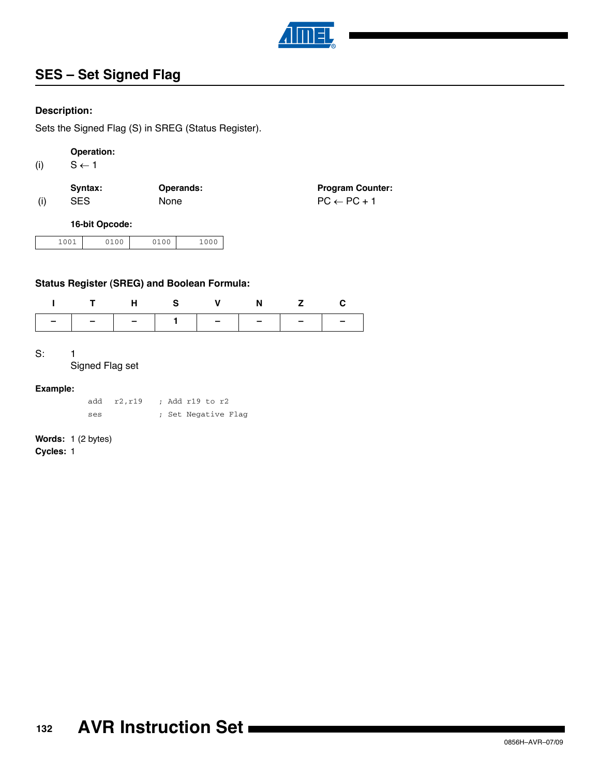

## **SES – Set Signed Flag**

## **Description:**

Sets the Signed Flag (S) in SREG (Status Register).

## **Operation:**

(i)  $S \leftarrow 1$ 

|     | Svntax:    | <b>Operands:</b> | <b>Program Counter:</b> |
|-----|------------|------------------|-------------------------|
| (i) | <b>SES</b> | None             | $PC \leftarrow PC + 1$  |

## **16-bit Opcode:**

| 001<br>. | 2100 | $\sim$ $\sim$ $\sim$ | ∩∩∩<br>ъ.<br>-- |
|----------|------|----------------------|-----------------|
|----------|------|----------------------|-----------------|

## **Status Register (SREG) and Boolean Formula:**

|                               | THS V N Z C |  |  |
|-------------------------------|-------------|--|--|
| -   -   -   1   -   -   -   - |             |  |  |

#### S: 1

### Signed Flag set

#### **Example:**

|     | add r2,r19 |  | ; Add r19 to r2     |  |
|-----|------------|--|---------------------|--|
| ses |            |  | ; Set Negative Flag |  |

## **Words:** 1 (2 bytes)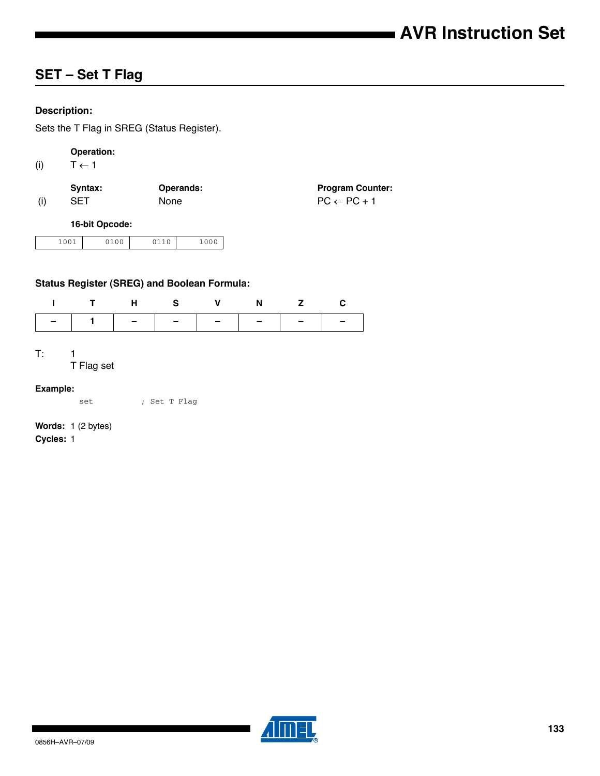## **SET – Set T Flag**

## **Description:**

Sets the T Flag in SREG (Status Register).

## **Operation:**

(i)  $T \leftarrow 1$ 

|     | Svntax:    | <b>Operands:</b> | <b>Program Counter:</b> |
|-----|------------|------------------|-------------------------|
| (i) | <b>SET</b> | <b>None</b>      | $PC \leftarrow PC + 1$  |

### **16-bit Opcode:**

| .001 | 0100 | 110 | 1000 |
|------|------|-----|------|
|------|------|-----|------|

## **Status Register (SREG) and Boolean Formula:**

| ITHS V N Z C                  |  |  |  |
|-------------------------------|--|--|--|
| -   1   -   -   -   -   -   - |  |  |  |

#### $T: 1$

T Flag set

#### **Example:**

set ; Set T Flag

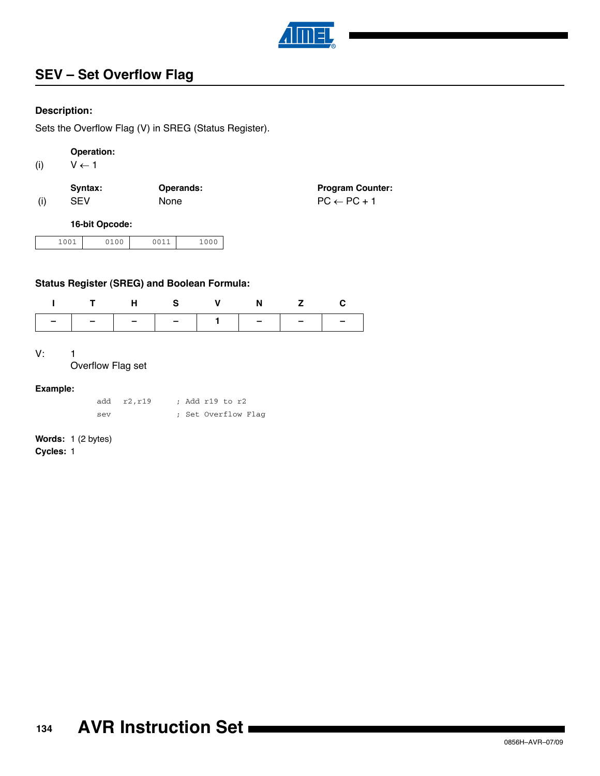

## **SEV – Set Overflow Flag**

## **Description:**

Sets the Overflow Flag (V) in SREG (Status Register).

## **Operation:**

(i)  $V \leftarrow 1$ 

|     | Syntax:    | Operands:   | <b>Program Counter:</b> |
|-----|------------|-------------|-------------------------|
| (i) | <b>SEV</b> | <b>None</b> | $PC \leftarrow PC + 1$  |

## **16-bit Opcode:**

| 1001<br>ັ<br>---- | ) 1 0 0 | nn 11<br>$-0$<br>$\overline{\phantom{0}}$ | $\mathbf{a} \cdot \mathbf{a} \cdot \mathbf{b}$<br>ັບ |
|-------------------|---------|-------------------------------------------|------------------------------------------------------|
|-------------------|---------|-------------------------------------------|------------------------------------------------------|

## **Status Register (SREG) and Boolean Formula:**

|  |  | ITHS V N Z C |  |
|--|--|--------------|--|
|  |  |              |  |

#### V: 1

Overflow Flag set

#### **Example:**

|     | add r2.r19 | : Add r19 to r2 |  |                     |
|-----|------------|-----------------|--|---------------------|
| sev |            |                 |  | ; Set Overflow Flag |

## **Words:** 1 (2 bytes)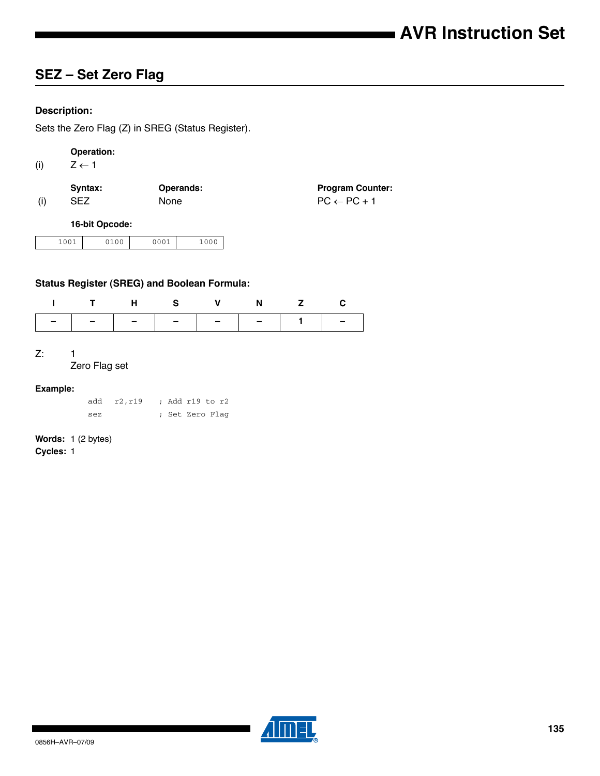## **SEZ – Set Zero Flag**

## **Description:**

Sets the Zero Flag (Z) in SREG (Status Register).

## **Operation:**

(i)  $Z \leftarrow 1$ 

|     | Syntax:    | Operands:   | <b>Program Counter:</b> |
|-----|------------|-------------|-------------------------|
| (i) | <b>SEZ</b> | <b>None</b> | $PC \leftarrow PC + 1$  |

#### **16-bit Opcode:**

| 0 <sub>0</sub> 1<br>ገ1 በበ<br>- -<br>- - - | 0001 | 100L |
|-------------------------------------------|------|------|
|-------------------------------------------|------|------|

## **Status Register (SREG) and Boolean Formula:**

|  |  | ITHS V N Z C |  |
|--|--|--------------|--|
|  |  |              |  |

#### Z: 1

#### Zero Flag set

#### **Example:**

|     | add r2, r19 |  | ; Add r19 to r2 |  |
|-----|-------------|--|-----------------|--|
| sez |             |  | ; Set Zero Flag |  |

# **Words:** 1 (2 bytes)

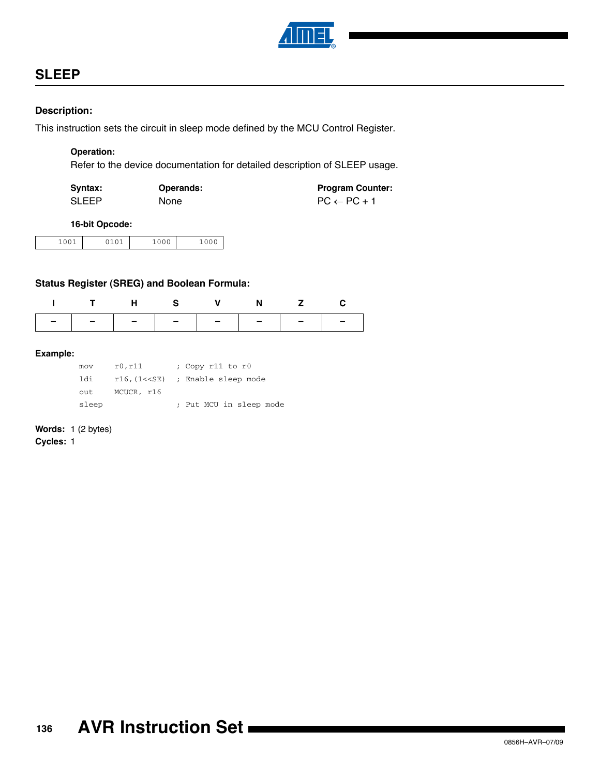

## **SLEEP**

## **Description:**

This instruction sets the circuit in sleep mode defined by the MCU Control Register.

## **Operation:**

Refer to the device documentation for detailed description of SLEEP usage.

| Syntax:      | <b>Operands:</b> | <b>Program Counter:</b> |
|--------------|------------------|-------------------------|
| <b>SLEEP</b> | <b>None</b>      | $PC \leftarrow PC + 1$  |

#### **16-bit Opcode:**

| 1000<br>.<br>__ |
|-----------------|
|-----------------|

## **Status Register (SREG) and Boolean Formula:**

| ITHS V N Z C                  |  |  |  |
|-------------------------------|--|--|--|
| -   -   -   -   -   -   -   - |  |  |  |

#### **Example:**

| mov   | r0, r11    | ; Copy r11 to r0                      |
|-------|------------|---------------------------------------|
| 1di.  |            | $r16$ , $1<<$ SE) ; Enable sleep mode |
| out   | MCUCR, r16 |                                       |
| sleep |            | ; Put MCU in sleep mode               |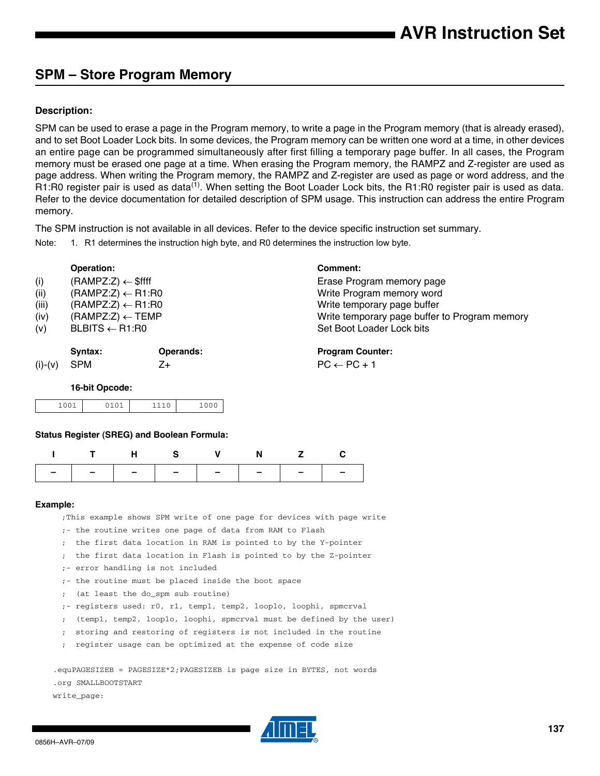## **SPM – Store Program Memory**

### **Description:**

SPM can be used to erase a page in the Program memory, to write a page in the Program memory (that is already erased), and to set Boot Loader Lock bits. In some devices, the Program memory can be written one word at a time, in other devices an entire page can be programmed simultaneously after first filling a temporary page buffer. In all cases, the Program memory must be erased one page at a time. When erasing the Program memory, the RAMPZ and Z-register are used as page address. When writing the Program memory, the RAMPZ and Z-register are used as page or word address, and the R1:R0 register pair is used as data<sup>(1)</sup>. When setting the Boot Loader Lock bits, the R1:R0 register pair is used as data. Refer to the device documentation for detailed description of SPM usage. This instruction can address the entire Program memory.

The SPM instruction is not available in all devices. Refer to the device specific instruction set summary.

Note: 1. R1 determines the instruction high byte, and R0 determines the instruction low byte.

|           | Operation:                    |                  | <b>Comment:</b>                               |
|-----------|-------------------------------|------------------|-----------------------------------------------|
| (i)       | $(RAMPZ:Z) \leftarrow$ \$ffff |                  | Erase Program memory page                     |
| (ii)      | $(RAMPZ:Z) \leftarrow R1:R0$  |                  | Write Program memory word                     |
| (iii)     | $(RAMPZ:Z) \leftarrow R1:R0$  |                  | Write temporary page buffer                   |
| (iv)      | $(RAMPZ:Z) \leftarrow TEMP$   |                  | Write temporary page buffer to Program memory |
| (v)       | $BLBITS \leftarrow R1:RO$     |                  | Set Boot Loader Lock bits                     |
|           | Syntax:                       | <b>Operands:</b> | <b>Program Counter:</b>                       |
| $(i)-(v)$ | <b>SPM</b>                    | Z+               | $PC \leftarrow PC + 1$                        |

#### **16-bit Opcode:**

| 01 01<br>0.01<br>$-0$ | $\sim$ $\sim$ | $\sim$ $\sim$ $\sim$<br>ັ<br>$-0$ |
|-----------------------|---------------|-----------------------------------|
|-----------------------|---------------|-----------------------------------|

#### **Status Register (SREG) and Boolean Formula:**

|  | THS V N Z C                   |  |  |
|--|-------------------------------|--|--|
|  | -   -   -   -   -   -   -   - |  |  |

#### **Example:**

;This example shows SPM write of one page for devices with page write

- ;- the routine writes one page of data from RAM to Flash
- ; the first data location in RAM is pointed to by the Y-pointer
- ; the first data location in Flash is pointed to by the Z-pointer
- ;- error handling is not included
- ;- the routine must be placed inside the boot space
- ; (at least the do\_spm sub routine)
- ;- registers used: r0, r1, temp1, temp2, looplo, loophi, spmcrval
- ; (temp1, temp2, looplo, loophi, spmcrval must be defined by the user)
- ; storing and restoring of registers is not included in the routine
- ; register usage can be optimized at the expense of code size

.equPAGESIZEB = PAGESIZE\*2;PAGESIZEB is page size in BYTES, not words .org SMALLBOOTSTART write\_page:

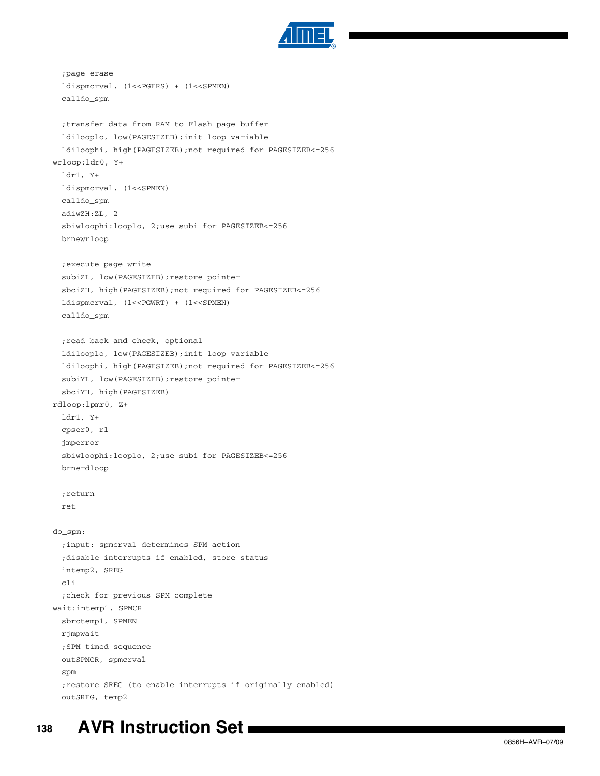

```
;page erase
 ldispmcrval, (1<<PGERS) + (1<<SPMEN)
 calldo_spm
 ;transfer data from RAM to Flash page buffer
 ldilooplo, low(PAGESIZEB);init loop variable
 ldiloophi, high(PAGESIZEB);not required for PAGESIZEB<=256
wrloop:ldr0, Y+
 ldr1, Y+
 ldispmcrval, (1<<SPMEN)
 calldo_spm
 adiwZH:ZL, 2
 sbiwloophi:looplo, 2;use subi for PAGESIZEB<=256
 brnewrloop
 ;execute page write
 subiZL, low(PAGESIZEB);restore pointer
 sbciZH, high(PAGESIZEB);not required for PAGESIZEB<=256
 ldispmcrval, (1<<PGWRT) + (1<<SPMEN)
 calldo_spm
 ;read back and check, optional
 ldilooplo, low(PAGESIZEB);init loop variable
 ldiloophi, high(PAGESIZEB);not required for PAGESIZEB<=256
 subiYL, low(PAGESIZEB);restore pointer
 sbciYH, high(PAGESIZEB)
rdloop:lpmr0, Z+
 ldr1, Y+
 cpser0, r1
 jmperror
 sbiwloophi:looplo, 2;use subi for PAGESIZEB<=256
 brnerdloop
 ;return
 ret
do_spm:
 ;input: spmcrval determines SPM action
 ;disable interrupts if enabled, store status
 intemp2, SREG
 cli
 ;check for previous SPM complete
wait:intemp1, SPMCR
 sbrctemp1, SPMEN
 rjmpwait
 ;SPM timed sequence
 outSPMCR, spmcrval
 spm
 ;restore SREG (to enable interrupts if originally enabled)
 outSREG, temp2
```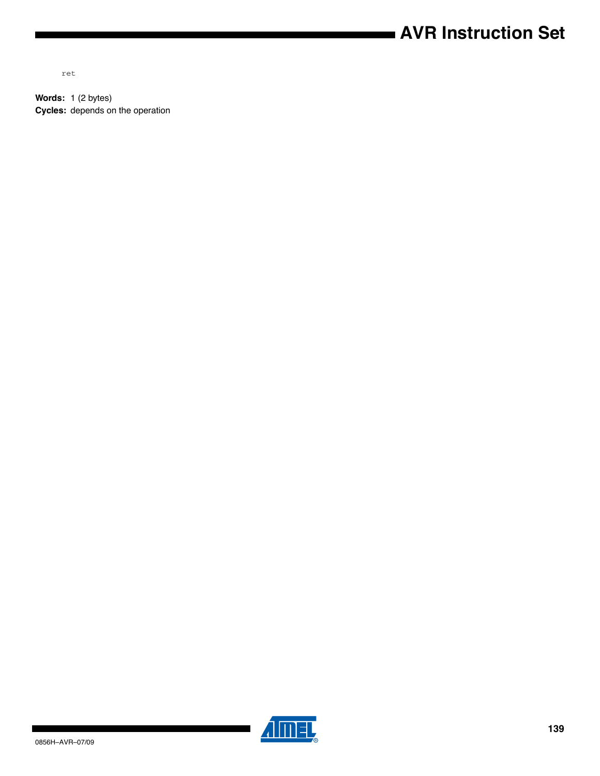# **AVR Instruction Set**

ret

**Words:** 1 (2 bytes) **Cycles:** depends on the operation



▊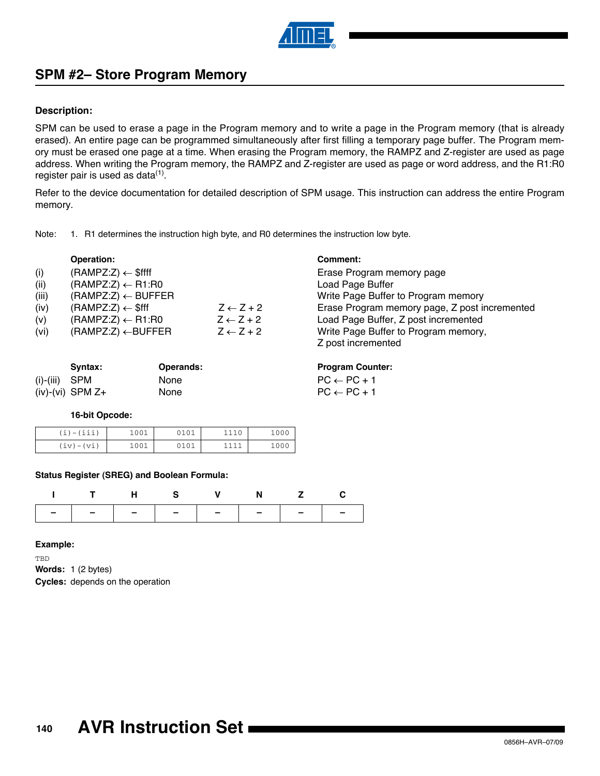

## **SPM #2– Store Program Memory**

### **Description:**

SPM can be used to erase a page in the Program memory and to write a page in the Program memory (that is already erased). An entire page can be programmed simultaneously after first filling a temporary page buffer. The Program memory must be erased one page at a time. When erasing the Program memory, the RAMPZ and Z-register are used as page address. When writing the Program memory, the RAMPZ and Z-register are used as page or word address, and the R1:R0 register pair is used as data $<sup>(1)</sup>$  $<sup>(1)</sup>$  $<sup>(1)</sup>$ .</sup>

Refer to the device documentation for detailed description of SPM usage. This instruction can address the entire Program memory.

<span id="page-139-0"></span>

| 1. R1 determines the instruction high byte, and R0 determines the instruction low byte.<br>Note: |  |
|--------------------------------------------------------------------------------------------------|--|
|--------------------------------------------------------------------------------------------------|--|

|       | <b>Operation:</b>             |                      | Comment:                                      |
|-------|-------------------------------|----------------------|-----------------------------------------------|
| (i)   | $(RAMPZ:Z) \leftarrow $ffff$  |                      | Erase Program memory page                     |
| (ii)  | $(RAMPZ:Z) \leftarrow R1:R0$  |                      | Load Page Buffer                              |
| (iii) | $(RAMPZ:Z) \leftarrow BUFFER$ |                      | Write Page Buffer to Program memory           |
| (iv)  | $(RAMPZ:Z) \leftarrow$ \$fff  | $Z \leftarrow Z + 2$ | Erase Program memory page, Z post incremented |
| (v)   | $(RAMPZ:Z) \leftarrow R1:R0$  | $Z \leftarrow Z + 2$ | Load Page Buffer, Z post incremented          |
| (vi)  | $(RAMPZ:Z) \leftarrow BUFFER$ | $Z \leftarrow Z + 2$ | Write Page Buffer to Program memory,          |
|       |                               |                      | Z post incremented                            |

|                 | Svntax:            | <b>Operands:</b> | <b>Program Counter:</b> |
|-----------------|--------------------|------------------|-------------------------|
| $(i)-(iii)$ SPM |                    | <b>None</b>      | $PC \leftarrow PC + 1$  |
|                 | $(iv)-(vi)$ SPM Z+ | <b>None</b>      | $PC \leftarrow PC + 1$  |

### **16-bit Opcode:**

| $(i) - (iii)$ | 1001 | 0101 |      | 1000 |
|---------------|------|------|------|------|
| $(iv) - (vi)$ | 1001 | 0101 | 1111 | 1000 |

#### **Status Register (SREG) and Boolean Formula:**

|                               |  | THS V N Z C |  |
|-------------------------------|--|-------------|--|
| -   -   -   -   -   -   -   - |  |             |  |

### **Example:**

TBD **Words:** 1 (2 bytes) **Cycles:** depends on the operation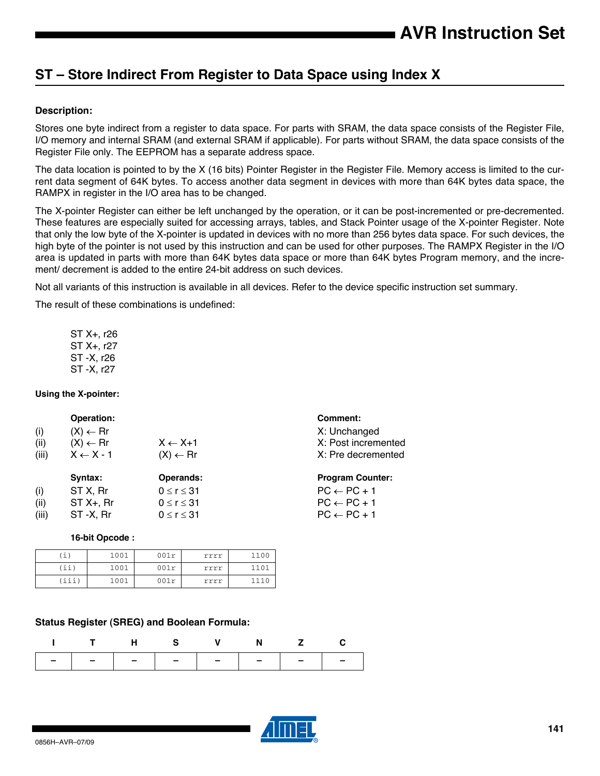## **ST – Store Indirect From Register to Data Space using Index X**

## **Description:**

Stores one byte indirect from a register to data space. For parts with SRAM, the data space consists of the Register File, I/O memory and internal SRAM (and external SRAM if applicable). For parts without SRAM, the data space consists of the Register File only. The EEPROM has a separate address space.

The data location is pointed to by the X (16 bits) Pointer Register in the Register File. Memory access is limited to the current data segment of 64K bytes. To access another data segment in devices with more than 64K bytes data space, the RAMPX in register in the I/O area has to be changed.

The X-pointer Register can either be left unchanged by the operation, or it can be post-incremented or pre-decremented. These features are especially suited for accessing arrays, tables, and Stack Pointer usage of the X-pointer Register. Note that only the low byte of the X-pointer is updated in devices with no more than 256 bytes data space. For such devices, the high byte of the pointer is not used by this instruction and can be used for other purposes. The RAMPX Register in the I/O area is updated in parts with more than 64K bytes data space or more than 64K bytes Program memory, and the increment/ decrement is added to the entire 24-bit address on such devices.

> **Program Counter:**  $PC \leftarrow PC + 1$  $PC \leftarrow PC + 1$  $PC \leftarrow PC + 1$

Not all variants of this instruction is available in all devices. Refer to the device specific instruction set summary.

The result of these combinations is undefined:

ST X+, r26 ST X+, r27 ST -X, r26 ST -X, r27

### **Using the X-pointer:**

| <b>Operation:</b>    |                     | Comment:            |
|----------------------|---------------------|---------------------|
| $(X) \leftarrow Rr$  |                     | X: Unchanged        |
| $(X) \leftarrow Rr$  | $X \leftarrow X+1$  | X: Post incremented |
| $X \leftarrow X - 1$ | $(X) \leftarrow Rr$ | X: Pre decremented  |
|                      |                     |                     |

| Operands: |
|-----------|
|           |
|           |
|           |
|           |

#### **16-bit Opcode :**

| $\pm$ ) | 1001 | 001r | rrrr | 1100 |
|---------|------|------|------|------|
| (ii)    | 1001 | 001r | rrrr | 1101 |
| iii)    | 1001 | 001r | rrrr | 1110 |

### **Status Register (SREG) and Boolean Formula:**

|                               | <b>H</b> S |  |  |
|-------------------------------|------------|--|--|
| -   -   -   -   -   -   -   - |            |  |  |

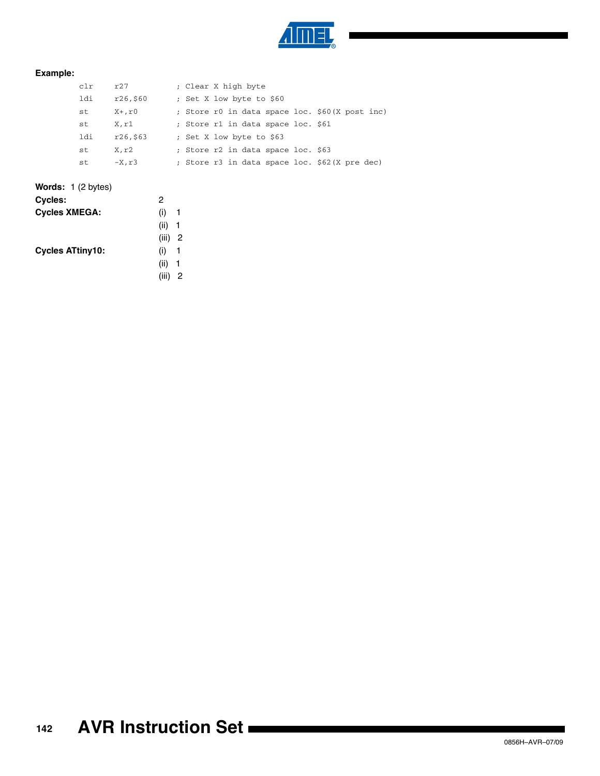

## **Example:**

| clr | r27      | ; Clear X high byte                            |
|-----|----------|------------------------------------------------|
| ldi | r26,560  | ; Set X low byte to \$60                       |
| st  | X+,r0    | ; Store r0 in data space loc. \$60(X post inc) |
| st  | X.rl     | ; Store r1 in data space loc. \$61             |
| ldi | r26,\$63 | ; Set X low byte to \$63                       |
| st  | X.r2     | ; Store r2 in data space loc. \$63             |
| st  | $-X, r3$ | ; Store r3 in data space loc. \$62(X pre dec)  |

## **Words:** 1 (2 bytes)

| Cycles:                 | 2           |  |
|-------------------------|-------------|--|
| <b>Cycles XMEGA:</b>    | (i)<br>-1   |  |
|                         | (ii) 1      |  |
|                         | (iii) 2     |  |
| <b>Cycles ATtiny10:</b> | (i)<br>1    |  |
|                         | $(ii)$ 1    |  |
|                         | (iii)<br>-2 |  |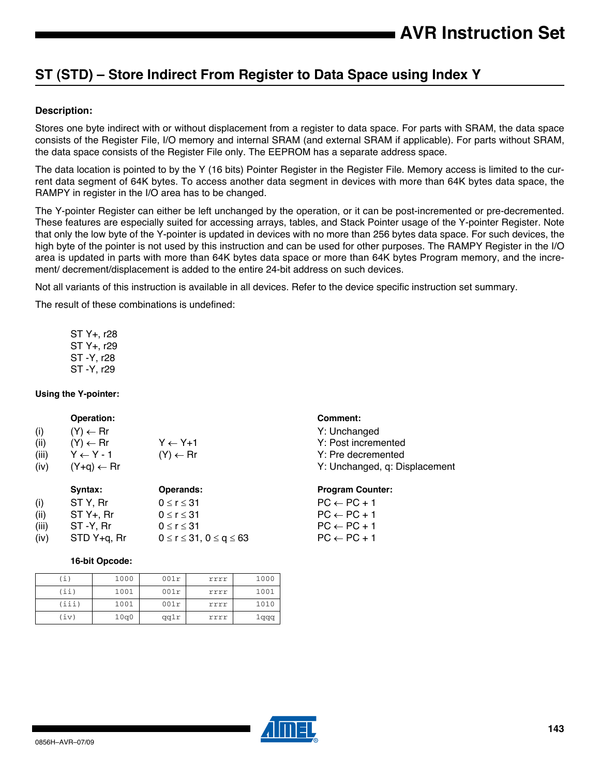## **ST (STD) – Store Indirect From Register to Data Space using Index Y**

### **Description:**

Stores one byte indirect with or without displacement from a register to data space. For parts with SRAM, the data space consists of the Register File, I/O memory and internal SRAM (and external SRAM if applicable). For parts without SRAM, the data space consists of the Register File only. The EEPROM has a separate address space.

The data location is pointed to by the Y (16 bits) Pointer Register in the Register File. Memory access is limited to the current data segment of 64K bytes. To access another data segment in devices with more than 64K bytes data space, the RAMPY in register in the I/O area has to be changed.

The Y-pointer Register can either be left unchanged by the operation, or it can be post-incremented or pre-decremented. These features are especially suited for accessing arrays, tables, and Stack Pointer usage of the Y-pointer Register. Note that only the low byte of the Y-pointer is updated in devices with no more than 256 bytes data space. For such devices, the high byte of the pointer is not used by this instruction and can be used for other purposes. The RAMPY Register in the I/O area is updated in parts with more than 64K bytes data space or more than 64K bytes Program memory, and the increment/ decrement/displacement is added to the entire 24-bit address on such devices.

Not all variants of this instruction is available in all devices. Refer to the device specific instruction set summary.

The result of these combinations is undefined:

ST Y+, r28 ST Y+, r29 ST -Y, r28 ST -Y, r29

#### **Using the Y-pointer:**

#### **Operation: Comment:**

(i)  $(Y) \leftarrow \text{Rr}$  Y: Unchanged (ii)  $(Y) \leftarrow \mathsf{Rr}$   $Y \leftarrow Y+1$  Y: Post incremented (iii)  $Y \leftarrow Y \cdot 1$  (Y)  $\leftarrow$  Rr Y: Pre decremented

| $\sqrt{ }$ |                         |                                     |                        |
|------------|-------------------------|-------------------------------------|------------------------|
|            | Syntax:                 | Operands:                           | <b>Program Cour</b>    |
| (i)        | ST Y, Rr                | $0 \le r \le 31$                    | $PC \leftarrow PC + 1$ |
| (ii)       | $STY+$ , $Rr$           | $0 \le r \le 31$                    | $PC \leftarrow PC + 1$ |
| (iii)      | ST-Y.Rr                 | $0 \le r \le 31$                    | $PC \leftarrow PC + 1$ |
| (iv)       | STD Y <sub>+g, Rr</sub> | $0 \le r \le 31$ , $0 \le q \le 63$ | $PC \leftarrow PC + 1$ |

#### **16-bit Opcode:**

| $\pm$ ) | 1000 | 001r | rrrr | 1000 |
|---------|------|------|------|------|
| (iii)   | 1001 | 001r | rrrr | 1001 |
| (iii)   | 1001 | 001r | rrrr | 1010 |
| (iv)    | 10q0 | qq1r | rrrr | 1qqq |

(iv)  $(Y+q) \leftarrow Rr$   $Y: Unchanged, q: Displacement$ 

#### **Program Counter:**

| $PC \leftarrow PC + 1$ |  |
|------------------------|--|
| $PC \leftarrow PC + 1$ |  |
| $PC \leftarrow PC + 1$ |  |
| $PC \leftarrow PC + 1$ |  |
|                        |  |

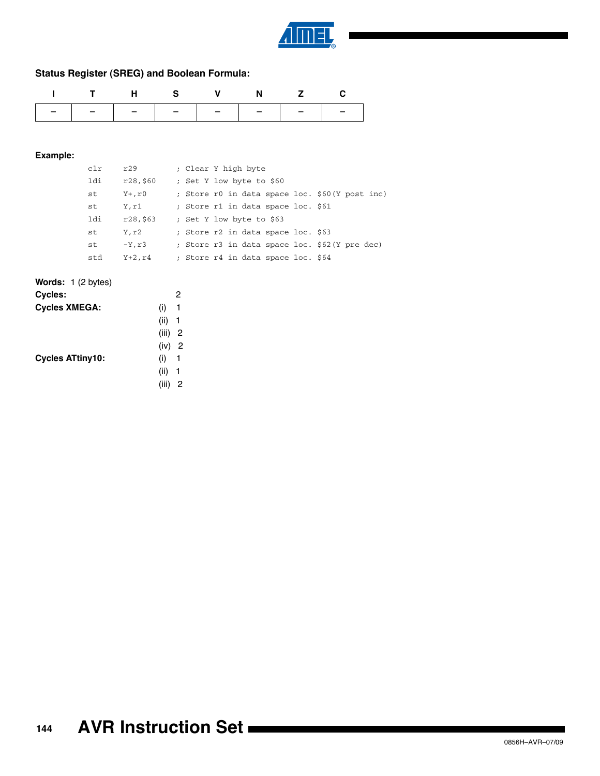

## **Status Register (SREG) and Boolean Formula:**

| ITHS V N Z C |  |  |                               |
|--------------|--|--|-------------------------------|
|              |  |  | -   -   -   -   -   -   -   - |

| c1r | r29       | ; Clear Y high byte                            |
|-----|-----------|------------------------------------------------|
| ldi | r28,\$60  | ; Set Y low byte to \$60                       |
| st  | Y+,r0     | ; Store r0 in data space loc. \$60(Y post inc) |
| st  | Y,r1      | ; Store r1 in data space loc. \$61             |
| ldi | r28,\$63  | ; Set Y low byte to \$63                       |
| st  | Y,r2      | ; Store r2 in data space loc. \$63             |
| st  | $-Y, r3$  | ; Store r3 in data space loc. \$62(Y pre dec)  |
| std | $Y+2, r4$ | ; Store r4 in data space loc. \$64             |

| <b>Words:</b> $1(2 \text{ bytes})$ |            |
|------------------------------------|------------|
| Cycles:                            | 2          |
| <b>Cycles XMEGA:</b>               | (i)<br>-1  |
|                                    | (ii)<br>-1 |
|                                    | $(iii)$ 2  |
|                                    | (iv) 2     |
| <b>Cycles ATtiny10:</b>            | (i)<br>-1  |
|                                    | (ii)<br>1  |
|                                    | 2<br>(iii) |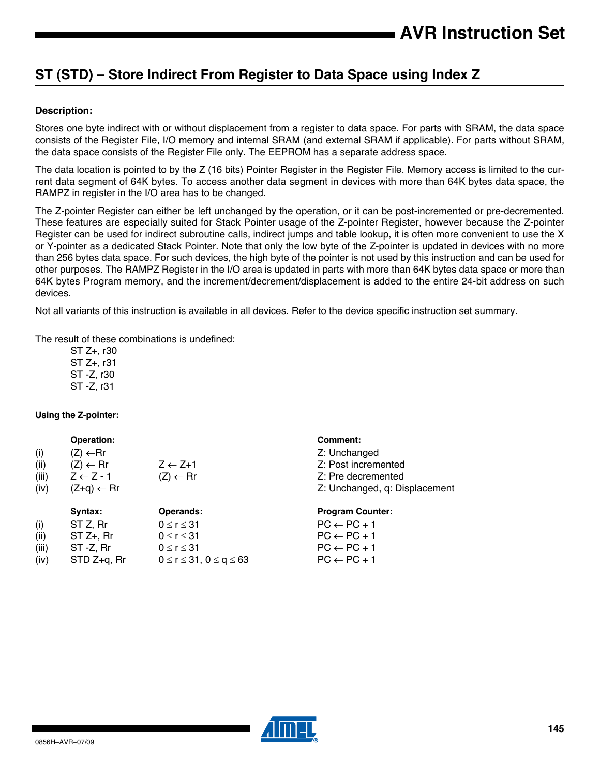# <span id="page-144-0"></span>**ST (STD) – Store Indirect From Register to Data Space using Index Z**

# **Description:**

Stores one byte indirect with or without displacement from a register to data space. For parts with SRAM, the data space consists of the Register File, I/O memory and internal SRAM (and external SRAM if applicable). For parts without SRAM, the data space consists of the Register File only. The EEPROM has a separate address space.

The data location is pointed to by the Z (16 bits) Pointer Register in the Register File. Memory access is limited to the current data segment of 64K bytes. To access another data segment in devices with more than 64K bytes data space, the RAMPZ in register in the I/O area has to be changed.

The Z-pointer Register can either be left unchanged by the operation, or it can be post-incremented or pre-decremented. These features are especially suited for Stack Pointer usage of the Z-pointer Register, however because the Z-pointer Register can be used for indirect subroutine calls, indirect jumps and table lookup, it is often more convenient to use the X or Y-pointer as a dedicated Stack Pointer. Note that only the low byte of the Z-pointer is updated in devices with no more than 256 bytes data space. For such devices, the high byte of the pointer is not used by this instruction and can be used for other purposes. The RAMPZ Register in the I/O area is updated in parts with more than 64K bytes data space or more than 64K bytes Program memory, and the increment/decrement/displacement is added to the entire 24-bit address on such devices.

Not all variants of this instruction is available in all devices. Refer to the device specific instruction set summary.

The result of these combinations is undefined:

ST Z+, r30 ST Z+, r31 ST -Z, r30 ST -Z, r31

# **Using the Z-pointer:**

|       | Operation:            |                                     | Comment:                      |
|-------|-----------------------|-------------------------------------|-------------------------------|
| (i)   | $(Z) \leftarrow Rr$   |                                     | Z: Unchanged                  |
| (ii)  | $(Z) \leftarrow Rr$   | $Z \leftarrow Z + 1$                | Z: Post incremented           |
| (iii) | $Z \leftarrow Z - 1$  | $(Z) \leftarrow Rr$                 | Z: Pre decremented            |
| (iv)  | $(Z+q) \leftarrow Rr$ |                                     | Z: Unchanged, q: Displacement |
|       | Syntax:               | <b>Operands:</b>                    | <b>Program Counter:</b>       |
| (i)   | ST Z, Rr              | $0 \le r \le 31$                    | $PC \leftarrow PC + 1$        |
| (ii)  | $ST Z+$ , Rr          | $0 \le r \le 31$                    | $PC \leftarrow PC + 1$        |
| (iii) | ST -Z, Rr             | $0 \le r \le 31$                    | $PC \leftarrow PC + 1$        |
| (iv)  | STD Z+q, Rr           | $0 \le r \le 31$ , $0 \le q \le 63$ | $PC \leftarrow PC + 1$        |

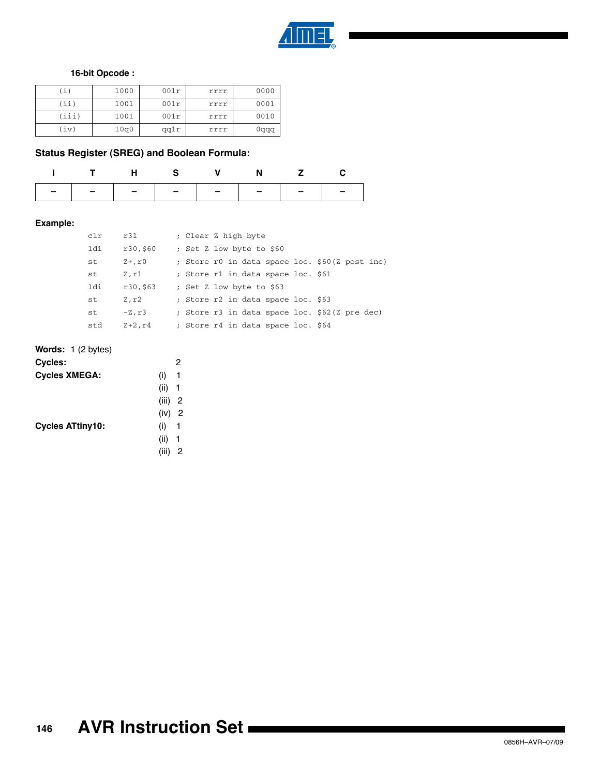

# **16-bit Opcode :**

| (i)   | 1000 | 001r | rrrr | 0000 |
|-------|------|------|------|------|
| (iii) | 1001 | 001r | rrrr | 0001 |
| (iii) | 1001 | 001r | rrrr | 0010 |
| (iv)  | 10q0 | qq1r | rrrr | 0qqq |

# **Status Register (SREG) and Boolean Formula:**

|  |  | THS V N Z C |                               |
|--|--|-------------|-------------------------------|
|  |  |             | -   -   -   -   -   -   -   - |

# **Example:**

| clr | r31         | ; Clear Z high byte                            |
|-----|-------------|------------------------------------------------|
| ldi | r30,\$60    | ; Set Z low byte to \$60                       |
| st  | $Z+$ , $r0$ | ; Store r0 in data space loc. \$60(Z post inc) |
| st  | Z,r1        | ; Store r1 in data space loc. \$61             |
| ldi | r30,\$63    | ; Set Z low byte to \$63                       |
| st  | Z,r2        | ; Store r2 in data space loc. \$63             |
| st  | $-Z, r3$    | ; Store r3 in data space loc. \$62(Z pre dec)  |
| std | $Z+2, r4$   | ; Store r4 in data space loc. \$64             |

| <b>Words:</b> $1(2 \text{ bytes})$ |            |
|------------------------------------|------------|
| <b>Cycles:</b>                     | 2          |
| <b>Cycles XMEGA:</b>               | (i)<br>1   |
|                                    | $(ii)$ 1   |
|                                    | $(iii)$ 2  |
|                                    | (iv) 2     |
| <b>Cycles ATtiny10:</b>            | (i) 1      |
|                                    | (ii)<br>-1 |
|                                    | (iii)<br>2 |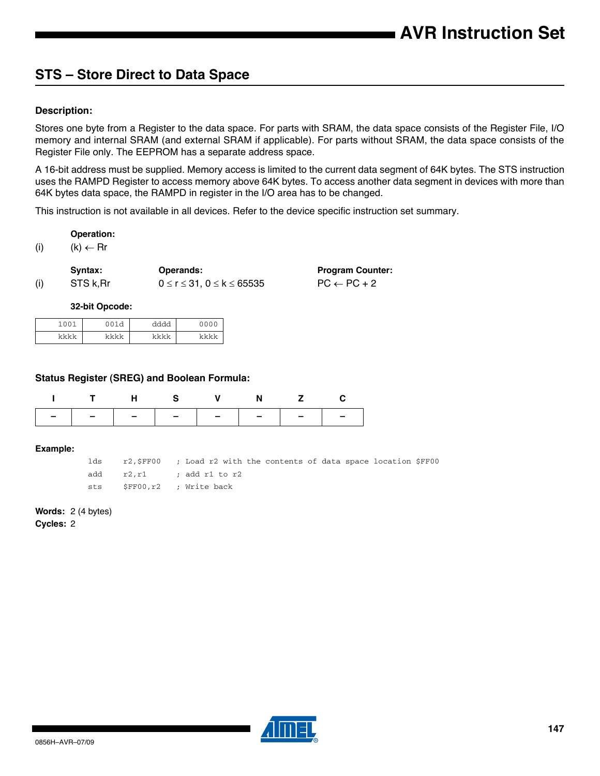# **STS – Store Direct to Data Space**

# **Description:**

Stores one byte from a Register to the data space. For parts with SRAM, the data space consists of the Register File, I/O memory and internal SRAM (and external SRAM if applicable). For parts without SRAM, the data space consists of the Register File only. The EEPROM has a separate address space.

A 16-bit address must be supplied. Memory access is limited to the current data segment of 64K bytes. The STS instruction uses the RAMPD Register to access memory above 64K bytes. To access another data segment in devices with more than 64K bytes data space, the RAMPD in register in the I/O area has to be changed.

This instruction is not available in all devices. Refer to the device specific instruction set summary.

## **Operation:**

(i)  $(k) \leftarrow \text{Rr}$ 

|     | Syntax:   | <b>Operands:</b>                       | <b>Program Counter:</b> |
|-----|-----------|----------------------------------------|-------------------------|
| (i) | STS k, Rr | $0 \le r \le 31$ , $0 \le k \le 65535$ | $PC \leftarrow PC + 2$  |

## **32-bit Opcode:**

| 1001 | <b>OO12</b> | ふふふふ | 0000 |
|------|-------------|------|------|
| レレレレ | ما ما ما ما | レレレレ | レレレレ |

## **Status Register (SREG) and Boolean Formula:**

| THS V N Z C                   |  |  |  |
|-------------------------------|--|--|--|
| -   -   -   -   -   -   -   - |  |  |  |

#### **Example:**

lds r2,\$FF00 ; Load r2 with the contents of data space location \$FF00 add r2, r1 ; add r1 to r2 sts \$FF00,r2 ; Write back

## **Words:** 2 (4 bytes)

**Cycles:** 2

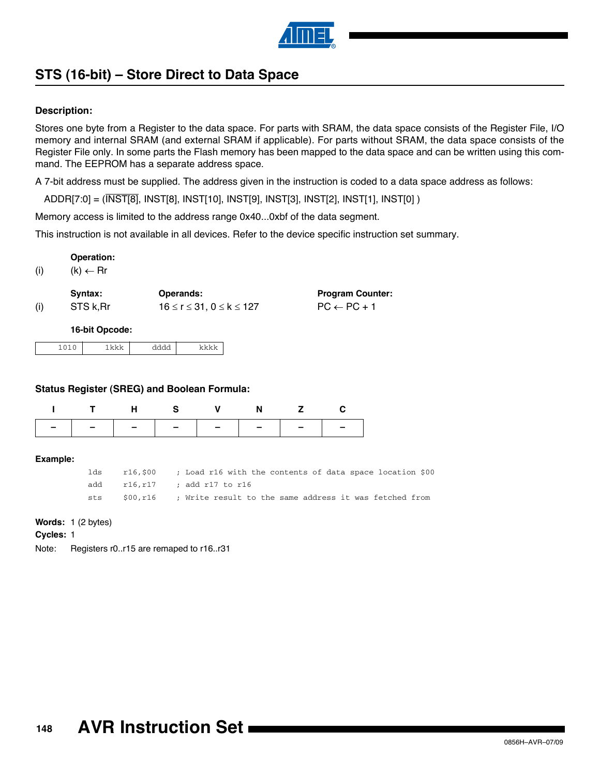

# <span id="page-147-0"></span>**STS (16-bit) – Store Direct to Data Space**

# **Description:**

Stores one byte from a Register to the data space. For parts with SRAM, the data space consists of the Register File, I/O memory and internal SRAM (and external SRAM if applicable). For parts without SRAM, the data space consists of the Register File only. In some parts the Flash memory has been mapped to the data space and can be written using this command. The EEPROM has a separate address space.

> **Program Counter:**  $PC \leftarrow PC + 1$

A 7-bit address must be supplied. The address given in the instruction is coded to a data space address as follows:

ADDR[7:0] = (INST[8], INST[8], INST[10], INST[9], INST[3], INST[2], INST[1], INST[0] )

Memory access is limited to the address range 0x40...0xbf of the data segment.

This instruction is not available in all devices. Refer to the device specific instruction set summary.

**Operation:**

(i)  $(k) \leftarrow \text{Rr}$ 

|     | Syntax:   | <b>Operands:</b>                   |
|-----|-----------|------------------------------------|
| (i) | STS k, Rr | $16 \le r \le 31, 0 \le k \le 127$ |

**16-bit Opcode:**

|--|--|--|--|--|

# **Status Register (SREG) and Boolean Formula:**

| ITHS V N Z C |  |  |                               |
|--------------|--|--|-------------------------------|
|              |  |  | -   -   -   -   -   -   -   - |

**Example:**

| lds | r16,\$00 | ; Load r16 with the contents of data space location \$00         |  |  |  |  |
|-----|----------|------------------------------------------------------------------|--|--|--|--|
|     |          | add $r16.r17$ ; add r17 to r16                                   |  |  |  |  |
| sts |          | $$00,r16$ ; Write result to the same address it was fetched from |  |  |  |  |

## **Words:** 1 (2 bytes)

**Cycles:** 1

Note: Registers r0..r15 are remaped to r16..r31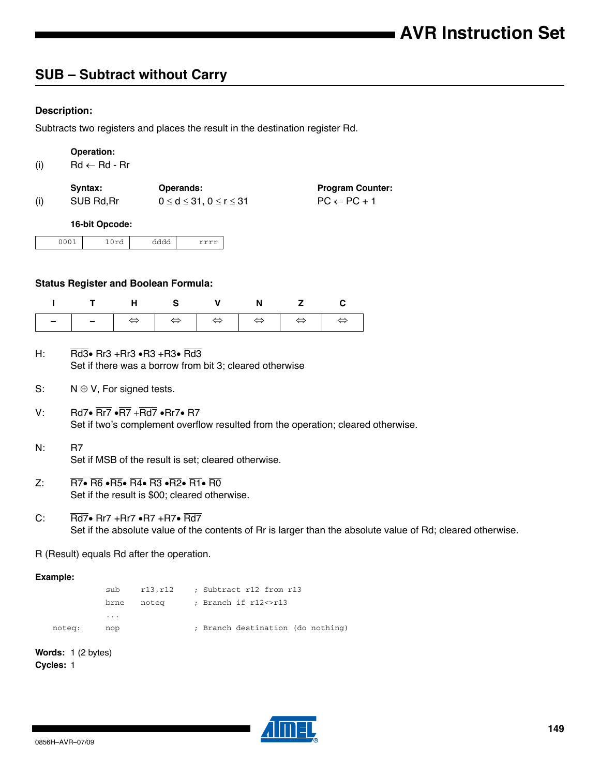# **SUB – Subtract without Carry**

# **Description:**

Subtracts two registers and places the result in the destination register Rd.

| (i) |      | Operation:<br>$Rd \leftarrow Rd - Rr$ |      |                                                      |                                                   |
|-----|------|---------------------------------------|------|------------------------------------------------------|---------------------------------------------------|
| (i) |      | Syntax:<br>SUB Rd, Rr                 |      | Operands:<br>$0 \leq d \leq 31$ , $0 \leq r \leq 31$ | <b>Program Counter:</b><br>$PC \leftarrow PC + 1$ |
|     |      | 16-bit Opcode:                        |      |                                                      |                                                   |
|     | 0001 | 10rd                                  | dddd | rrrr                                                 |                                                   |
|     |      |                                       |      |                                                      |                                                   |

# **Status Register and Boolean Formula:**

| ITHS V N Z C |  |  |  |
|--------------|--|--|--|
|              |  |  |  |

- H: Rd3 $\bullet$  Rr3 +Rr3  $\bullet$ R3 +R3 $\bullet$  Rd3 Set if there was a borrow from bit 3; cleared otherwise
- S:  $N \oplus V$ , For signed tests.
- V: Rd7 $\cdot$  Rr7  $\cdot$ R7 + Rd7  $\cdot$  Rr7 $\cdot$  R7 Set if two's complement overflow resulted from the operation; cleared otherwise.
- N: R7 Set if MSB of the result is set; cleared otherwise.
- Z:  $\overline{R7}$   $\overline{R6}$   $\overline{R5}$   $\overline{R4}$   $\overline{R3}$   $\overline{R2}$   $\overline{R1}$   $\overline{R0}$ Set if the result is \$00; cleared otherwise.
- C:  $\overline{\text{Rd7}}$  Rr7 +Rr7  $\cdot$ R7 +R7 $\cdot$  Rd7 Set if the absolute value of the contents of Rr is larger than the absolute value of Rd; cleared otherwise.
- R (Result) equals Rd after the operation.

# **Example:**

|        | sub                     | r13,r12 | ; Subtract r12 from r13           |
|--------|-------------------------|---------|-----------------------------------|
|        | brne                    | notea   | ; Branch if r12<>r13              |
|        | $\cdot$ $\cdot$ $\cdot$ |         |                                   |
| noteg: | nop                     |         | ; Branch destination (do nothing) |

**Words:** 1 (2 bytes) **Cycles:** 1

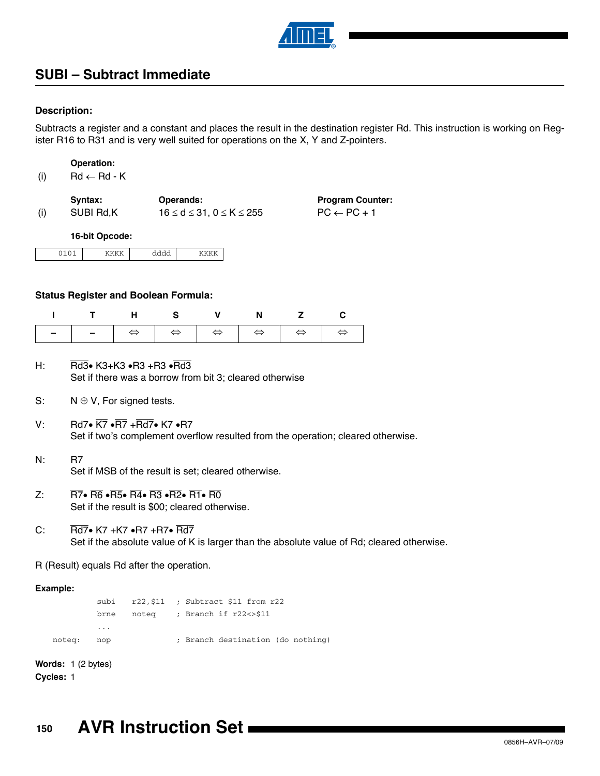

# **SUBI – Subtract Immediate**

# **Description:**

Subtracts a register and a constant and places the result in the destination register Rd. This instruction is working on Register R16 to R31 and is very well suited for operations on the X, Y and Z-pointers.

| <b>Operation:</b> |
|-------------------|
|-------------------|

| (i)<br>$Rd \leftarrow Rd - K$ |
|-------------------------------|
|-------------------------------|

|     | Svntax:   | <b>Operands:</b>                          | <b>Program Counter:</b> |
|-----|-----------|-------------------------------------------|-------------------------|
| (i) | SUBI Rd.K | $16 \leq d \leq 31$ . $0 \leq K \leq 255$ | $PC \leftarrow PC + 1$  |

**16-bit Opcode:**

| $\sim$ $\sim$ | $    -$ |  |
|---------------|---------|--|
|               |         |  |

## **Status Register and Boolean Formula:**

| ITHS V N Z C |  |  |  |
|--------------|--|--|--|
|              |  |  |  |

- H: Rd3 $\bullet$  K3+K3  $\bullet$ R3 +R3  $\bullet$ Rd3 Set if there was a borrow from bit 3; cleared otherwise
- S:  $N \oplus V$ , For signed tests.
- V: Rd7 $\cdot$  K7  $\cdot$ R7 +Rd7 $\cdot$  K7  $\cdot$ R7 Set if two's complement overflow resulted from the operation; cleared otherwise.
- N: R7 Set if MSB of the result is set; cleared otherwise.
- $Z: \n\overline{R7} \cdot \overline{R6} \cdot \overline{R5} \cdot \overline{R4} \cdot \overline{R3} \cdot \overline{R2} \cdot \overline{R1} \cdot \overline{R0}$ Set if the result is \$00; cleared otherwise.
- C:  $\overline{Rd7}$  K7 +K7  $\bullet$ R7 +R7 $\bullet$  Rd7 Set if the absolute value of K is larger than the absolute value of Rd; cleared otherwise.

R (Result) equals Rd after the operation.

## **Example:**

subi r22,\$11 ; Subtract \$11 from r22 brne noteq ; Branch if r22<>\$11 ... noteq: nop ; Branch destination (do nothing)

**Words:** 1 (2 bytes) **Cycles:** 1

**150 AVR Instruction Set**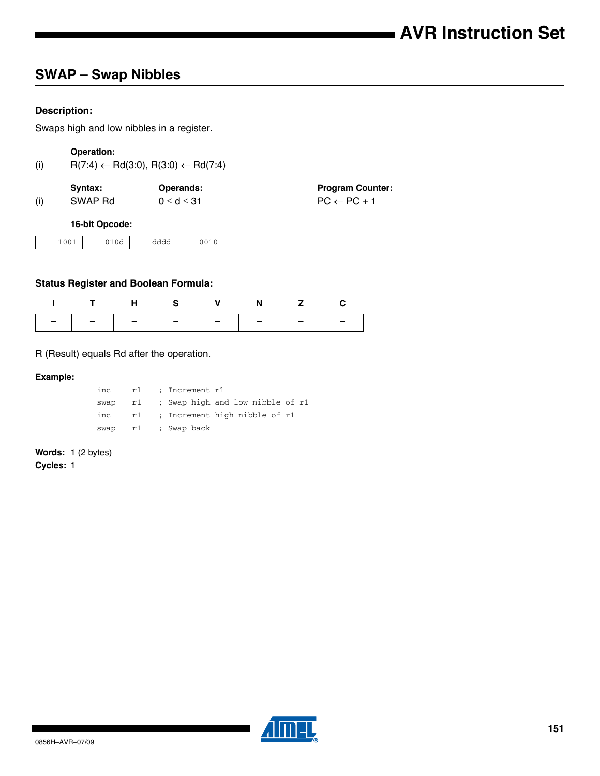# **SWAP – Swap Nibbles**

# **Description:**

Swaps high and low nibbles in a register.

# **Operation:**

| (i) |  | $R(7:4) \leftarrow Rd(3:0), R(3:0) \leftarrow Rd(7:4)$ |
|-----|--|--------------------------------------------------------|
|-----|--|--------------------------------------------------------|

|     | Svntax: | <b>Operands:</b>   | <b>Program Counter:</b> |
|-----|---------|--------------------|-------------------------|
| (i) | SWAP Rd | $0 \leq d \leq 31$ | $PC \leftarrow PC + 1$  |

# **16-bit Opcode:**

| $\sim$ $\sim$<br>ັ<br>---- | $\sim$ $\sim$<br>$-1$ | AAA<br>auu |  |
|----------------------------|-----------------------|------------|--|

# **Status Register and Boolean Formula:**

| ITHS V N Z C                  |  |  |  |
|-------------------------------|--|--|--|
| -   -   -   -   -   -   -   - |  |  |  |

# R (Result) equals Rd after the operation.

# **Example:**

| inc  |  | r1 ; Increment r1                   |
|------|--|-------------------------------------|
| swap |  | r1 ; Swap high and low nibble of r1 |
| inc  |  | r1 ; Increment high nibble of r1    |
| swap |  | r1    ; Swap back                   |

# **Words:** 1 (2 bytes)

**Cycles:** 1

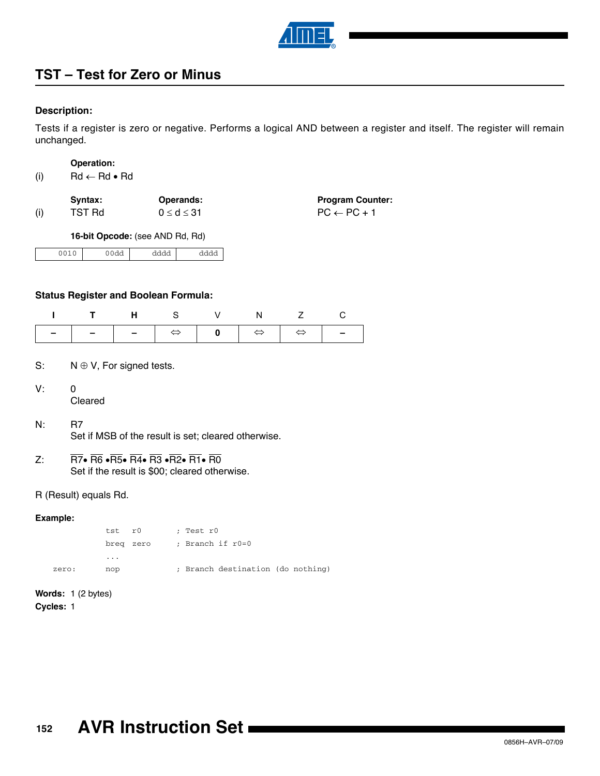

# **TST – Test for Zero or Minus**

# **Description:**

Tests if a register is zero or negative. Performs a logical AND between a register and itself. The register will remain unchanged.

| Operation: |  |
|------------|--|
|            |  |

| (i) | $Rd \leftarrow Rd \bullet Rd$ |  |  |
|-----|-------------------------------|--|--|
|-----|-------------------------------|--|--|

|     | Syntax: | <b>Operands:</b>   | <b>Program Counter:</b> |
|-----|---------|--------------------|-------------------------|
| (i) | TST Rd  | $0 \leq d \leq 31$ | $PC \leftarrow PC + 1$  |

**16-bit Opcode:** (see AND Rd, Rd)

|  | - -<br>uu | aaaa | - - -<br>. |
|--|-----------|------|------------|
|--|-----------|------|------------|

# **Status Register and Boolean Formula:**

| I THS V N Z C |  |  |  |
|---------------|--|--|--|
|               |  |  |  |

- S:  $N \oplus V$ , For signed tests.
- V: 0 Cleared
- N: R7 Set if MSB of the result is set; cleared otherwise.
- Z:  $\overline{R7}$   $\overline{R6}$   $\overline{R5}$   $\overline{R4}$   $\overline{R3}$   $\overline{R2}$   $\overline{R1}$   $\overline{R0}$ Set if the result is \$00; cleared otherwise.

# R (Result) equals Rd.

# **Example:**

tst r0 ; Test r0 breq zero ; Branch if r0=0 ... zero: nop ; Branch destination (do nothing)

**Words:** 1 (2 bytes) **Cycles:** 1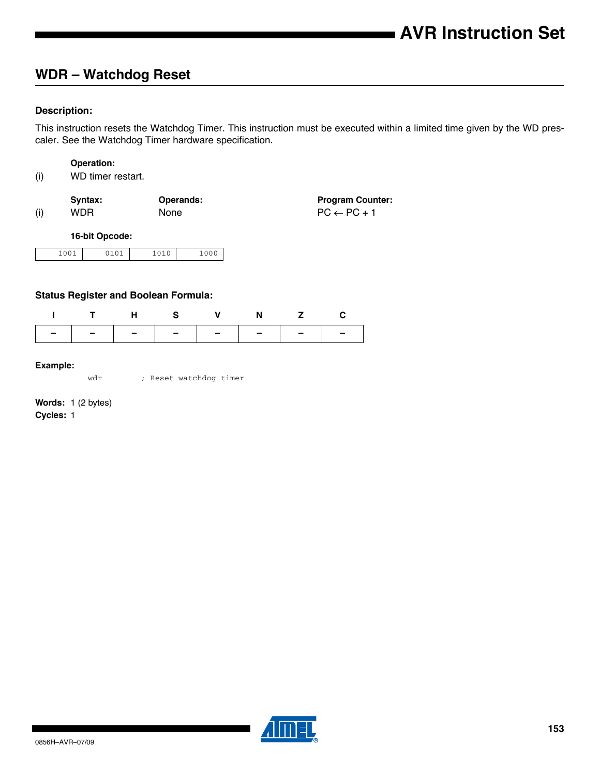# **WDR – Watchdog Reset**

# **Description:**

This instruction resets the Watchdog Timer. This instruction must be executed within a limited time given by the WD prescaler. See the Watchdog Timer hardware specification.

## **Operation:**

|     | Svntax: | <b>Operands:</b> | <b>Program Counter:</b> |
|-----|---------|------------------|-------------------------|
| (i) | WDR.    | <b>None</b>      | $PC \leftarrow PC + 1$  |

**16-bit Opcode:**

| 0.01<br>. | $-1$ $-1$ | --- | $\sim$ $\sim$ $\sim$ |
|-----------|-----------|-----|----------------------|

# **Status Register and Boolean Formula:**

|  |  | ITHS V N Z C                  |  |
|--|--|-------------------------------|--|
|  |  | -   -   -   -   -   -   -   - |  |

## **Example:**

wdr ; Reset watchdog timer

**Words:** 1 (2 bytes) **Cycles:** 1

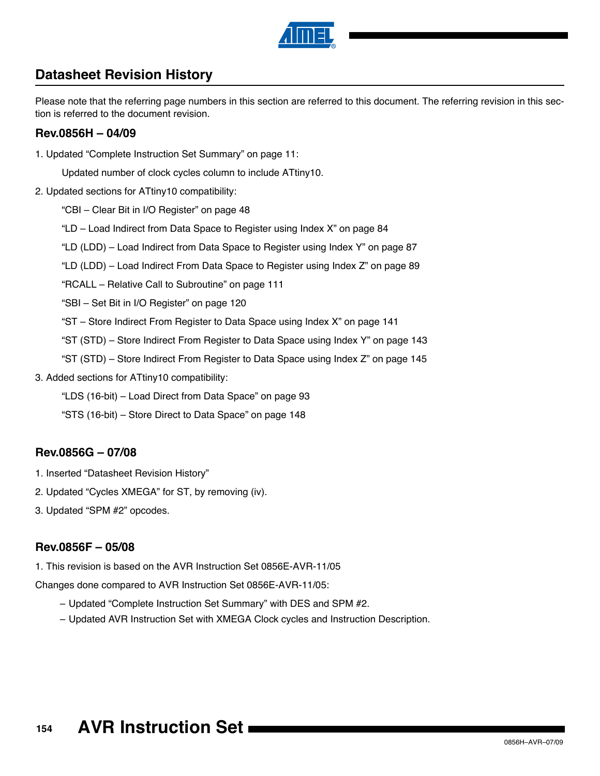

# **Datasheet Revision History**

Please note that the referring page numbers in this section are referred to this document. The referring revision in this section is referred to the document revision.

# **Rev.0856H – 04/09**

1. Updated ["Complete Instruction Set Summary" on page 11](#page-10-0):

Updated number of clock cycles column to include ATtiny10.

2. Updated sections for ATtiny10 compatibility:

["CBI – Clear Bit in I/O Register" on page 48](#page-47-0)

["LD – Load Indirect from Data Space to Register using Index X" on page 84](#page-83-0)

["LD \(LDD\) – Load Indirect from Data Space to Register using Index Y" on page 87](#page-86-0)

["LD \(LDD\) – Load Indirect From Data Space to Register using Index Z" on page 89](#page-88-0)

["RCALL – Relative Call to Subroutine" on page 111](#page-110-0)

["SBI – Set Bit in I/O Register" on page 120](#page-119-0)

["ST – Store Indirect From Register to Data Space using Index X" on page 141](#page-140-0)

["ST \(STD\) – Store Indirect From Register to Data Space using Index Y" on page 143](#page-142-0)

- ["ST \(STD\) Store Indirect From Register to Data Space using Index Z" on page 145](#page-144-0)
- 3. Added sections for ATtiny10 compatibility:

["LDS \(16-bit\) – Load Direct from Data Space" on page 93](#page-92-0)

["STS \(16-bit\) – Store Direct to Data Space" on page 148](#page-147-0)

# **Rev.0856G – 07/08**

- 1. Inserted "Datasheet Revision History"
- 2. Updated "Cycles XMEGA" for ST, by removing (iv).
- 3. Updated "SPM #2" opcodes.

# **Rev.0856F – 05/08**

1. This revision is based on the AVR Instruction Set 0856E-AVR-11/05

Changes done compared to AVR Instruction Set 0856E-AVR-11/05:

- Updated "Complete Instruction Set Summary" with DES and SPM #2.
- Updated AVR Instruction Set with XMEGA Clock cycles and Instruction Description.